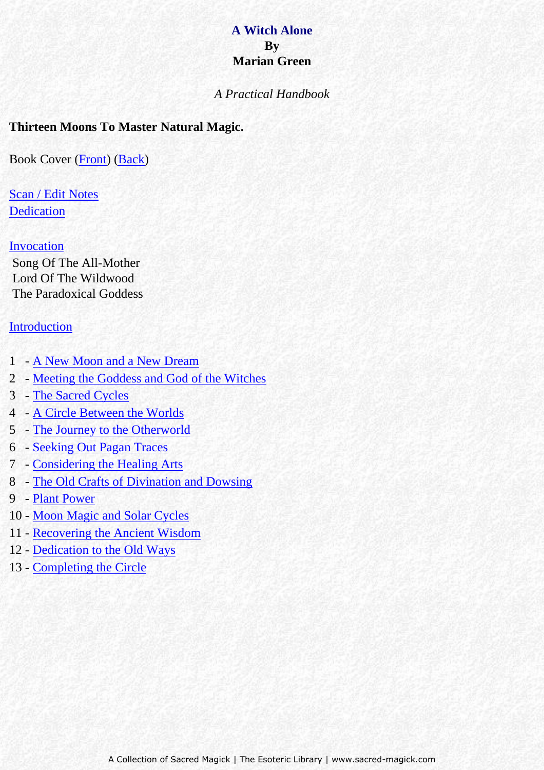#### **By Marian Green**

#### *A Practical Handbook*

# **Thirteen Moons To Master Natural Magic.**

Book Cover (Front) (Back)

Scan / Edit N[otes](#page-1-0) **Dedication** 

[Invocation](#page-3-0)  [Song Of T](#page-4-0)he All-Mother Lord Of The Wildwood  [The Parad](#page-5-0)oxical Goddess

# Introduction

- 1 A New Moon and a New Dream
- [2 Meeting](#page-7-0) the Goddess and God of the Witches
- 3 The Sacred Cycles
- 4 [A Circle Between the Worlds](#page-11-0)
- 5 [The Journey to the Otherworld](#page-20-0)
- 6 [Seeking Out Pagan](#page-31-0) Traces
- 7 [Considering the Healing Arts](#page-42-0)
- 8 [The Old Crafts of Divination an](#page-53-0)d Dowsing
- 9 [Plant Power](#page-63-0)
- 10 [Moon Magic and Solar Cycle](#page-72-0)s
- 11 [Recovering the Ancient Wisdom](#page-83-0)
- 12 [Dedication t](#page-95-0)o the Old Ways
- 13 [Completing the Circle](#page-105-0)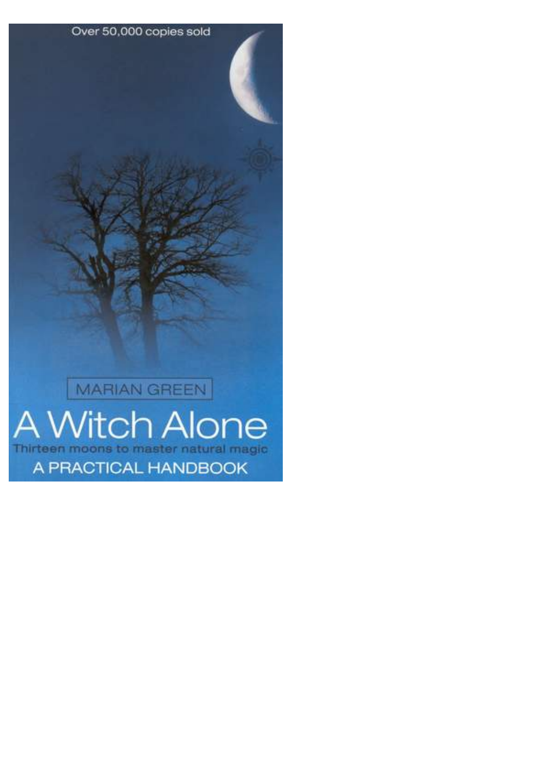

Over 50,000 copies sold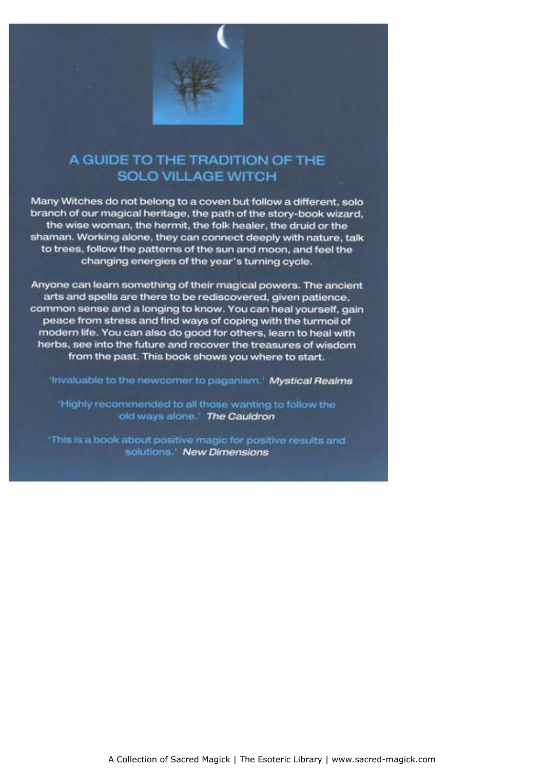

# A GUIDE TO THE TRADITION OF THE **SOLO VILLAGE WITCH**

Many Witches do not belong to a coven but follow a different, solo branch of our magical heritage, the path of the story-book wizard, the wise woman, the hermit, the folk healer, the druid or the shaman. Working alone, they can connect deeply with nature, talk to trees, follow the patterns of the sun and moon, and feel the changing energies of the year's turning cycle.

Anyone can learn something of their magical powers. The ancient arts and spells are there to be rediscovered, given patience. common sense and a longing to know. You can heal yourself, gain peace from stress and find ways of coping with the turmoil of modern life. You can also do good for others, learn to heal with herbs, see into the future and recover the treasures of wisdom from the past. This book shows you where to start.

Invaluable to the newcomer to paganism. Mystical Realms

'Highly recommended to all those wanting to follow the old ways alone.' The Cauldron

This is a book about positive magic for positive results and solutions.<sup>1</sup> New Dimensions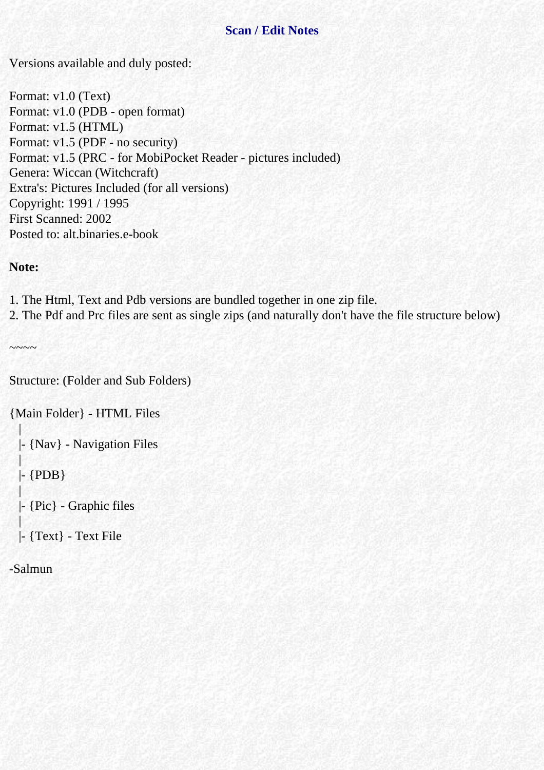### **Scan / Edit Notes**

<span id="page-3-0"></span>Versions available and duly posted:

Format: v1.0 (Text) Format: v1.0 (PDB - open format) Format: v1.5 (HTML) Format: v1.5 (PDF - no security) Format: v1.5 (PRC - for MobiPocket Reader - pictures included) Genera: Wiccan (Witchcraft) Extra's: Pictures Included (for all versions) Copyright: 1991 / 1995 First Scanned: 2002 Posted to: alt.binaries.e-book

# **Note:**

- 1. The Html, Text and Pdb versions are bundled together in one zip file.
- 2. The Pdf and Prc files are sent as single zips (and naturally don't have the file structure below)

```
\sim\sim\sim\sim
```
Structure: (Folder and Sub Folders)

{Main Folder} - HTML Files

 | |- {Nav} - Navigation Files

|- {PDB}

|

|

 | |- {Pic} - Graphic files

|- {Text} - Text File

### -Salmun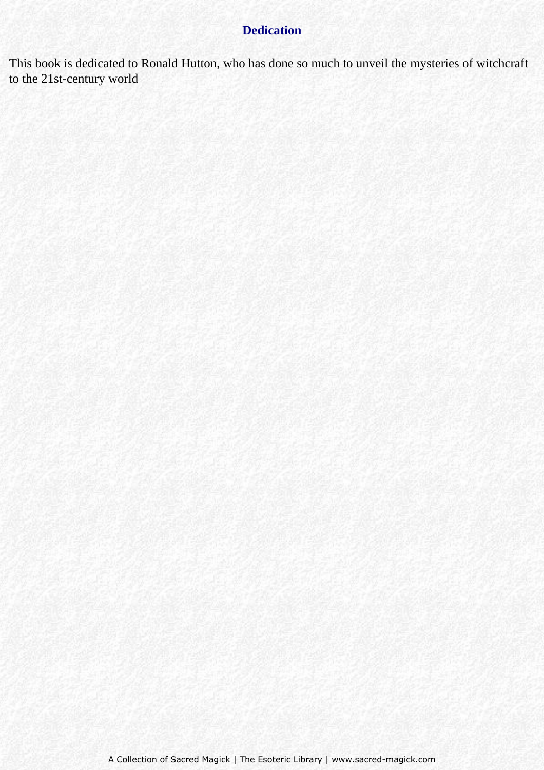# **Dedication**

<span id="page-4-0"></span>This book is dedicated to Ronald Hutton, who has done so much to unveil the mysteries of witchcraft to the 21st-century world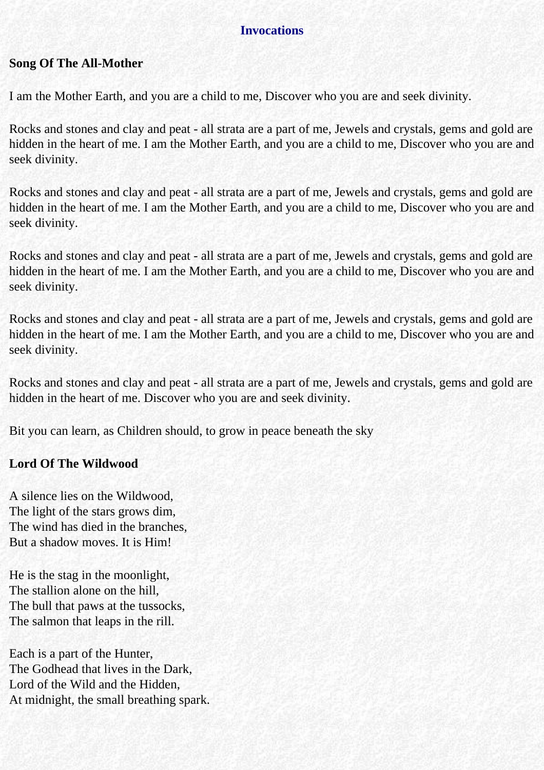### **Invocations**

#### <span id="page-5-0"></span>**Song Of The All-Mother**

I am the Mother Earth, and you are a child to me, Discover who you are and seek divinity.

Rocks and stones and clay and peat - all strata are a part of me, Jewels and crystals, gems and gold are hidden in the heart of me. I am the Mother Earth, and you are a child to me, Discover who you are and seek divinity.

Rocks and stones and clay and peat - all strata are a part of me, Jewels and crystals, gems and gold are hidden in the heart of me. I am the Mother Earth, and you are a child to me, Discover who you are and seek divinity.

Rocks and stones and clay and peat - all strata are a part of me, Jewels and crystals, gems and gold are hidden in the heart of me. I am the Mother Earth, and you are a child to me, Discover who you are and seek divinity.

Rocks and stones and clay and peat - all strata are a part of me, Jewels and crystals, gems and gold are hidden in the heart of me. I am the Mother Earth, and you are a child to me, Discover who you are and seek divinity.

Rocks and stones and clay and peat - all strata are a part of me, Jewels and crystals, gems and gold are hidden in the heart of me. Discover who you are and seek divinity.

Bit you can learn, as Children should, to grow in peace beneath the sky

### **Lord Of The Wildwood**

A silence lies on the Wildwood, The light of the stars grows dim, The wind has died in the branches, But a shadow moves. It is Him!

He is the stag in the moonlight, The stallion alone on the hill, The bull that paws at the tussocks, The salmon that leaps in the rill.

Each is a part of the Hunter, The Godhead that lives in the Dark, Lord of the Wild and the Hidden, At midnight, the small breathing spark.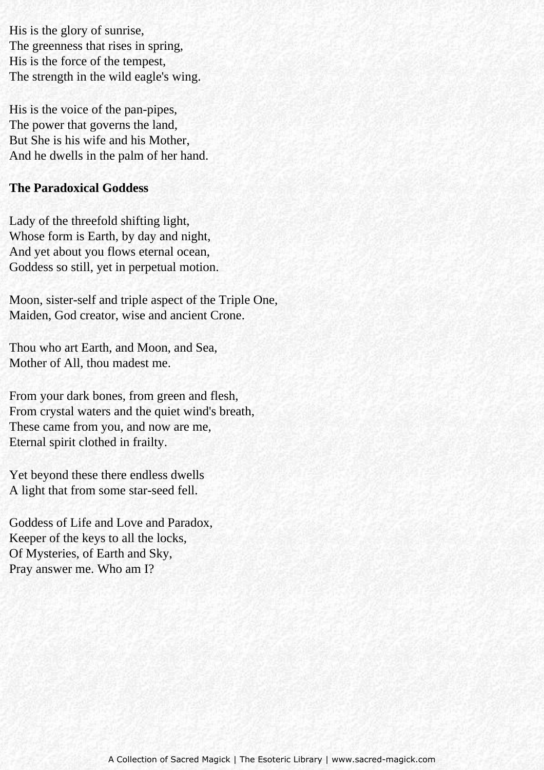His is the glory of sunrise, The greenness that rises in spring, His is the force of the tempest, The strength in the wild eagle's wing.

His is the voice of the pan-pipes, The power that governs the land, But She is his wife and his Mother, And he dwells in the palm of her hand.

### **The Paradoxical Goddess**

Lady of the threefold shifting light, Whose form is Earth, by day and night, And yet about you flows eternal ocean, Goddess so still, yet in perpetual motion.

Moon, sister-self and triple aspect of the Triple One, Maiden, God creator, wise and ancient Crone.

Thou who art Earth, and Moon, and Sea, Mother of All, thou madest me.

From your dark bones, from green and flesh, From crystal waters and the quiet wind's breath, These came from you, and now are me, Eternal spirit clothed in frailty.

Yet beyond these there endless dwells A light that from some star-seed fell.

Goddess of Life and Love and Paradox, Keeper of the keys to all the locks, Of Mysteries, of Earth and Sky, Pray answer me. Who am I?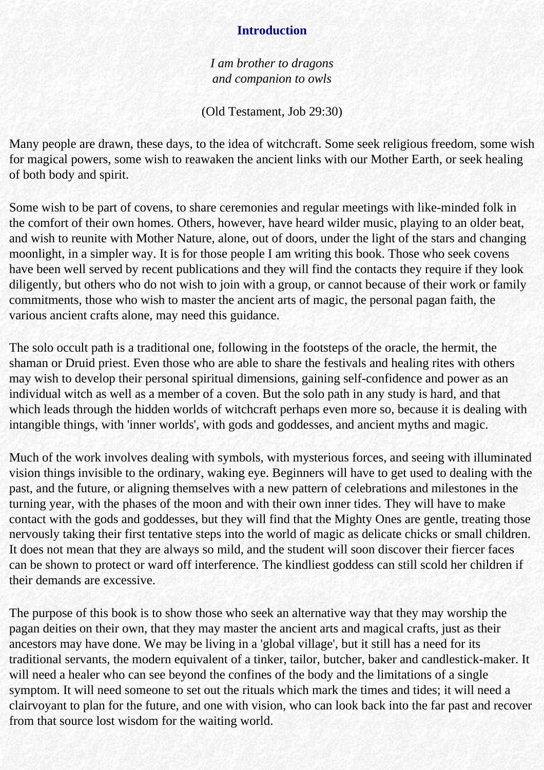# **Introduction**

*I am brother to dragons and companion to owls*

(Old Testament, Job 29:30)

<span id="page-7-0"></span>Many people are drawn, these days, to the idea of witchcraft. Some seek religious freedom, some wish for magical powers, some wish to reawaken the ancient links with our Mother Earth, or seek healing of both body and spirit.

Some wish to be part of covens, to share ceremonies and regular meetings with like-minded folk in the comfort of their own homes. Others, however, have heard wilder music, playing to an older beat, and wish to reunite with Mother Nature, alone, out of doors, under the light of the stars and changing moonlight, in a simpler way. It is for those people I am writing this book. Those who seek covens have been well served by recent publications and they will find the contacts they require if they look diligently, but others who do not wish to join with a group, or cannot because of their work or family commitments, those who wish to master the ancient arts of magic, the personal pagan faith, the various ancient crafts alone, may need this guidance.

The solo occult path is a traditional one, following in the footsteps of the oracle, the hermit, the shaman or Druid priest. Even those who are able to share the festivals and healing rites with others may wish to develop their personal spiritual dimensions, gaining self-confidence and power as an individual witch as well as a member of a coven. But the solo path in any study is hard, and that which leads through the hidden worlds of witchcraft perhaps even more so, because it is dealing with intangible things, with 'inner worlds', with gods and goddesses, and ancient myths and magic.

Much of the work involves dealing with symbols, with mysterious forces, and seeing with illuminated vision things invisible to the ordinary, waking eye. Beginners will have to get used to dealing with the past, and the future, or aligning themselves with a new pattern of celebrations and milestones in the turning year, with the phases of the moon and with their own inner tides. They will have to make contact with the gods and goddesses, but they will find that the Mighty Ones are gentle, treating those nervously taking their first tentative steps into the world of magic as delicate chicks or small children. It does not mean that they are always so mild, and the student will soon discover their fiercer faces can be shown to protect or ward off interference. The kindliest goddess can still scold her children if their demands are excessive.

The purpose of this book is to show those who seek an alternative way that they may worship the pagan deities on their own, that they may master the ancient arts and magical crafts, just as their ancestors may have done. We may be living in a 'global village', but it still has a need for its traditional servants, the modern equivalent of a tinker, tailor, butcher, baker and candlestick-maker. It will need a healer who can see beyond the confines of the body and the limitations of a single symptom. It will need someone to set out the rituals which mark the times and tides; it will need a clairvoyant to plan for the future, and one with vision, who can look back into the far past and recover from that source lost wisdom for the waiting world.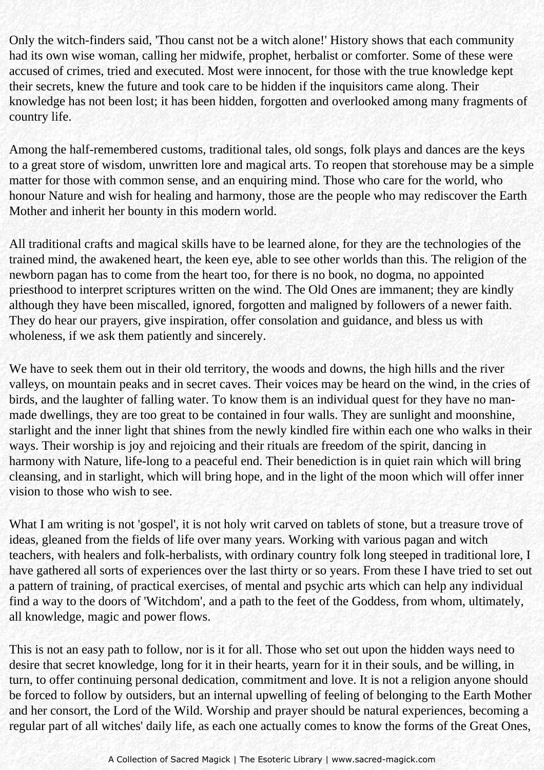Only the witch-finders said, 'Thou canst not be a witch alone!' History shows that each community had its own wise woman, calling her midwife, prophet, herbalist or comforter. Some of these were accused of crimes, tried and executed. Most were innocent, for those with the true knowledge kept their secrets, knew the future and took care to be hidden if the inquisitors came along. Their knowledge has not been lost; it has been hidden, forgotten and overlooked among many fragments of country life.

Among the half-remembered customs, traditional tales, old songs, folk plays and dances are the keys to a great store of wisdom, unwritten lore and magical arts. To reopen that storehouse may be a simple matter for those with common sense, and an enquiring mind. Those who care for the world, who honour Nature and wish for healing and harmony, those are the people who may rediscover the Earth Mother and inherit her bounty in this modern world. -

All traditional crafts and magical skills have to be learned alone, for they are the technologies of the trained mind, the awakened heart, the keen eye, able to see other worlds than this. The religion of the newborn pagan has to come from the heart too, for there is no book, no dogma, no appointed priesthood to interpret scriptures written on the wind. The Old Ones are immanent; they are kindly although they have been miscalled, ignored, forgotten and maligned by followers of a newer faith. They do hear our prayers, give inspiration, offer consolation and guidance, and bless us with wholeness, if we ask them patiently and sincerely.

We have to seek them out in their old territory, the woods and downs, the high hills and the river valleys, on mountain peaks and in secret caves. Their voices may be heard on the wind, in the cries of birds, and the laughter of falling water. To know them is an individual quest for they have no manmade dwellings, they are too great to be contained in four walls. They are sunlight and moonshine, starlight and the inner light that shines from the newly kindled fire within each one who walks in their ways. Their worship is joy and rejoicing and their rituals are freedom of the spirit, dancing in harmony with Nature, life-long to a peaceful end. Their benediction is in quiet rain which will bring cleansing, and in starlight, which will bring hope, and in the light of the moon which will offer inner vision to those who wish to see.

What I am writing is not 'gospel', it is not holy writ carved on tablets of stone, but a treasure trove of ideas, gleaned from the fields of life over many years. Working with various pagan and witch teachers, with healers and folk-herbalists, with ordinary country folk long steeped in traditional lore, I have gathered all sorts of experiences over the last thirty or so years. From these I have tried to set out a pattern of training, of practical exercises, of mental and psychic arts which can help any individual find a way to the doors of 'Witchdom', and a path to the feet of the Goddess, from whom, ultimately, all knowledge, magic and power flows.

This is not an easy path to follow, nor is it for all. Those who set out upon the hidden ways need to desire that secret knowledge, long for it in their hearts, yearn for it in their souls, and be willing, in turn, to offer continuing personal dedication, commitment and love. It is not a religion anyone should be forced to follow by outsiders, but an internal upwelling of feeling of belonging to the Earth Mother and her consort, the Lord of the Wild. Worship and prayer should be natural experiences, becoming a regular part of all witches' daily life, as each one actually comes to know the forms of the Great Ones,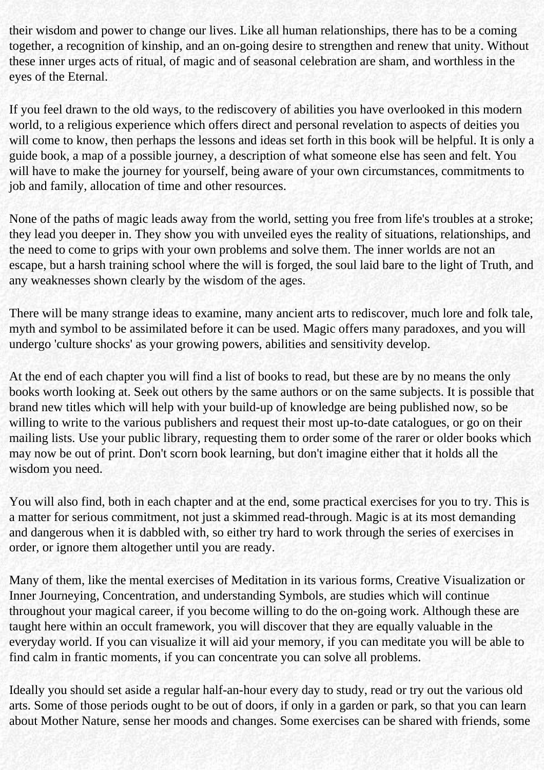their wisdom and power to change our lives. Like all human relationships, there has to be a coming together, a recognition of kinship, and an on-going desire to strengthen and renew that unity. Without these inner urges acts of ritual, of magic and of seasonal celebration are sham, and worthless in the eyes of the Eternal.

If you feel drawn to the old ways, to the rediscovery of abilities you have overlooked in this modern world, to a religious experience which offers direct and personal revelation to aspects of deities you will come to know, then perhaps the lessons and ideas set forth in this book will be helpful. It is only a guide book, a map of a possible journey, a description of what someone else has seen and felt. You will have to make the journey for yourself, being aware of your own circumstances, commitments to job and family, allocation of time and other resources.

None of the paths of magic leads away from the world, setting you free from life's troubles at a stroke; they lead you deeper in. They show you with unveiled eyes the reality of situations, relationships, and the need to come to grips with your own problems and solve them. The inner worlds are not an escape, but a harsh training school where the will is forged, the soul laid bare to the light of Truth, and any weaknesses shown clearly by the wisdom of the ages.

There will be many strange ideas to examine, many ancient arts to rediscover, much lore and folk tale, myth and symbol to be assimilated before it can be used. Magic offers many paradoxes, and you will undergo 'culture shocks' as your growing powers, abilities and sensitivity develop.

At the end of each chapter you will find a list of books to read, but these are by no means the only books worth looking at. Seek out others by the same authors or on the same subjects. It is possible that brand new titles which will help with your build-up of knowledge are being published now, so be willing to write to the various publishers and request their most up-to-date catalogues, or go on their mailing lists. Use your public library, requesting them to order some of the rarer or older books which may now be out of print. Don't scorn book learning, but don't imagine either that it holds all the wisdom you need.

You will also find, both in each chapter and at the end, some practical exercises for you to try. This is a matter for serious commitment, not just a skimmed read-through. Magic is at its most demanding and dangerous when it is dabbled with, so either try hard to work through the series of exercises in order, or ignore them altogether until you are ready.

Many of them, like the mental exercises of Meditation in its various forms, Creative Visualization or Inner Journeying, Concentration, and understanding Symbols, are studies which will continue throughout your magical career, if you become willing to do the on-going work. Although these are taught here within an occult framework, you will discover that they are equally valuable in the everyday world. If you can visualize it will aid your memory, if you can meditate you will be able to find calm in frantic moments, if you can concentrate you can solve all problems.

Ideally you should set aside a regular half-an-hour every day to study, read or try out the various old arts. Some of those periods ought to be out of doors, if only in a garden or park, so that you can learn about Mother Nature, sense her moods and changes. Some exercises can be shared with friends, some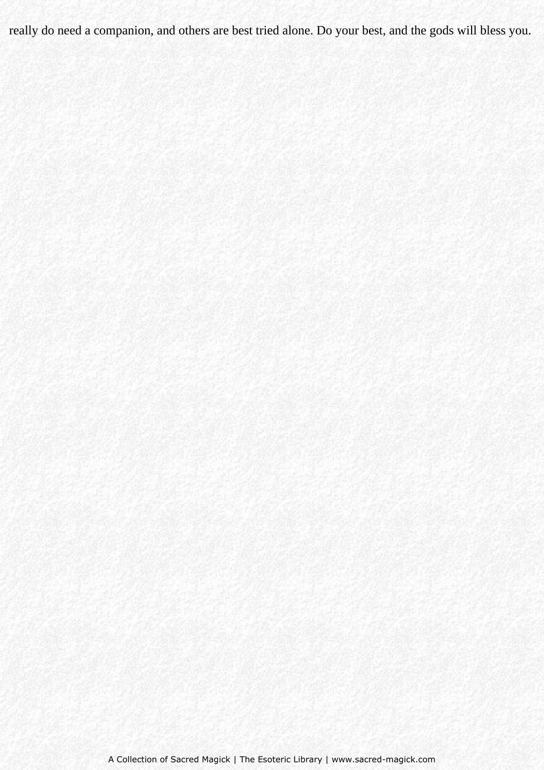really do need a companion, and others are best tried alone. Do your best, and the gods will bless you.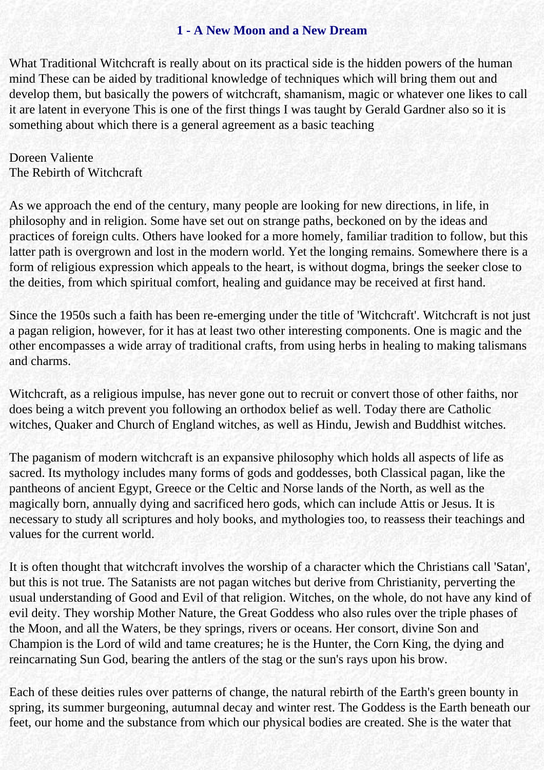# **1 - A New Moon and a New Dream**

<span id="page-11-0"></span>What Traditional Witchcraft is really about on its practical side is the hidden powers of the human mind These can be aided by traditional knowledge of techniques which will bring them out and develop them, but basically the powers of witchcraft, shamanism, magic or whatever one likes to call it are latent in everyone This is one of the first things I was taught by Gerald Gardner also so it is something about which there is a general agreement as a basic teaching

Doreen Valiente The Rebirth of Witchcraft

As we approach the end of the century, many people are looking for new directions, in life, in philosophy and in religion. Some have set out on strange paths, beckoned on by the ideas and practices of foreign cults. Others have looked for a more homely, familiar tradition to follow, but this latter path is overgrown and lost in the modern world. Yet the longing remains. Somewhere there is a form of religious expression which appeals to the heart, is without dogma, brings the seeker close to the deities, from which spiritual comfort, healing and guidance may be received at first hand.

Since the 1950s such a faith has been re-emerging under the title of 'Witchcraft'. Witchcraft is not just a pagan religion, however, for it has at least two other interesting components. One is magic and the other encompasses a wide array of traditional crafts, from using herbs in healing to making talismans and charms.

Witchcraft, as a religious impulse, has never gone out to recruit or convert those of other faiths, nor does being a witch prevent you following an orthodox belief as well. Today there are Catholic witches, Quaker and Church of England witches, as well as Hindu, Jewish and Buddhist witches.

The paganism of modern witchcraft is an expansive philosophy which holds all aspects of life as sacred. Its mythology includes many forms of gods and goddesses, both Classical pagan, like the pantheons of ancient Egypt, Greece or the Celtic and Norse lands of the North, as well as the magically born, annually dying and sacrificed hero gods, which can include Attis or Jesus. It is necessary to study all scriptures and holy books, and mythologies too, to reassess their teachings and values for the current world.

It is often thought that witchcraft involves the worship of a character which the Christians call 'Satan', but this is not true. The Satanists are not pagan witches but derive from Christianity, perverting the usual understanding of Good and Evil of that religion. Witches, on the whole, do not have any kind of evil deity. They worship Mother Nature, the Great Goddess who also rules over the triple phases of the Moon, and all the Waters, be they springs, rivers or oceans. Her consort, divine Son and Champion is the Lord of wild and tame creatures; he is the Hunter, the Corn King, the dying and reincarnating Sun God, bearing the antlers of the stag or the sun's rays upon his brow.

Each of these deities rules over patterns of change, the natural rebirth of the Earth's green bounty in spring, its summer burgeoning, autumnal decay and winter rest. The Goddess is the Earth beneath our feet, our home and the substance from which our physical bodies are created. She is the water that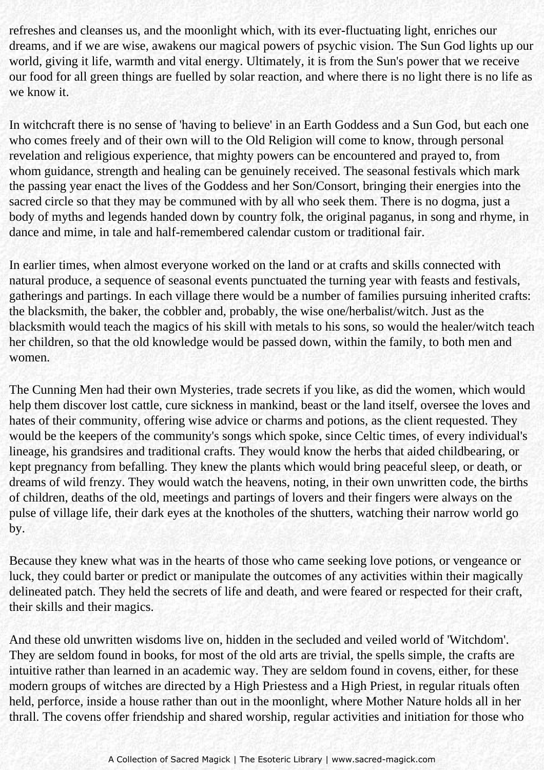refreshes and cleanses us, and the moonlight which, with its ever-fluctuating light, enriches our dreams, and if we are wise, awakens our magical powers of psychic vision. The Sun God lights up our world, giving it life, warmth and vital energy. Ultimately, it is from the Sun's power that we receive our food for all green things are fuelled by solar reaction, and where there is no light there is no life as we know it.

In witchcraft there is no sense of 'having to believe' in an Earth Goddess and a Sun God, but each one who comes freely and of their own will to the Old Religion will come to know, through personal revelation and religious experience, that mighty powers can be encountered and prayed to, from whom guidance, strength and healing can be genuinely received. The seasonal festivals which mark the passing year enact the lives of the Goddess and her Son/Consort, bringing their energies into the sacred circle so that they may be communed with by all who seek them. There is no dogma, just a body of myths and legends handed down by country folk, the original paganus, in song and rhyme, in dance and mime, in tale and half-remembered calendar custom or traditional fair.

In earlier times, when almost everyone worked on the land or at crafts and skills connected with natural produce, a sequence of seasonal events punctuated the turning year with feasts and festivals, gatherings and partings. In each village there would be a number of families pursuing inherited crafts: the blacksmith, the baker, the cobbler and, probably, the wise one/herbalist/witch. Just as the blacksmith would teach the magics of his skill with metals to his sons, so would the healer/witch teach her children, so that the old knowledge would be passed down, within the family, to both men and women.

The Cunning Men had their own Mysteries, trade secrets if you like, as did the women, which would help them discover lost cattle, cure sickness in mankind, beast or the land itself, oversee the loves and hates of their community, offering wise advice or charms and potions, as the client requested. They would be the keepers of the community's songs which spoke, since Celtic times, of every individual's lineage, his grandsires and traditional crafts. They would know the herbs that aided childbearing, or kept pregnancy from befalling. They knew the plants which would bring peaceful sleep, or death, or dreams of wild frenzy. They would watch the heavens, noting, in their own unwritten code, the births of children, deaths of the old, meetings and partings of lovers and their fingers were always on the pulse of village life, their dark eyes at the knotholes of the shutters, watching their narrow world go by.

Because they knew what was in the hearts of those who came seeking love potions, or vengeance or luck, they could barter or predict or manipulate the outcomes of any activities within their magically delineated patch. They held the secrets of life and death, and were feared or respected for their craft, their skills and their magics.

And these old unwritten wisdoms live on, hidden in the secluded and veiled world of 'Witchdom'. They are seldom found in books, for most of the old arts are trivial, the spells simple, the crafts are intuitive rather than learned in an academic way. They are seldom found in covens, either, for these modern groups of witches are directed by a High Priestess and a High Priest, in regular rituals often held, perforce, inside a house rather than out in the moonlight, where Mother Nature holds all in her thrall. The covens offer friendship and shared worship, regular activities and initiation for those who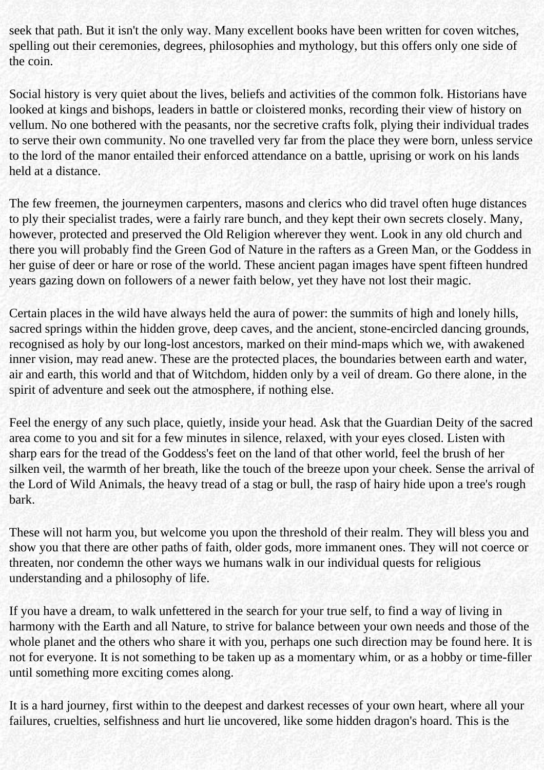seek that path. But it isn't the only way. Many excellent books have been written for coven witches, spelling out their ceremonies, degrees, philosophies and mythology, but this offers only one side of the coin.

Social history is very quiet about the lives, beliefs and activities of the common folk. Historians have looked at kings and bishops, leaders in battle or cloistered monks, recording their view of history on vellum. No one bothered with the peasants, nor the secretive crafts folk, plying their individual trades to serve their own community. No one travelled very far from the place they were born, unless service to the lord of the manor entailed their enforced attendance on a battle, uprising or work on his lands held at a distance.

The few freemen, the journeymen carpenters, masons and clerics who did travel often huge distances to ply their specialist trades, were a fairly rare bunch, and they kept their own secrets closely. Many, however, protected and preserved the Old Religion wherever they went. Look in any old church and there you will probably find the Green God of Nature in the rafters as a Green Man, or the Goddess in her guise of deer or hare or rose of the world. These ancient pagan images have spent fifteen hundred years gazing down on followers of a newer faith below, yet they have not lost their magic.

Certain places in the wild have always held the aura of power: the summits of high and lonely hills, sacred springs within the hidden grove, deep caves, and the ancient, stone-encircled dancing grounds, recognised as holy by our long-lost ancestors, marked on their mind-maps which we, with awakened inner vision, may read anew. These are the protected places, the boundaries between earth and water, air and earth, this world and that of Witchdom, hidden only by a veil of dream. Go there alone, in the spirit of adventure and seek out the atmosphere, if nothing else.

Feel the energy of any such place, quietly, inside your head. Ask that the Guardian Deity of the sacred area come to you and sit for a few minutes in silence, relaxed, with your eyes closed. Listen with sharp ears for the tread of the Goddess's feet on the land of that other world, feel the brush of her silken veil, the warmth of her breath, like the touch of the breeze upon your cheek. Sense the arrival of the Lord of Wild Animals, the heavy tread of a stag or bull, the rasp of hairy hide upon a tree's rough bark.

These will not harm you, but welcome you upon the threshold of their realm. They will bless you and show you that there are other paths of faith, older gods, more immanent ones. They will not coerce or threaten, nor condemn the other ways we humans walk in our individual quests for religious understanding and a philosophy of life.

If you have a dream, to walk unfettered in the search for your true self, to find a way of living in harmony with the Earth and all Nature, to strive for balance between your own needs and those of the whole planet and the others who share it with you, perhaps one such direction may be found here. It is not for everyone. It is not something to be taken up as a momentary whim, or as a hobby or time-filler until something more exciting comes along.

It is a hard journey, first within to the deepest and darkest recesses of your own heart, where all your failures, cruelties, selfishness and hurt lie uncovered, like some hidden dragon's hoard. This is the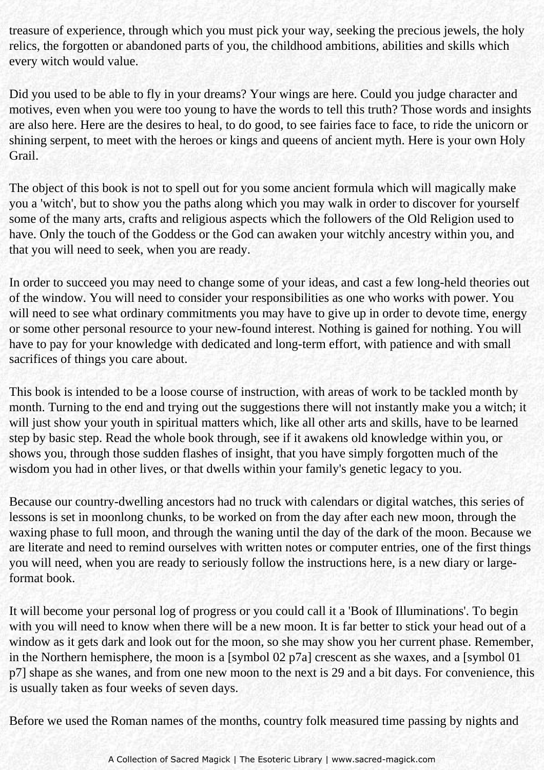treasure of experience, through which you must pick your way, seeking the precious jewels, the holy relics, the forgotten or abandoned parts of you, the childhood ambitions, abilities and skills which every witch would value.

Did you used to be able to fly in your dreams? Your wings are here. Could you judge character and motives, even when you were too young to have the words to tell this truth? Those words and insights are also here. Here are the desires to heal, to do good, to see fairies face to face, to ride the unicorn or shining serpent, to meet with the heroes or kings and queens of ancient myth. Here is your own Holy Grail.

The object of this book is not to spell out for you some ancient formula which will magically make you a 'witch', but to show you the paths along which you may walk in order to discover for yourself some of the many arts, crafts and religious aspects which the followers of the Old Religion used to have. Only the touch of the Goddess or the God can awaken your witchly ancestry within you, and that you will need to seek, when you are ready.

In order to succeed you may need to change some of your ideas, and cast a few long-held theories out of the window. You will need to consider your responsibilities as one who works with power. You will need to see what ordinary commitments you may have to give up in order to devote time, energy or some other personal resource to your new-found interest. Nothing is gained for nothing. You will have to pay for your knowledge with dedicated and long-term effort, with patience and with small sacrifices of things you care about.

This book is intended to be a loose course of instruction, with areas of work to be tackled month by month. Turning to the end and trying out the suggestions there will not instantly make you a witch; it will just show your youth in spiritual matters which, like all other arts and skills, have to be learned step by basic step. Read the whole book through, see if it awakens old knowledge within you, or shows you, through those sudden flashes of insight, that you have simply forgotten much of the wisdom you had in other lives, or that dwells within your family's genetic legacy to you.

Because our country-dwelling ancestors had no truck with calendars or digital watches, this series of lessons is set in moonlong chunks, to be worked on from the day after each new moon, through the waxing phase to full moon, and through the waning until the day of the dark of the moon. Because we are literate and need to remind ourselves with written notes or computer entries, one of the first things you will need, when you are ready to seriously follow the instructions here, is a new diary or largeformat book.

It will become your personal log of progress or you could call it a 'Book of Illuminations'. To begin with you will need to know when there will be a new moon. It is far better to stick your head out of a window as it gets dark and look out for the moon, so she may show you her current phase. Remember, in the Northern hemisphere, the moon is a [symbol 02 p7a] crescent as she waxes, and a [symbol 01 p7] shape as she wanes, and from one new moon to the next is 29 and a bit days. For convenience, this is usually taken as four weeks of seven days.

Before we used the Roman names of the months, country folk measured time passing by nights and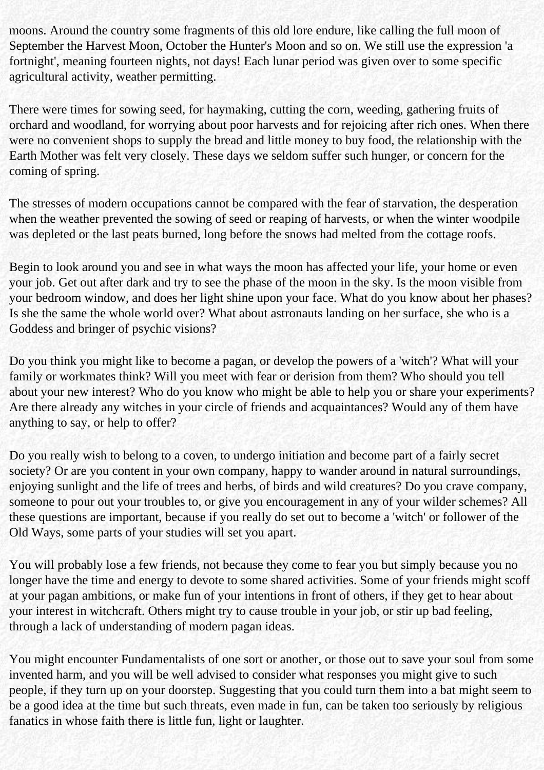moons. Around the country some fragments of this old lore endure, like calling the full moon of September the Harvest Moon, October the Hunter's Moon and so on. We still use the expression 'a fortnight', meaning fourteen nights, not days! Each lunar period was given over to some specific agricultural activity, weather permitting.

There were times for sowing seed, for haymaking, cutting the corn, weeding, gathering fruits of orchard and woodland, for worrying about poor harvests and for rejoicing after rich ones. When there were no convenient shops to supply the bread and little money to buy food, the relationship with the Earth Mother was felt very closely. These days we seldom suffer such hunger, or concern for the coming of spring.

The stresses of modern occupations cannot be compared with the fear of starvation, the desperation when the weather prevented the sowing of seed or reaping of harvests, or when the winter woodpile was depleted or the last peats burned, long before the snows had melted from the cottage roofs.

Begin to look around you and see in what ways the moon has affected your life, your home or even your job. Get out after dark and try to see the phase of the moon in the sky. Is the moon visible from your bedroom window, and does her light shine upon your face. What do you know about her phases? Is she the same the whole world over? What about astronauts landing on her surface, she who is a Goddess and bringer of psychic visions?

Do you think you might like to become a pagan, or develop the powers of a 'witch'? What will your family or workmates think? Will you meet with fear or derision from them? Who should you tell about your new interest? Who do you know who might be able to help you or share your experiments? Are there already any witches in your circle of friends and acquaintances? Would any of them have anything to say, or help to offer?

Do you really wish to belong to a coven, to undergo initiation and become part of a fairly secret society? Or are you content in your own company, happy to wander around in natural surroundings, enjoying sunlight and the life of trees and herbs, of birds and wild creatures? Do you crave company, someone to pour out your troubles to, or give you encouragement in any of your wilder schemes? All these questions are important, because if you really do set out to become a 'witch' or follower of the Old Ways, some parts of your studies will set you apart.

You will probably lose a few friends, not because they come to fear you but simply because you no longer have the time and energy to devote to some shared activities. Some of your friends might scoff at your pagan ambitions, or make fun of your intentions in front of others, if they get to hear about your interest in witchcraft. Others might try to cause trouble in your job, or stir up bad feeling, through a lack of understanding of modern pagan ideas.

You might encounter Fundamentalists of one sort or another, or those out to save your soul from some invented harm, and you will be well advised to consider what responses you might give to such people, if they turn up on your doorstep. Suggesting that you could turn them into a bat might seem to be a good idea at the time but such threats, even made in fun, can be taken too seriously by religious fanatics in whose faith there is little fun, light or laughter.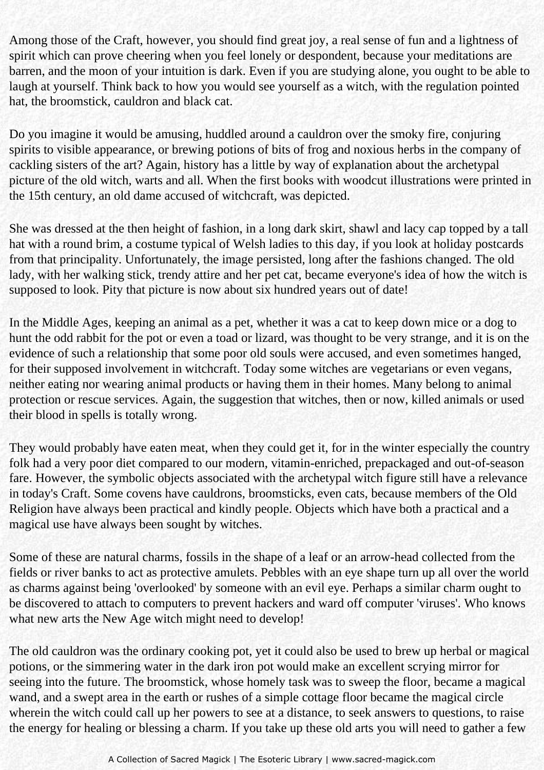Among those of the Craft, however, you should find great joy, a real sense of fun and a lightness of spirit which can prove cheering when you feel lonely or despondent, because your meditations are barren, and the moon of your intuition is dark. Even if you are studying alone, you ought to be able to laugh at yourself. Think back to how you would see yourself as a witch, with the regulation pointed hat, the broomstick, cauldron and black cat.

Do you imagine it would be amusing, huddled around a cauldron over the smoky fire, conjuring spirits to visible appearance, or brewing potions of bits of frog and noxious herbs in the company of cackling sisters of the art? Again, history has a little by way of explanation about the archetypal picture of the old witch, warts and all. When the first books with woodcut illustrations were printed in the 15th century, an old dame accused of witchcraft, was depicted.

She was dressed at the then height of fashion, in a long dark skirt, shawl and lacy cap topped by a tall hat with a round brim, a costume typical of Welsh ladies to this day, if you look at holiday postcards from that principality. Unfortunately, the image persisted, long after the fashions changed. The old lady, with her walking stick, trendy attire and her pet cat, became everyone's idea of how the witch is supposed to look. Pity that picture is now about six hundred years out of date!

In the Middle Ages, keeping an animal as a pet, whether it was a cat to keep down mice or a dog to hunt the odd rabbit for the pot or even a toad or lizard, was thought to be very strange, and it is on the evidence of such a relationship that some poor old souls were accused, and even sometimes hanged, for their supposed involvement in witchcraft. Today some witches are vegetarians or even vegans, neither eating nor wearing animal products or having them in their homes. Many belong to animal protection or rescue services. Again, the suggestion that witches, then or now, killed animals or used their blood in spells is totally wrong.

They would probably have eaten meat, when they could get it, for in the winter especially the country folk had a very poor diet compared to our modern, vitamin-enriched, prepackaged and out-of-season fare. However, the symbolic objects associated with the archetypal witch figure still have a relevance in today's Craft. Some covens have cauldrons, broomsticks, even cats, because members of the Old Religion have always been practical and kindly people. Objects which have both a practical and a magical use have always been sought by witches.

Some of these are natural charms, fossils in the shape of a leaf or an arrow-head collected from the fields or river banks to act as protective amulets. Pebbles with an eye shape turn up all over the world as charms against being 'overlooked' by someone with an evil eye. Perhaps a similar charm ought to be discovered to attach to computers to prevent hackers and ward off computer 'viruses'. Who knows what new arts the New Age witch might need to develop!

The old cauldron was the ordinary cooking pot, yet it could also be used to brew up herbal or magical potions, or the simmering water in the dark iron pot would make an excellent scrying mirror for seeing into the future. The broomstick, whose homely task was to sweep the floor, became a magical wand, and a swept area in the earth or rushes of a simple cottage floor became the magical circle wherein the witch could call up her powers to see at a distance, to seek answers to questions, to raise the energy for healing or blessing a charm. If you take up these old arts you will need to gather a few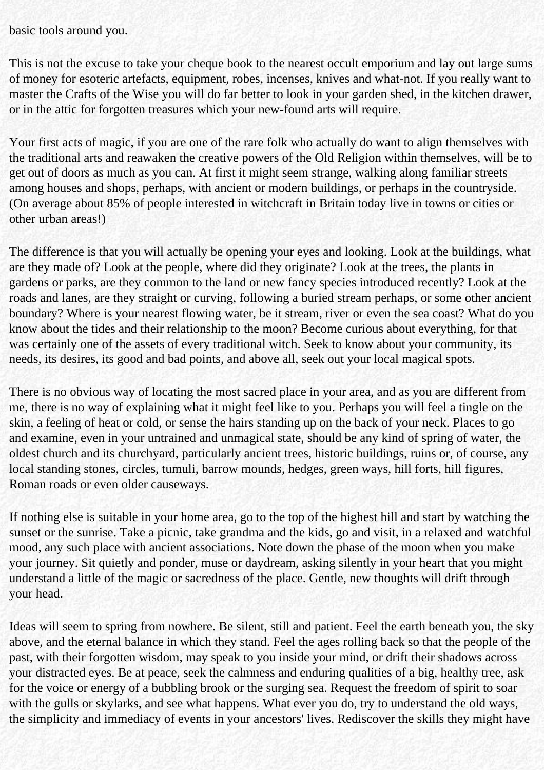basic tools around you.

This is not the excuse to take your cheque book to the nearest occult emporium and lay out large sums of money for esoteric artefacts, equipment, robes, incenses, knives and what-not. If you really want to master the Crafts of the Wise you will do far better to look in your garden shed, in the kitchen drawer, or in the attic for forgotten treasures which your new-found arts will require.

Your first acts of magic, if you are one of the rare folk who actually do want to align themselves with the traditional arts and reawaken the creative powers of the Old Religion within themselves, will be to get out of doors as much as you can. At first it might seem strange, walking along familiar streets among houses and shops, perhaps, with ancient or modern buildings, or perhaps in the countryside. (On average about 85% of people interested in witchcraft in Britain today live in towns or cities or other urban areas!)

The difference is that you will actually be opening your eyes and looking. Look at the buildings, what are they made of? Look at the people, where did they originate? Look at the trees, the plants in gardens or parks, are they common to the land or new fancy species introduced recently? Look at the roads and lanes, are they straight or curving, following a buried stream perhaps, or some other ancient boundary? Where is your nearest flowing water, be it stream, river or even the sea coast? What do you know about the tides and their relationship to the moon? Become curious about everything, for that was certainly one of the assets of every traditional witch. Seek to know about your community, its needs, its desires, its good and bad points, and above all, seek out your local magical spots.

There is no obvious way of locating the most sacred place in your area, and as you are different from me, there is no way of explaining what it might feel like to you. Perhaps you will feel a tingle on the skin, a feeling of heat or cold, or sense the hairs standing up on the back of your neck. Places to go and examine, even in your untrained and unmagical state, should be any kind of spring of water, the oldest church and its churchyard, particularly ancient trees, historic buildings, ruins or, of course, any local standing stones, circles, tumuli, barrow mounds, hedges, green ways, hill forts, hill figures, Roman roads or even older causeways.

If nothing else is suitable in your home area, go to the top of the highest hill and start by watching the sunset or the sunrise. Take a picnic, take grandma and the kids, go and visit, in a relaxed and watchful mood, any such place with ancient associations. Note down the phase of the moon when you make your journey. Sit quietly and ponder, muse or daydream, asking silently in your heart that you might understand a little of the magic or sacredness of the place. Gentle, new thoughts will drift through your head.

Ideas will seem to spring from nowhere. Be silent, still and patient. Feel the earth beneath you, the sky above, and the eternal balance in which they stand. Feel the ages rolling back so that the people of the past, with their forgotten wisdom, may speak to you inside your mind, or drift their shadows across your distracted eyes. Be at peace, seek the calmness and enduring qualities of a big, healthy tree, ask for the voice or energy of a bubbling brook or the surging sea. Request the freedom of spirit to soar with the gulls or skylarks, and see what happens. What ever you do, try to understand the old ways, the simplicity and immediacy of events in your ancestors' lives. Rediscover the skills they might have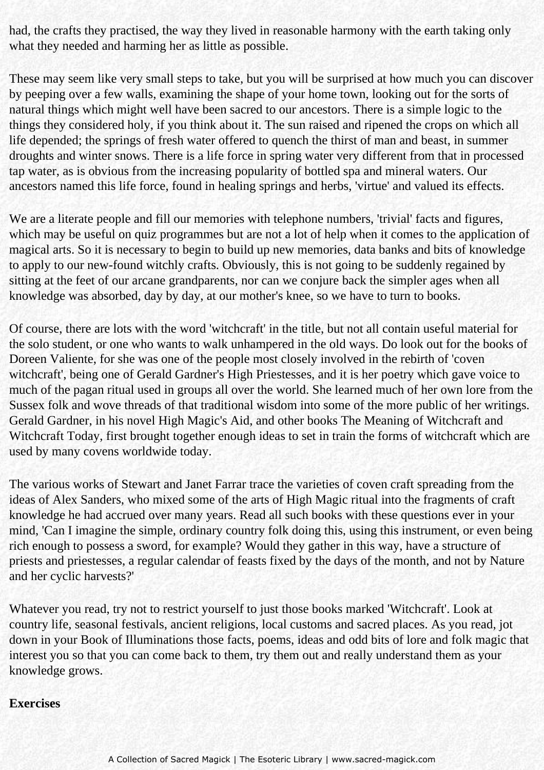had, the crafts they practised, the way they lived in reasonable harmony with the earth taking only what they needed and harming her as little as possible.

These may seem like very small steps to take, but you will be surprised at how much you can discover by peeping over a few walls, examining the shape of your home town, looking out for the sorts of natural things which might well have been sacred to our ancestors. There is a simple logic to the things they considered holy, if you think about it. The sun raised and ripened the crops on which all life depended; the springs of fresh water offered to quench the thirst of man and beast, in summer droughts and winter snows. There is a life force in spring water very different from that in processed tap water, as is obvious from the increasing popularity of bottled spa and mineral waters. Our ancestors named this life force, found in healing springs and herbs, 'virtue' and valued its effects.

We are a literate people and fill our memories with telephone numbers, 'trivial' facts and figures, which may be useful on quiz programmes but are not a lot of help when it comes to the application of magical arts. So it is necessary to begin to build up new memories, data banks and bits of knowledge to apply to our new-found witchly crafts. Obviously, this is not going to be suddenly regained by sitting at the feet of our arcane grandparents, nor can we conjure back the simpler ages when all knowledge was absorbed, day by day, at our mother's knee, so we have to turn to books.

Of course, there are lots with the word 'witchcraft' in the title, but not all contain useful material for the solo student, or one who wants to walk unhampered in the old ways. Do look out for the books of Doreen Valiente, for she was one of the people most closely involved in the rebirth of 'coven witchcraft', being one of Gerald Gardner's High Priestesses, and it is her poetry which gave voice to much of the pagan ritual used in groups all over the world. She learned much of her own lore from the Sussex folk and wove threads of that traditional wisdom into some of the more public of her writings. Gerald Gardner, in his novel High Magic's Aid, and other books The Meaning of Witchcraft and Witchcraft Today, first brought together enough ideas to set in train the forms of witchcraft which are used by many covens worldwide today.

The various works of Stewart and Janet Farrar trace the varieties of coven craft spreading from the ideas of Alex Sanders, who mixed some of the arts of High Magic ritual into the fragments of craft knowledge he had accrued over many years. Read all such books with these questions ever in your mind, 'Can I imagine the simple, ordinary country folk doing this, using this instrument, or even being rich enough to possess a sword, for example? Would they gather in this way, have a structure of priests and priestesses, a regular calendar of feasts fixed by the days of the month, and not by Nature and her cyclic harvests?'

Whatever you read, try not to restrict yourself to just those books marked 'Witchcraft'. Look at country life, seasonal festivals, ancient religions, local customs and sacred places. As you read, jot down in your Book of Illuminations those facts, poems, ideas and odd bits of lore and folk magic that interest you so that you can come back to them, try them out and really understand them as your knowledge grows.

#### **Exercises**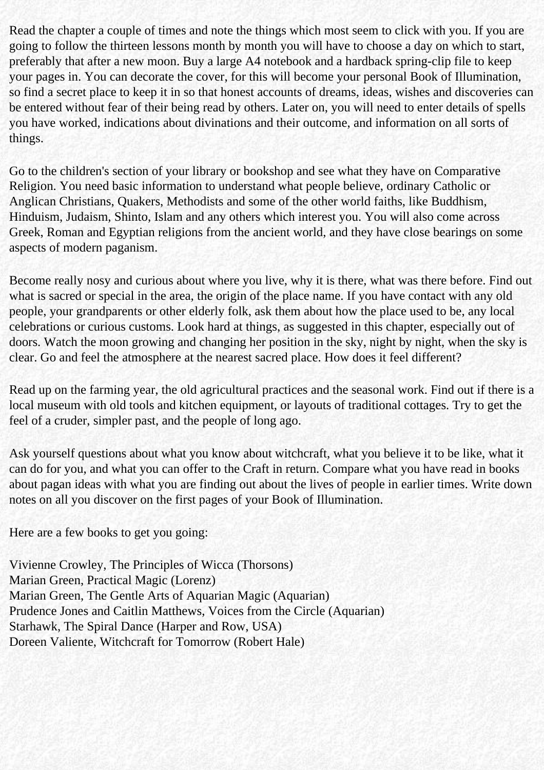Read the chapter a couple of times and note the things which most seem to click with you. If you are going to follow the thirteen lessons month by month you will have to choose a day on which to start, preferably that after a new moon. Buy a large A4 notebook and a hardback spring-clip file to keep your pages in. You can decorate the cover, for this will become your personal Book of Illumination, so find a secret place to keep it in so that honest accounts of dreams, ideas, wishes and discoveries can be entered without fear of their being read by others. Later on, you will need to enter details of spells you have worked, indications about divinations and their outcome, and information on all sorts of things.

Go to the children's section of your library or bookshop and see what they have on Comparative Religion. You need basic information to understand what people believe, ordinary Catholic or Anglican Christians, Quakers, Methodists and some of the other world faiths, like Buddhism, Hinduism, Judaism, Shinto, Islam and any others which interest you. You will also come across Greek, Roman and Egyptian religions from the ancient world, and they have close bearings on some aspects of modern paganism.

Become really nosy and curious about where you live, why it is there, what was there before. Find out what is sacred or special in the area, the origin of the place name. If you have contact with any old people, your grandparents or other elderly folk, ask them about how the place used to be, any local celebrations or curious customs. Look hard at things, as suggested in this chapter, especially out of doors. Watch the moon growing and changing her position in the sky, night by night, when the sky is clear. Go and feel the atmosphere at the nearest sacred place. How does it feel different?

Read up on the farming year, the old agricultural practices and the seasonal work. Find out if there is a local museum with old tools and kitchen equipment, or layouts of traditional cottages. Try to get the feel of a cruder, simpler past, and the people of long ago.

Ask yourself questions about what you know about witchcraft, what you believe it to be like, what it can do for you, and what you can offer to the Craft in return. Compare what you have read in books about pagan ideas with what you are finding out about the lives of people in earlier times. Write down notes on all you discover on the first pages of your Book of Illumination.

Here are a few books to get you going:

Vivienne Crowley, The Principles of Wicca (Thorsons) Marian Green, Practical Magic (Lorenz) Marian Green, The Gentle Arts of Aquarian Magic (Aquarian) Prudence Jones and Caitlin Matthews, Voices from the Circle (Aquarian) Starhawk, The Spiral Dance (Harper and Row, USA) Doreen Valiente, Witchcraft for Tomorrow (Robert Hale)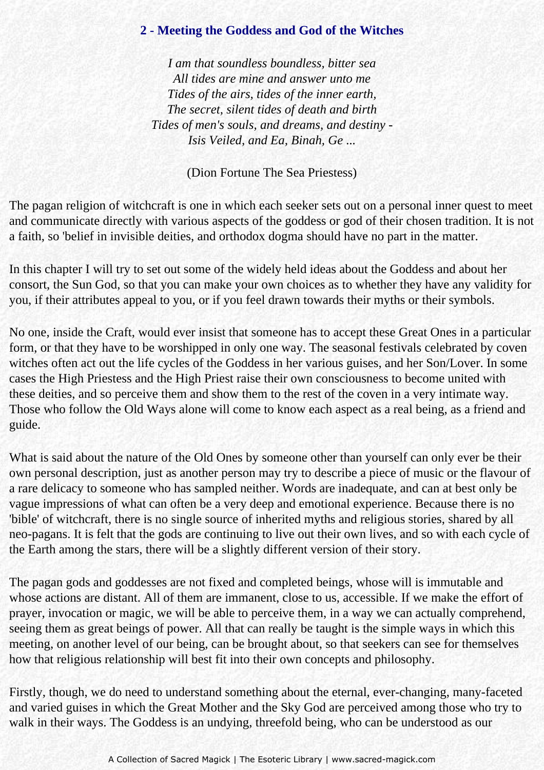# <span id="page-20-0"></span>**2 - Meeting the Goddess and God of the Witches**

*I am that soundless boundless, bitter sea All tides are mine and answer unto me Tides of the airs, tides of the inner earth, The secret, silent tides of death and birth Tides of men's souls, and dreams, and destiny - Isis Veiled, and Ea, Binah, Ge ...*

(Dion Fortune The Sea Priestess)

The pagan religion of witchcraft is one in which each seeker sets out on a personal inner quest to meet and communicate directly with various aspects of the goddess or god of their chosen tradition. It is not a faith, so 'belief in invisible deities, and orthodox dogma should have no part in the matter.

In this chapter I will try to set out some of the widely held ideas about the Goddess and about her consort, the Sun God, so that you can make your own choices as to whether they have any validity for you, if their attributes appeal to you, or if you feel drawn towards their myths or their symbols.

No one, inside the Craft, would ever insist that someone has to accept these Great Ones in a particular form, or that they have to be worshipped in only one way. The seasonal festivals celebrated by coven witches often act out the life cycles of the Goddess in her various guises, and her Son/Lover. In some cases the High Priestess and the High Priest raise their own consciousness to become united with these deities, and so perceive them and show them to the rest of the coven in a very intimate way. Those who follow the Old Ways alone will come to know each aspect as a real being, as a friend and guide.

What is said about the nature of the Old Ones by someone other than yourself can only ever be their own personal description, just as another person may try to describe a piece of music or the flavour of a rare delicacy to someone who has sampled neither. Words are inadequate, and can at best only be vague impressions of what can often be a very deep and emotional experience. Because there is no 'bible' of witchcraft, there is no single source of inherited myths and religious stories, shared by all neo-pagans. It is felt that the gods are continuing to live out their own lives, and so with each cycle of the Earth among the stars, there will be a slightly different version of their story.

The pagan gods and goddesses are not fixed and completed beings, whose will is immutable and whose actions are distant. All of them are immanent, close to us, accessible. If we make the effort of prayer, invocation or magic, we will be able to perceive them, in a way we can actually comprehend, seeing them as great beings of power. All that can really be taught is the simple ways in which this meeting, on another level of our being, can be brought about, so that seekers can see for themselves how that religious relationship will best fit into their own concepts and philosophy.

Firstly, though, we do need to understand something about the eternal, ever-changing, many-faceted and varied guises in which the Great Mother and the Sky God are perceived among those who try to walk in their ways. The Goddess is an undying, threefold being, who can be understood as our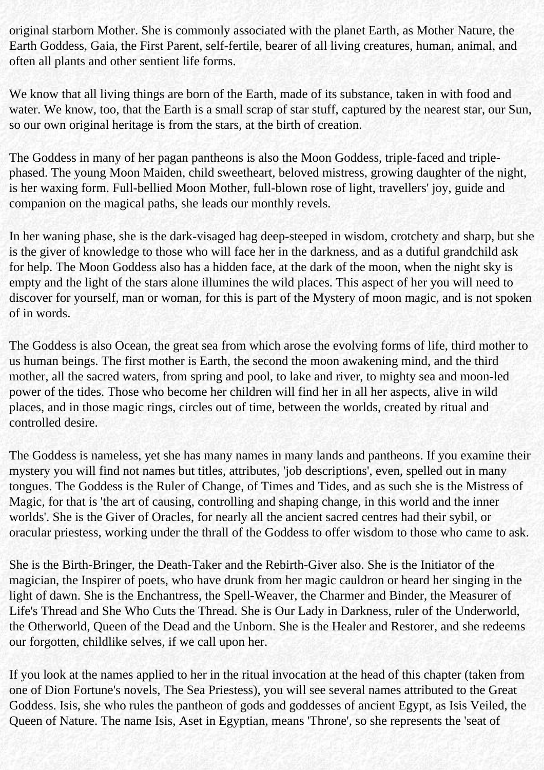original starborn Mother. She is commonly associated with the planet Earth, as Mother Nature, the Earth Goddess, Gaia, the First Parent, self-fertile, bearer of all living creatures, human, animal, and often all plants and other sentient life forms.

We know that all living things are born of the Earth, made of its substance, taken in with food and water. We know, too, that the Earth is a small scrap of star stuff, captured by the nearest star, our Sun, so our own original heritage is from the stars, at the birth of creation.

The Goddess in many of her pagan pantheons is also the Moon Goddess, triple-faced and triplephased. The young Moon Maiden, child sweetheart, beloved mistress, growing daughter of the night, is her waxing form. Full-bellied Moon Mother, full-blown rose of light, travellers' joy, guide and companion on the magical paths, she leads our monthly revels.

In her waning phase, she is the dark-visaged hag deep-steeped in wisdom, crotchety and sharp, but she is the giver of knowledge to those who will face her in the darkness, and as a dutiful grandchild ask for help. The Moon Goddess also has a hidden face, at the dark of the moon, when the night sky is empty and the light of the stars alone illumines the wild places. This aspect of her you will need to discover for yourself, man or woman, for this is part of the Mystery of moon magic, and is not spoken of in words.

The Goddess is also Ocean, the great sea from which arose the evolving forms of life, third mother to us human beings. The first mother is Earth, the second the moon awakening mind, and the third mother, all the sacred waters, from spring and pool, to lake and river, to mighty sea and moon-led power of the tides. Those who become her children will find her in all her aspects, alive in wild places, and in those magic rings, circles out of time, between the worlds, created by ritual and controlled desire.

The Goddess is nameless, yet she has many names in many lands and pantheons. If you examine their mystery you will find not names but titles, attributes, 'job descriptions', even, spelled out in many tongues. The Goddess is the Ruler of Change, of Times and Tides, and as such she is the Mistress of Magic, for that is 'the art of causing, controlling and shaping change, in this world and the inner worlds'. She is the Giver of Oracles, for nearly all the ancient sacred centres had their sybil, or oracular priestess, working under the thrall of the Goddess to offer wisdom to those who came to ask.

She is the Birth-Bringer, the Death-Taker and the Rebirth-Giver also. She is the Initiator of the magician, the Inspirer of poets, who have drunk from her magic cauldron or heard her singing in the light of dawn. She is the Enchantress, the Spell-Weaver, the Charmer and Binder, the Measurer of Life's Thread and She Who Cuts the Thread. She is Our Lady in Darkness, ruler of the Underworld, the Otherworld, Queen of the Dead and the Unborn. She is the Healer and Restorer, and she redeems our forgotten, childlike selves, if we call upon her.

If you look at the names applied to her in the ritual invocation at the head of this chapter (taken from one of Dion Fortune's novels, The Sea Priestess), you will see several names attributed to the Great Goddess. Isis, she who rules the pantheon of gods and goddesses of ancient Egypt, as Isis Veiled, the Queen of Nature. The name Isis, Aset in Egyptian, means 'Throne', so she represents the 'seat of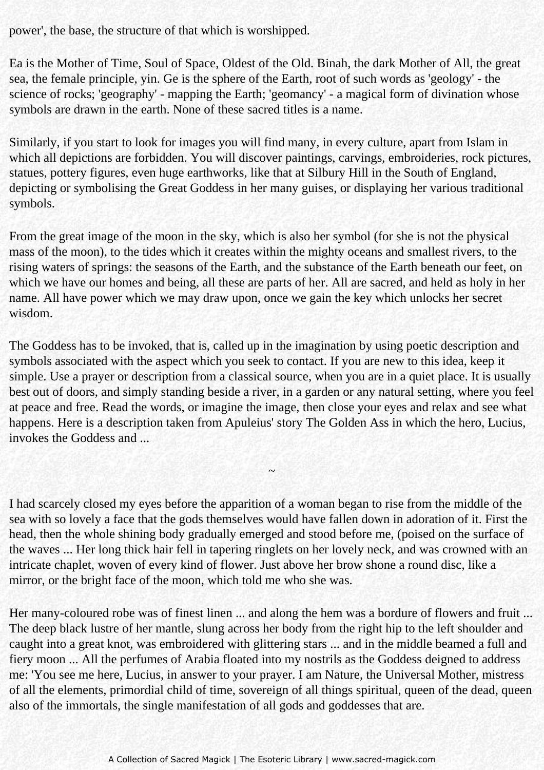power', the base, the structure of that which is worshipped.

Ea is the Mother of Time, Soul of Space, Oldest of the Old. Binah, the dark Mother of All, the great sea, the female principle, yin. Ge is the sphere of the Earth, root of such words as 'geology' - the science of rocks; 'geography' - mapping the Earth; 'geomancy' - a magical form of divination whose symbols are drawn in the earth. None of these sacred titles is a name.

Similarly, if you start to look for images you will find many, in every culture, apart from Islam in which all depictions are forbidden. You will discover paintings, carvings, embroideries, rock pictures, statues, pottery figures, even huge earthworks, like that at Silbury Hill in the South of England, depicting or symbolising the Great Goddess in her many guises, or displaying her various traditional symbols.

From the great image of the moon in the sky, which is also her symbol (for she is not the physical mass of the moon), to the tides which it creates within the mighty oceans and smallest rivers, to the rising waters of springs: the seasons of the Earth, and the substance of the Earth beneath our feet, on which we have our homes and being, all these are parts of her. All are sacred, and held as holy in her name. All have power which we may draw upon, once we gain the key which unlocks her secret wisdom.

The Goddess has to be invoked, that is, called up in the imagination by using poetic description and symbols associated with the aspect which you seek to contact. If you are new to this idea, keep it simple. Use a prayer or description from a classical source, when you are in a quiet place. It is usually best out of doors, and simply standing beside a river, in a garden or any natural setting, where you feel at peace and free. Read the words, or imagine the image, then close your eyes and relax and see what happens. Here is a description taken from Apuleius' story The Golden Ass in which the hero, Lucius, invokes the Goddess and ...

I had scarcely closed my eyes before the apparition of a woman began to rise from the middle of the sea with so lovely a face that the gods themselves would have fallen down in adoration of it. First the head, then the whole shining body gradually emerged and stood before me, (poised on the surface of the waves ... Her long thick hair fell in tapering ringlets on her lovely neck, and was crowned with an intricate chaplet, woven of every kind of flower. Just above her brow shone a round disc, like a mirror, or the bright face of the moon, which told me who she was.

~

Her many-coloured robe was of finest linen ... and along the hem was a bordure of flowers and fruit ... The deep black lustre of her mantle, slung across her body from the right hip to the left shoulder and caught into a great knot, was embroidered with glittering stars ... and in the middle beamed a full and fiery moon ... All the perfumes of Arabia floated into my nostrils as the Goddess deigned to address me: 'You see me here, Lucius, in answer to your prayer. I am Nature, the Universal Mother, mistress of all the elements, primordial child of time, sovereign of all things spiritual, queen of the dead, queen also of the immortals, the single manifestation of all gods and goddesses that are.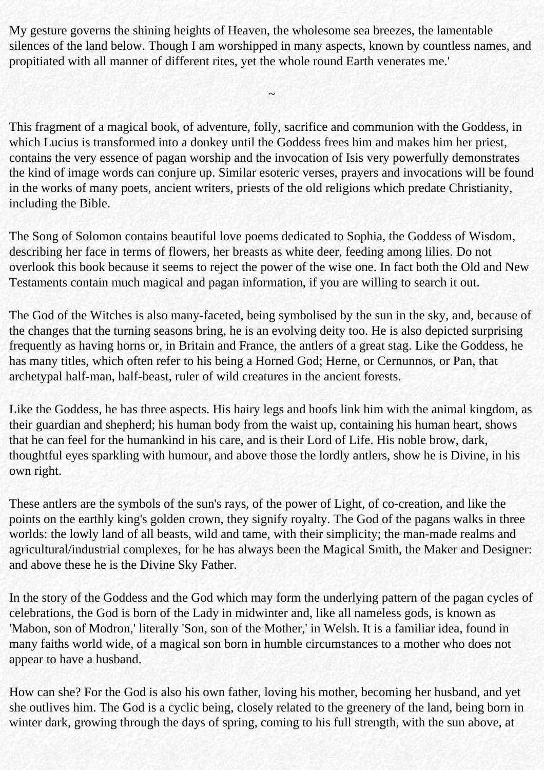My gesture governs the shining heights of Heaven, the wholesome sea breezes, the lamentable silences of the land below. Though I am worshipped in many aspects, known by countless names, and propitiated with all manner of different rites, yet the whole round Earth venerates me.'

~

This fragment of a magical book, of adventure, folly, sacrifice and communion with the Goddess, in which Lucius is transformed into a donkey until the Goddess frees him and makes him her priest, contains the very essence of pagan worship and the invocation of Isis very powerfully demonstrates the kind of image words can conjure up. Similar esoteric verses, prayers and invocations will be found in the works of many poets, ancient writers, priests of the old religions which predate Christianity, including the Bible.

The Song of Solomon contains beautiful love poems dedicated to Sophia, the Goddess of Wisdom, describing her face in terms of flowers, her breasts as white deer, feeding among lilies. Do not overlook this book because it seems to reject the power of the wise one. In fact both the Old and New Testaments contain much magical and pagan information, if you are willing to search it out.

The God of the Witches is also many-faceted, being symbolised by the sun in the sky, and, because of the changes that the turning seasons bring, he is an evolving deity too. He is also depicted surprising frequently as having horns or, in Britain and France, the antlers of a great stag. Like the Goddess, he has many titles, which often refer to his being a Horned God; Herne, or Cernunnos, or Pan, that archetypal half-man, half-beast, ruler of wild creatures in the ancient forests.

Like the Goddess, he has three aspects. His hairy legs and hoofs link him with the animal kingdom, as their guardian and shepherd; his human body from the waist up, containing his human heart, shows that he can feel for the humankind in his care, and is their Lord of Life. His noble brow, dark, thoughtful eyes sparkling with humour, and above those the lordly antlers, show he is Divine, in his own right.

These antlers are the symbols of the sun's rays, of the power of Light, of co-creation, and like the points on the earthly king's golden crown, they signify royalty. The God of the pagans walks in three worlds: the lowly land of all beasts, wild and tame, with their simplicity; the man-made realms and agricultural/industrial complexes, for he has always been the Magical Smith, the Maker and Designer: and above these he is the Divine Sky Father.

In the story of the Goddess and the God which may form the underlying pattern of the pagan cycles of celebrations, the God is born of the Lady in midwinter and, like all nameless gods, is known as 'Mabon, son of Modron,' literally 'Son, son of the Mother,' in Welsh. It is a familiar idea, found in many faiths world wide, of a magical son born in humble circumstances to a mother who does not appear to have a husband.

How can she? For the God is also his own father, loving his mother, becoming her husband, and yet she outlives him. The God is a cyclic being, closely related to the greenery of the land, being born in winter dark, growing through the days of spring, coming to his full strength, with the sun above, at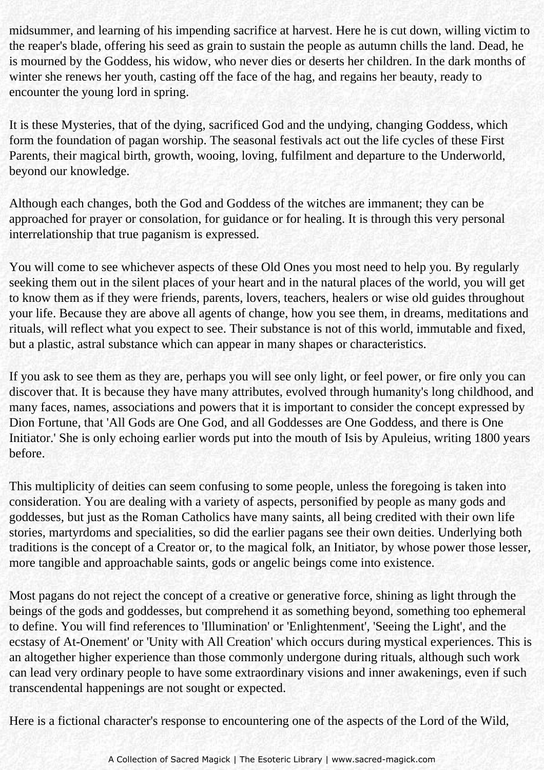midsummer, and learning of his impending sacrifice at harvest. Here he is cut down, willing victim to the reaper's blade, offering his seed as grain to sustain the people as autumn chills the land. Dead, he is mourned by the Goddess, his widow, who never dies or deserts her children. In the dark months of winter she renews her youth, casting off the face of the hag, and regains her beauty, ready to encounter the young lord in spring.

It is these Mysteries, that of the dying, sacrificed God and the undying, changing Goddess, which form the foundation of pagan worship. The seasonal festivals act out the life cycles of these First Parents, their magical birth, growth, wooing, loving, fulfilment and departure to the Underworld, beyond our knowledge.

Although each changes, both the God and Goddess of the witches are immanent; they can be approached for prayer or consolation, for guidance or for healing. It is through this very personal interrelationship that true paganism is expressed.

You will come to see whichever aspects of these Old Ones you most need to help you. By regularly seeking them out in the silent places of your heart and in the natural places of the world, you will get to know them as if they were friends, parents, lovers, teachers, healers or wise old guides throughout your life. Because they are above all agents of change, how you see them, in dreams, meditations and rituals, will reflect what you expect to see. Their substance is not of this world, immutable and fixed, but a plastic, astral substance which can appear in many shapes or characteristics.

If you ask to see them as they are, perhaps you will see only light, or feel power, or fire only you can discover that. It is because they have many attributes, evolved through humanity's long childhood, and many faces, names, associations and powers that it is important to consider the concept expressed by Dion Fortune, that 'All Gods are One God, and all Goddesses are One Goddess, and there is One Initiator.' She is only echoing earlier words put into the mouth of Isis by Apuleius, writing 1800 years before.

This multiplicity of deities can seem confusing to some people, unless the foregoing is taken into consideration. You are dealing with a variety of aspects, personified by people as many gods and goddesses, but just as the Roman Catholics have many saints, all being credited with their own life stories, martyrdoms and specialities, so did the earlier pagans see their own deities. Underlying both traditions is the concept of a Creator or, to the magical folk, an Initiator, by whose power those lesser, more tangible and approachable saints, gods or angelic beings come into existence.

Most pagans do not reject the concept of a creative or generative force, shining as light through the beings of the gods and goddesses, but comprehend it as something beyond, something too ephemeral to define. You will find references to 'Illumination' or 'Enlightenment', 'Seeing the Light', and the ecstasy of At-Onement' or 'Unity with All Creation' which occurs during mystical experiences. This is an altogether higher experience than those commonly undergone during rituals, although such work can lead very ordinary people to have some extraordinary visions and inner awakenings, even if such transcendental happenings are not sought or expected.

Here is a fictional character's response to encountering one of the aspects of the Lord of the Wild,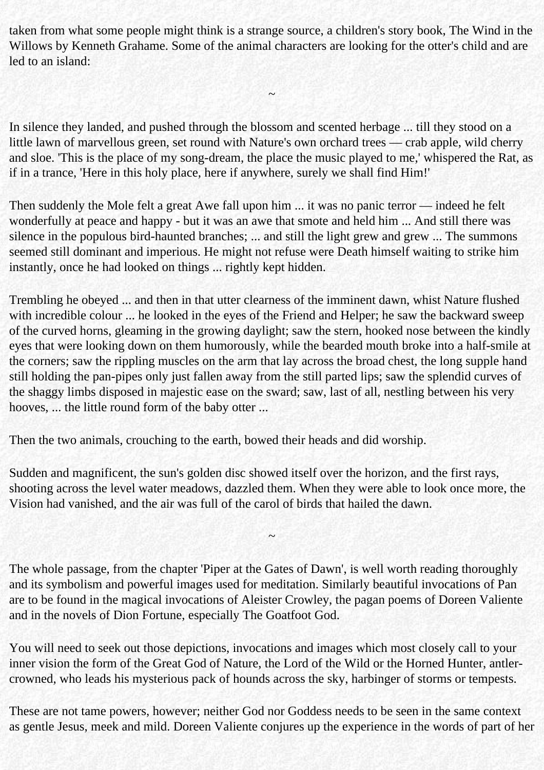taken from what some people might think is a strange source, a children's story book, The Wind in the Willows by Kenneth Grahame. Some of the animal characters are looking for the otter's child and are led to an island:

~

In silence they landed, and pushed through the blossom and scented herbage ... till they stood on a little lawn of marvellous green, set round with Nature's own orchard trees — crab apple, wild cherry and sloe. 'This is the place of my song-dream, the place the music played to me,' whispered the Rat, as if in a trance, 'Here in this holy place, here if anywhere, surely we shall find Him!'

Then suddenly the Mole felt a great Awe fall upon him ... it was no panic terror — indeed he felt wonderfully at peace and happy - but it was an awe that smote and held him ... And still there was silence in the populous bird-haunted branches; ... and still the light grew and grew ... The summons seemed still dominant and imperious. He might not refuse were Death himself waiting to strike him instantly, once he had looked on things ... rightly kept hidden.

Trembling he obeyed ... and then in that utter clearness of the imminent dawn, whist Nature flushed with incredible colour ... he looked in the eyes of the Friend and Helper; he saw the backward sweep of the curved horns, gleaming in the growing daylight; saw the stern, hooked nose between the kindly eyes that were looking down on them humorously, while the bearded mouth broke into a half-smile at the corners; saw the rippling muscles on the arm that lay across the broad chest, the long supple hand still holding the pan-pipes only just fallen away from the still parted lips; saw the splendid curves of the shaggy limbs disposed in majestic ease on the sward; saw, last of all, nestling between his very hooves, ... the little round form of the baby otter ...

Then the two animals, crouching to the earth, bowed their heads and did worship.

Sudden and magnificent, the sun's golden disc showed itself over the horizon, and the first rays, shooting across the level water meadows, dazzled them. When they were able to look once more, the Vision had vanished, and the air was full of the carol of birds that hailed the dawn.

~

The whole passage, from the chapter 'Piper at the Gates of Dawn', is well worth reading thoroughly and its symbolism and powerful images used for meditation. Similarly beautiful invocations of Pan are to be found in the magical invocations of Aleister Crowley, the pagan poems of Doreen Valiente and in the novels of Dion Fortune, especially The Goatfoot God.

You will need to seek out those depictions, invocations and images which most closely call to your inner vision the form of the Great God of Nature, the Lord of the Wild or the Horned Hunter, antlercrowned, who leads his mysterious pack of hounds across the sky, harbinger of storms or tempests.

These are not tame powers, however; neither God nor Goddess needs to be seen in the same context as gentle Jesus, meek and mild. Doreen Valiente conjures up the experience in the words of part of her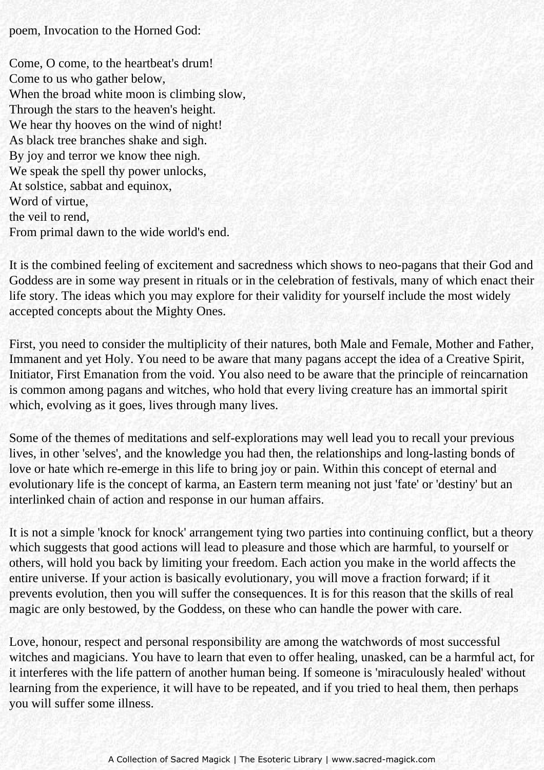poem, Invocation to the Horned God:

Come, O come, to the heartbeat's drum! Come to us who gather below, When the broad white moon is climbing slow, Through the stars to the heaven's height. We hear thy hooves on the wind of night! As black tree branches shake and sigh. By joy and terror we know thee nigh. We speak the spell thy power unlocks, At solstice, sabbat and equinox, Word of virtue, the veil to rend, From primal dawn to the wide world's end.

It is the combined feeling of excitement and sacredness which shows to neo-pagans that their God and Goddess are in some way present in rituals or in the celebration of festivals, many of which enact their life story. The ideas which you may explore for their validity for yourself include the most widely accepted concepts about the Mighty Ones.

First, you need to consider the multiplicity of their natures, both Male and Female, Mother and Father, Immanent and yet Holy. You need to be aware that many pagans accept the idea of a Creative Spirit, Initiator, First Emanation from the void. You also need to be aware that the principle of reincarnation is common among pagans and witches, who hold that every living creature has an immortal spirit which, evolving as it goes, lives through many lives.

Some of the themes of meditations and self-explorations may well lead you to recall your previous lives, in other 'selves', and the knowledge you had then, the relationships and long-lasting bonds of love or hate which re-emerge in this life to bring joy or pain. Within this concept of eternal and evolutionary life is the concept of karma, an Eastern term meaning not just 'fate' or 'destiny' but an interlinked chain of action and response in our human affairs.

It is not a simple 'knock for knock' arrangement tying two parties into continuing conflict, but a theory which suggests that good actions will lead to pleasure and those which are harmful, to yourself or others, will hold you back by limiting your freedom. Each action you make in the world affects the entire universe. If your action is basically evolutionary, you will move a fraction forward; if it prevents evolution, then you will suffer the consequences. It is for this reason that the skills of real magic are only bestowed, by the Goddess, on these who can handle the power with care.

Love, honour, respect and personal responsibility are among the watchwords of most successful witches and magicians. You have to learn that even to offer healing, unasked, can be a harmful act, for it interferes with the life pattern of another human being. If someone is 'miraculously healed' without learning from the experience, it will have to be repeated, and if you tried to heal them, then perhaps you will suffer some illness.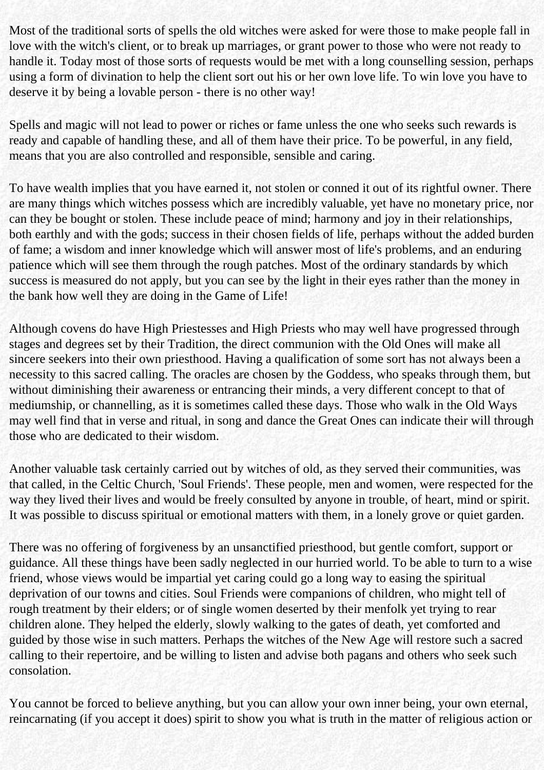Most of the traditional sorts of spells the old witches were asked for were those to make people fall in love with the witch's client, or to break up marriages, or grant power to those who were not ready to handle it. Today most of those sorts of requests would be met with a long counselling session, perhaps using a form of divination to help the client sort out his or her own love life. To win love you have to deserve it by being a lovable person - there is no other way!

Spells and magic will not lead to power or riches or fame unless the one who seeks such rewards is ready and capable of handling these, and all of them have their price. To be powerful, in any field, means that you are also controlled and responsible, sensible and caring.

To have wealth implies that you have earned it, not stolen or conned it out of its rightful owner. There are many things which witches possess which are incredibly valuable, yet have no monetary price, nor can they be bought or stolen. These include peace of mind; harmony and joy in their relationships, both earthly and with the gods; success in their chosen fields of life, perhaps without the added burden of fame; a wisdom and inner knowledge which will answer most of life's problems, and an enduring patience which will see them through the rough patches. Most of the ordinary standards by which success is measured do not apply, but you can see by the light in their eyes rather than the money in the bank how well they are doing in the Game of Life!

Although covens do have High Priestesses and High Priests who may well have progressed through stages and degrees set by their Tradition, the direct communion with the Old Ones will make all sincere seekers into their own priesthood. Having a qualification of some sort has not always been a necessity to this sacred calling. The oracles are chosen by the Goddess, who speaks through them, but without diminishing their awareness or entrancing their minds, a very different concept to that of mediumship, or channelling, as it is sometimes called these days. Those who walk in the Old Ways may well find that in verse and ritual, in song and dance the Great Ones can indicate their will through those who are dedicated to their wisdom.

Another valuable task certainly carried out by witches of old, as they served their communities, was that called, in the Celtic Church, 'Soul Friends'. These people, men and women, were respected for the way they lived their lives and would be freely consulted by anyone in trouble, of heart, mind or spirit. It was possible to discuss spiritual or emotional matters with them, in a lonely grove or quiet garden.

There was no offering of forgiveness by an unsanctified priesthood, but gentle comfort, support or guidance. All these things have been sadly neglected in our hurried world. To be able to turn to a wise friend, whose views would be impartial yet caring could go a long way to easing the spiritual deprivation of our towns and cities. Soul Friends were companions of children, who might tell of rough treatment by their elders; or of single women deserted by their menfolk yet trying to rear children alone. They helped the elderly, slowly walking to the gates of death, yet comforted and guided by those wise in such matters. Perhaps the witches of the New Age will restore such a sacred calling to their repertoire, and be willing to listen and advise both pagans and others who seek such consolation.

You cannot be forced to believe anything, but you can allow your own inner being, your own eternal, reincarnating (if you accept it does) spirit to show you what is truth in the matter of religious action or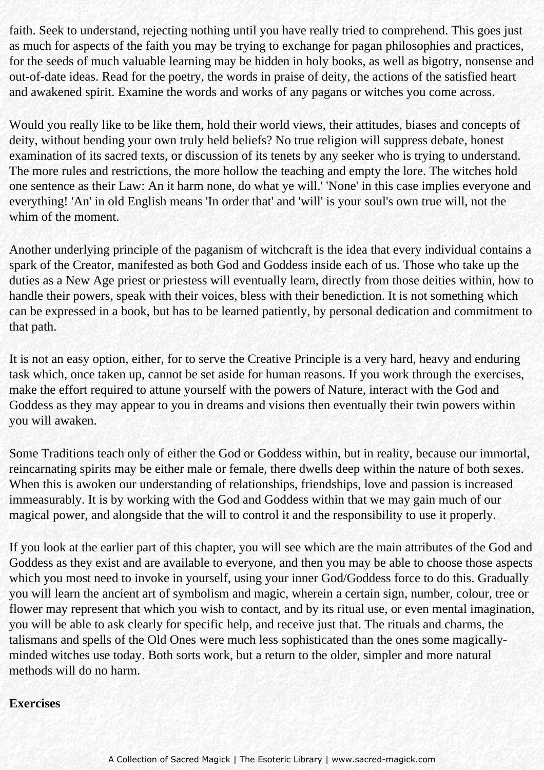faith. Seek to understand, rejecting nothing until you have really tried to comprehend. This goes just as much for aspects of the faith you may be trying to exchange for pagan philosophies and practices, for the seeds of much valuable learning may be hidden in holy books, as well as bigotry, nonsense and out-of-date ideas. Read for the poetry, the words in praise of deity, the actions of the satisfied heart and awakened spirit. Examine the words and works of any pagans or witches you come across.

Would you really like to be like them, hold their world views, their attitudes, biases and concepts of deity, without bending your own truly held beliefs? No true religion will suppress debate, honest examination of its sacred texts, or discussion of its tenets by any seeker who is trying to understand. The more rules and restrictions, the more hollow the teaching and empty the lore. The witches hold one sentence as their Law: An it harm none, do what ye will.' 'None' in this case implies everyone and everything! 'An' in old English means 'In order that' and 'will' is your soul's own true will, not the whim of the moment.

Another underlying principle of the paganism of witchcraft is the idea that every individual contains a spark of the Creator, manifested as both God and Goddess inside each of us. Those who take up the duties as a New Age priest or priestess will eventually learn, directly from those deities within, how to handle their powers, speak with their voices, bless with their benediction. It is not something which can be expressed in a book, but has to be learned patiently, by personal dedication and commitment to that path.

It is not an easy option, either, for to serve the Creative Principle is a very hard, heavy and enduring task which, once taken up, cannot be set aside for human reasons. If you work through the exercises, make the effort required to attune yourself with the powers of Nature, interact with the God and Goddess as they may appear to you in dreams and visions then eventually their twin powers within you will awaken.

Some Traditions teach only of either the God or Goddess within, but in reality, because our immortal, reincarnating spirits may be either male or female, there dwells deep within the nature of both sexes. When this is awoken our understanding of relationships, friendships, love and passion is increased immeasurably. It is by working with the God and Goddess within that we may gain much of our magical power, and alongside that the will to control it and the responsibility to use it properly.

If you look at the earlier part of this chapter, you will see which are the main attributes of the God and Goddess as they exist and are available to everyone, and then you may be able to choose those aspects which you most need to invoke in yourself, using your inner God/Goddess force to do this. Gradually you will learn the ancient art of symbolism and magic, wherein a certain sign, number, colour, tree or flower may represent that which you wish to contact, and by its ritual use, or even mental imagination, you will be able to ask clearly for specific help, and receive just that. The rituals and charms, the talismans and spells of the Old Ones were much less sophisticated than the ones some magicallyminded witches use today. Both sorts work, but a return to the older, simpler and more natural methods will do no harm.

### **Exercises**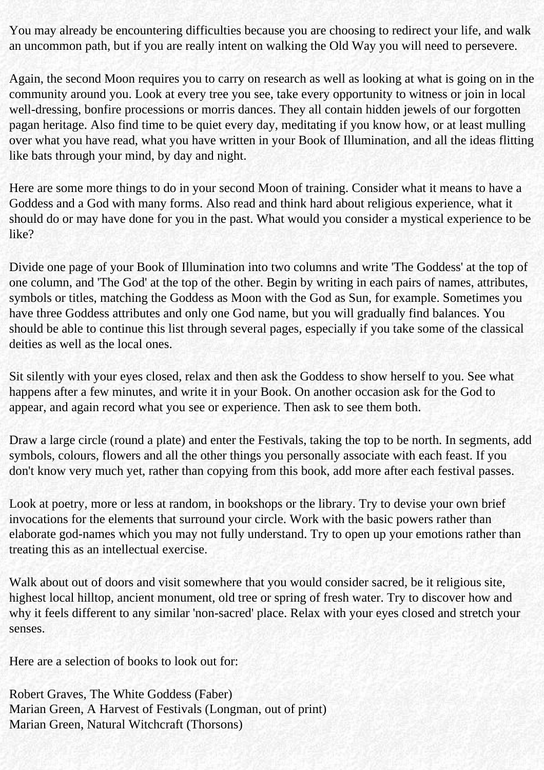You may already be encountering difficulties because you are choosing to redirect your life, and walk an uncommon path, but if you are really intent on walking the Old Way you will need to persevere.

Again, the second Moon requires you to carry on research as well as looking at what is going on in the community around you. Look at every tree you see, take every opportunity to witness or join in local well-dressing, bonfire processions or morris dances. They all contain hidden jewels of our forgotten pagan heritage. Also find time to be quiet every day, meditating if you know how, or at least mulling over what you have read, what you have written in your Book of Illumination, and all the ideas flitting like bats through your mind, by day and night.

Here are some more things to do in your second Moon of training. Consider what it means to have a Goddess and a God with many forms. Also read and think hard about religious experience, what it should do or may have done for you in the past. What would you consider a mystical experience to be like?

Divide one page of your Book of Illumination into two columns and write 'The Goddess' at the top of one column, and 'The God' at the top of the other. Begin by writing in each pairs of names, attributes, symbols or titles, matching the Goddess as Moon with the God as Sun, for example. Sometimes you have three Goddess attributes and only one God name, but you will gradually find balances. You should be able to continue this list through several pages, especially if you take some of the classical deities as well as the local ones.

Sit silently with your eyes closed, relax and then ask the Goddess to show herself to you. See what happens after a few minutes, and write it in your Book. On another occasion ask for the God to appear, and again record what you see or experience. Then ask to see them both.

Draw a large circle (round a plate) and enter the Festivals, taking the top to be north. In segments, add symbols, colours, flowers and all the other things you personally associate with each feast. If you don't know very much yet, rather than copying from this book, add more after each festival passes.

Look at poetry, more or less at random, in bookshops or the library. Try to devise your own brief invocations for the elements that surround your circle. Work with the basic powers rather than elaborate god-names which you may not fully understand. Try to open up your emotions rather than treating this as an intellectual exercise.

Walk about out of doors and visit somewhere that you would consider sacred, be it religious site, highest local hilltop, ancient monument, old tree or spring of fresh water. Try to discover how and why it feels different to any similar 'non-sacred' place. Relax with your eyes closed and stretch your senses.

Here are a selection of books to look out for:

Robert Graves, The White Goddess (Faber) Marian Green, A Harvest of Festivals (Longman, out of print) Marian Green, Natural Witchcraft (Thorsons)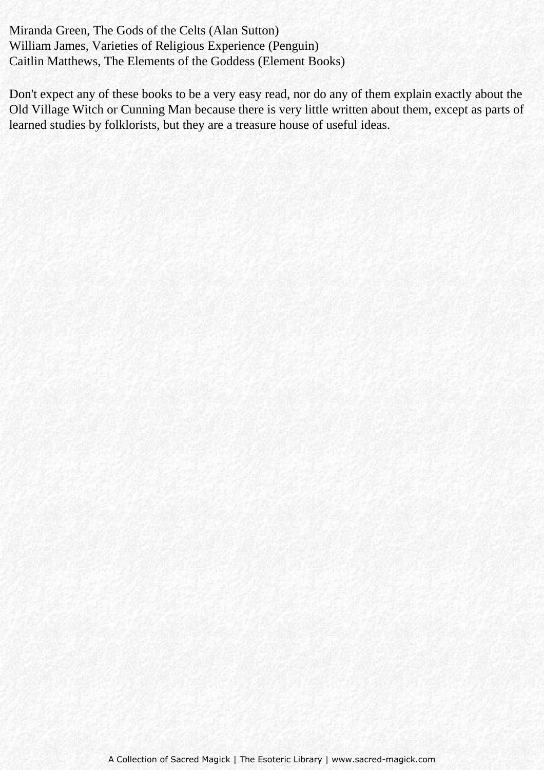Miranda Green, The Gods of the Celts (Alan Sutton) William James, Varieties of Religious Experience (Penguin) Caitlin Matthews, The Elements of the Goddess (Element Books)

Don't expect any of these books to be a very easy read, nor do any of them explain exactly about the Old Village Witch or Cunning Man because there is very little written about them, except as parts of learned studies by folklorists, but they are a treasure house of useful ideas.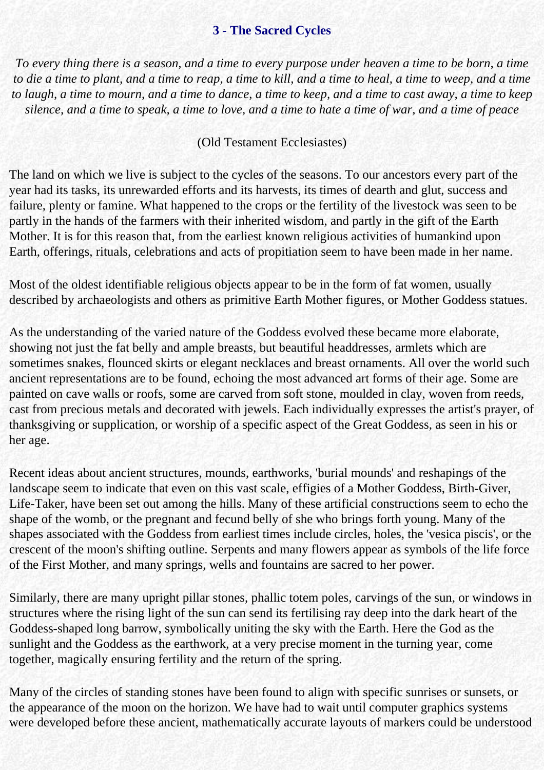# **3 - The Sacred Cycles**

<span id="page-31-0"></span>*To every thing there is a season, and a time to every purpose under heaven a time to be born, a time to die a time to plant, and a time to reap, a time to kill, and a time to heal, a time to weep, and a time to laugh, a time to mourn, and a time to dance, a time to keep, and a time to cast away, a time to keep silence, and a time to speak, a time to love, and a time to hate a time of war, and a time of peace*

(Old Testament Ecclesiastes)

The land on which we live is subject to the cycles of the seasons. To our ancestors every part of the year had its tasks, its unrewarded efforts and its harvests, its times of dearth and glut, success and failure, plenty or famine. What happened to the crops or the fertility of the livestock was seen to be partly in the hands of the farmers with their inherited wisdom, and partly in the gift of the Earth Mother. It is for this reason that, from the earliest known religious activities of humankind upon Earth, offerings, rituals, celebrations and acts of propitiation seem to have been made in her name.

Most of the oldest identifiable religious objects appear to be in the form of fat women, usually described by archaeologists and others as primitive Earth Mother figures, or Mother Goddess statues.

As the understanding of the varied nature of the Goddess evolved these became more elaborate, showing not just the fat belly and ample breasts, but beautiful headdresses, armlets which are sometimes snakes, flounced skirts or elegant necklaces and breast ornaments. All over the world such ancient representations are to be found, echoing the most advanced art forms of their age. Some are painted on cave walls or roofs, some are carved from soft stone, moulded in clay, woven from reeds, cast from precious metals and decorated with jewels. Each individually expresses the artist's prayer, of thanksgiving or supplication, or worship of a specific aspect of the Great Goddess, as seen in his or her age.

Recent ideas about ancient structures, mounds, earthworks, 'burial mounds' and reshapings of the landscape seem to indicate that even on this vast scale, effigies of a Mother Goddess, Birth-Giver, Life-Taker, have been set out among the hills. Many of these artificial constructions seem to echo the shape of the womb, or the pregnant and fecund belly of she who brings forth young. Many of the shapes associated with the Goddess from earliest times include circles, holes, the 'vesica piscis', or the crescent of the moon's shifting outline. Serpents and many flowers appear as symbols of the life force of the First Mother, and many springs, wells and fountains are sacred to her power.

Similarly, there are many upright pillar stones, phallic totem poles, carvings of the sun, or windows in structures where the rising light of the sun can send its fertilising ray deep into the dark heart of the Goddess-shaped long barrow, symbolically uniting the sky with the Earth. Here the God as the sunlight and the Goddess as the earthwork, at a very precise moment in the turning year, come together, magically ensuring fertility and the return of the spring.

Many of the circles of standing stones have been found to align with specific sunrises or sunsets, or the appearance of the moon on the horizon. We have had to wait until computer graphics systems were developed before these ancient, mathematically accurate layouts of markers could be understood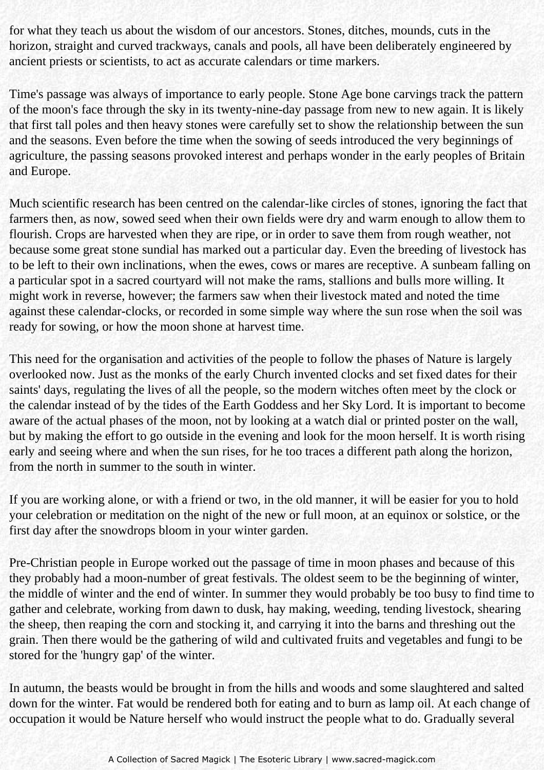for what they teach us about the wisdom of our ancestors. Stones, ditches, mounds, cuts in the horizon, straight and curved trackways, canals and pools, all have been deliberately engineered by ancient priests or scientists, to act as accurate calendars or time markers.

Time's passage was always of importance to early people. Stone Age bone carvings track the pattern of the moon's face through the sky in its twenty-nine-day passage from new to new again. It is likely that first tall poles and then heavy stones were carefully set to show the relationship between the sun and the seasons. Even before the time when the sowing of seeds introduced the very beginnings of agriculture, the passing seasons provoked interest and perhaps wonder in the early peoples of Britain and Europe.

Much scientific research has been centred on the calendar-like circles of stones, ignoring the fact that farmers then, as now, sowed seed when their own fields were dry and warm enough to allow them to flourish. Crops are harvested when they are ripe, or in order to save them from rough weather, not because some great stone sundial has marked out a particular day. Even the breeding of livestock has to be left to their own inclinations, when the ewes, cows or mares are receptive. A sunbeam falling on a particular spot in a sacred courtyard will not make the rams, stallions and bulls more willing. It might work in reverse, however; the farmers saw when their livestock mated and noted the time against these calendar-clocks, or recorded in some simple way where the sun rose when the soil was ready for sowing, or how the moon shone at harvest time.

This need for the organisation and activities of the people to follow the phases of Nature is largely overlooked now. Just as the monks of the early Church invented clocks and set fixed dates for their saints' days, regulating the lives of all the people, so the modern witches often meet by the clock or the calendar instead of by the tides of the Earth Goddess and her Sky Lord. It is important to become aware of the actual phases of the moon, not by looking at a watch dial or printed poster on the wall, but by making the effort to go outside in the evening and look for the moon herself. It is worth rising early and seeing where and when the sun rises, for he too traces a different path along the horizon, from the north in summer to the south in winter.

If you are working alone, or with a friend or two, in the old manner, it will be easier for you to hold your celebration or meditation on the night of the new or full moon, at an equinox or solstice, or the first day after the snowdrops bloom in your winter garden.

Pre-Christian people in Europe worked out the passage of time in moon phases and because of this they probably had a moon-number of great festivals. The oldest seem to be the beginning of winter, the middle of winter and the end of winter. In summer they would probably be too busy to find time to gather and celebrate, working from dawn to dusk, hay making, weeding, tending livestock, shearing the sheep, then reaping the corn and stocking it, and carrying it into the barns and threshing out the grain. Then there would be the gathering of wild and cultivated fruits and vegetables and fungi to be stored for the 'hungry gap' of the winter.

In autumn, the beasts would be brought in from the hills and woods and some slaughtered and salted down for the winter. Fat would be rendered both for eating and to burn as lamp oil. At each change of occupation it would be Nature herself who would instruct the people what to do. Gradually several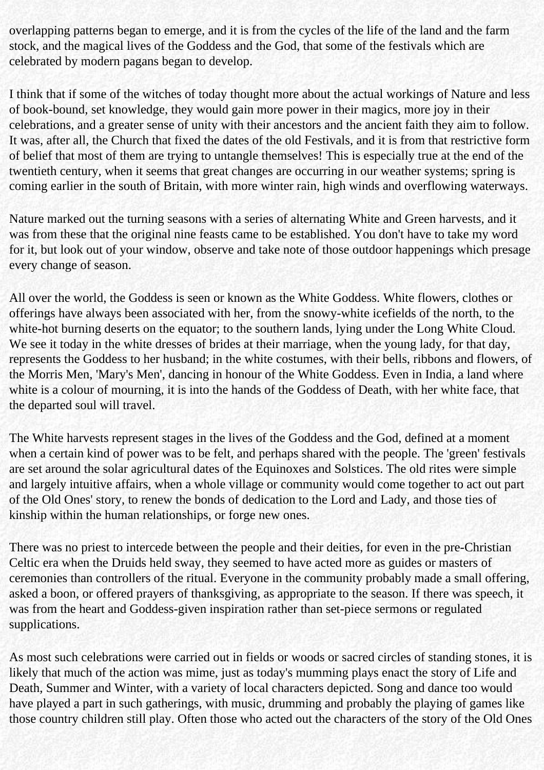overlapping patterns began to emerge, and it is from the cycles of the life of the land and the farm stock, and the magical lives of the Goddess and the God, that some of the festivals which are celebrated by modern pagans began to develop.

I think that if some of the witches of today thought more about the actual workings of Nature and less of book-bound, set knowledge, they would gain more power in their magics, more joy in their celebrations, and a greater sense of unity with their ancestors and the ancient faith they aim to follow. It was, after all, the Church that fixed the dates of the old Festivals, and it is from that restrictive form of belief that most of them are trying to untangle themselves! This is especially true at the end of the twentieth century, when it seems that great changes are occurring in our weather systems; spring is coming earlier in the south of Britain, with more winter rain, high winds and overflowing waterways.

Nature marked out the turning seasons with a series of alternating White and Green harvests, and it was from these that the original nine feasts came to be established. You don't have to take my word for it, but look out of your window, observe and take note of those outdoor happenings which presage every change of season.

All over the world, the Goddess is seen or known as the White Goddess. White flowers, clothes or offerings have always been associated with her, from the snowy-white icefields of the north, to the white-hot burning deserts on the equator; to the southern lands, lying under the Long White Cloud. We see it today in the white dresses of brides at their marriage, when the young lady, for that day, represents the Goddess to her husband; in the white costumes, with their bells, ribbons and flowers, of the Morris Men, 'Mary's Men', dancing in honour of the White Goddess. Even in India, a land where white is a colour of mourning, it is into the hands of the Goddess of Death, with her white face, that the departed soul will travel.

The White harvests represent stages in the lives of the Goddess and the God, defined at a moment when a certain kind of power was to be felt, and perhaps shared with the people. The 'green' festivals are set around the solar agricultural dates of the Equinoxes and Solstices. The old rites were simple and largely intuitive affairs, when a whole village or community would come together to act out part of the Old Ones' story, to renew the bonds of dedication to the Lord and Lady, and those ties of kinship within the human relationships, or forge new ones.

There was no priest to intercede between the people and their deities, for even in the pre-Christian Celtic era when the Druids held sway, they seemed to have acted more as guides or masters of ceremonies than controllers of the ritual. Everyone in the community probably made a small offering, asked a boon, or offered prayers of thanksgiving, as appropriate to the season. If there was speech, it was from the heart and Goddess-given inspiration rather than set-piece sermons or regulated supplications.

As most such celebrations were carried out in fields or woods or sacred circles of standing stones, it is likely that much of the action was mime, just as today's mumming plays enact the story of Life and Death, Summer and Winter, with a variety of local characters depicted. Song and dance too would have played a part in such gatherings, with music, drumming and probably the playing of games like those country children still play. Often those who acted out the characters of the story of the Old Ones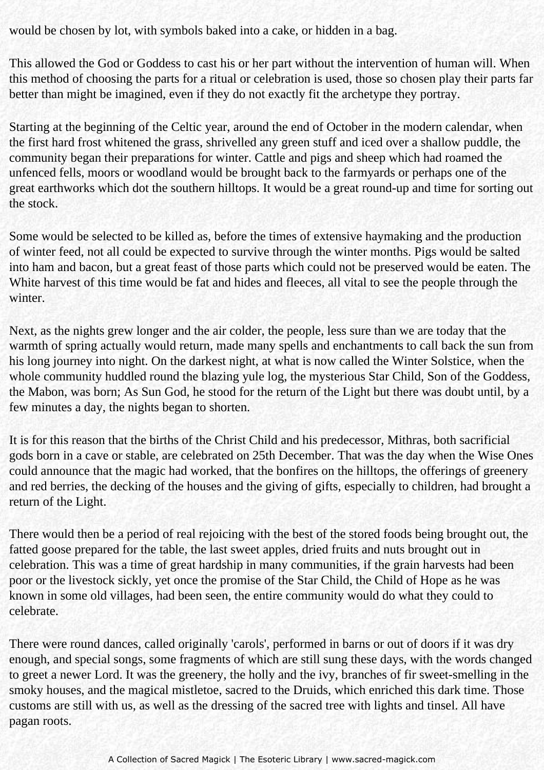would be chosen by lot, with symbols baked into a cake, or hidden in a bag.

This allowed the God or Goddess to cast his or her part without the intervention of human will. When this method of choosing the parts for a ritual or celebration is used, those so chosen play their parts far better than might be imagined, even if they do not exactly fit the archetype they portray.

Starting at the beginning of the Celtic year, around the end of October in the modern calendar, when the first hard frost whitened the grass, shrivelled any green stuff and iced over a shallow puddle, the community began their preparations for winter. Cattle and pigs and sheep which had roamed the unfenced fells, moors or woodland would be brought back to the farmyards or perhaps one of the great earthworks which dot the southern hilltops. It would be a great round-up and time for sorting out the stock.

Some would be selected to be killed as, before the times of extensive haymaking and the production of winter feed, not all could be expected to survive through the winter months. Pigs would be salted into ham and bacon, but a great feast of those parts which could not be preserved would be eaten. The White harvest of this time would be fat and hides and fleeces, all vital to see the people through the winter

Next, as the nights grew longer and the air colder, the people, less sure than we are today that the warmth of spring actually would return, made many spells and enchantments to call back the sun from his long journey into night. On the darkest night, at what is now called the Winter Solstice, when the whole community huddled round the blazing yule log, the mysterious Star Child, Son of the Goddess, the Mabon, was born; As Sun God, he stood for the return of the Light but there was doubt until, by a few minutes a day, the nights began to shorten.

It is for this reason that the births of the Christ Child and his predecessor, Mithras, both sacrificial gods born in a cave or stable, are celebrated on 25th December. That was the day when the Wise Ones could announce that the magic had worked, that the bonfires on the hilltops, the offerings of greenery and red berries, the decking of the houses and the giving of gifts, especially to children, had brought a return of the Light.

There would then be a period of real rejoicing with the best of the stored foods being brought out, the fatted goose prepared for the table, the last sweet apples, dried fruits and nuts brought out in celebration. This was a time of great hardship in many communities, if the grain harvests had been poor or the livestock sickly, yet once the promise of the Star Child, the Child of Hope as he was known in some old villages, had been seen, the entire community would do what they could to celebrate.

There were round dances, called originally 'carols', performed in barns or out of doors if it was dry enough, and special songs, some fragments of which are still sung these days, with the words changed to greet a newer Lord. It was the greenery, the holly and the ivy, branches of fir sweet-smelling in the smoky houses, and the magical mistletoe, sacred to the Druids, which enriched this dark time. Those customs are still with us, as well as the dressing of the sacred tree with lights and tinsel. All have pagan roots.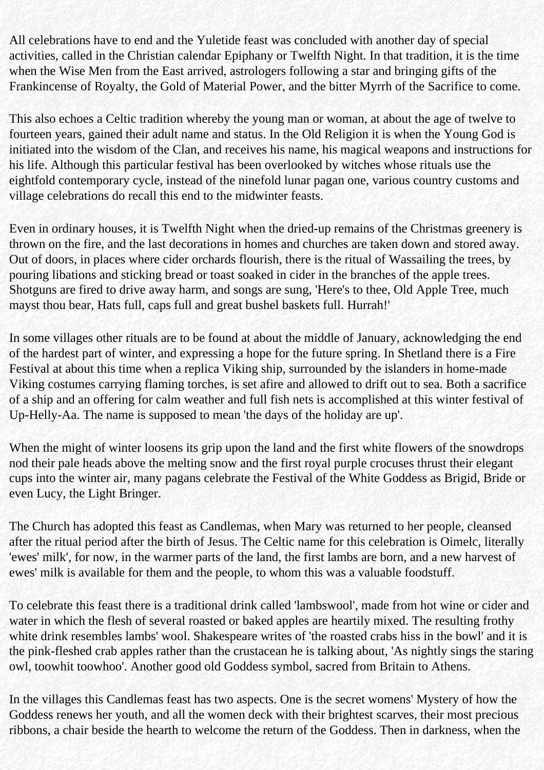All celebrations have to end and the Yuletide feast was concluded with another day of special activities, called in the Christian calendar Epiphany or Twelfth Night. In that tradition, it is the time when the Wise Men from the East arrived, astrologers following a star and bringing gifts of the Frankincense of Royalty, the Gold of Material Power, and the bitter Myrrh of the Sacrifice to come.

This also echoes a Celtic tradition whereby the young man or woman, at about the age of twelve to fourteen years, gained their adult name and status. In the Old Religion it is when the Young God is initiated into the wisdom of the Clan, and receives his name, his magical weapons and instructions for his life. Although this particular festival has been overlooked by witches whose rituals use the eightfold contemporary cycle, instead of the ninefold lunar pagan one, various country customs and village celebrations do recall this end to the midwinter feasts.

Even in ordinary houses, it is Twelfth Night when the dried-up remains of the Christmas greenery is thrown on the fire, and the last decorations in homes and churches are taken down and stored away. Out of doors, in places where cider orchards flourish, there is the ritual of Wassailing the trees, by pouring libations and sticking bread or toast soaked in cider in the branches of the apple trees. Shotguns are fired to drive away harm, and songs are sung, 'Here's to thee, Old Apple Tree, much mayst thou bear, Hats full, caps full and great bushel baskets full. Hurrah!'

In some villages other rituals are to be found at about the middle of January, acknowledging the end of the hardest part of winter, and expressing a hope for the future spring. In Shetland there is a Fire Festival at about this time when a replica Viking ship, surrounded by the islanders in home-made Viking costumes carrying flaming torches, is set afire and allowed to drift out to sea. Both a sacrifice of a ship and an offering for calm weather and full fish nets is accomplished at this winter festival of Up-Helly-Aa. The name is supposed to mean 'the days of the holiday are up'.

When the might of winter loosens its grip upon the land and the first white flowers of the snowdrops nod their pale heads above the melting snow and the first royal purple crocuses thrust their elegant cups into the winter air, many pagans celebrate the Festival of the White Goddess as Brigid, Bride or even Lucy, the Light Bringer.

The Church has adopted this feast as Candlemas, when Mary was returned to her people, cleansed after the ritual period after the birth of Jesus. The Celtic name for this celebration is Oimelc, literally 'ewes' milk', for now, in the warmer parts of the land, the first lambs are born, and a new harvest of ewes' milk is available for them and the people, to whom this was a valuable foodstuff.

To celebrate this feast there is a traditional drink called 'lambswool', made from hot wine or cider and water in which the flesh of several roasted or baked apples are heartily mixed. The resulting frothy white drink resembles lambs' wool. Shakespeare writes of 'the roasted crabs hiss in the bowl' and it is the pink-fleshed crab apples rather than the crustacean he is talking about, 'As nightly sings the staring owl, toowhit toowhoo'. Another good old Goddess symbol, sacred from Britain to Athens.

In the villages this Candlemas feast has two aspects. One is the secret womens' Mystery of how the Goddess renews her youth, and all the women deck with their brightest scarves, their most precious ribbons, a chair beside the hearth to welcome the return of the Goddess. Then in darkness, when the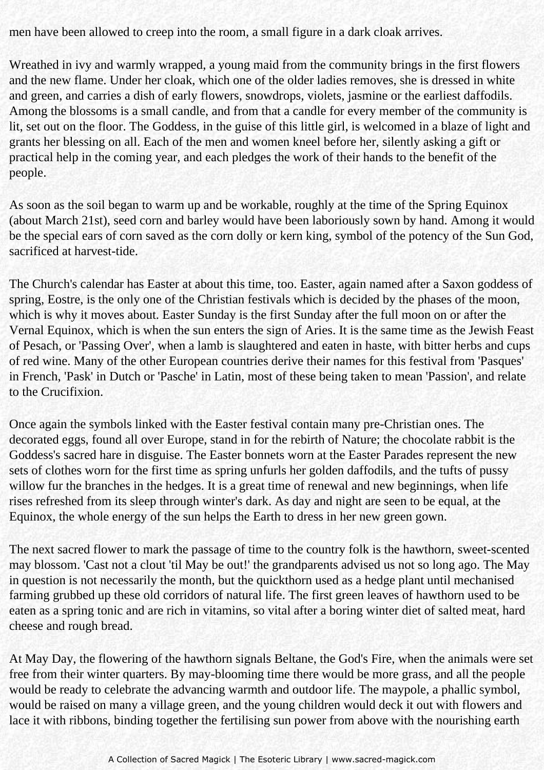men have been allowed to creep into the room, a small figure in a dark cloak arrives.

Wreathed in ivy and warmly wrapped, a young maid from the community brings in the first flowers and the new flame. Under her cloak, which one of the older ladies removes, she is dressed in white and green, and carries a dish of early flowers, snowdrops, violets, jasmine or the earliest daffodils. Among the blossoms is a small candle, and from that a candle for every member of the community is lit, set out on the floor. The Goddess, in the guise of this little girl, is welcomed in a blaze of light and grants her blessing on all. Each of the men and women kneel before her, silently asking a gift or practical help in the coming year, and each pledges the work of their hands to the benefit of the people.

As soon as the soil began to warm up and be workable, roughly at the time of the Spring Equinox (about March 21st), seed corn and barley would have been laboriously sown by hand. Among it would be the special ears of corn saved as the corn dolly or kern king, symbol of the potency of the Sun God, sacrificed at harvest-tide.

The Church's calendar has Easter at about this time, too. Easter, again named after a Saxon goddess of spring, Eostre, is the only one of the Christian festivals which is decided by the phases of the moon, which is why it moves about. Easter Sunday is the first Sunday after the full moon on or after the Vernal Equinox, which is when the sun enters the sign of Aries. It is the same time as the Jewish Feast of Pesach, or 'Passing Over', when a lamb is slaughtered and eaten in haste, with bitter herbs and cups of red wine. Many of the other European countries derive their names for this festival from 'Pasques' in French, 'Pask' in Dutch or 'Pasche' in Latin, most of these being taken to mean 'Passion', and relate to the Crucifixion.

Once again the symbols linked with the Easter festival contain many pre-Christian ones. The decorated eggs, found all over Europe, stand in for the rebirth of Nature; the chocolate rabbit is the Goddess's sacred hare in disguise. The Easter bonnets worn at the Easter Parades represent the new sets of clothes worn for the first time as spring unfurls her golden daffodils, and the tufts of pussy willow fur the branches in the hedges. It is a great time of renewal and new beginnings, when life rises refreshed from its sleep through winter's dark. As day and night are seen to be equal, at the Equinox, the whole energy of the sun helps the Earth to dress in her new green gown.

The next sacred flower to mark the passage of time to the country folk is the hawthorn, sweet-scented may blossom. 'Cast not a clout 'til May be out!' the grandparents advised us not so long ago. The May in question is not necessarily the month, but the quickthorn used as a hedge plant until mechanised farming grubbed up these old corridors of natural life. The first green leaves of hawthorn used to be eaten as a spring tonic and are rich in vitamins, so vital after a boring winter diet of salted meat, hard cheese and rough bread.

At May Day, the flowering of the hawthorn signals Beltane, the God's Fire, when the animals were set free from their winter quarters. By may-blooming time there would be more grass, and all the people would be ready to celebrate the advancing warmth and outdoor life. The maypole, a phallic symbol, would be raised on many a village green, and the young children would deck it out with flowers and lace it with ribbons, binding together the fertilising sun power from above with the nourishing earth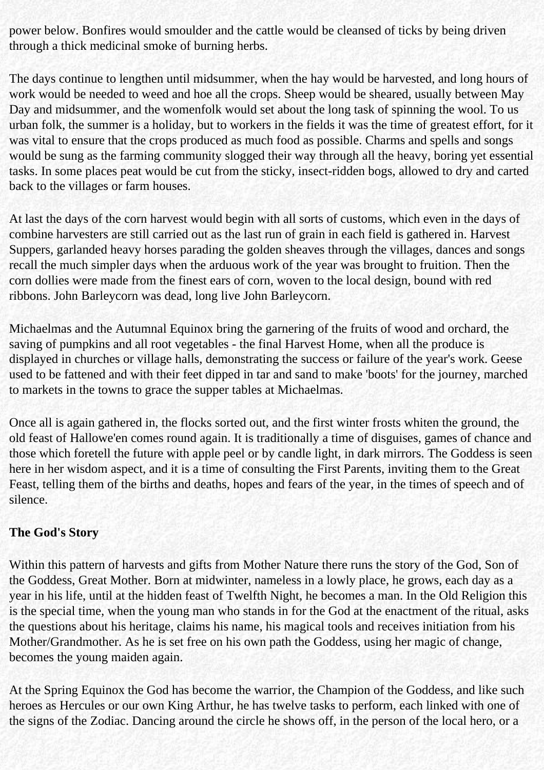power below. Bonfires would smoulder and the cattle would be cleansed of ticks by being driven through a thick medicinal smoke of burning herbs.

The days continue to lengthen until midsummer, when the hay would be harvested, and long hours of work would be needed to weed and hoe all the crops. Sheep would be sheared, usually between May Day and midsummer, and the womenfolk would set about the long task of spinning the wool. To us urban folk, the summer is a holiday, but to workers in the fields it was the time of greatest effort, for it was vital to ensure that the crops produced as much food as possible. Charms and spells and songs would be sung as the farming community slogged their way through all the heavy, boring yet essential tasks. In some places peat would be cut from the sticky, insect-ridden bogs, allowed to dry and carted back to the villages or farm houses.

At last the days of the corn harvest would begin with all sorts of customs, which even in the days of combine harvesters are still carried out as the last run of grain in each field is gathered in. Harvest Suppers, garlanded heavy horses parading the golden sheaves through the villages, dances and songs recall the much simpler days when the arduous work of the year was brought to fruition. Then the corn dollies were made from the finest ears of corn, woven to the local design, bound with red ribbons. John Barleycorn was dead, long live John Barleycorn.

Michaelmas and the Autumnal Equinox bring the garnering of the fruits of wood and orchard, the saving of pumpkins and all root vegetables - the final Harvest Home, when all the produce is displayed in churches or village halls, demonstrating the success or failure of the year's work. Geese used to be fattened and with their feet dipped in tar and sand to make 'boots' for the journey, marched to markets in the towns to grace the supper tables at Michaelmas.

Once all is again gathered in, the flocks sorted out, and the first winter frosts whiten the ground, the old feast of Hallowe'en comes round again. It is traditionally a time of disguises, games of chance and those which foretell the future with apple peel or by candle light, in dark mirrors. The Goddess is seen here in her wisdom aspect, and it is a time of consulting the First Parents, inviting them to the Great Feast, telling them of the births and deaths, hopes and fears of the year, in the times of speech and of silence.

## **The God's Story**

Within this pattern of harvests and gifts from Mother Nature there runs the story of the God, Son of the Goddess, Great Mother. Born at midwinter, nameless in a lowly place, he grows, each day as a year in his life, until at the hidden feast of Twelfth Night, he becomes a man. In the Old Religion this is the special time, when the young man who stands in for the God at the enactment of the ritual, asks the questions about his heritage, claims his name, his magical tools and receives initiation from his Mother/Grandmother. As he is set free on his own path the Goddess, using her magic of change, becomes the young maiden again.

At the Spring Equinox the God has become the warrior, the Champion of the Goddess, and like such heroes as Hercules or our own King Arthur, he has twelve tasks to perform, each linked with one of the signs of the Zodiac. Dancing around the circle he shows off, in the person of the local hero, or a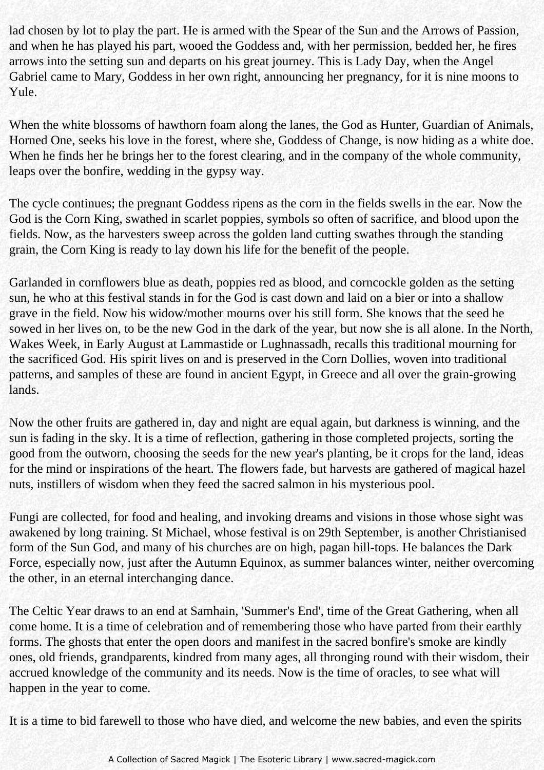lad chosen by lot to play the part. He is armed with the Spear of the Sun and the Arrows of Passion, and when he has played his part, wooed the Goddess and, with her permission, bedded her, he fires arrows into the setting sun and departs on his great journey. This is Lady Day, when the Angel Gabriel came to Mary, Goddess in her own right, announcing her pregnancy, for it is nine moons to Yule.

When the white blossoms of hawthorn foam along the lanes, the God as Hunter, Guardian of Animals, Horned One, seeks his love in the forest, where she, Goddess of Change, is now hiding as a white doe. When he finds her he brings her to the forest clearing, and in the company of the whole community, leaps over the bonfire, wedding in the gypsy way.

The cycle continues; the pregnant Goddess ripens as the corn in the fields swells in the ear. Now the God is the Corn King, swathed in scarlet poppies, symbols so often of sacrifice, and blood upon the fields. Now, as the harvesters sweep across the golden land cutting swathes through the standing grain, the Corn King is ready to lay down his life for the benefit of the people.

Garlanded in cornflowers blue as death, poppies red as blood, and corncockle golden as the setting sun, he who at this festival stands in for the God is cast down and laid on a bier or into a shallow grave in the field. Now his widow/mother mourns over his still form. She knows that the seed he sowed in her lives on, to be the new God in the dark of the year, but now she is all alone. In the North, Wakes Week, in Early August at Lammastide or Lughnassadh, recalls this traditional mourning for the sacrificed God. His spirit lives on and is preserved in the Corn Dollies, woven into traditional patterns, and samples of these are found in ancient Egypt, in Greece and all over the grain-growing lands.

Now the other fruits are gathered in, day and night are equal again, but darkness is winning, and the sun is fading in the sky. It is a time of reflection, gathering in those completed projects, sorting the good from the outworn, choosing the seeds for the new year's planting, be it crops for the land, ideas for the mind or inspirations of the heart. The flowers fade, but harvests are gathered of magical hazel nuts, instillers of wisdom when they feed the sacred salmon in his mysterious pool.

Fungi are collected, for food and healing, and invoking dreams and visions in those whose sight was awakened by long training. St Michael, whose festival is on 29th September, is another Christianised form of the Sun God, and many of his churches are on high, pagan hill-tops. He balances the Dark Force, especially now, just after the Autumn Equinox, as summer balances winter, neither overcoming the other, in an eternal interchanging dance.

The Celtic Year draws to an end at Samhain, 'Summer's End', time of the Great Gathering, when all come home. It is a time of celebration and of remembering those who have parted from their earthly forms. The ghosts that enter the open doors and manifest in the sacred bonfire's smoke are kindly ones, old friends, grandparents, kindred from many ages, all thronging round with their wisdom, their accrued knowledge of the community and its needs. Now is the time of oracles, to see what will happen in the year to come.

It is a time to bid farewell to those who have died, and welcome the new babies, and even the spirits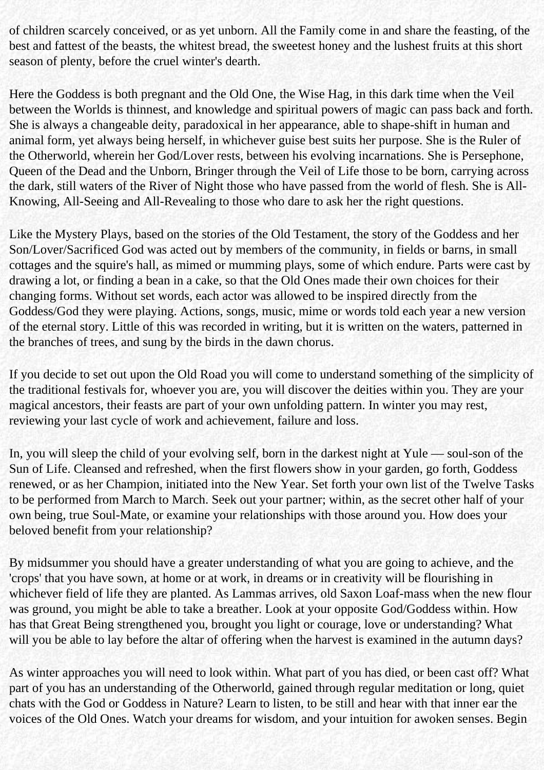of children scarcely conceived, or as yet unborn. All the Family come in and share the feasting, of the best and fattest of the beasts, the whitest bread, the sweetest honey and the lushest fruits at this short season of plenty, before the cruel winter's dearth.

Here the Goddess is both pregnant and the Old One, the Wise Hag, in this dark time when the Veil between the Worlds is thinnest, and knowledge and spiritual powers of magic can pass back and forth. She is always a changeable deity, paradoxical in her appearance, able to shape-shift in human and animal form, yet always being herself, in whichever guise best suits her purpose. She is the Ruler of the Otherworld, wherein her God/Lover rests, between his evolving incarnations. She is Persephone, Queen of the Dead and the Unborn, Bringer through the Veil of Life those to be born, carrying across the dark, still waters of the River of Night those who have passed from the world of flesh. She is All-Knowing, All-Seeing and All-Revealing to those who dare to ask her the right questions.

Like the Mystery Plays, based on the stories of the Old Testament, the story of the Goddess and her Son/Lover/Sacrificed God was acted out by members of the community, in fields or barns, in small cottages and the squire's hall, as mimed or mumming plays, some of which endure. Parts were cast by drawing a lot, or finding a bean in a cake, so that the Old Ones made their own choices for their changing forms. Without set words, each actor was allowed to be inspired directly from the Goddess/God they were playing. Actions, songs, music, mime or words told each year a new version of the eternal story. Little of this was recorded in writing, but it is written on the waters, patterned in the branches of trees, and sung by the birds in the dawn chorus.

If you decide to set out upon the Old Road you will come to understand something of the simplicity of the traditional festivals for, whoever you are, you will discover the deities within you. They are your magical ancestors, their feasts are part of your own unfolding pattern. In winter you may rest, reviewing your last cycle of work and achievement, failure and loss.

In, you will sleep the child of your evolving self, born in the darkest night at Yule — soul-son of the Sun of Life. Cleansed and refreshed, when the first flowers show in your garden, go forth, Goddess renewed, or as her Champion, initiated into the New Year. Set forth your own list of the Twelve Tasks to be performed from March to March. Seek out your partner; within, as the secret other half of your own being, true Soul-Mate, or examine your relationships with those around you. How does your beloved benefit from your relationship?

By midsummer you should have a greater understanding of what you are going to achieve, and the 'crops' that you have sown, at home or at work, in dreams or in creativity will be flourishing in whichever field of life they are planted. As Lammas arrives, old Saxon Loaf-mass when the new flour was ground, you might be able to take a breather. Look at your opposite God/Goddess within. How has that Great Being strengthened you, brought you light or courage, love or understanding? What will you be able to lay before the altar of offering when the harvest is examined in the autumn days?

As winter approaches you will need to look within. What part of you has died, or been cast off? What part of you has an understanding of the Otherworld, gained through regular meditation or long, quiet chats with the God or Goddess in Nature? Learn to listen, to be still and hear with that inner ear the voices of the Old Ones. Watch your dreams for wisdom, and your intuition for awoken senses. Begin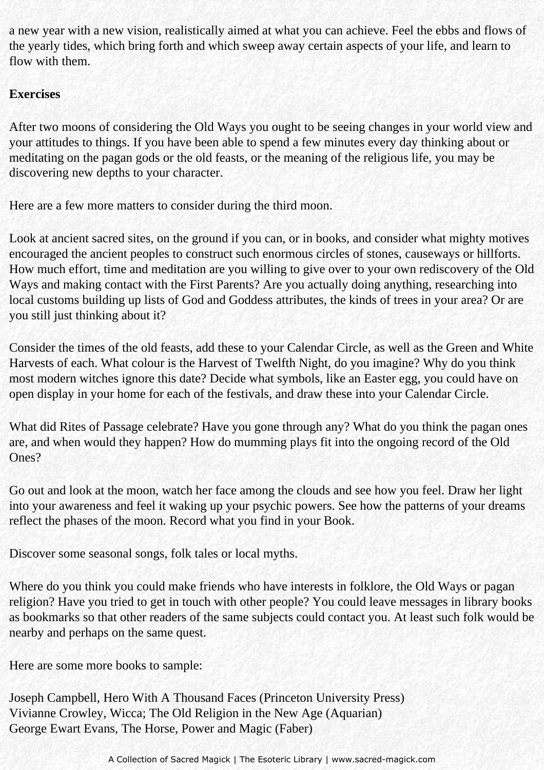a new year with a new vision, realistically aimed at what you can achieve. Feel the ebbs and flows of the yearly tides, which bring forth and which sweep away certain aspects of your life, and learn to flow with them.

## **Exercises**

After two moons of considering the Old Ways you ought to be seeing changes in your world view and your attitudes to things. If you have been able to spend a few minutes every day thinking about or meditating on the pagan gods or the old feasts, or the meaning of the religious life, you may be discovering new depths to your character.

Here are a few more matters to consider during the third moon. -

Look at ancient sacred sites, on the ground if you can, or in books, and consider what mighty motives encouraged the ancient peoples to construct such enormous circles of stones, causeways or hillforts. How much effort, time and meditation are you willing to give over to your own rediscovery of the Old Ways and making contact with the First Parents? Are you actually doing anything, researching into local customs building up lists of God and Goddess attributes, the kinds of trees in your area? Or are you still just thinking about it?

Consider the times of the old feasts, add these to your Calendar Circle, as well as the Green and White Harvests of each. What colour is the Harvest of Twelfth Night, do you imagine? Why do you think most modern witches ignore this date? Decide what symbols, like an Easter egg, you could have on open display in your home for each of the festivals, and draw these into your Calendar Circle.

What did Rites of Passage celebrate? Have you gone through any? What do you think the pagan ones are, and when would they happen? How do mumming plays fit into the ongoing record of the Old Ones?

Go out and look at the moon, watch her face among the clouds and see how you feel. Draw her light into your awareness and feel it waking up your psychic powers. See how the patterns of your dreams reflect the phases of the moon. Record what you find in your Book.

Discover some seasonal songs, folk tales or local myths.

Where do you think you could make friends who have interests in folklore, the Old Ways or pagan religion? Have you tried to get in touch with other people? You could leave messages in library books as bookmarks so that other readers of the same subjects could contact you. At least such folk would be nearby and perhaps on the same quest.

Here are some more books to sample:

Joseph Campbell, Hero With A Thousand Faces (Princeton University Press) Vivianne Crowley, Wicca; The Old Religion in the New Age (Aquarian) George Ewart Evans, The Horse, Power and Magic (Faber)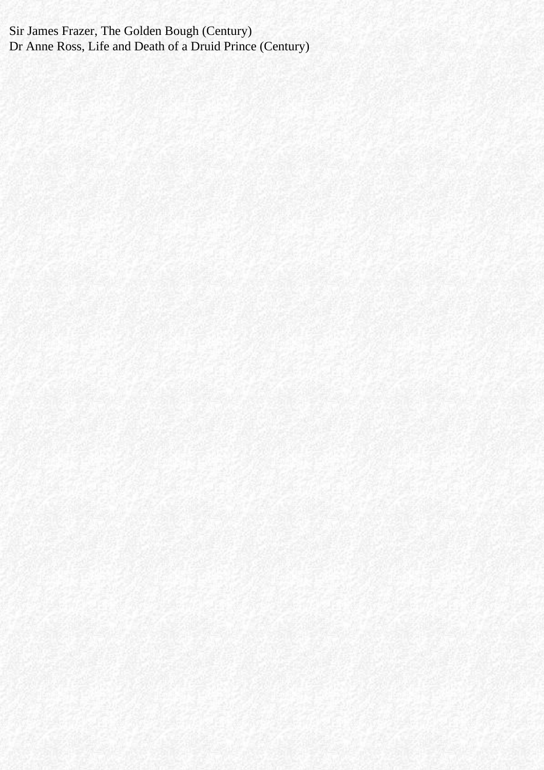Sir James Frazer, The Golden Bough (Century) Dr Anne Ross, Life and Death of a Druid Prince (Century)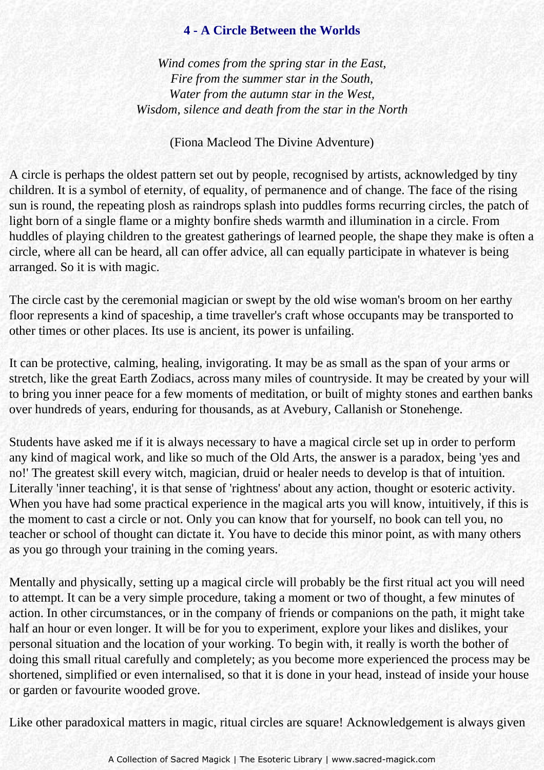## **4 - A Circle Between the Worlds**

*Wind comes from the spring star in the East, Fire from the summer star in the South, Water from the autumn star in the West, Wisdom, silence and death from the star in the North*

(Fiona Macleod The Divine Adventure)

A circle is perhaps the oldest pattern set out by people, recognised by artists, acknowledged by tiny children. It is a symbol of eternity, of equality, of permanence and of change. The face of the rising sun is round, the repeating plosh as raindrops splash into puddles forms recurring circles, the patch of light born of a single flame or a mighty bonfire sheds warmth and illumination in a circle. From huddles of playing children to the greatest gatherings of learned people, the shape they make is often a circle, where all can be heard, all can offer advice, all can equally participate in whatever is being arranged. So it is with magic.

The circle cast by the ceremonial magician or swept by the old wise woman's broom on her earthy floor represents a kind of spaceship, a time traveller's craft whose occupants may be transported to other times or other places. Its use is ancient, its power is unfailing.

It can be protective, calming, healing, invigorating. It may be as small as the span of your arms or stretch, like the great Earth Zodiacs, across many miles of countryside. It may be created by your will to bring you inner peace for a few moments of meditation, or built of mighty stones and earthen banks over hundreds of years, enduring for thousands, as at Avebury, Callanish or Stonehenge.

Students have asked me if it is always necessary to have a magical circle set up in order to perform any kind of magical work, and like so much of the Old Arts, the answer is a paradox, being 'yes and no!' The greatest skill every witch, magician, druid or healer needs to develop is that of intuition. Literally 'inner teaching', it is that sense of 'rightness' about any action, thought or esoteric activity. When you have had some practical experience in the magical arts you will know, intuitively, if this is the moment to cast a circle or not. Only you can know that for yourself, no book can tell you, no teacher or school of thought can dictate it. You have to decide this minor point, as with many others as you go through your training in the coming years.

Mentally and physically, setting up a magical circle will probably be the first ritual act you will need to attempt. It can be a very simple procedure, taking a moment or two of thought, a few minutes of action. In other circumstances, or in the company of friends or companions on the path, it might take half an hour or even longer. It will be for you to experiment, explore your likes and dislikes, your personal situation and the location of your working. To begin with, it really is worth the bother of doing this small ritual carefully and completely; as you become more experienced the process may be shortened, simplified or even internalised, so that it is done in your head, instead of inside your house or garden or favourite wooded grove.

Like other paradoxical matters in magic, ritual circles are square! Acknowledgement is always given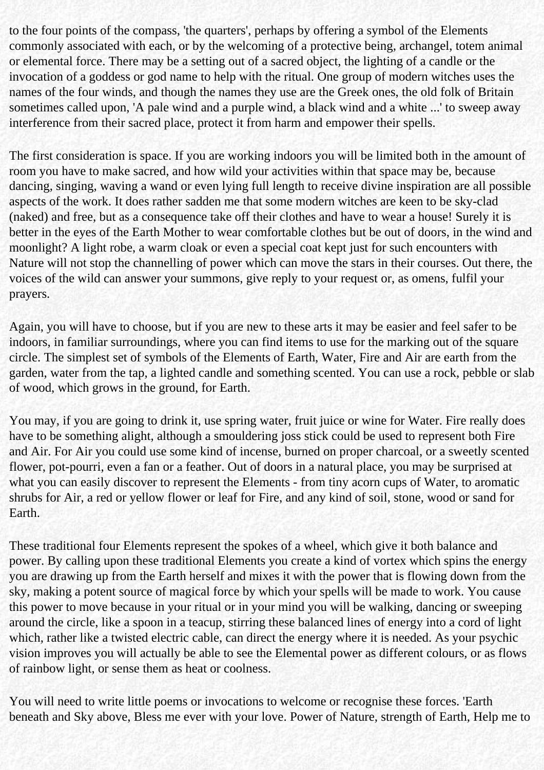to the four points of the compass, 'the quarters', perhaps by offering a symbol of the Elements commonly associated with each, or by the welcoming of a protective being, archangel, totem animal or elemental force. There may be a setting out of a sacred object, the lighting of a candle or the invocation of a goddess or god name to help with the ritual. One group of modern witches uses the names of the four winds, and though the names they use are the Greek ones, the old folk of Britain sometimes called upon, 'A pale wind and a purple wind, a black wind and a white ...' to sweep away interference from their sacred place, protect it from harm and empower their spells.

The first consideration is space. If you are working indoors you will be limited both in the amount of room you have to make sacred, and how wild your activities within that space may be, because dancing, singing, waving a wand or even lying full length to receive divine inspiration are all possible aspects of the work. It does rather sadden me that some modern witches are keen to be sky-clad (naked) and free, but as a consequence take off their clothes and have to wear a house! Surely it is better in the eyes of the Earth Mother to wear comfortable clothes but be out of doors, in the wind and moonlight? A light robe, a warm cloak or even a special coat kept just for such encounters with Nature will not stop the channelling of power which can move the stars in their courses. Out there, the voices of the wild can answer your summons, give reply to your request or, as omens, fulfil your prayers.

Again, you will have to choose, but if you are new to these arts it may be easier and feel safer to be indoors, in familiar surroundings, where you can find items to use for the marking out of the square circle. The simplest set of symbols of the Elements of Earth, Water, Fire and Air are earth from the garden, water from the tap, a lighted candle and something scented. You can use a rock, pebble or slab of wood, which grows in the ground, for Earth.

You may, if you are going to drink it, use spring water, fruit juice or wine for Water. Fire really does have to be something alight, although a smouldering joss stick could be used to represent both Fire and Air. For Air you could use some kind of incense, burned on proper charcoal, or a sweetly scented flower, pot-pourri, even a fan or a feather. Out of doors in a natural place, you may be surprised at what you can easily discover to represent the Elements - from tiny acorn cups of Water, to aromatic shrubs for Air, a red or yellow flower or leaf for Fire, and any kind of soil, stone, wood or sand for Earth.

These traditional four Elements represent the spokes of a wheel, which give it both balance and power. By calling upon these traditional Elements you create a kind of vortex which spins the energy you are drawing up from the Earth herself and mixes it with the power that is flowing down from the sky, making a potent source of magical force by which your spells will be made to work. You cause this power to move because in your ritual or in your mind you will be walking, dancing or sweeping around the circle, like a spoon in a teacup, stirring these balanced lines of energy into a cord of light which, rather like a twisted electric cable, can direct the energy where it is needed. As your psychic vision improves you will actually be able to see the Elemental power as different colours, or as flows of rainbow light, or sense them as heat or coolness.

You will need to write little poems or invocations to welcome or recognise these forces. 'Earth beneath and Sky above, Bless me ever with your love. Power of Nature, strength of Earth, Help me to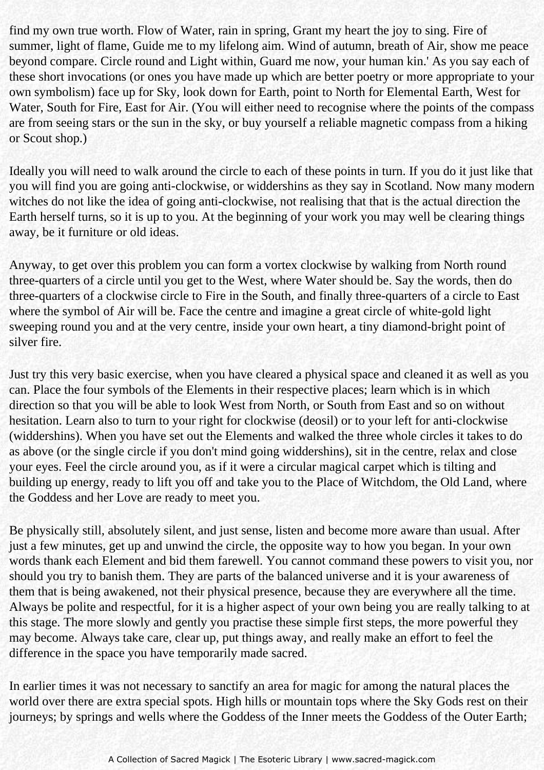find my own true worth. Flow of Water, rain in spring, Grant my heart the joy to sing. Fire of summer, light of flame, Guide me to my lifelong aim. Wind of autumn, breath of Air, show me peace beyond compare. Circle round and Light within, Guard me now, your human kin.' As you say each of these short invocations (or ones you have made up which are better poetry or more appropriate to your own symbolism) face up for Sky, look down for Earth, point to North for Elemental Earth, West for Water, South for Fire, East for Air. (You will either need to recognise where the points of the compass are from seeing stars or the sun in the sky, or buy yourself a reliable magnetic compass from a hiking or Scout shop.)

Ideally you will need to walk around the circle to each of these points in turn. If you do it just like that you will find you are going anti-clockwise, or widdershins as they say in Scotland. Now many modern witches do not like the idea of going anti-clockwise, not realising that that is the actual direction the Earth herself turns, so it is up to you. At the beginning of your work you may well be clearing things away, be it furniture or old ideas.

Anyway, to get over this problem you can form a vortex clockwise by walking from North round three-quarters of a circle until you get to the West, where Water should be. Say the words, then do three-quarters of a clockwise circle to Fire in the South, and finally three-quarters of a circle to East where the symbol of Air will be. Face the centre and imagine a great circle of white-gold light sweeping round you and at the very centre, inside your own heart, a tiny diamond-bright point of silver fire.

Just try this very basic exercise, when you have cleared a physical space and cleaned it as well as you can. Place the four symbols of the Elements in their respective places; learn which is in which direction so that you will be able to look West from North, or South from East and so on without hesitation. Learn also to turn to your right for clockwise (deosil) or to your left for anti-clockwise (widdershins). When you have set out the Elements and walked the three whole circles it takes to do as above (or the single circle if you don't mind going widdershins), sit in the centre, relax and close your eyes. Feel the circle around you, as if it were a circular magical carpet which is tilting and building up energy, ready to lift you off and take you to the Place of Witchdom, the Old Land, where the Goddess and her Love are ready to meet you.

Be physically still, absolutely silent, and just sense, listen and become more aware than usual. After just a few minutes, get up and unwind the circle, the opposite way to how you began. In your own words thank each Element and bid them farewell. You cannot command these powers to visit you, nor should you try to banish them. They are parts of the balanced universe and it is your awareness of them that is being awakened, not their physical presence, because they are everywhere all the time. Always be polite and respectful, for it is a higher aspect of your own being you are really talking to at this stage. The more slowly and gently you practise these simple first steps, the more powerful they may become. Always take care, clear up, put things away, and really make an effort to feel the difference in the space you have temporarily made sacred.

In earlier times it was not necessary to sanctify an area for magic for among the natural places the world over there are extra special spots. High hills or mountain tops where the Sky Gods rest on their journeys; by springs and wells where the Goddess of the Inner meets the Goddess of the Outer Earth;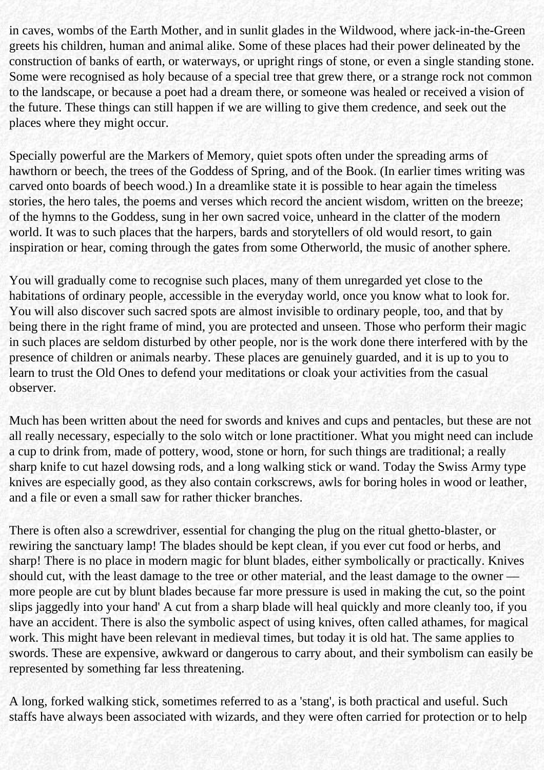in caves, wombs of the Earth Mother, and in sunlit glades in the Wildwood, where jack-in-the-Green greets his children, human and animal alike. Some of these places had their power delineated by the construction of banks of earth, or waterways, or upright rings of stone, or even a single standing stone. Some were recognised as holy because of a special tree that grew there, or a strange rock not common to the landscape, or because a poet had a dream there, or someone was healed or received a vision of the future. These things can still happen if we are willing to give them credence, and seek out the places where they might occur.

Specially powerful are the Markers of Memory, quiet spots often under the spreading arms of hawthorn or beech, the trees of the Goddess of Spring, and of the Book. (In earlier times writing was carved onto boards of beech wood.) In a dreamlike state it is possible to hear again the timeless stories, the hero tales, the poems and verses which record the ancient wisdom, written on the breeze; of the hymns to the Goddess, sung in her own sacred voice, unheard in the clatter of the modern world. It was to such places that the harpers, bards and storytellers of old would resort, to gain inspiration or hear, coming through the gates from some Otherworld, the music of another sphere.

You will gradually come to recognise such places, many of them unregarded yet close to the habitations of ordinary people, accessible in the everyday world, once you know what to look for. You will also discover such sacred spots are almost invisible to ordinary people, too, and that by being there in the right frame of mind, you are protected and unseen. Those who perform their magic in such places are seldom disturbed by other people, nor is the work done there interfered with by the presence of children or animals nearby. These places are genuinely guarded, and it is up to you to learn to trust the Old Ones to defend your meditations or cloak your activities from the casual observer.

Much has been written about the need for swords and knives and cups and pentacles, but these are not all really necessary, especially to the solo witch or lone practitioner. What you might need can include a cup to drink from, made of pottery, wood, stone or horn, for such things are traditional; a really sharp knife to cut hazel dowsing rods, and a long walking stick or wand. Today the Swiss Army type knives are especially good, as they also contain corkscrews, awls for boring holes in wood or leather, and a file or even a small saw for rather thicker branches.

There is often also a screwdriver, essential for changing the plug on the ritual ghetto-blaster, or rewiring the sanctuary lamp! The blades should be kept clean, if you ever cut food or herbs, and sharp! There is no place in modern magic for blunt blades, either symbolically or practically. Knives should cut, with the least damage to the tree or other material, and the least damage to the owner more people are cut by blunt blades because far more pressure is used in making the cut, so the point slips jaggedly into your hand' A cut from a sharp blade will heal quickly and more cleanly too, if you have an accident. There is also the symbolic aspect of using knives, often called athames, for magical work. This might have been relevant in medieval times, but today it is old hat. The same applies to swords. These are expensive, awkward or dangerous to carry about, and their symbolism can easily be represented by something far less threatening.

A long, forked walking stick, sometimes referred to as a 'stang', is both practical and useful. Such staffs have always been associated with wizards, and they were often carried for protection or to help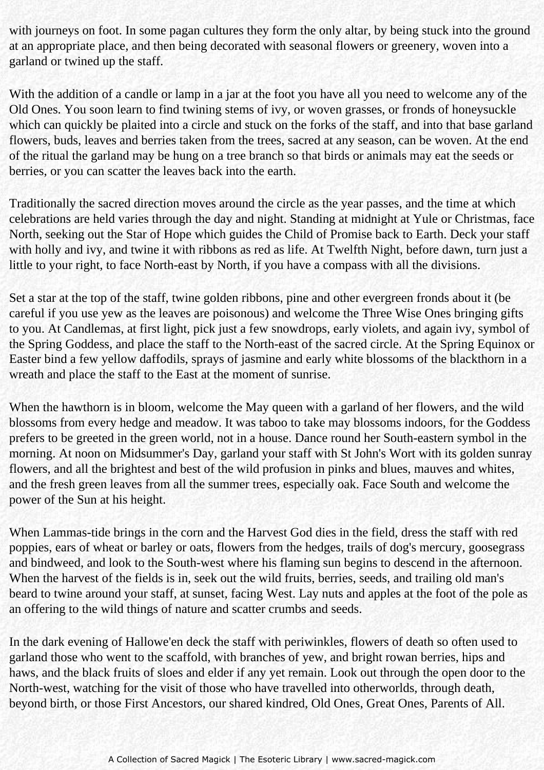with journeys on foot. In some pagan cultures they form the only altar, by being stuck into the ground at an appropriate place, and then being decorated with seasonal flowers or greenery, woven into a garland or twined up the staff.

With the addition of a candle or lamp in a jar at the foot you have all you need to welcome any of the Old Ones. You soon learn to find twining stems of ivy, or woven grasses, or fronds of honeysuckle which can quickly be plaited into a circle and stuck on the forks of the staff, and into that base garland flowers, buds, leaves and berries taken from the trees, sacred at any season, can be woven. At the end of the ritual the garland may be hung on a tree branch so that birds or animals may eat the seeds or berries, or you can scatter the leaves back into the earth.

Traditionally the sacred direction moves around the circle as the year passes, and the time at which celebrations are held varies through the day and night. Standing at midnight at Yule or Christmas, face North, seeking out the Star of Hope which guides the Child of Promise back to Earth. Deck your staff with holly and ivy, and twine it with ribbons as red as life. At Twelfth Night, before dawn, turn just a little to your right, to face North-east by North, if you have a compass with all the divisions.

Set a star at the top of the staff, twine golden ribbons, pine and other evergreen fronds about it (be careful if you use yew as the leaves are poisonous) and welcome the Three Wise Ones bringing gifts to you. At Candlemas, at first light, pick just a few snowdrops, early violets, and again ivy, symbol of the Spring Goddess, and place the staff to the North-east of the sacred circle. At the Spring Equinox or Easter bind a few yellow daffodils, sprays of jasmine and early white blossoms of the blackthorn in a wreath and place the staff to the East at the moment of sunrise.

When the hawthorn is in bloom, welcome the May queen with a garland of her flowers, and the wild blossoms from every hedge and meadow. It was taboo to take may blossoms indoors, for the Goddess prefers to be greeted in the green world, not in a house. Dance round her South-eastern symbol in the morning. At noon on Midsummer's Day, garland your staff with St John's Wort with its golden sunray flowers, and all the brightest and best of the wild profusion in pinks and blues, mauves and whites, and the fresh green leaves from all the summer trees, especially oak. Face South and welcome the power of the Sun at his height.

When Lammas-tide brings in the corn and the Harvest God dies in the field, dress the staff with red poppies, ears of wheat or barley or oats, flowers from the hedges, trails of dog's mercury, goosegrass and bindweed, and look to the South-west where his flaming sun begins to descend in the afternoon. When the harvest of the fields is in, seek out the wild fruits, berries, seeds, and trailing old man's beard to twine around your staff, at sunset, facing West. Lay nuts and apples at the foot of the pole as an offering to the wild things of nature and scatter crumbs and seeds.

In the dark evening of Hallowe'en deck the staff with periwinkles, flowers of death so often used to garland those who went to the scaffold, with branches of yew, and bright rowan berries, hips and haws, and the black fruits of sloes and elder if any yet remain. Look out through the open door to the North-west, watching for the visit of those who have travelled into otherworlds, through death, beyond birth, or those First Ancestors, our shared kindred, Old Ones, Great Ones, Parents of All.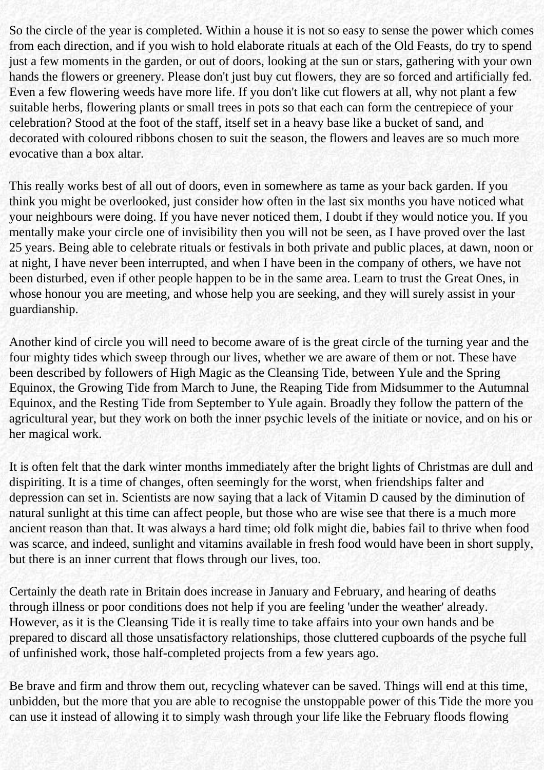So the circle of the year is completed. Within a house it is not so easy to sense the power which comes from each direction, and if you wish to hold elaborate rituals at each of the Old Feasts, do try to spend just a few moments in the garden, or out of doors, looking at the sun or stars, gathering with your own hands the flowers or greenery. Please don't just buy cut flowers, they are so forced and artificially fed. Even a few flowering weeds have more life. If you don't like cut flowers at all, why not plant a few suitable herbs, flowering plants or small trees in pots so that each can form the centrepiece of your celebration? Stood at the foot of the staff, itself set in a heavy base like a bucket of sand, and decorated with coloured ribbons chosen to suit the season, the flowers and leaves are so much more evocative than a box altar.

This really works best of all out of doors, even in somewhere as tame as your back garden. If you think you might be overlooked, just consider how often in the last six months you have noticed what your neighbours were doing. If you have never noticed them, I doubt if they would notice you. If you mentally make your circle one of invisibility then you will not be seen, as I have proved over the last 25 years. Being able to celebrate rituals or festivals in both private and public places, at dawn, noon or at night, I have never been interrupted, and when I have been in the company of others, we have not been disturbed, even if other people happen to be in the same area. Learn to trust the Great Ones, in whose honour you are meeting, and whose help you are seeking, and they will surely assist in your guardianship.

Another kind of circle you will need to become aware of is the great circle of the turning year and the four mighty tides which sweep through our lives, whether we are aware of them or not. These have been described by followers of High Magic as the Cleansing Tide, between Yule and the Spring Equinox, the Growing Tide from March to June, the Reaping Tide from Midsummer to the Autumnal Equinox, and the Resting Tide from September to Yule again. Broadly they follow the pattern of the agricultural year, but they work on both the inner psychic levels of the initiate or novice, and on his or her magical work.

It is often felt that the dark winter months immediately after the bright lights of Christmas are dull and dispiriting. It is a time of changes, often seemingly for the worst, when friendships falter and depression can set in. Scientists are now saying that a lack of Vitamin D caused by the diminution of natural sunlight at this time can affect people, but those who are wise see that there is a much more ancient reason than that. It was always a hard time; old folk might die, babies fail to thrive when food was scarce, and indeed, sunlight and vitamins available in fresh food would have been in short supply, but there is an inner current that flows through our lives, too.

Certainly the death rate in Britain does increase in January and February, and hearing of deaths through illness or poor conditions does not help if you are feeling 'under the weather' already. However, as it is the Cleansing Tide it is really time to take affairs into your own hands and be prepared to discard all those unsatisfactory relationships, those cluttered cupboards of the psyche full of unfinished work, those half-completed projects from a few years ago.

Be brave and firm and throw them out, recycling whatever can be saved. Things will end at this time, unbidden, but the more that you are able to recognise the unstoppable power of this Tide the more you can use it instead of allowing it to simply wash through your life like the February floods flowing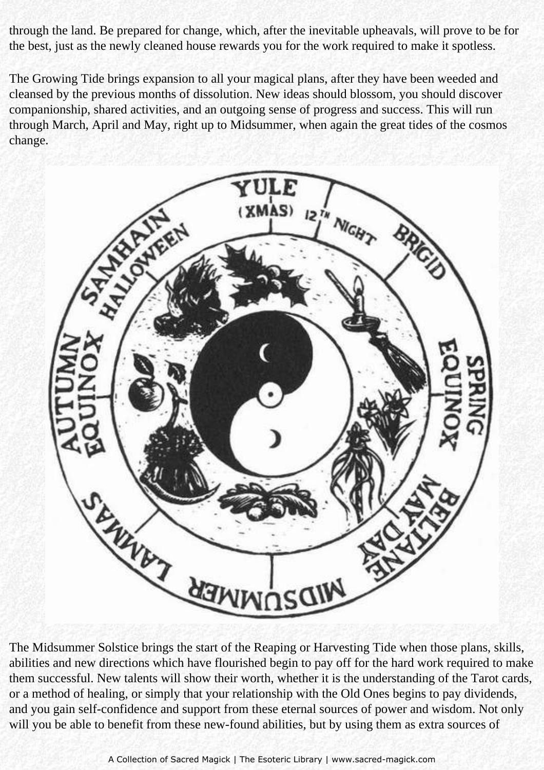through the land. Be prepared for change, which, after the inevitable upheavals, will prove to be for the best, just as the newly cleaned house rewards you for the work required to make it spotless.

The Growing Tide brings expansion to all your magical plans, after they have been weeded and cleansed by the previous months of dissolution. New ideas should blossom, you should discover companionship, shared activities, and an outgoing sense of progress and success. This will run through March, April and May, right up to Midsummer, when again the great tides of the cosmos change.



The Midsummer Solstice brings the start of the Reaping or Harvesting Tide when those plans, skills, abilities and new directions which have flourished begin to pay off for the hard work required to make them successful. New talents will show their worth, whether it is the understanding of the Tarot cards, or a method of healing, or simply that your relationship with the Old Ones begins to pay dividends, and you gain self-confidence and support from these eternal sources of power and wisdom. Not only will you be able to benefit from these new-found abilities, but by using them as extra sources of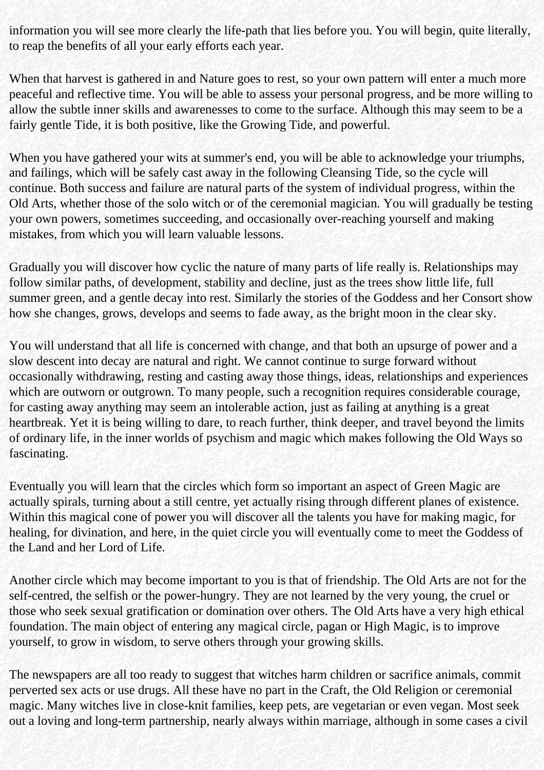information you will see more clearly the life-path that lies before you. You will begin, quite literally, to reap the benefits of all your early efforts each year.

When that harvest is gathered in and Nature goes to rest, so your own pattern will enter a much more peaceful and reflective time. You will be able to assess your personal progress, and be more willing to allow the subtle inner skills and awarenesses to come to the surface. Although this may seem to be a fairly gentle Tide, it is both positive, like the Growing Tide, and powerful.

When you have gathered your wits at summer's end, you will be able to acknowledge your triumphs, and failings, which will be safely cast away in the following Cleansing Tide, so the cycle will continue. Both success and failure are natural parts of the system of individual progress, within the Old Arts, whether those of the solo witch or of the ceremonial magician. You will gradually be testing your own powers, sometimes succeeding, and occasionally over-reaching yourself and making mistakes, from which you will learn valuable lessons.

Gradually you will discover how cyclic the nature of many parts of life really is. Relationships may follow similar paths, of development, stability and decline, just as the trees show little life, full summer green, and a gentle decay into rest. Similarly the stories of the Goddess and her Consort show how she changes, grows, develops and seems to fade away, as the bright moon in the clear sky.

You will understand that all life is concerned with change, and that both an upsurge of power and a slow descent into decay are natural and right. We cannot continue to surge forward without occasionally withdrawing, resting and casting away those things, ideas, relationships and experiences which are outworn or outgrown. To many people, such a recognition requires considerable courage, for casting away anything may seem an intolerable action, just as failing at anything is a great heartbreak. Yet it is being willing to dare, to reach further, think deeper, and travel beyond the limits of ordinary life, in the inner worlds of psychism and magic which makes following the Old Ways so fascinating.

Eventually you will learn that the circles which form so important an aspect of Green Magic are actually spirals, turning about a still centre, yet actually rising through different planes of existence. Within this magical cone of power you will discover all the talents you have for making magic, for healing, for divination, and here, in the quiet circle you will eventually come to meet the Goddess of the Land and her Lord of Life.

Another circle which may become important to you is that of friendship. The Old Arts are not for the self-centred, the selfish or the power-hungry. They are not learned by the very young, the cruel or those who seek sexual gratification or domination over others. The Old Arts have a very high ethical foundation. The main object of entering any magical circle, pagan or High Magic, is to improve yourself, to grow in wisdom, to serve others through your growing skills.

The newspapers are all too ready to suggest that witches harm children or sacrifice animals, commit perverted sex acts or use drugs. All these have no part in the Craft, the Old Religion or ceremonial magic. Many witches live in close-knit families, keep pets, are vegetarian or even vegan. Most seek out a loving and long-term partnership, nearly always within marriage, although in some cases a civil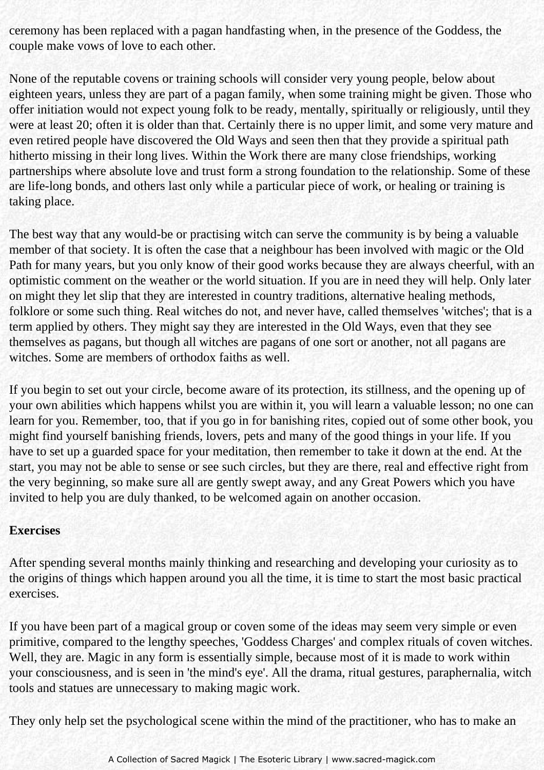ceremony has been replaced with a pagan handfasting when, in the presence of the Goddess, the couple make vows of love to each other.

None of the reputable covens or training schools will consider very young people, below about eighteen years, unless they are part of a pagan family, when some training might be given. Those who offer initiation would not expect young folk to be ready, mentally, spiritually or religiously, until they were at least 20; often it is older than that. Certainly there is no upper limit, and some very mature and even retired people have discovered the Old Ways and seen then that they provide a spiritual path hitherto missing in their long lives. Within the Work there are many close friendships, working partnerships where absolute love and trust form a strong foundation to the relationship. Some of these are life-long bonds, and others last only while a particular piece of work, or healing or training is taking place.

The best way that any would-be or practising witch can serve the community is by being a valuable member of that society. It is often the case that a neighbour has been involved with magic or the Old Path for many years, but you only know of their good works because they are always cheerful, with an optimistic comment on the weather or the world situation. If you are in need they will help. Only later on might they let slip that they are interested in country traditions, alternative healing methods, folklore or some such thing. Real witches do not, and never have, called themselves 'witches'; that is a term applied by others. They might say they are interested in the Old Ways, even that they see themselves as pagans, but though all witches are pagans of one sort or another, not all pagans are witches. Some are members of orthodox faiths as well.

If you begin to set out your circle, become aware of its protection, its stillness, and the opening up of your own abilities which happens whilst you are within it, you will learn a valuable lesson; no one can learn for you. Remember, too, that if you go in for banishing rites, copied out of some other book, you might find yourself banishing friends, lovers, pets and many of the good things in your life. If you have to set up a guarded space for your meditation, then remember to take it down at the end. At the start, you may not be able to sense or see such circles, but they are there, real and effective right from the very beginning, so make sure all are gently swept away, and any Great Powers which you have invited to help you are duly thanked, to be welcomed again on another occasion.

#### **Exercises**

After spending several months mainly thinking and researching and developing your curiosity as to the origins of things which happen around you all the time, it is time to start the most basic practical exercises.

If you have been part of a magical group or coven some of the ideas may seem very simple or even primitive, compared to the lengthy speeches, 'Goddess Charges' and complex rituals of coven witches. Well, they are. Magic in any form is essentially simple, because most of it is made to work within your consciousness, and is seen in 'the mind's eye'. All the drama, ritual gestures, paraphernalia, witch tools and statues are unnecessary to making magic work.

They only help set the psychological scene within the mind of the practitioner, who has to make an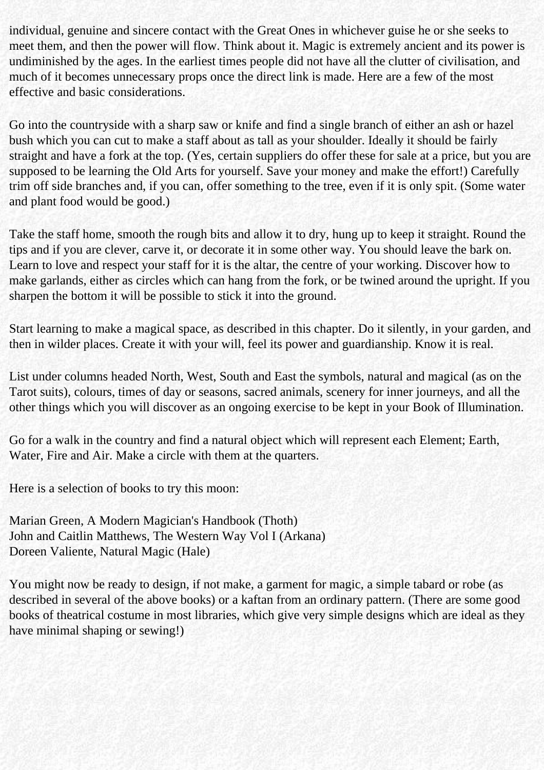individual, genuine and sincere contact with the Great Ones in whichever guise he or she seeks to meet them, and then the power will flow. Think about it. Magic is extremely ancient and its power is undiminished by the ages. In the earliest times people did not have all the clutter of civilisation, and much of it becomes unnecessary props once the direct link is made. Here are a few of the most effective and basic considerations.

Go into the countryside with a sharp saw or knife and find a single branch of either an ash or hazel bush which you can cut to make a staff about as tall as your shoulder. Ideally it should be fairly straight and have a fork at the top. (Yes, certain suppliers do offer these for sale at a price, but you are supposed to be learning the Old Arts for yourself. Save your money and make the effort!) Carefully trim off side branches and, if you can, offer something to the tree, even if it is only spit. (Some water and plant food would be good.)

Take the staff home, smooth the rough bits and allow it to dry, hung up to keep it straight. Round the tips and if you are clever, carve it, or decorate it in some other way. You should leave the bark on. Learn to love and respect your staff for it is the altar, the centre of your working. Discover how to make garlands, either as circles which can hang from the fork, or be twined around the upright. If you sharpen the bottom it will be possible to stick it into the ground.

Start learning to make a magical space, as described in this chapter. Do it silently, in your garden, and then in wilder places. Create it with your will, feel its power and guardianship. Know it is real.

List under columns headed North, West, South and East the symbols, natural and magical (as on the Tarot suits), colours, times of day or seasons, sacred animals, scenery for inner journeys, and all the other things which you will discover as an ongoing exercise to be kept in your Book of Illumination.

Go for a walk in the country and find a natural object which will represent each Element; Earth, Water, Fire and Air. Make a circle with them at the quarters.

Here is a selection of books to try this moon:

Marian Green, A Modern Magician's Handbook (Thoth) John and Caitlin Matthews, The Western Way Vol I (Arkana) Doreen Valiente, Natural Magic (Hale)

You might now be ready to design, if not make, a garment for magic, a simple tabard or robe (as described in several of the above books) or a kaftan from an ordinary pattern. (There are some good books of theatrical costume in most libraries, which give very simple designs which are ideal as they have minimal shaping or sewing!)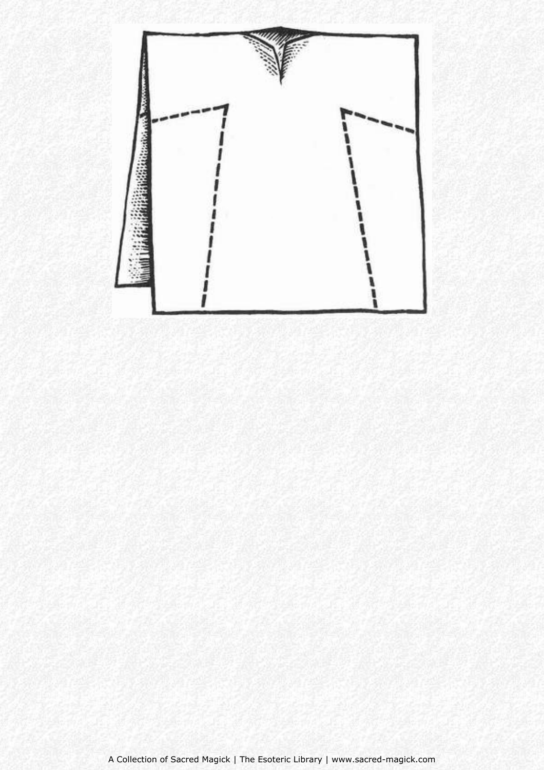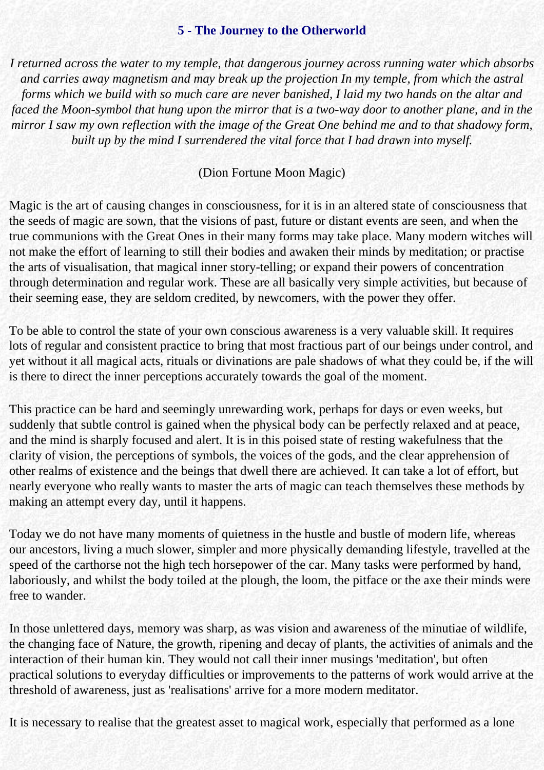#### **5 - The Journey to the Otherworld**

*I returned across the water to my temple, that dangerous journey across running water which absorbs and carries away magnetism and may break up the projection In my temple, from which the astral forms which we build with so much care are never banished, I laid my two hands on the altar and faced the Moon-symbol that hung upon the mirror that is a two-way door to another plane, and in the mirror I saw my own reflection with the image of the Great One behind me and to that shadowy form, built up by the mind I surrendered the vital force that I had drawn into myself.*

(Dion Fortune Moon Magic)

Magic is the art of causing changes in consciousness, for it is in an altered state of consciousness that the seeds of magic are sown, that the visions of past, future or distant events are seen, and when the true communions with the Great Ones in their many forms may take place. Many modern witches will not make the effort of learning to still their bodies and awaken their minds by meditation; or practise the arts of visualisation, that magical inner story-telling; or expand their powers of concentration through determination and regular work. These are all basically very simple activities, but because of their seeming ease, they are seldom credited, by newcomers, with the power they offer.

To be able to control the state of your own conscious awareness is a very valuable skill. It requires lots of regular and consistent practice to bring that most fractious part of our beings under control, and yet without it all magical acts, rituals or divinations are pale shadows of what they could be, if the will is there to direct the inner perceptions accurately towards the goal of the moment.

This practice can be hard and seemingly unrewarding work, perhaps for days or even weeks, but suddenly that subtle control is gained when the physical body can be perfectly relaxed and at peace, and the mind is sharply focused and alert. It is in this poised state of resting wakefulness that the clarity of vision, the perceptions of symbols, the voices of the gods, and the clear apprehension of other realms of existence and the beings that dwell there are achieved. It can take a lot of effort, but nearly everyone who really wants to master the arts of magic can teach themselves these methods by making an attempt every day, until it happens.

Today we do not have many moments of quietness in the hustle and bustle of modern life, whereas our ancestors, living a much slower, simpler and more physically demanding lifestyle, travelled at the speed of the carthorse not the high tech horsepower of the car. Many tasks were performed by hand, laboriously, and whilst the body toiled at the plough, the loom, the pitface or the axe their minds were free to wander.

In those unlettered days, memory was sharp, as was vision and awareness of the minutiae of wildlife, the changing face of Nature, the growth, ripening and decay of plants, the activities of animals and the interaction of their human kin. They would not call their inner musings 'meditation', but often practical solutions to everyday difficulties or improvements to the patterns of work would arrive at the threshold of awareness, just as 'realisations' arrive for a more modern meditator.

It is necessary to realise that the greatest asset to magical work, especially that performed as a lone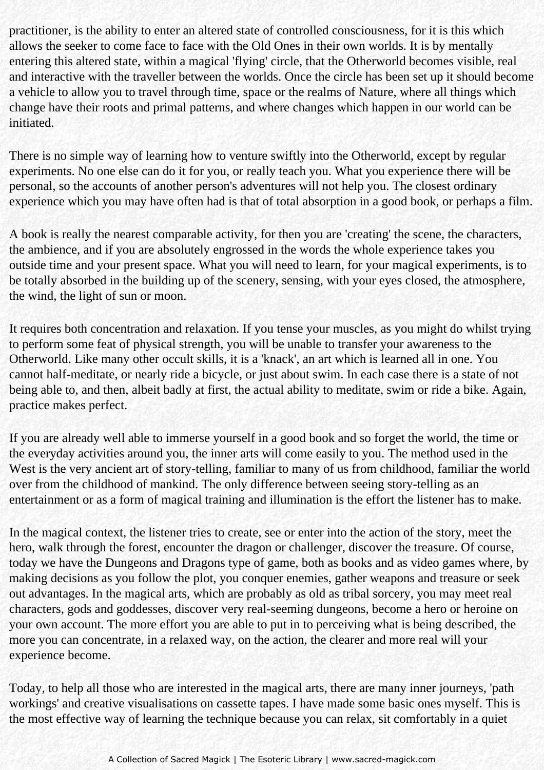practitioner, is the ability to enter an altered state of controlled consciousness, for it is this which allows the seeker to come face to face with the Old Ones in their own worlds. It is by mentally entering this altered state, within a magical 'flying' circle, that the Otherworld becomes visible, real and interactive with the traveller between the worlds. Once the circle has been set up it should become a vehicle to allow you to travel through time, space or the realms of Nature, where all things which change have their roots and primal patterns, and where changes which happen in our world can be initiated.

There is no simple way of learning how to venture swiftly into the Otherworld, except by regular experiments. No one else can do it for you, or really teach you. What you experience there will be personal, so the accounts of another person's adventures will not help you. The closest ordinary experience which you may have often had is that of total absorption in a good book, or perhaps a film.

A book is really the nearest comparable activity, for then you are 'creating' the scene, the characters, the ambience, and if you are absolutely engrossed in the words the whole experience takes you outside time and your present space. What you will need to learn, for your magical experiments, is to be totally absorbed in the building up of the scenery, sensing, with your eyes closed, the atmosphere, the wind, the light of sun or moon.

It requires both concentration and relaxation. If you tense your muscles, as you might do whilst trying to perform some feat of physical strength, you will be unable to transfer your awareness to the Otherworld. Like many other occult skills, it is a 'knack', an art which is learned all in one. You cannot half-meditate, or nearly ride a bicycle, or just about swim. In each case there is a state of not being able to, and then, albeit badly at first, the actual ability to meditate, swim or ride a bike. Again, practice makes perfect.

If you are already well able to immerse yourself in a good book and so forget the world, the time or the everyday activities around you, the inner arts will come easily to you. The method used in the West is the very ancient art of story-telling, familiar to many of us from childhood, familiar the world over from the childhood of mankind. The only difference between seeing story-telling as an entertainment or as a form of magical training and illumination is the effort the listener has to make.

In the magical context, the listener tries to create, see or enter into the action of the story, meet the hero, walk through the forest, encounter the dragon or challenger, discover the treasure. Of course, today we have the Dungeons and Dragons type of game, both as books and as video games where, by making decisions as you follow the plot, you conquer enemies, gather weapons and treasure or seek out advantages. In the magical arts, which are probably as old as tribal sorcery, you may meet real characters, gods and goddesses, discover very real-seeming dungeons, become a hero or heroine on your own account. The more effort you are able to put in to perceiving what is being described, the more you can concentrate, in a relaxed way, on the action, the clearer and more real will your experience become.

Today, to help all those who are interested in the magical arts, there are many inner journeys, 'path workings' and creative visualisations on cassette tapes. I have made some basic ones myself. This is the most effective way of learning the technique because you can relax, sit comfortably in a quiet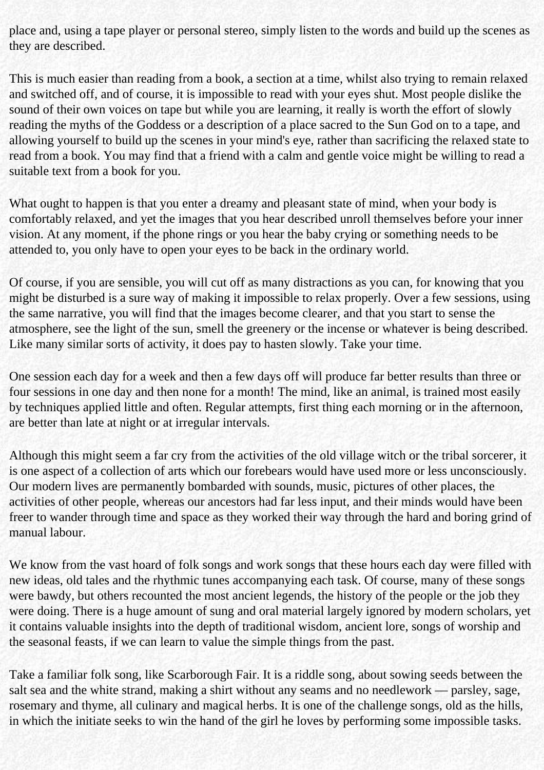place and, using a tape player or personal stereo, simply listen to the words and build up the scenes as they are described.

This is much easier than reading from a book, a section at a time, whilst also trying to remain relaxed and switched off, and of course, it is impossible to read with your eyes shut. Most people dislike the sound of their own voices on tape but while you are learning, it really is worth the effort of slowly reading the myths of the Goddess or a description of a place sacred to the Sun God on to a tape, and allowing yourself to build up the scenes in your mind's eye, rather than sacrificing the relaxed state to read from a book. You may find that a friend with a calm and gentle voice might be willing to read a suitable text from a book for you.

What ought to happen is that you enter a dreamy and pleasant state of mind, when your body is comfortably relaxed, and yet the images that you hear described unroll themselves before your inner vision. At any moment, if the phone rings or you hear the baby crying or something needs to be attended to, you only have to open your eyes to be back in the ordinary world.

Of course, if you are sensible, you will cut off as many distractions as you can, for knowing that you might be disturbed is a sure way of making it impossible to relax properly. Over a few sessions, using the same narrative, you will find that the images become clearer, and that you start to sense the atmosphere, see the light of the sun, smell the greenery or the incense or whatever is being described. Like many similar sorts of activity, it does pay to hasten slowly. Take your time.

One session each day for a week and then a few days off will produce far better results than three or four sessions in one day and then none for a month! The mind, like an animal, is trained most easily by techniques applied little and often. Regular attempts, first thing each morning or in the afternoon, are better than late at night or at irregular intervals.

Although this might seem a far cry from the activities of the old village witch or the tribal sorcerer, it is one aspect of a collection of arts which our forebears would have used more or less unconsciously. Our modern lives are permanently bombarded with sounds, music, pictures of other places, the activities of other people, whereas our ancestors had far less input, and their minds would have been freer to wander through time and space as they worked their way through the hard and boring grind of manual labour.

We know from the vast hoard of folk songs and work songs that these hours each day were filled with new ideas, old tales and the rhythmic tunes accompanying each task. Of course, many of these songs were bawdy, but others recounted the most ancient legends, the history of the people or the job they were doing. There is a huge amount of sung and oral material largely ignored by modern scholars, yet it contains valuable insights into the depth of traditional wisdom, ancient lore, songs of worship and the seasonal feasts, if we can learn to value the simple things from the past.

Take a familiar folk song, like Scarborough Fair. It is a riddle song, about sowing seeds between the salt sea and the white strand, making a shirt without any seams and no needlework — parsley, sage, rosemary and thyme, all culinary and magical herbs. It is one of the challenge songs, old as the hills, in which the initiate seeks to win the hand of the girl he loves by performing some impossible tasks.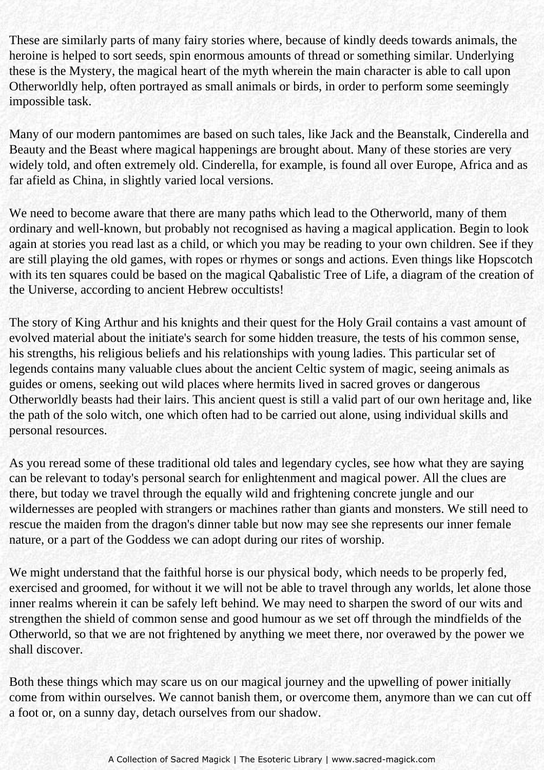These are similarly parts of many fairy stories where, because of kindly deeds towards animals, the heroine is helped to sort seeds, spin enormous amounts of thread or something similar. Underlying these is the Mystery, the magical heart of the myth wherein the main character is able to call upon Otherworldly help, often portrayed as small animals or birds, in order to perform some seemingly impossible task.

Many of our modern pantomimes are based on such tales, like Jack and the Beanstalk, Cinderella and Beauty and the Beast where magical happenings are brought about. Many of these stories are very widely told, and often extremely old. Cinderella, for example, is found all over Europe, Africa and as far afield as China, in slightly varied local versions.

We need to become aware that there are many paths which lead to the Otherworld, many of them ordinary and well-known, but probably not recognised as having a magical application. Begin to look again at stories you read last as a child, or which you may be reading to your own children. See if they are still playing the old games, with ropes or rhymes or songs and actions. Even things like Hopscotch with its ten squares could be based on the magical Qabalistic Tree of Life, a diagram of the creation of the Universe, according to ancient Hebrew occultists!

The story of King Arthur and his knights and their quest for the Holy Grail contains a vast amount of evolved material about the initiate's search for some hidden treasure, the tests of his common sense, his strengths, his religious beliefs and his relationships with young ladies. This particular set of legends contains many valuable clues about the ancient Celtic system of magic, seeing animals as guides or omens, seeking out wild places where hermits lived in sacred groves or dangerous Otherworldly beasts had their lairs. This ancient quest is still a valid part of our own heritage and, like the path of the solo witch, one which often had to be carried out alone, using individual skills and personal resources.

As you reread some of these traditional old tales and legendary cycles, see how what they are saying can be relevant to today's personal search for enlightenment and magical power. All the clues are there, but today we travel through the equally wild and frightening concrete jungle and our wildernesses are peopled with strangers or machines rather than giants and monsters. We still need to rescue the maiden from the dragon's dinner table but now may see she represents our inner female nature, or a part of the Goddess we can adopt during our rites of worship.

We might understand that the faithful horse is our physical body, which needs to be properly fed, exercised and groomed, for without it we will not be able to travel through any worlds, let alone those inner realms wherein it can be safely left behind. We may need to sharpen the sword of our wits and strengthen the shield of common sense and good humour as we set off through the mindfields of the Otherworld, so that we are not frightened by anything we meet there, nor overawed by the power we shall discover.

Both these things which may scare us on our magical journey and the upwelling of power initially come from within ourselves. We cannot banish them, or overcome them, anymore than we can cut off a foot or, on a sunny day, detach ourselves from our shadow.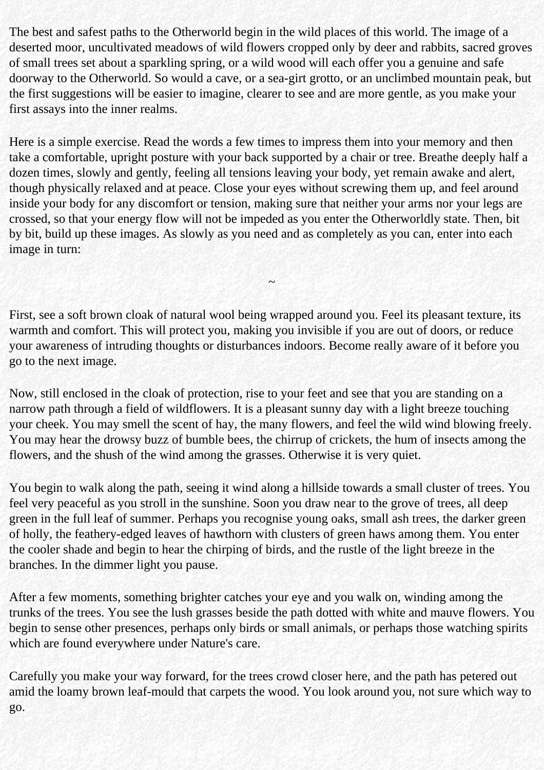The best and safest paths to the Otherworld begin in the wild places of this world. The image of a deserted moor, uncultivated meadows of wild flowers cropped only by deer and rabbits, sacred groves of small trees set about a sparkling spring, or a wild wood will each offer you a genuine and safe doorway to the Otherworld. So would a cave, or a sea-girt grotto, or an unclimbed mountain peak, but the first suggestions will be easier to imagine, clearer to see and are more gentle, as you make your first assays into the inner realms.

Here is a simple exercise. Read the words a few times to impress them into your memory and then take a comfortable, upright posture with your back supported by a chair or tree. Breathe deeply half a dozen times, slowly and gently, feeling all tensions leaving your body, yet remain awake and alert, though physically relaxed and at peace. Close your eyes without screwing them up, and feel around inside your body for any discomfort or tension, making sure that neither your arms nor your legs are crossed, so that your energy flow will not be impeded as you enter the Otherworldly state. Then, bit by bit, build up these images. As slowly as you need and as completely as you can, enter into each image in turn:

First, see a soft brown cloak of natural wool being wrapped around you. Feel its pleasant texture, its warmth and comfort. This will protect you, making you invisible if you are out of doors, or reduce your awareness of intruding thoughts or disturbances indoors. Become really aware of it before you go to the next image.

 $\sim$ 

Now, still enclosed in the cloak of protection, rise to your feet and see that you are standing on a narrow path through a field of wildflowers. It is a pleasant sunny day with a light breeze touching your cheek. You may smell the scent of hay, the many flowers, and feel the wild wind blowing freely. You may hear the drowsy buzz of bumble bees, the chirrup of crickets, the hum of insects among the flowers, and the shush of the wind among the grasses. Otherwise it is very quiet.

You begin to walk along the path, seeing it wind along a hillside towards a small cluster of trees. You feel very peaceful as you stroll in the sunshine. Soon you draw near to the grove of trees, all deep green in the full leaf of summer. Perhaps you recognise young oaks, small ash trees, the darker green of holly, the feathery-edged leaves of hawthorn with clusters of green haws among them. You enter the cooler shade and begin to hear the chirping of birds, and the rustle of the light breeze in the branches. In the dimmer light you pause.

After a few moments, something brighter catches your eye and you walk on, winding among the trunks of the trees. You see the lush grasses beside the path dotted with white and mauve flowers. You begin to sense other presences, perhaps only birds or small animals, or perhaps those watching spirits which are found everywhere under Nature's care.

Carefully you make your way forward, for the trees crowd closer here, and the path has petered out amid the loamy brown leaf-mould that carpets the wood. You look around you, not sure which way to go.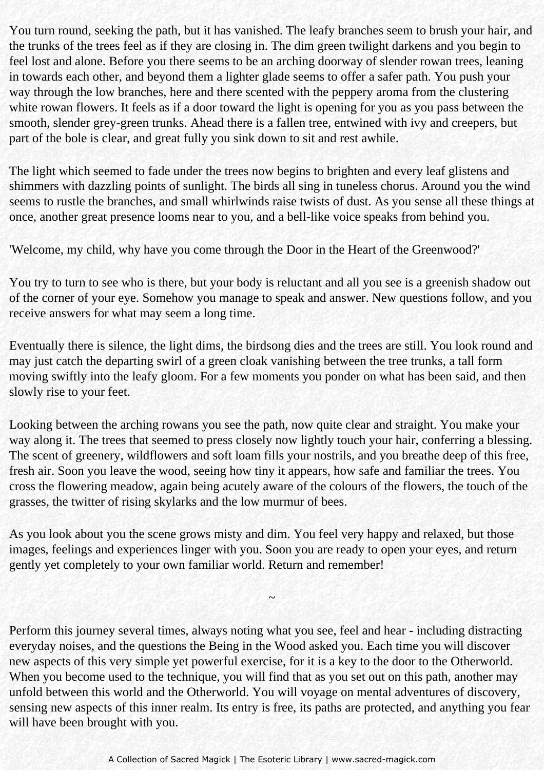You turn round, seeking the path, but it has vanished. The leafy branches seem to brush your hair, and the trunks of the trees feel as if they are closing in. The dim green twilight darkens and you begin to feel lost and alone. Before you there seems to be an arching doorway of slender rowan trees, leaning in towards each other, and beyond them a lighter glade seems to offer a safer path. You push your way through the low branches, here and there scented with the peppery aroma from the clustering white rowan flowers. It feels as if a door toward the light is opening for you as you pass between the smooth, slender grey-green trunks. Ahead there is a fallen tree, entwined with ivy and creepers, but part of the bole is clear, and great fully you sink down to sit and rest awhile.

The light which seemed to fade under the trees now begins to brighten and every leaf glistens and shimmers with dazzling points of sunlight. The birds all sing in tuneless chorus. Around you the wind seems to rustle the branches, and small whirlwinds raise twists of dust. As you sense all these things at once, another great presence looms near to you, and a bell-like voice speaks from behind you. -

'Welcome, my child, why have you come through the Door in the Heart of the Greenwood?'

You try to turn to see who is there, but your body is reluctant and all you see is a greenish shadow out of the corner of your eye. Somehow you manage to speak and answer. New questions follow, and you receive answers for what may seem a long time.

Eventually there is silence, the light dims, the birdsong dies and the trees are still. You look round and may just catch the departing swirl of a green cloak vanishing between the tree trunks, a tall form moving swiftly into the leafy gloom. For a few moments you ponder on what has been said, and then slowly rise to your feet.

Looking between the arching rowans you see the path, now quite clear and straight. You make your way along it. The trees that seemed to press closely now lightly touch your hair, conferring a blessing. The scent of greenery, wildflowers and soft loam fills your nostrils, and you breathe deep of this free, fresh air. Soon you leave the wood, seeing how tiny it appears, how safe and familiar the trees. You cross the flowering meadow, again being acutely aware of the colours of the flowers, the touch of the grasses, the twitter of rising skylarks and the low murmur of bees.

As you look about you the scene grows misty and dim. You feel very happy and relaxed, but those images, feelings and experiences linger with you. Soon you are ready to open your eyes, and return gently yet completely to your own familiar world. Return and remember!

Perform this journey several times, always noting what you see, feel and hear - including distracting everyday noises, and the questions the Being in the Wood asked you. Each time you will discover new aspects of this very simple yet powerful exercise, for it is a key to the door to the Otherworld. When you become used to the technique, you will find that as you set out on this path, another may unfold between this world and the Otherworld. You will voyage on mental adventures of discovery, sensing new aspects of this inner realm. Its entry is free, its paths are protected, and anything you fear will have been brought with you.

~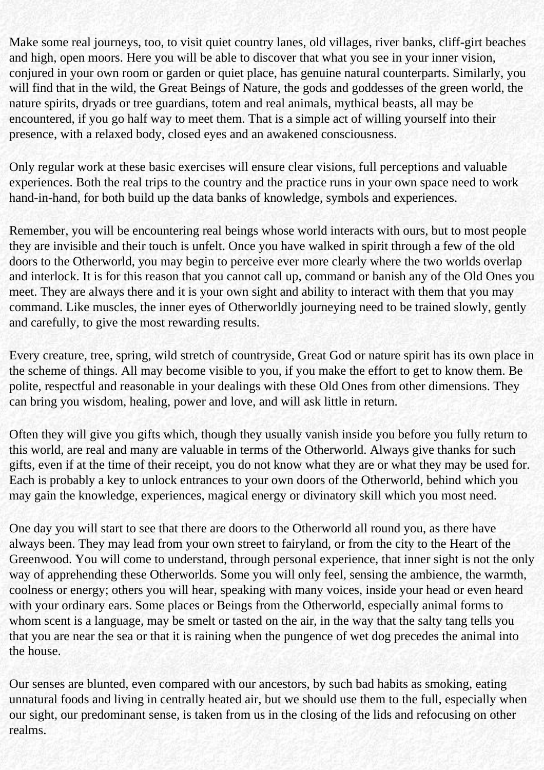Make some real journeys, too, to visit quiet country lanes, old villages, river banks, cliff-girt beaches and high, open moors. Here you will be able to discover that what you see in your inner vision, conjured in your own room or garden or quiet place, has genuine natural counterparts. Similarly, you will find that in the wild, the Great Beings of Nature, the gods and goddesses of the green world, the nature spirits, dryads or tree guardians, totem and real animals, mythical beasts, all may be encountered, if you go half way to meet them. That is a simple act of willing yourself into their presence, with a relaxed body, closed eyes and an awakened consciousness.

Only regular work at these basic exercises will ensure clear visions, full perceptions and valuable experiences. Both the real trips to the country and the practice runs in your own space need to work hand-in-hand, for both build up the data banks of knowledge, symbols and experiences.

Remember, you will be encountering real beings whose world interacts with ours, but to most people they are invisible and their touch is unfelt. Once you have walked in spirit through a few of the old doors to the Otherworld, you may begin to perceive ever more clearly where the two worlds overlap and interlock. It is for this reason that you cannot call up, command or banish any of the Old Ones you meet. They are always there and it is your own sight and ability to interact with them that you may command. Like muscles, the inner eyes of Otherworldly journeying need to be trained slowly, gently and carefully, to give the most rewarding results.

Every creature, tree, spring, wild stretch of countryside, Great God or nature spirit has its own place in the scheme of things. All may become visible to you, if you make the effort to get to know them. Be polite, respectful and reasonable in your dealings with these Old Ones from other dimensions. They can bring you wisdom, healing, power and love, and will ask little in return.

Often they will give you gifts which, though they usually vanish inside you before you fully return to this world, are real and many are valuable in terms of the Otherworld. Always give thanks for such gifts, even if at the time of their receipt, you do not know what they are or what they may be used for. Each is probably a key to unlock entrances to your own doors of the Otherworld, behind which you may gain the knowledge, experiences, magical energy or divinatory skill which you most need.

One day you will start to see that there are doors to the Otherworld all round you, as there have always been. They may lead from your own street to fairyland, or from the city to the Heart of the Greenwood. You will come to understand, through personal experience, that inner sight is not the only way of apprehending these Otherworlds. Some you will only feel, sensing the ambience, the warmth, coolness or energy; others you will hear, speaking with many voices, inside your head or even heard with your ordinary ears. Some places or Beings from the Otherworld, especially animal forms to whom scent is a language, may be smelt or tasted on the air, in the way that the salty tang tells you that you are near the sea or that it is raining when the pungence of wet dog precedes the animal into the house.

Our senses are blunted, even compared with our ancestors, by such bad habits as smoking, eating unnatural foods and living in centrally heated air, but we should use them to the full, especially when our sight, our predominant sense, is taken from us in the closing of the lids and refocusing on other realms.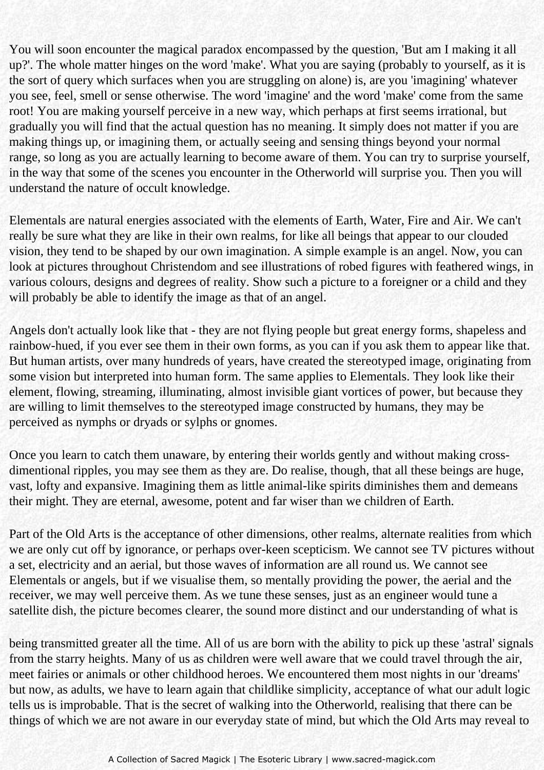You will soon encounter the magical paradox encompassed by the question, 'But am I making it all up?'. The whole matter hinges on the word 'make'. What you are saying (probably to yourself, as it is the sort of query which surfaces when you are struggling on alone) is, are you 'imagining' whatever you see, feel, smell or sense otherwise. The word 'imagine' and the word 'make' come from the same root! You are making yourself perceive in a new way, which perhaps at first seems irrational, but gradually you will find that the actual question has no meaning. It simply does not matter if you are making things up, or imagining them, or actually seeing and sensing things beyond your normal range, so long as you are actually learning to become aware of them. You can try to surprise yourself, in the way that some of the scenes you encounter in the Otherworld will surprise you. Then you will understand the nature of occult knowledge.

Elementals are natural energies associated with the elements of Earth, Water, Fire and Air. We can't really be sure what they are like in their own realms, for like all beings that appear to our clouded vision, they tend to be shaped by our own imagination. A simple example is an angel. Now, you can look at pictures throughout Christendom and see illustrations of robed figures with feathered wings, in various colours, designs and degrees of reality. Show such a picture to a foreigner or a child and they will probably be able to identify the image as that of an angel.

Angels don't actually look like that - they are not flying people but great energy forms, shapeless and rainbow-hued, if you ever see them in their own forms, as you can if you ask them to appear like that. But human artists, over many hundreds of years, have created the stereotyped image, originating from some vision but interpreted into human form. The same applies to Elementals. They look like their element, flowing, streaming, illuminating, almost invisible giant vortices of power, but because they are willing to limit themselves to the stereotyped image constructed by humans, they may be perceived as nymphs or dryads or sylphs or gnomes.

Once you learn to catch them unaware, by entering their worlds gently and without making crossdimentional ripples, you may see them as they are. Do realise, though, that all these beings are huge, vast, lofty and expansive. Imagining them as little animal-like spirits diminishes them and demeans their might. They are eternal, awesome, potent and far wiser than we children of Earth.

Part of the Old Arts is the acceptance of other dimensions, other realms, alternate realities from which we are only cut off by ignorance, or perhaps over-keen scepticism. We cannot see TV pictures without a set, electricity and an aerial, but those waves of information are all round us. We cannot see Elementals or angels, but if we visualise them, so mentally providing the power, the aerial and the receiver, we may well perceive them. As we tune these senses, just as an engineer would tune a satellite dish, the picture becomes clearer, the sound more distinct and our understanding of what is

being transmitted greater all the time. All of us are born with the ability to pick up these 'astral' signals from the starry heights. Many of us as children were well aware that we could travel through the air, meet fairies or animals or other childhood heroes. We encountered them most nights in our 'dreams' but now, as adults, we have to learn again that childlike simplicity, acceptance of what our adult logic tells us is improbable. That is the secret of walking into the Otherworld, realising that there can be things of which we are not aware in our everyday state of mind, but which the Old Arts may reveal to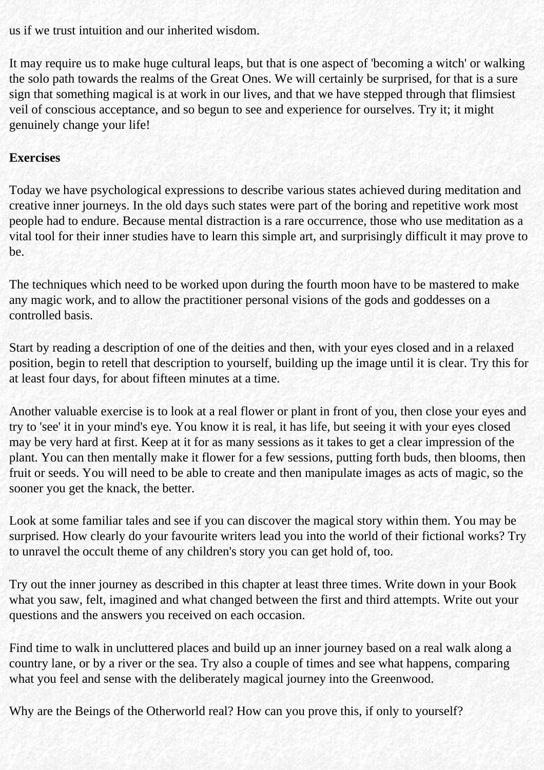us if we trust intuition and our inherited wisdom.

It may require us to make huge cultural leaps, but that is one aspect of 'becoming a witch' or walking the solo path towards the realms of the Great Ones. We will certainly be surprised, for that is a sure sign that something magical is at work in our lives, and that we have stepped through that flimsiest veil of conscious acceptance, and so begun to see and experience for ourselves. Try it; it might genuinely change your life!

# **Exercises**

Today we have psychological expressions to describe various states achieved during meditation and creative inner journeys. In the old days such states were part of the boring and repetitive work most people had to endure. Because mental distraction is a rare occurrence, those who use meditation as a vital tool for their inner studies have to learn this simple art, and surprisingly difficult it may prove to be.

The techniques which need to be worked upon during the fourth moon have to be mastered to make any magic work, and to allow the practitioner personal visions of the gods and goddesses on a controlled basis.

Start by reading a description of one of the deities and then, with your eyes closed and in a relaxed position, begin to retell that description to yourself, building up the image until it is clear. Try this for at least four days, for about fifteen minutes at a time.

Another valuable exercise is to look at a real flower or plant in front of you, then close your eyes and try to 'see' it in your mind's eye. You know it is real, it has life, but seeing it with your eyes closed may be very hard at first. Keep at it for as many sessions as it takes to get a clear impression of the plant. You can then mentally make it flower for a few sessions, putting forth buds, then blooms, then fruit or seeds. You will need to be able to create and then manipulate images as acts of magic, so the sooner you get the knack, the better.

Look at some familiar tales and see if you can discover the magical story within them. You may be surprised. How clearly do your favourite writers lead you into the world of their fictional works? Try to unravel the occult theme of any children's story you can get hold of, too.

Try out the inner journey as described in this chapter at least three times. Write down in your Book what you saw, felt, imagined and what changed between the first and third attempts. Write out your questions and the answers you received on each occasion.

Find time to walk in uncluttered places and build up an inner journey based on a real walk along a country lane, or by a river or the sea. Try also a couple of times and see what happens, comparing what you feel and sense with the deliberately magical journey into the Greenwood.

Why are the Beings of the Otherworld real? How can you prove this, if only to yourself?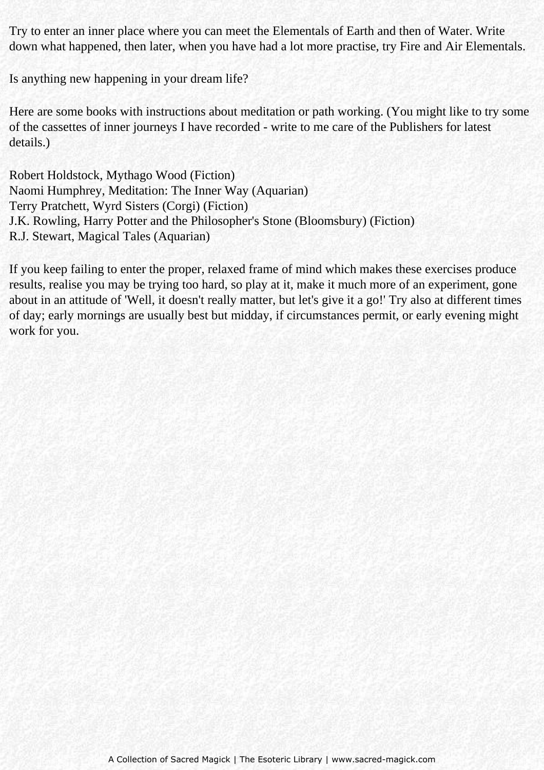Try to enter an inner place where you can meet the Elementals of Earth and then of Water. Write down what happened, then later, when you have had a lot more practise, try Fire and Air Elementals.

Is anything new happening in your dream life?

Here are some books with instructions about meditation or path working. (You might like to try some of the cassettes of inner journeys I have recorded - write to me care of the Publishers for latest details.)

Robert Holdstock, Mythago Wood (Fiction) Naomi Humphrey, Meditation: The Inner Way (Aquarian) Terry Pratchett, Wyrd Sisters (Corgi) (Fiction) J.K. Rowling, Harry Potter and the Philosopher's Stone (Bloomsbury) (Fiction) - R.J. Stewart, Magical Tales (Aquarian)

If you keep failing to enter the proper, relaxed frame of mind which makes these exercises produce results, realise you may be trying too hard, so play at it, make it much more of an experiment, gone about in an attitude of 'Well, it doesn't really matter, but let's give it a go!' Try also at different times of day; early mornings are usually best but midday, if circumstances permit, or early evening might work for you.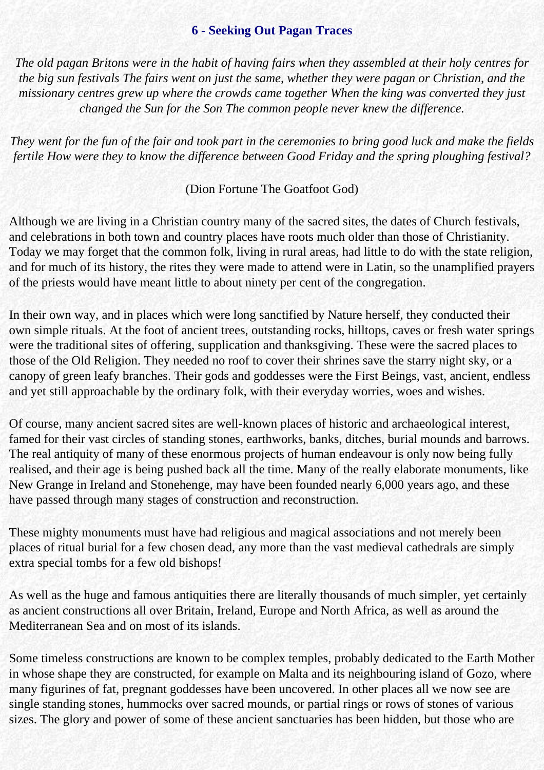#### **6 - Seeking Out Pagan Traces**

*The old pagan Britons were in the habit of having fairs when they assembled at their holy centres for the big sun festivals The fairs went on just the same, whether they were pagan or Christian, and the missionary centres grew up where the crowds came together When the king was converted they just changed the Sun for the Son The common people never knew the difference.*

*They went for the fun of the fair and took part in the ceremonies to bring good luck and make the fields fertile How were they to know the difference between Good Friday and the spring ploughing festival?*

### (Dion Fortune The Goatfoot God)

Although we are living in a Christian country many of the sacred sites, the dates of Church festivals, and celebrations in both town and country places have roots much older than those of Christianity. Today we may forget that the common folk, living in rural areas, had little to do with the state religion, and for much of its history, the rites they were made to attend were in Latin, so the unamplified prayers of the priests would have meant little to about ninety per cent of the congregation.

In their own way, and in places which were long sanctified by Nature herself, they conducted their own simple rituals. At the foot of ancient trees, outstanding rocks, hilltops, caves or fresh water springs were the traditional sites of offering, supplication and thanksgiving. These were the sacred places to those of the Old Religion. They needed no roof to cover their shrines save the starry night sky, or a canopy of green leafy branches. Their gods and goddesses were the First Beings, vast, ancient, endless and yet still approachable by the ordinary folk, with their everyday worries, woes and wishes.

Of course, many ancient sacred sites are well-known places of historic and archaeological interest, famed for their vast circles of standing stones, earthworks, banks, ditches, burial mounds and barrows. The real antiquity of many of these enormous projects of human endeavour is only now being fully realised, and their age is being pushed back all the time. Many of the really elaborate monuments, like New Grange in Ireland and Stonehenge, may have been founded nearly 6,000 years ago, and these have passed through many stages of construction and reconstruction.

These mighty monuments must have had religious and magical associations and not merely been places of ritual burial for a few chosen dead, any more than the vast medieval cathedrals are simply extra special tombs for a few old bishops!

As well as the huge and famous antiquities there are literally thousands of much simpler, yet certainly as ancient constructions all over Britain, Ireland, Europe and North Africa, as well as around the Mediterranean Sea and on most of its islands.

Some timeless constructions are known to be complex temples, probably dedicated to the Earth Mother in whose shape they are constructed, for example on Malta and its neighbouring island of Gozo, where many figurines of fat, pregnant goddesses have been uncovered. In other places all we now see are single standing stones, hummocks over sacred mounds, or partial rings or rows of stones of various sizes. The glory and power of some of these ancient sanctuaries has been hidden, but those who are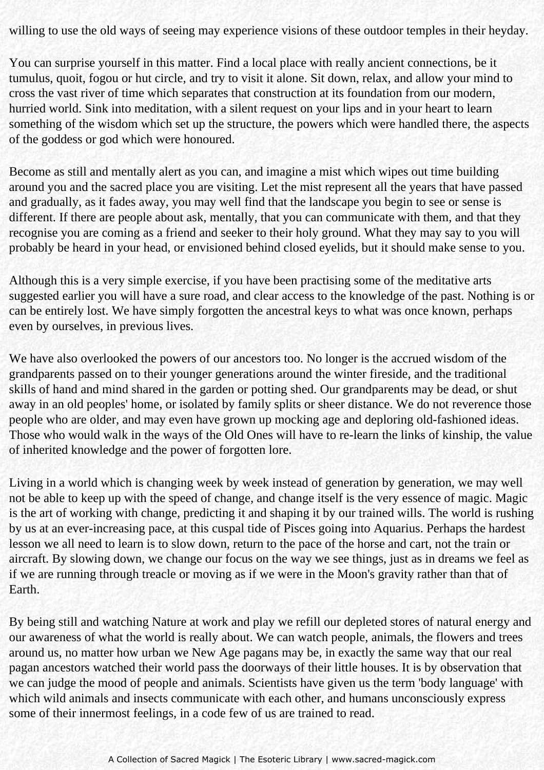willing to use the old ways of seeing may experience visions of these outdoor temples in their heyday.

You can surprise yourself in this matter. Find a local place with really ancient connections, be it tumulus, quoit, fogou or hut circle, and try to visit it alone. Sit down, relax, and allow your mind to cross the vast river of time which separates that construction at its foundation from our modern, hurried world. Sink into meditation, with a silent request on your lips and in your heart to learn something of the wisdom which set up the structure, the powers which were handled there, the aspects of the goddess or god which were honoured.

Become as still and mentally alert as you can, and imagine a mist which wipes out time building around you and the sacred place you are visiting. Let the mist represent all the years that have passed and gradually, as it fades away, you may well find that the landscape you begin to see or sense is different. If there are people about ask, mentally, that you can communicate with them, and that they recognise you are coming as a friend and seeker to their holy ground. What they may say to you will probably be heard in your head, or envisioned behind closed eyelids, but it should make sense to you.

Although this is a very simple exercise, if you have been practising some of the meditative arts suggested earlier you will have a sure road, and clear access to the knowledge of the past. Nothing is or can be entirely lost. We have simply forgotten the ancestral keys to what was once known, perhaps even by ourselves, in previous lives.

We have also overlooked the powers of our ancestors too. No longer is the accrued wisdom of the grandparents passed on to their younger generations around the winter fireside, and the traditional skills of hand and mind shared in the garden or potting shed. Our grandparents may be dead, or shut away in an old peoples' home, or isolated by family splits or sheer distance. We do not reverence those people who are older, and may even have grown up mocking age and deploring old-fashioned ideas. Those who would walk in the ways of the Old Ones will have to re-learn the links of kinship, the value of inherited knowledge and the power of forgotten lore.

Living in a world which is changing week by week instead of generation by generation, we may well not be able to keep up with the speed of change, and change itself is the very essence of magic. Magic is the art of working with change, predicting it and shaping it by our trained wills. The world is rushing by us at an ever-increasing pace, at this cuspal tide of Pisces going into Aquarius. Perhaps the hardest lesson we all need to learn is to slow down, return to the pace of the horse and cart, not the train or aircraft. By slowing down, we change our focus on the way we see things, just as in dreams we feel as if we are running through treacle or moving as if we were in the Moon's gravity rather than that of Earth.

By being still and watching Nature at work and play we refill our depleted stores of natural energy and our awareness of what the world is really about. We can watch people, animals, the flowers and trees around us, no matter how urban we New Age pagans may be, in exactly the same way that our real pagan ancestors watched their world pass the doorways of their little houses. It is by observation that we can judge the mood of people and animals. Scientists have given us the term 'body language' with which wild animals and insects communicate with each other, and humans unconsciously express some of their innermost feelings, in a code few of us are trained to read.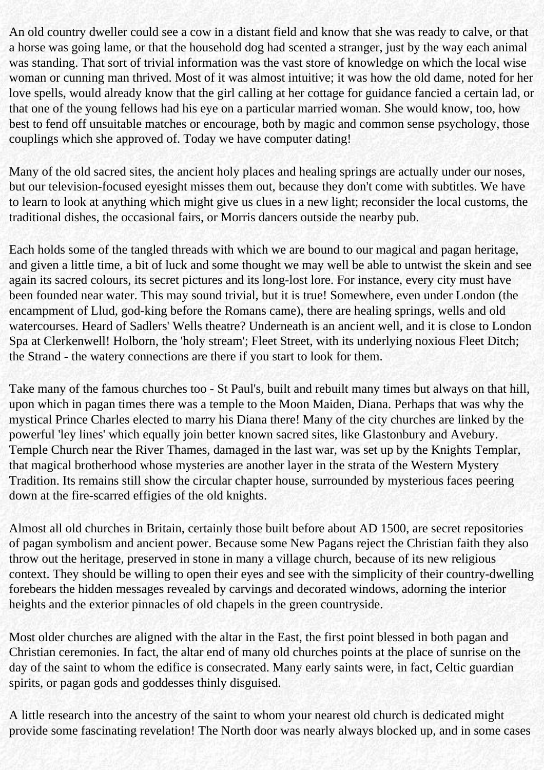An old country dweller could see a cow in a distant field and know that she was ready to calve, or that a horse was going lame, or that the household dog had scented a stranger, just by the way each animal was standing. That sort of trivial information was the vast store of knowledge on which the local wise woman or cunning man thrived. Most of it was almost intuitive; it was how the old dame, noted for her love spells, would already know that the girl calling at her cottage for guidance fancied a certain lad, or that one of the young fellows had his eye on a particular married woman. She would know, too, how best to fend off unsuitable matches or encourage, both by magic and common sense psychology, those couplings which she approved of. Today we have computer dating!

Many of the old sacred sites, the ancient holy places and healing springs are actually under our noses, but our television-focused eyesight misses them out, because they don't come with subtitles. We have to learn to look at anything which might give us clues in a new light; reconsider the local customs, the traditional dishes, the occasional fairs, or Morris dancers outside the nearby pub.

Each holds some of the tangled threads with which we are bound to our magical and pagan heritage, and given a little time, a bit of luck and some thought we may well be able to untwist the skein and see again its sacred colours, its secret pictures and its long-lost lore. For instance, every city must have been founded near water. This may sound trivial, but it is true! Somewhere, even under London (the encampment of Llud, god-king before the Romans came), there are healing springs, wells and old watercourses. Heard of Sadlers' Wells theatre? Underneath is an ancient well, and it is close to London Spa at Clerkenwell! Holborn, the 'holy stream'; Fleet Street, with its underlying noxious Fleet Ditch; the Strand - the watery connections are there if you start to look for them.

Take many of the famous churches too - St Paul's, built and rebuilt many times but always on that hill, upon which in pagan times there was a temple to the Moon Maiden, Diana. Perhaps that was why the mystical Prince Charles elected to marry his Diana there! Many of the city churches are linked by the powerful 'ley lines' which equally join better known sacred sites, like Glastonbury and Avebury. Temple Church near the River Thames, damaged in the last war, was set up by the Knights Templar, that magical brotherhood whose mysteries are another layer in the strata of the Western Mystery Tradition. Its remains still show the circular chapter house, surrounded by mysterious faces peering down at the fire-scarred effigies of the old knights.

Almost all old churches in Britain, certainly those built before about AD 1500, are secret repositories of pagan symbolism and ancient power. Because some New Pagans reject the Christian faith they also throw out the heritage, preserved in stone in many a village church, because of its new religious context. They should be willing to open their eyes and see with the simplicity of their country-dwelling forebears the hidden messages revealed by carvings and decorated windows, adorning the interior heights and the exterior pinnacles of old chapels in the green countryside.

Most older churches are aligned with the altar in the East, the first point blessed in both pagan and Christian ceremonies. In fact, the altar end of many old churches points at the place of sunrise on the day of the saint to whom the edifice is consecrated. Many early saints were, in fact, Celtic guardian spirits, or pagan gods and goddesses thinly disguised.

A little research into the ancestry of the saint to whom your nearest old church is dedicated might provide some fascinating revelation! The North door was nearly always blocked up, and in some cases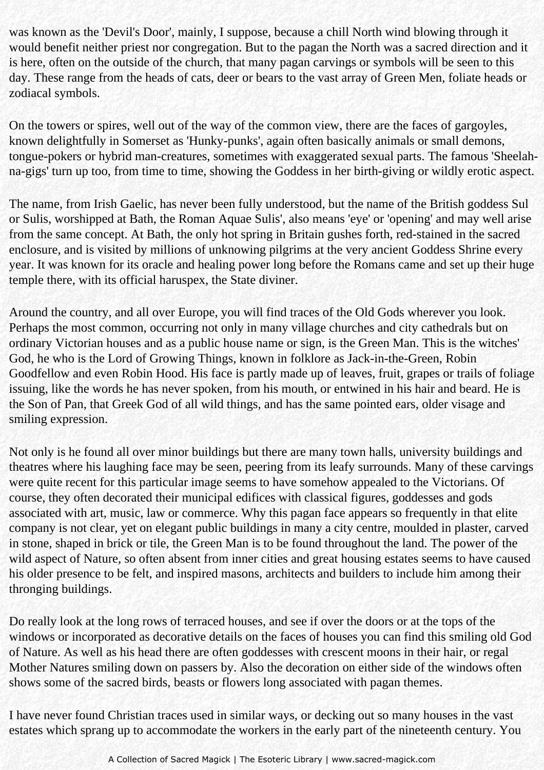was known as the 'Devil's Door', mainly, I suppose, because a chill North wind blowing through it would benefit neither priest nor congregation. But to the pagan the North was a sacred direction and it is here, often on the outside of the church, that many pagan carvings or symbols will be seen to this day. These range from the heads of cats, deer or bears to the vast array of Green Men, foliate heads or zodiacal symbols.

On the towers or spires, well out of the way of the common view, there are the faces of gargoyles, known delightfully in Somerset as 'Hunky-punks', again often basically animals or small demons, tongue-pokers or hybrid man-creatures, sometimes with exaggerated sexual parts. The famous 'Sheelahna-gigs' turn up too, from time to time, showing the Goddess in her birth-giving or wildly erotic aspect.

The name, from Irish Gaelic, has never been fully understood, but the name of the British goddess Sul or Sulis, worshipped at Bath, the Roman Aquae Sulis', also means 'eye' or 'opening' and may well arise from the same concept. At Bath, the only hot spring in Britain gushes forth, red-stained in the sacred enclosure, and is visited by millions of unknowing pilgrims at the very ancient Goddess Shrine every year. It was known for its oracle and healing power long before the Romans came and set up their huge temple there, with its official haruspex, the State diviner.

Around the country, and all over Europe, you will find traces of the Old Gods wherever you look. Perhaps the most common, occurring not only in many village churches and city cathedrals but on ordinary Victorian houses and as a public house name or sign, is the Green Man. This is the witches' God, he who is the Lord of Growing Things, known in folklore as Jack-in-the-Green, Robin Goodfellow and even Robin Hood. His face is partly made up of leaves, fruit, grapes or trails of foliage issuing, like the words he has never spoken, from his mouth, or entwined in his hair and beard. He is the Son of Pan, that Greek God of all wild things, and has the same pointed ears, older visage and smiling expression.

Not only is he found all over minor buildings but there are many town halls, university buildings and theatres where his laughing face may be seen, peering from its leafy surrounds. Many of these carvings were quite recent for this particular image seems to have somehow appealed to the Victorians. Of course, they often decorated their municipal edifices with classical figures, goddesses and gods associated with art, music, law or commerce. Why this pagan face appears so frequently in that elite company is not clear, yet on elegant public buildings in many a city centre, moulded in plaster, carved in stone, shaped in brick or tile, the Green Man is to be found throughout the land. The power of the wild aspect of Nature, so often absent from inner cities and great housing estates seems to have caused his older presence to be felt, and inspired masons, architects and builders to include him among their thronging buildings.

Do really look at the long rows of terraced houses, and see if over the doors or at the tops of the windows or incorporated as decorative details on the faces of houses you can find this smiling old God of Nature. As well as his head there are often goddesses with crescent moons in their hair, or regal Mother Natures smiling down on passers by. Also the decoration on either side of the windows often shows some of the sacred birds, beasts or flowers long associated with pagan themes.

I have never found Christian traces used in similar ways, or decking out so many houses in the vast estates which sprang up to accommodate the workers in the early part of the nineteenth century. You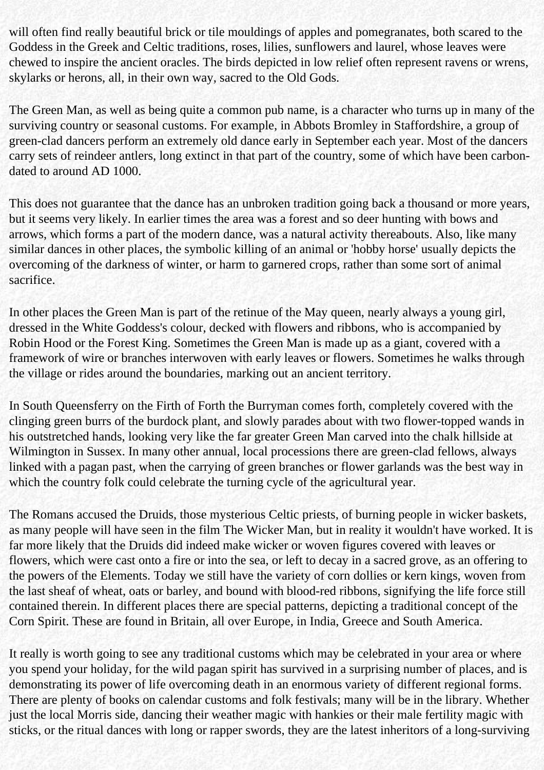will often find really beautiful brick or tile mouldings of apples and pomegranates, both scared to the Goddess in the Greek and Celtic traditions, roses, lilies, sunflowers and laurel, whose leaves were chewed to inspire the ancient oracles. The birds depicted in low relief often represent ravens or wrens, skylarks or herons, all, in their own way, sacred to the Old Gods.

The Green Man, as well as being quite a common pub name, is a character who turns up in many of the surviving country or seasonal customs. For example, in Abbots Bromley in Staffordshire, a group of green-clad dancers perform an extremely old dance early in September each year. Most of the dancers carry sets of reindeer antlers, long extinct in that part of the country, some of which have been carbondated to around AD 1000.

This does not guarantee that the dance has an unbroken tradition going back a thousand or more years, but it seems very likely. In earlier times the area was a forest and so deer hunting with bows and arrows, which forms a part of the modern dance, was a natural activity thereabouts. Also, like many similar dances in other places, the symbolic killing of an animal or 'hobby horse' usually depicts the overcoming of the darkness of winter, or harm to garnered crops, rather than some sort of animal sacrifice.

In other places the Green Man is part of the retinue of the May queen, nearly always a young girl, dressed in the White Goddess's colour, decked with flowers and ribbons, who is accompanied by Robin Hood or the Forest King. Sometimes the Green Man is made up as a giant, covered with a framework of wire or branches interwoven with early leaves or flowers. Sometimes he walks through the village or rides around the boundaries, marking out an ancient territory.

In South Queensferry on the Firth of Forth the Burryman comes forth, completely covered with the clinging green burrs of the burdock plant, and slowly parades about with two flower-topped wands in his outstretched hands, looking very like the far greater Green Man carved into the chalk hillside at Wilmington in Sussex. In many other annual, local processions there are green-clad fellows, always linked with a pagan past, when the carrying of green branches or flower garlands was the best way in which the country folk could celebrate the turning cycle of the agricultural year.

The Romans accused the Druids, those mysterious Celtic priests, of burning people in wicker baskets, as many people will have seen in the film The Wicker Man, but in reality it wouldn't have worked. It is far more likely that the Druids did indeed make wicker or woven figures covered with leaves or flowers, which were cast onto a fire or into the sea, or left to decay in a sacred grove, as an offering to the powers of the Elements. Today we still have the variety of corn dollies or kern kings, woven from the last sheaf of wheat, oats or barley, and bound with blood-red ribbons, signifying the life force still contained therein. In different places there are special patterns, depicting a traditional concept of the Corn Spirit. These are found in Britain, all over Europe, in India, Greece and South America.

It really is worth going to see any traditional customs which may be celebrated in your area or where you spend your holiday, for the wild pagan spirit has survived in a surprising number of places, and is demonstrating its power of life overcoming death in an enormous variety of different regional forms. There are plenty of books on calendar customs and folk festivals; many will be in the library. Whether just the local Morris side, dancing their weather magic with hankies or their male fertility magic with sticks, or the ritual dances with long or rapper swords, they are the latest inheritors of a long-surviving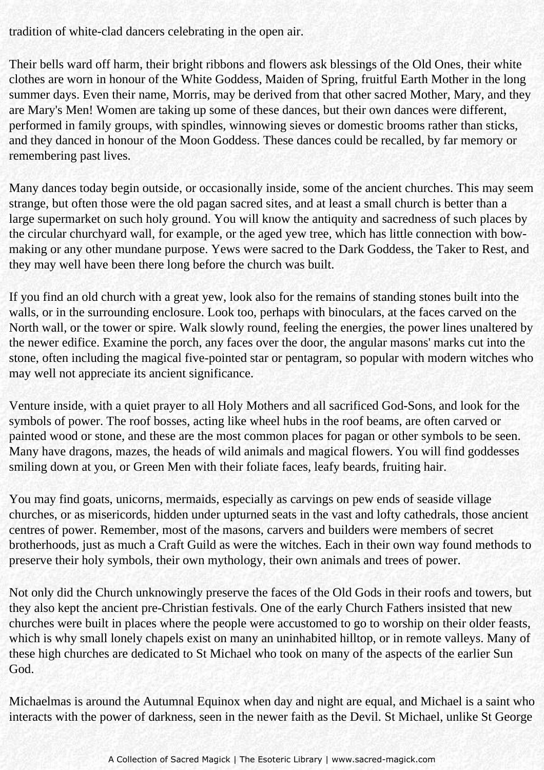tradition of white-clad dancers celebrating in the open air.

Their bells ward off harm, their bright ribbons and flowers ask blessings of the Old Ones, their white clothes are worn in honour of the White Goddess, Maiden of Spring, fruitful Earth Mother in the long summer days. Even their name, Morris, may be derived from that other sacred Mother, Mary, and they are Mary's Men! Women are taking up some of these dances, but their own dances were different, performed in family groups, with spindles, winnowing sieves or domestic brooms rather than sticks, and they danced in honour of the Moon Goddess. These dances could be recalled, by far memory or remembering past lives.

Many dances today begin outside, or occasionally inside, some of the ancient churches. This may seem strange, but often those were the old pagan sacred sites, and at least a small church is better than a large supermarket on such holy ground. You will know the antiquity and sacredness of such places by the circular churchyard wall, for example, or the aged yew tree, which has little connection with bowmaking or any other mundane purpose. Yews were sacred to the Dark Goddess, the Taker to Rest, and they may well have been there long before the church was built.

If you find an old church with a great yew, look also for the remains of standing stones built into the walls, or in the surrounding enclosure. Look too, perhaps with binoculars, at the faces carved on the North wall, or the tower or spire. Walk slowly round, feeling the energies, the power lines unaltered by the newer edifice. Examine the porch, any faces over the door, the angular masons' marks cut into the stone, often including the magical five-pointed star or pentagram, so popular with modern witches who may well not appreciate its ancient significance.

Venture inside, with a quiet prayer to all Holy Mothers and all sacrificed God-Sons, and look for the symbols of power. The roof bosses, acting like wheel hubs in the roof beams, are often carved or painted wood or stone, and these are the most common places for pagan or other symbols to be seen. Many have dragons, mazes, the heads of wild animals and magical flowers. You will find goddesses smiling down at you, or Green Men with their foliate faces, leafy beards, fruiting hair.

You may find goats, unicorns, mermaids, especially as carvings on pew ends of seaside village churches, or as misericords, hidden under upturned seats in the vast and lofty cathedrals, those ancient centres of power. Remember, most of the masons, carvers and builders were members of secret brotherhoods, just as much a Craft Guild as were the witches. Each in their own way found methods to preserve their holy symbols, their own mythology, their own animals and trees of power.

Not only did the Church unknowingly preserve the faces of the Old Gods in their roofs and towers, but they also kept the ancient pre-Christian festivals. One of the early Church Fathers insisted that new churches were built in places where the people were accustomed to go to worship on their older feasts, which is why small lonely chapels exist on many an uninhabited hilltop, or in remote valleys. Many of these high churches are dedicated to St Michael who took on many of the aspects of the earlier Sun God.

Michaelmas is around the Autumnal Equinox when day and night are equal, and Michael is a saint who interacts with the power of darkness, seen in the newer faith as the Devil. St Michael, unlike St George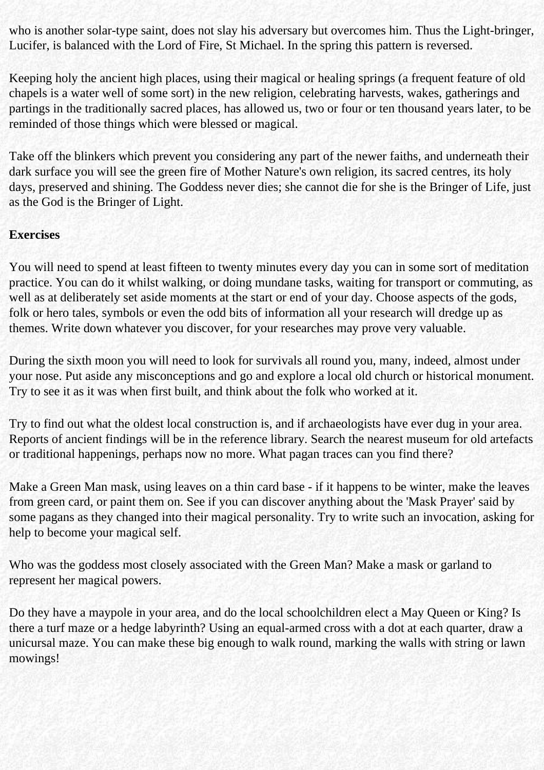who is another solar-type saint, does not slay his adversary but overcomes him. Thus the Light-bringer, Lucifer, is balanced with the Lord of Fire, St Michael. In the spring this pattern is reversed.

Keeping holy the ancient high places, using their magical or healing springs (a frequent feature of old chapels is a water well of some sort) in the new religion, celebrating harvests, wakes, gatherings and partings in the traditionally sacred places, has allowed us, two or four or ten thousand years later, to be reminded of those things which were blessed or magical.

Take off the blinkers which prevent you considering any part of the newer faiths, and underneath their dark surface you will see the green fire of Mother Nature's own religion, its sacred centres, its holy days, preserved and shining. The Goddess never dies; she cannot die for she is the Bringer of Life, just as the God is the Bringer of Light.

# **Exercises**

You will need to spend at least fifteen to twenty minutes every day you can in some sort of meditation practice. You can do it whilst walking, or doing mundane tasks, waiting for transport or commuting, as well as at deliberately set aside moments at the start or end of your day. Choose aspects of the gods, folk or hero tales, symbols or even the odd bits of information all your research will dredge up as themes. Write down whatever you discover, for your researches may prove very valuable.

During the sixth moon you will need to look for survivals all round you, many, indeed, almost under your nose. Put aside any misconceptions and go and explore a local old church or historical monument. Try to see it as it was when first built, and think about the folk who worked at it.

Try to find out what the oldest local construction is, and if archaeologists have ever dug in your area. Reports of ancient findings will be in the reference library. Search the nearest museum for old artefacts or traditional happenings, perhaps now no more. What pagan traces can you find there?

Make a Green Man mask, using leaves on a thin card base - if it happens to be winter, make the leaves from green card, or paint them on. See if you can discover anything about the 'Mask Prayer' said by some pagans as they changed into their magical personality. Try to write such an invocation, asking for help to become your magical self.

Who was the goddess most closely associated with the Green Man? Make a mask or garland to represent her magical powers.

Do they have a maypole in your area, and do the local schoolchildren elect a May Queen or King? Is there a turf maze or a hedge labyrinth? Using an equal-armed cross with a dot at each quarter, draw a unicursal maze. You can make these big enough to walk round, marking the walls with string or lawn mowings!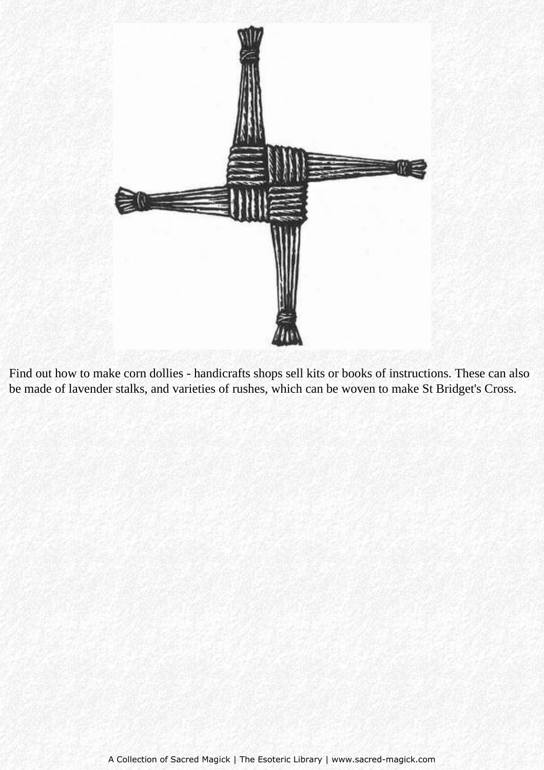

Find out how to make corn dollies - handicrafts shops sell kits or books of instructions. These can also be made of lavender stalks, and varieties of rushes, which can be woven to make St Bridget's Cross.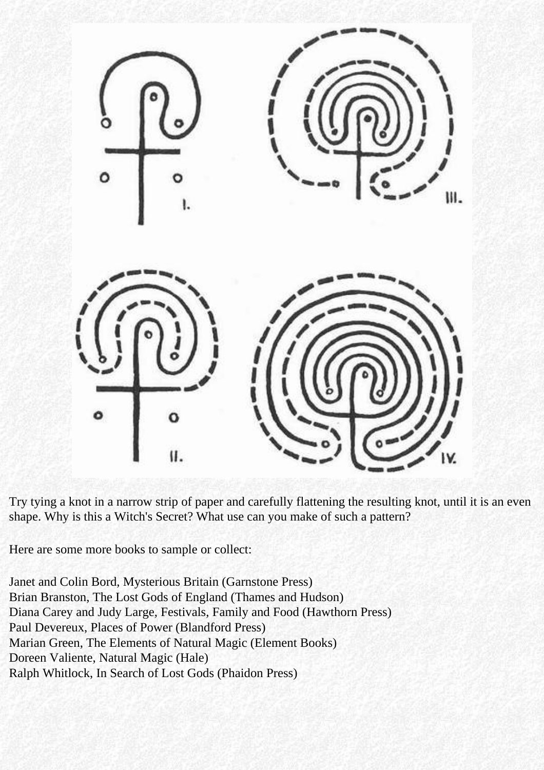

Try tying a knot in a narrow strip of paper and carefully flattening the resulting knot, until it is an even shape. Why is this a Witch's Secret? What use can you make of such a pattern?

Here are some more books to sample or collect:

Janet and Colin Bord, Mysterious Britain (Garnstone Press) Brian Branston, The Lost Gods of England (Thames and Hudson) Diana Carey and Judy Large, Festivals, Family and Food (Hawthorn Press) Paul Devereux, Places of Power (Blandford Press) Marian Green, The Elements of Natural Magic (Element Books) Doreen Valiente, Natural Magic (Hale) Ralph Whitlock, In Search of Lost Gods (Phaidon Press)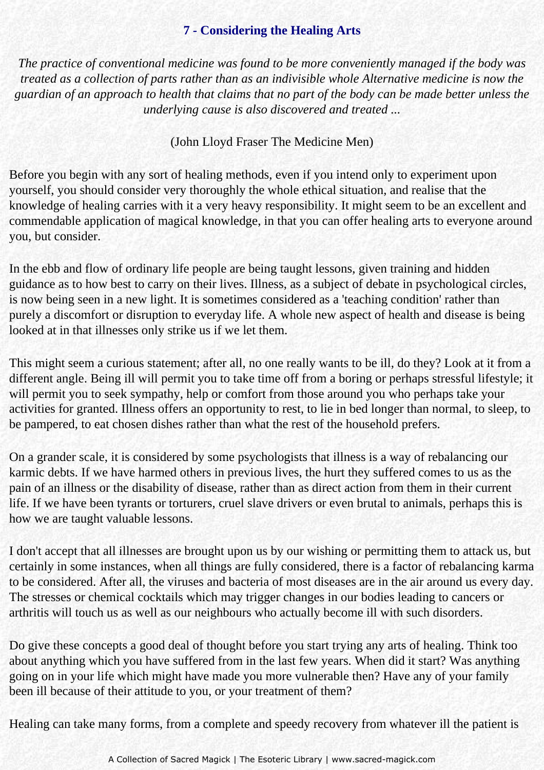## **7 - Considering the Healing Arts**

*The practice of conventional medicine was found to be more conveniently managed if the body was treated as a collection of parts rather than as an indivisible whole Alternative medicine is now the guardian of an approach to health that claims that no part of the body can be made better unless the underlying cause is also discovered and treated ...*

(John Lloyd Fraser The Medicine Men)

Before you begin with any sort of healing methods, even if you intend only to experiment upon yourself, you should consider very thoroughly the whole ethical situation, and realise that the knowledge of healing carries with it a very heavy responsibility. It might seem to be an excellent and commendable application of magical knowledge, in that you can offer healing arts to everyone around you, but consider.

In the ebb and flow of ordinary life people are being taught lessons, given training and hidden guidance as to how best to carry on their lives. Illness, as a subject of debate in psychological circles, is now being seen in a new light. It is sometimes considered as a 'teaching condition' rather than purely a discomfort or disruption to everyday life. A whole new aspect of health and disease is being looked at in that illnesses only strike us if we let them.

This might seem a curious statement; after all, no one really wants to be ill, do they? Look at it from a different angle. Being ill will permit you to take time off from a boring or perhaps stressful lifestyle; it will permit you to seek sympathy, help or comfort from those around you who perhaps take your activities for granted. Illness offers an opportunity to rest, to lie in bed longer than normal, to sleep, to be pampered, to eat chosen dishes rather than what the rest of the household prefers.

On a grander scale, it is considered by some psychologists that illness is a way of rebalancing our karmic debts. If we have harmed others in previous lives, the hurt they suffered comes to us as the pain of an illness or the disability of disease, rather than as direct action from them in their current life. If we have been tyrants or torturers, cruel slave drivers or even brutal to animals, perhaps this is how we are taught valuable lessons.

I don't accept that all illnesses are brought upon us by our wishing or permitting them to attack us, but certainly in some instances, when all things are fully considered, there is a factor of rebalancing karma to be considered. After all, the viruses and bacteria of most diseases are in the air around us every day. The stresses or chemical cocktails which may trigger changes in our bodies leading to cancers or arthritis will touch us as well as our neighbours who actually become ill with such disorders.

Do give these concepts a good deal of thought before you start trying any arts of healing. Think too about anything which you have suffered from in the last few years. When did it start? Was anything going on in your life which might have made you more vulnerable then? Have any of your family been ill because of their attitude to you, or your treatment of them?

Healing can take many forms, from a complete and speedy recovery from whatever ill the patient is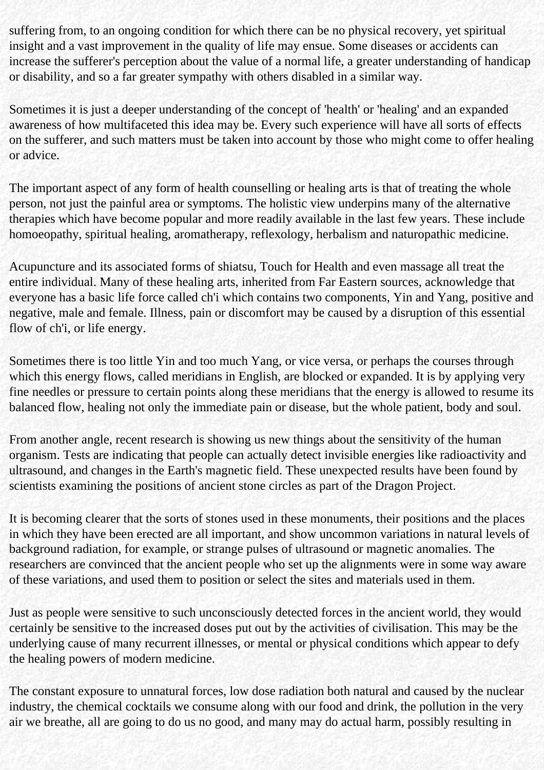suffering from, to an ongoing condition for which there can be no physical recovery, yet spiritual insight and a vast improvement in the quality of life may ensue. Some diseases or accidents can increase the sufferer's perception about the value of a normal life, a greater understanding of handicap or disability, and so a far greater sympathy with others disabled in a similar way.

Sometimes it is just a deeper understanding of the concept of 'health' or 'healing' and an expanded awareness of how multifaceted this idea may be. Every such experience will have all sorts of effects on the sufferer, and such matters must be taken into account by those who might come to offer healing or advice.

The important aspect of any form of health counselling or healing arts is that of treating the whole person, not just the painful area or symptoms. The holistic view underpins many of the alternative therapies which have become popular and more readily available in the last few years. These include homoeopathy, spiritual healing, aromatherapy, reflexology, herbalism and naturopathic medicine.

Acupuncture and its associated forms of shiatsu, Touch for Health and even massage all treat the entire individual. Many of these healing arts, inherited from Far Eastern sources, acknowledge that everyone has a basic life force called ch'i which contains two components, Yin and Yang, positive and negative, male and female. Illness, pain or discomfort may be caused by a disruption of this essential flow of ch'i, or life energy.

Sometimes there is too little Yin and too much Yang, or vice versa, or perhaps the courses through which this energy flows, called meridians in English, are blocked or expanded. It is by applying very fine needles or pressure to certain points along these meridians that the energy is allowed to resume its balanced flow, healing not only the immediate pain or disease, but the whole patient, body and soul.

From another angle, recent research is showing us new things about the sensitivity of the human organism. Tests are indicating that people can actually detect invisible energies like radioactivity and ultrasound, and changes in the Earth's magnetic field. These unexpected results have been found by scientists examining the positions of ancient stone circles as part of the Dragon Project.

It is becoming clearer that the sorts of stones used in these monuments, their positions and the places in which they have been erected are all important, and show uncommon variations in natural levels of background radiation, for example, or strange pulses of ultrasound or magnetic anomalies. The researchers are convinced that the ancient people who set up the alignments were in some way aware of these variations, and used them to position or select the sites and materials used in them.

Just as people were sensitive to such unconsciously detected forces in the ancient world, they would certainly be sensitive to the increased doses put out by the activities of civilisation. This may be the underlying cause of many recurrent illnesses, or mental or physical conditions which appear to defy the healing powers of modern medicine.

The constant exposure to unnatural forces, low dose radiation both natural and caused by the nuclear industry, the chemical cocktails we consume along with our food and drink, the pollution in the very air we breathe, all are going to do us no good, and many may do actual harm, possibly resulting in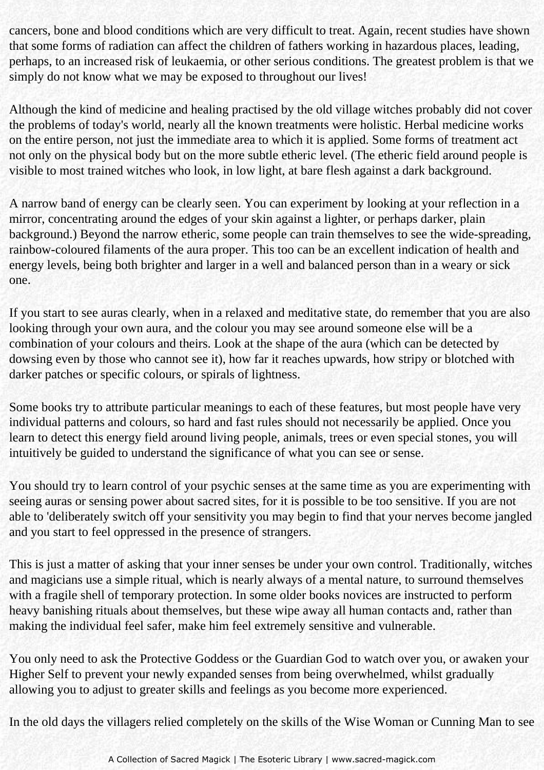cancers, bone and blood conditions which are very difficult to treat. Again, recent studies have shown that some forms of radiation can affect the children of fathers working in hazardous places, leading, perhaps, to an increased risk of leukaemia, or other serious conditions. The greatest problem is that we simply do not know what we may be exposed to throughout our lives!

Although the kind of medicine and healing practised by the old village witches probably did not cover the problems of today's world, nearly all the known treatments were holistic. Herbal medicine works on the entire person, not just the immediate area to which it is applied. Some forms of treatment act not only on the physical body but on the more subtle etheric level. (The etheric field around people is visible to most trained witches who look, in low light, at bare flesh against a dark background.

A narrow band of energy can be clearly seen. You can experiment by looking at your reflection in a mirror, concentrating around the edges of your skin against a lighter, or perhaps darker, plain background.) Beyond the narrow etheric, some people can train themselves to see the wide-spreading, rainbow-coloured filaments of the aura proper. This too can be an excellent indication of health and energy levels, being both brighter and larger in a well and balanced person than in a weary or sick one.

If you start to see auras clearly, when in a relaxed and meditative state, do remember that you are also looking through your own aura, and the colour you may see around someone else will be a combination of your colours and theirs. Look at the shape of the aura (which can be detected by dowsing even by those who cannot see it), how far it reaches upwards, how stripy or blotched with darker patches or specific colours, or spirals of lightness.

Some books try to attribute particular meanings to each of these features, but most people have very individual patterns and colours, so hard and fast rules should not necessarily be applied. Once you learn to detect this energy field around living people, animals, trees or even special stones, you will intuitively be guided to understand the significance of what you can see or sense.

You should try to learn control of your psychic senses at the same time as you are experimenting with seeing auras or sensing power about sacred sites, for it is possible to be too sensitive. If you are not able to 'deliberately switch off your sensitivity you may begin to find that your nerves become jangled and you start to feel oppressed in the presence of strangers.

This is just a matter of asking that your inner senses be under your own control. Traditionally, witches and magicians use a simple ritual, which is nearly always of a mental nature, to surround themselves with a fragile shell of temporary protection. In some older books novices are instructed to perform heavy banishing rituals about themselves, but these wipe away all human contacts and, rather than making the individual feel safer, make him feel extremely sensitive and vulnerable.

You only need to ask the Protective Goddess or the Guardian God to watch over you, or awaken your Higher Self to prevent your newly expanded senses from being overwhelmed, whilst gradually allowing you to adjust to greater skills and feelings as you become more experienced.

In the old days the villagers relied completely on the skills of the Wise Woman or Cunning Man to see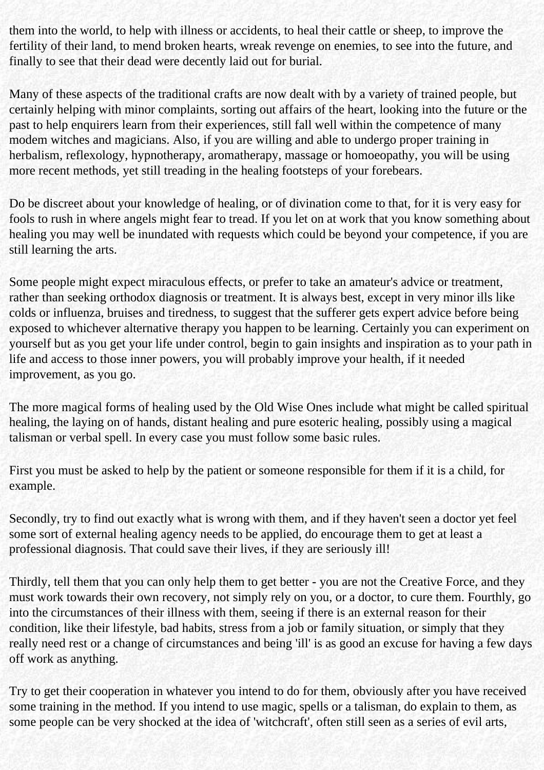them into the world, to help with illness or accidents, to heal their cattle or sheep, to improve the fertility of their land, to mend broken hearts, wreak revenge on enemies, to see into the future, and finally to see that their dead were decently laid out for burial.

Many of these aspects of the traditional crafts are now dealt with by a variety of trained people, but certainly helping with minor complaints, sorting out affairs of the heart, looking into the future or the past to help enquirers learn from their experiences, still fall well within the competence of many modem witches and magicians. Also, if you are willing and able to undergo proper training in herbalism, reflexology, hypnotherapy, aromatherapy, massage or homoeopathy, you will be using more recent methods, yet still treading in the healing footsteps of your forebears.

Do be discreet about your knowledge of healing, or of divination come to that, for it is very easy for fools to rush in where angels might fear to tread. If you let on at work that you know something about healing you may well be inundated with requests which could be beyond your competence, if you are still learning the arts.

Some people might expect miraculous effects, or prefer to take an amateur's advice or treatment, rather than seeking orthodox diagnosis or treatment. It is always best, except in very minor ills like colds or influenza, bruises and tiredness, to suggest that the sufferer gets expert advice before being exposed to whichever alternative therapy you happen to be learning. Certainly you can experiment on yourself but as you get your life under control, begin to gain insights and inspiration as to your path in life and access to those inner powers, you will probably improve your health, if it needed improvement, as you go.

The more magical forms of healing used by the Old Wise Ones include what might be called spiritual healing, the laying on of hands, distant healing and pure esoteric healing, possibly using a magical talisman or verbal spell. In every case you must follow some basic rules.

First you must be asked to help by the patient or someone responsible for them if it is a child, for example.

Secondly, try to find out exactly what is wrong with them, and if they haven't seen a doctor yet feel some sort of external healing agency needs to be applied, do encourage them to get at least a professional diagnosis. That could save their lives, if they are seriously ill!

Thirdly, tell them that you can only help them to get better - you are not the Creative Force, and they must work towards their own recovery, not simply rely on you, or a doctor, to cure them. Fourthly, go into the circumstances of their illness with them, seeing if there is an external reason for their condition, like their lifestyle, bad habits, stress from a job or family situation, or simply that they really need rest or a change of circumstances and being 'ill' is as good an excuse for having a few days off work as anything.

Try to get their cooperation in whatever you intend to do for them, obviously after you have received some training in the method. If you intend to use magic, spells or a talisman, do explain to them, as some people can be very shocked at the idea of 'witchcraft', often still seen as a series of evil arts,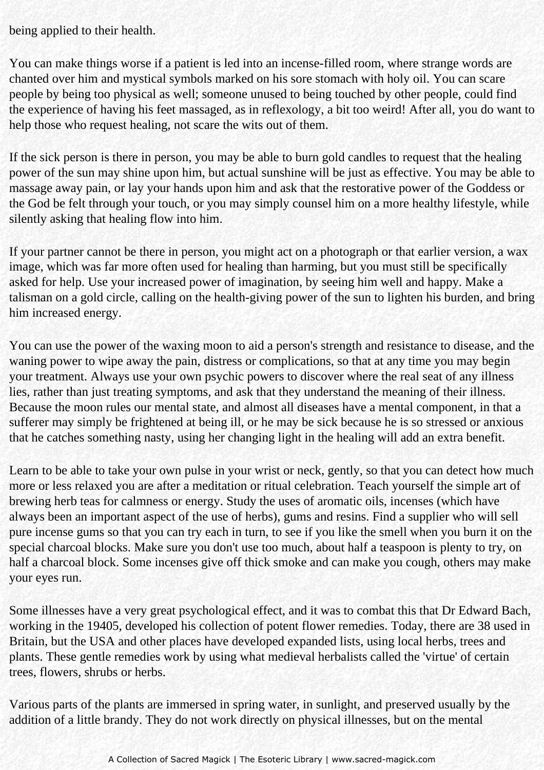being applied to their health.

You can make things worse if a patient is led into an incense-filled room, where strange words are chanted over him and mystical symbols marked on his sore stomach with holy oil. You can scare people by being too physical as well; someone unused to being touched by other people, could find the experience of having his feet massaged, as in reflexology, a bit too weird! After all, you do want to help those who request healing, not scare the wits out of them.

If the sick person is there in person, you may be able to burn gold candles to request that the healing power of the sun may shine upon him, but actual sunshine will be just as effective. You may be able to massage away pain, or lay your hands upon him and ask that the restorative power of the Goddess or the God be felt through your touch, or you may simply counsel him on a more healthy lifestyle, while silently asking that healing flow into him.

If your partner cannot be there in person, you might act on a photograph or that earlier version, a wax image, which was far more often used for healing than harming, but you must still be specifically asked for help. Use your increased power of imagination, by seeing him well and happy. Make a talisman on a gold circle, calling on the health-giving power of the sun to lighten his burden, and bring him increased energy.

You can use the power of the waxing moon to aid a person's strength and resistance to disease, and the waning power to wipe away the pain, distress or complications, so that at any time you may begin your treatment. Always use your own psychic powers to discover where the real seat of any illness lies, rather than just treating symptoms, and ask that they understand the meaning of their illness. Because the moon rules our mental state, and almost all diseases have a mental component, in that a sufferer may simply be frightened at being ill, or he may be sick because he is so stressed or anxious that he catches something nasty, using her changing light in the healing will add an extra benefit.

Learn to be able to take your own pulse in your wrist or neck, gently, so that you can detect how much more or less relaxed you are after a meditation or ritual celebration. Teach yourself the simple art of brewing herb teas for calmness or energy. Study the uses of aromatic oils, incenses (which have always been an important aspect of the use of herbs), gums and resins. Find a supplier who will sell pure incense gums so that you can try each in turn, to see if you like the smell when you burn it on the special charcoal blocks. Make sure you don't use too much, about half a teaspoon is plenty to try, on half a charcoal block. Some incenses give off thick smoke and can make you cough, others may make your eyes run.

Some illnesses have a very great psychological effect, and it was to combat this that Dr Edward Bach, working in the 19405, developed his collection of potent flower remedies. Today, there are 38 used in Britain, but the USA and other places have developed expanded lists, using local herbs, trees and plants. These gentle remedies work by using what medieval herbalists called the 'virtue' of certain trees, flowers, shrubs or herbs.

Various parts of the plants are immersed in spring water, in sunlight, and preserved usually by the addition of a little brandy. They do not work directly on physical illnesses, but on the mental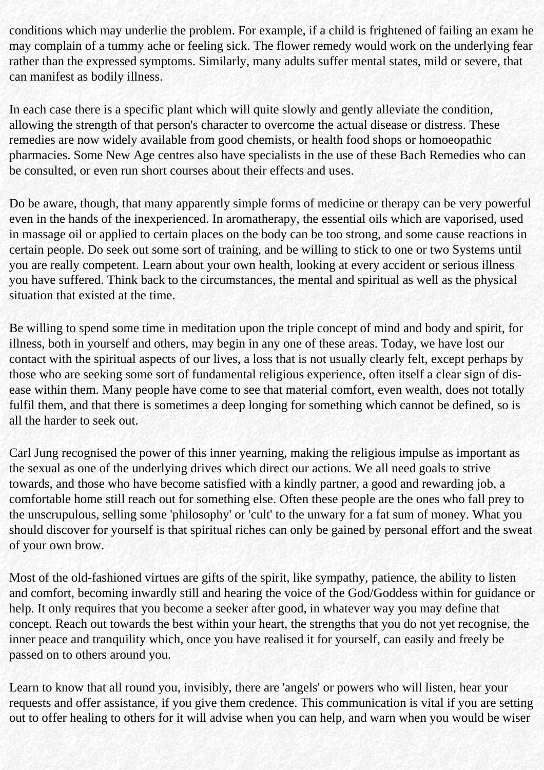conditions which may underlie the problem. For example, if a child is frightened of failing an exam he may complain of a tummy ache or feeling sick. The flower remedy would work on the underlying fear rather than the expressed symptoms. Similarly, many adults suffer mental states, mild or severe, that can manifest as bodily illness.

In each case there is a specific plant which will quite slowly and gently alleviate the condition, allowing the strength of that person's character to overcome the actual disease or distress. These remedies are now widely available from good chemists, or health food shops or homoeopathic pharmacies. Some New Age centres also have specialists in the use of these Bach Remedies who can be consulted, or even run short courses about their effects and uses.

Do be aware, though, that many apparently simple forms of medicine or therapy can be very powerful even in the hands of the inexperienced. In aromatherapy, the essential oils which are vaporised, used in massage oil or applied to certain places on the body can be too strong, and some cause reactions in certain people. Do seek out some sort of training, and be willing to stick to one or two Systems until you are really competent. Learn about your own health, looking at every accident or serious illness you have suffered. Think back to the circumstances, the mental and spiritual as well as the physical situation that existed at the time.

Be willing to spend some time in meditation upon the triple concept of mind and body and spirit, for illness, both in yourself and others, may begin in any one of these areas. Today, we have lost our contact with the spiritual aspects of our lives, a loss that is not usually clearly felt, except perhaps by those who are seeking some sort of fundamental religious experience, often itself a clear sign of disease within them. Many people have come to see that material comfort, even wealth, does not totally fulfil them, and that there is sometimes a deep longing for something which cannot be defined, so is all the harder to seek out.

Carl Jung recognised the power of this inner yearning, making the religious impulse as important as the sexual as one of the underlying drives which direct our actions. We all need goals to strive towards, and those who have become satisfied with a kindly partner, a good and rewarding job, a comfortable home still reach out for something else. Often these people are the ones who fall prey to the unscrupulous, selling some 'philosophy' or 'cult' to the unwary for a fat sum of money. What you should discover for yourself is that spiritual riches can only be gained by personal effort and the sweat of your own brow.

Most of the old-fashioned virtues are gifts of the spirit, like sympathy, patience, the ability to listen and comfort, becoming inwardly still and hearing the voice of the God/Goddess within for guidance or help. It only requires that you become a seeker after good, in whatever way you may define that concept. Reach out towards the best within your heart, the strengths that you do not yet recognise, the inner peace and tranquility which, once you have realised it for yourself, can easily and freely be passed on to others around you.

Learn to know that all round you, invisibly, there are 'angels' or powers who will listen, hear your requests and offer assistance, if you give them credence. This communication is vital if you are setting out to offer healing to others for it will advise when you can help, and warn when you would be wiser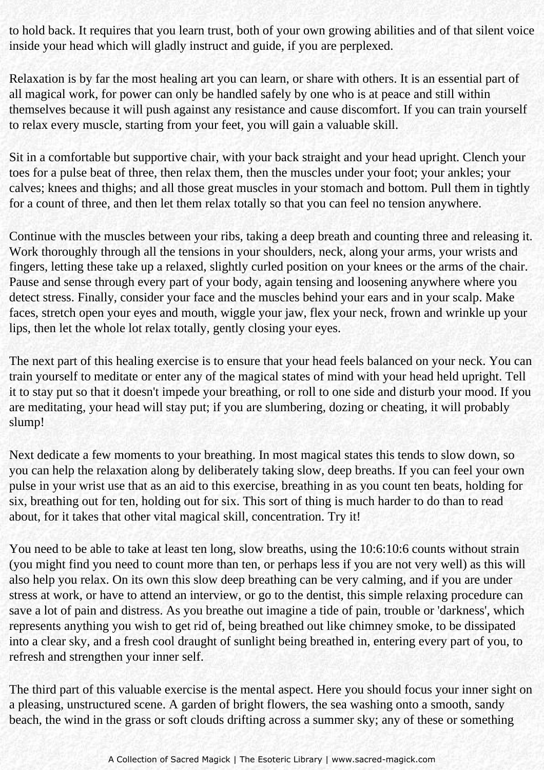to hold back. It requires that you learn trust, both of your own growing abilities and of that silent voice inside your head which will gladly instruct and guide, if you are perplexed.

Relaxation is by far the most healing art you can learn, or share with others. It is an essential part of all magical work, for power can only be handled safely by one who is at peace and still within themselves because it will push against any resistance and cause discomfort. If you can train yourself to relax every muscle, starting from your feet, you will gain a valuable skill.

Sit in a comfortable but supportive chair, with your back straight and your head upright. Clench your toes for a pulse beat of three, then relax them, then the muscles under your foot; your ankles; your calves; knees and thighs; and all those great muscles in your stomach and bottom. Pull them in tightly for a count of three, and then let them relax totally so that you can feel no tension anywhere.

Continue with the muscles between your ribs, taking a deep breath and counting three and releasing it. Work thoroughly through all the tensions in your shoulders, neck, along your arms, your wrists and fingers, letting these take up a relaxed, slightly curled position on your knees or the arms of the chair. Pause and sense through every part of your body, again tensing and loosening anywhere where you detect stress. Finally, consider your face and the muscles behind your ears and in your scalp. Make faces, stretch open your eyes and mouth, wiggle your jaw, flex your neck, frown and wrinkle up your lips, then let the whole lot relax totally, gently closing your eyes.

The next part of this healing exercise is to ensure that your head feels balanced on your neck. You can train yourself to meditate or enter any of the magical states of mind with your head held upright. Tell it to stay put so that it doesn't impede your breathing, or roll to one side and disturb your mood. If you are meditating, your head will stay put; if you are slumbering, dozing or cheating, it will probably slump!

Next dedicate a few moments to your breathing. In most magical states this tends to slow down, so you can help the relaxation along by deliberately taking slow, deep breaths. If you can feel your own pulse in your wrist use that as an aid to this exercise, breathing in as you count ten beats, holding for six, breathing out for ten, holding out for six. This sort of thing is much harder to do than to read about, for it takes that other vital magical skill, concentration. Try it!

You need to be able to take at least ten long, slow breaths, using the 10:6:10:6 counts without strain (you might find you need to count more than ten, or perhaps less if you are not very well) as this will also help you relax. On its own this slow deep breathing can be very calming, and if you are under stress at work, or have to attend an interview, or go to the dentist, this simple relaxing procedure can save a lot of pain and distress. As you breathe out imagine a tide of pain, trouble or 'darkness', which represents anything you wish to get rid of, being breathed out like chimney smoke, to be dissipated into a clear sky, and a fresh cool draught of sunlight being breathed in, entering every part of you, to refresh and strengthen your inner self.

The third part of this valuable exercise is the mental aspect. Here you should focus your inner sight on a pleasing, unstructured scene. A garden of bright flowers, the sea washing onto a smooth, sandy beach, the wind in the grass or soft clouds drifting across a summer sky; any of these or something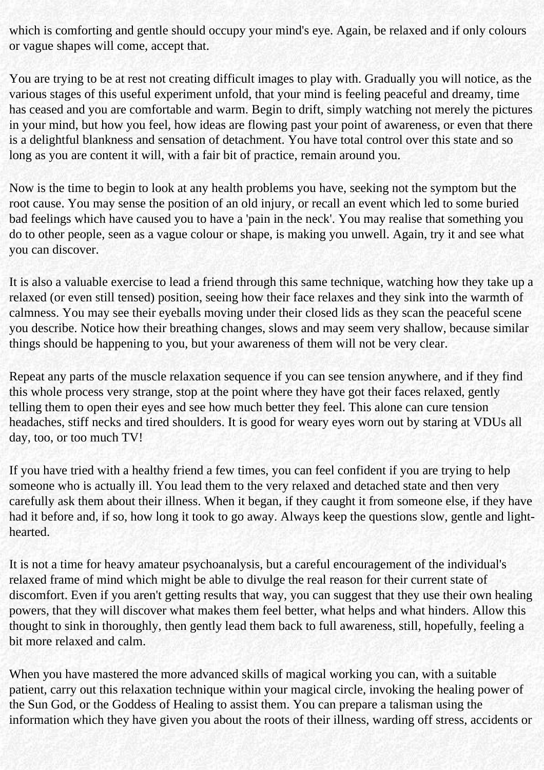which is comforting and gentle should occupy your mind's eye. Again, be relaxed and if only colours or vague shapes will come, accept that.

You are trying to be at rest not creating difficult images to play with. Gradually you will notice, as the various stages of this useful experiment unfold, that your mind is feeling peaceful and dreamy, time has ceased and you are comfortable and warm. Begin to drift, simply watching not merely the pictures in your mind, but how you feel, how ideas are flowing past your point of awareness, or even that there is a delightful blankness and sensation of detachment. You have total control over this state and so long as you are content it will, with a fair bit of practice, remain around you.

Now is the time to begin to look at any health problems you have, seeking not the symptom but the root cause. You may sense the position of an old injury, or recall an event which led to some buried bad feelings which have caused you to have a 'pain in the neck'. You may realise that something you do to other people, seen as a vague colour or shape, is making you unwell. Again, try it and see what you can discover.

It is also a valuable exercise to lead a friend through this same technique, watching how they take up a relaxed (or even still tensed) position, seeing how their face relaxes and they sink into the warmth of calmness. You may see their eyeballs moving under their closed lids as they scan the peaceful scene you describe. Notice how their breathing changes, slows and may seem very shallow, because similar things should be happening to you, but your awareness of them will not be very clear.

Repeat any parts of the muscle relaxation sequence if you can see tension anywhere, and if they find this whole process very strange, stop at the point where they have got their faces relaxed, gently telling them to open their eyes and see how much better they feel. This alone can cure tension headaches, stiff necks and tired shoulders. It is good for weary eyes worn out by staring at VDUs all day, too, or too much TV!

If you have tried with a healthy friend a few times, you can feel confident if you are trying to help someone who is actually ill. You lead them to the very relaxed and detached state and then very carefully ask them about their illness. When it began, if they caught it from someone else, if they have had it before and, if so, how long it took to go away. Always keep the questions slow, gentle and lighthearted.

It is not a time for heavy amateur psychoanalysis, but a careful encouragement of the individual's relaxed frame of mind which might be able to divulge the real reason for their current state of discomfort. Even if you aren't getting results that way, you can suggest that they use their own healing powers, that they will discover what makes them feel better, what helps and what hinders. Allow this thought to sink in thoroughly, then gently lead them back to full awareness, still, hopefully, feeling a bit more relaxed and calm.

When you have mastered the more advanced skills of magical working you can, with a suitable patient, carry out this relaxation technique within your magical circle, invoking the healing power of the Sun God, or the Goddess of Healing to assist them. You can prepare a talisman using the information which they have given you about the roots of their illness, warding off stress, accidents or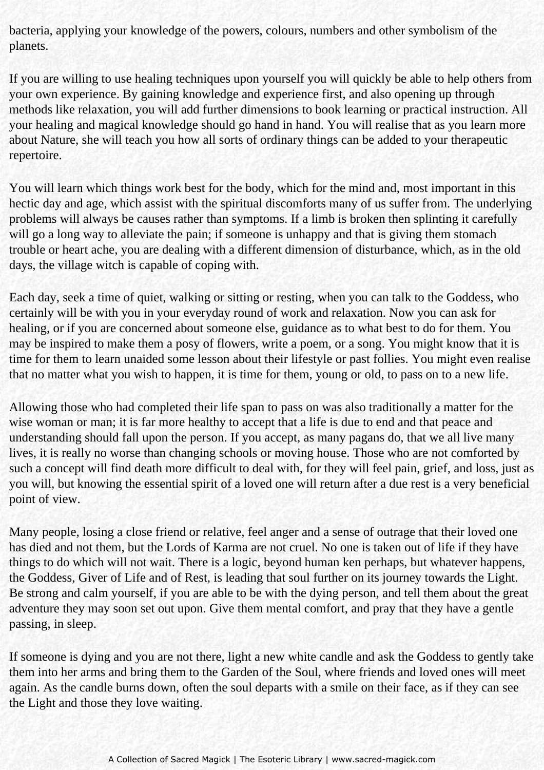bacteria, applying your knowledge of the powers, colours, numbers and other symbolism of the planets.

If you are willing to use healing techniques upon yourself you will quickly be able to help others from your own experience. By gaining knowledge and experience first, and also opening up through methods like relaxation, you will add further dimensions to book learning or practical instruction. All your healing and magical knowledge should go hand in hand. You will realise that as you learn more about Nature, she will teach you how all sorts of ordinary things can be added to your therapeutic repertoire.

You will learn which things work best for the body, which for the mind and, most important in this hectic day and age, which assist with the spiritual discomforts many of us suffer from. The underlying problems will always be causes rather than symptoms. If a limb is broken then splinting it carefully will go a long way to alleviate the pain; if someone is unhappy and that is giving them stomach trouble or heart ache, you are dealing with a different dimension of disturbance, which, as in the old days, the village witch is capable of coping with.

Each day, seek a time of quiet, walking or sitting or resting, when you can talk to the Goddess, who certainly will be with you in your everyday round of work and relaxation. Now you can ask for healing, or if you are concerned about someone else, guidance as to what best to do for them. You may be inspired to make them a posy of flowers, write a poem, or a song. You might know that it is time for them to learn unaided some lesson about their lifestyle or past follies. You might even realise that no matter what you wish to happen, it is time for them, young or old, to pass on to a new life.

Allowing those who had completed their life span to pass on was also traditionally a matter for the wise woman or man; it is far more healthy to accept that a life is due to end and that peace and understanding should fall upon the person. If you accept, as many pagans do, that we all live many lives, it is really no worse than changing schools or moving house. Those who are not comforted by such a concept will find death more difficult to deal with, for they will feel pain, grief, and loss, just as you will, but knowing the essential spirit of a loved one will return after a due rest is a very beneficial point of view.

Many people, losing a close friend or relative, feel anger and a sense of outrage that their loved one has died and not them, but the Lords of Karma are not cruel. No one is taken out of life if they have things to do which will not wait. There is a logic, beyond human ken perhaps, but whatever happens, the Goddess, Giver of Life and of Rest, is leading that soul further on its journey towards the Light. Be strong and calm yourself, if you are able to be with the dying person, and tell them about the great adventure they may soon set out upon. Give them mental comfort, and pray that they have a gentle passing, in sleep.

If someone is dying and you are not there, light a new white candle and ask the Goddess to gently take them into her arms and bring them to the Garden of the Soul, where friends and loved ones will meet again. As the candle burns down, often the soul departs with a smile on their face, as if they can see the Light and those they love waiting.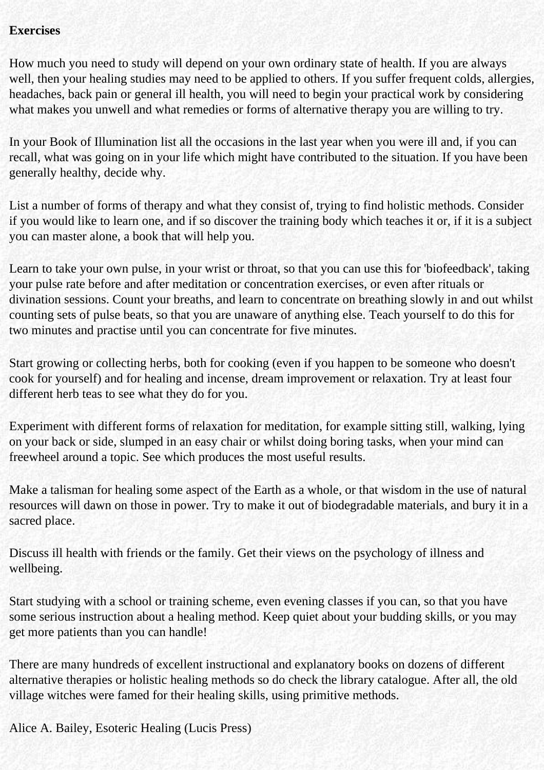## **Exercises**

How much you need to study will depend on your own ordinary state of health. If you are always well, then your healing studies may need to be applied to others. If you suffer frequent colds, allergies, headaches, back pain or general ill health, you will need to begin your practical work by considering what makes you unwell and what remedies or forms of alternative therapy you are willing to try.

In your Book of Illumination list all the occasions in the last year when you were ill and, if you can recall, what was going on in your life which might have contributed to the situation. If you have been generally healthy, decide why.

List a number of forms of therapy and what they consist of, trying to find holistic methods. Consider if you would like to learn one, and if so discover the training body which teaches it or, if it is a subject you can master alone, a book that will help you.

Learn to take your own pulse, in your wrist or throat, so that you can use this for 'biofeedback', taking your pulse rate before and after meditation or concentration exercises, or even after rituals or divination sessions. Count your breaths, and learn to concentrate on breathing slowly in and out whilst counting sets of pulse beats, so that you are unaware of anything else. Teach yourself to do this for two minutes and practise until you can concentrate for five minutes.

Start growing or collecting herbs, both for cooking (even if you happen to be someone who doesn't cook for yourself) and for healing and incense, dream improvement or relaxation. Try at least four different herb teas to see what they do for you.

Experiment with different forms of relaxation for meditation, for example sitting still, walking, lying on your back or side, slumped in an easy chair or whilst doing boring tasks, when your mind can freewheel around a topic. See which produces the most useful results.

Make a talisman for healing some aspect of the Earth as a whole, or that wisdom in the use of natural resources will dawn on those in power. Try to make it out of biodegradable materials, and bury it in a sacred place.

Discuss ill health with friends or the family. Get their views on the psychology of illness and wellbeing.

Start studying with a school or training scheme, even evening classes if you can, so that you have some serious instruction about a healing method. Keep quiet about your budding skills, or you may get more patients than you can handle!

There are many hundreds of excellent instructional and explanatory books on dozens of different alternative therapies or holistic healing methods so do check the library catalogue. After all, the old village witches were famed for their healing skills, using primitive methods.

Alice A. Bailey, Esoteric Healing (Lucis Press)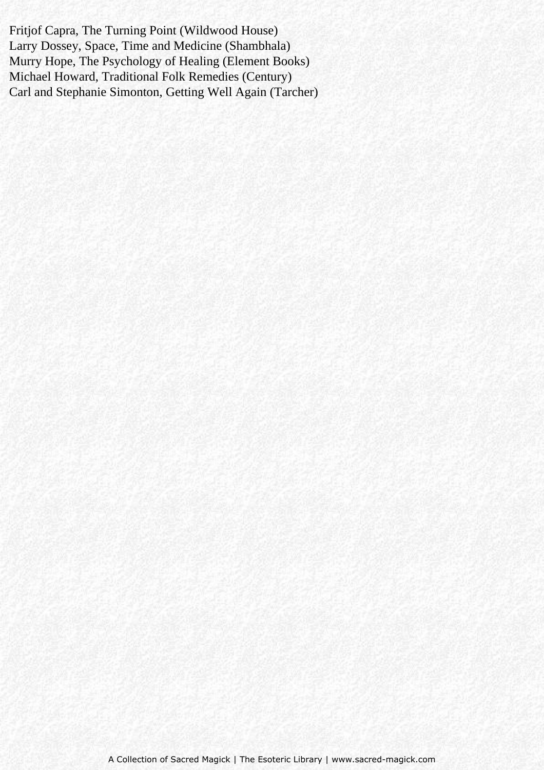Fritjof Capra, The Turning Point (Wildwood House) Larry Dossey, Space, Time and Medicine (Shambhala) Murry Hope, The Psychology of Healing (Element Books) Michael Howard, Traditional Folk Remedies (Century) Carl and Stephanie Simonton, Getting Well Again (Tarcher)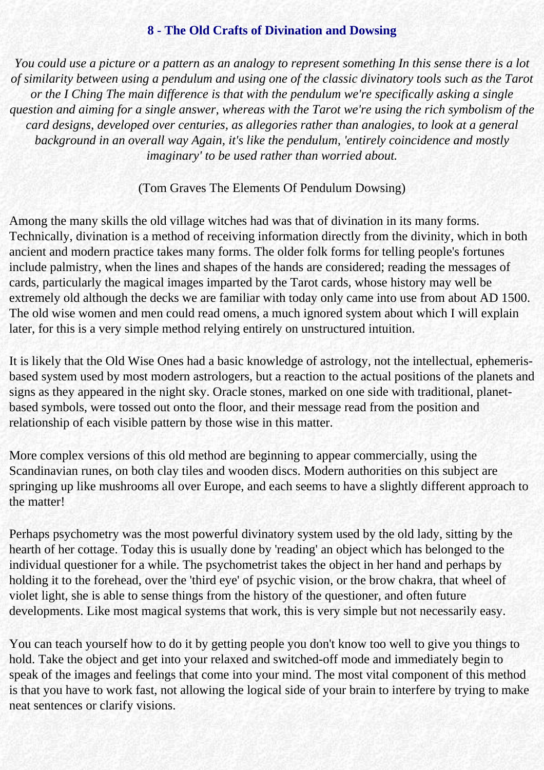#### **8 - The Old Crafts of Divination and Dowsing**

*You could use a picture or a pattern as an analogy to represent something In this sense there is a lot of similarity between using a pendulum and using one of the classic divinatory tools such as the Tarot or the I Ching The main difference is that with the pendulum we're specifically asking a single question and aiming for a single answer, whereas with the Tarot we're using the rich symbolism of the card designs, developed over centuries, as allegories rather than analogies, to look at a general background in an overall way Again, it's like the pendulum, 'entirely coincidence and mostly imaginary' to be used rather than worried about.*

(Tom Graves The Elements Of Pendulum Dowsing)

Among the many skills the old village witches had was that of divination in its many forms. Technically, divination is a method of receiving information directly from the divinity, which in both ancient and modern practice takes many forms. The older folk forms for telling people's fortunes include palmistry, when the lines and shapes of the hands are considered; reading the messages of cards, particularly the magical images imparted by the Tarot cards, whose history may well be extremely old although the decks we are familiar with today only came into use from about AD 1500. The old wise women and men could read omens, a much ignored system about which I will explain later, for this is a very simple method relying entirely on unstructured intuition.

It is likely that the Old Wise Ones had a basic knowledge of astrology, not the intellectual, ephemerisbased system used by most modern astrologers, but a reaction to the actual positions of the planets and signs as they appeared in the night sky. Oracle stones, marked on one side with traditional, planetbased symbols, were tossed out onto the floor, and their message read from the position and relationship of each visible pattern by those wise in this matter.

More complex versions of this old method are beginning to appear commercially, using the Scandinavian runes, on both clay tiles and wooden discs. Modern authorities on this subject are springing up like mushrooms all over Europe, and each seems to have a slightly different approach to the matter!

Perhaps psychometry was the most powerful divinatory system used by the old lady, sitting by the hearth of her cottage. Today this is usually done by 'reading' an object which has belonged to the individual questioner for a while. The psychometrist takes the object in her hand and perhaps by holding it to the forehead, over the 'third eye' of psychic vision, or the brow chakra, that wheel of violet light, she is able to sense things from the history of the questioner, and often future developments. Like most magical systems that work, this is very simple but not necessarily easy.

You can teach yourself how to do it by getting people you don't know too well to give you things to hold. Take the object and get into your relaxed and switched-off mode and immediately begin to speak of the images and feelings that come into your mind. The most vital component of this method is that you have to work fast, not allowing the logical side of your brain to interfere by trying to make neat sentences or clarify visions.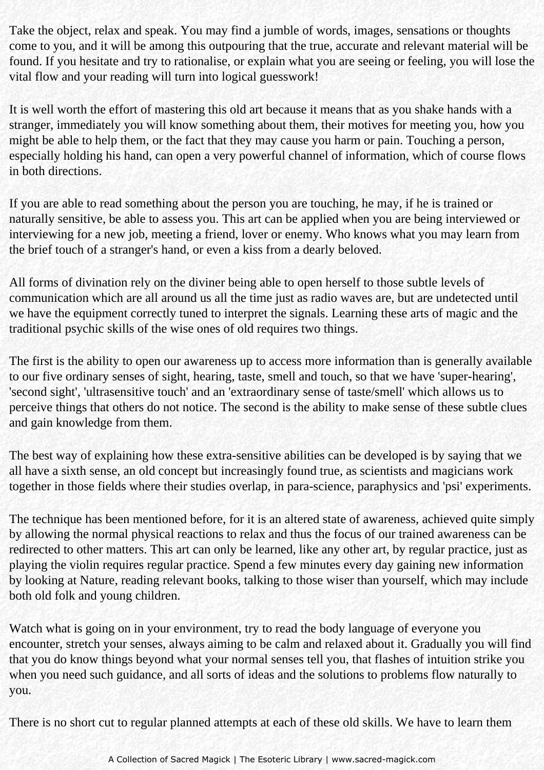Take the object, relax and speak. You may find a jumble of words, images, sensations or thoughts come to you, and it will be among this outpouring that the true, accurate and relevant material will be found. If you hesitate and try to rationalise, or explain what you are seeing or feeling, you will lose the vital flow and your reading will turn into logical guesswork!

It is well worth the effort of mastering this old art because it means that as you shake hands with a stranger, immediately you will know something about them, their motives for meeting you, how you might be able to help them, or the fact that they may cause you harm or pain. Touching a person, especially holding his hand, can open a very powerful channel of information, which of course flows in both directions.

If you are able to read something about the person you are touching, he may, if he is trained or naturally sensitive, be able to assess you. This art can be applied when you are being interviewed or interviewing for a new job, meeting a friend, lover or enemy. Who knows what you may learn from the brief touch of a stranger's hand, or even a kiss from a dearly beloved.

All forms of divination rely on the diviner being able to open herself to those subtle levels of communication which are all around us all the time just as radio waves are, but are undetected until we have the equipment correctly tuned to interpret the signals. Learning these arts of magic and the traditional psychic skills of the wise ones of old requires two things.

The first is the ability to open our awareness up to access more information than is generally available to our five ordinary senses of sight, hearing, taste, smell and touch, so that we have 'super-hearing', 'second sight', 'ultrasensitive touch' and an 'extraordinary sense of taste/smell' which allows us to perceive things that others do not notice. The second is the ability to make sense of these subtle clues and gain knowledge from them.

The best way of explaining how these extra-sensitive abilities can be developed is by saying that we all have a sixth sense, an old concept but increasingly found true, as scientists and magicians work together in those fields where their studies overlap, in para-science, paraphysics and 'psi' experiments.

The technique has been mentioned before, for it is an altered state of awareness, achieved quite simply by allowing the normal physical reactions to relax and thus the focus of our trained awareness can be redirected to other matters. This art can only be learned, like any other art, by regular practice, just as playing the violin requires regular practice. Spend a few minutes every day gaining new information by looking at Nature, reading relevant books, talking to those wiser than yourself, which may include both old folk and young children.

Watch what is going on in your environment, try to read the body language of everyone you encounter, stretch your senses, always aiming to be calm and relaxed about it. Gradually you will find that you do know things beyond what your normal senses tell you, that flashes of intuition strike you when you need such guidance, and all sorts of ideas and the solutions to problems flow naturally to you.

There is no short cut to regular planned attempts at each of these old skills. We have to learn them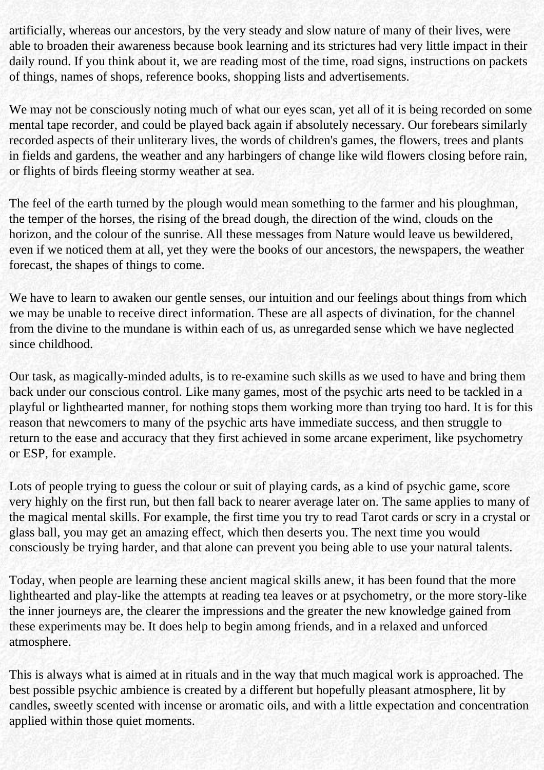artificially, whereas our ancestors, by the very steady and slow nature of many of their lives, were able to broaden their awareness because book learning and its strictures had very little impact in their daily round. If you think about it, we are reading most of the time, road signs, instructions on packets of things, names of shops, reference books, shopping lists and advertisements.

We may not be consciously noting much of what our eyes scan, yet all of it is being recorded on some mental tape recorder, and could be played back again if absolutely necessary. Our forebears similarly recorded aspects of their unliterary lives, the words of children's games, the flowers, trees and plants in fields and gardens, the weather and any harbingers of change like wild flowers closing before rain, or flights of birds fleeing stormy weather at sea.

The feel of the earth turned by the plough would mean something to the farmer and his ploughman, the temper of the horses, the rising of the bread dough, the direction of the wind, clouds on the horizon, and the colour of the sunrise. All these messages from Nature would leave us bewildered, even if we noticed them at all, yet they were the books of our ancestors, the newspapers, the weather forecast, the shapes of things to come.

We have to learn to awaken our gentle senses, our intuition and our feelings about things from which we may be unable to receive direct information. These are all aspects of divination, for the channel from the divine to the mundane is within each of us, as unregarded sense which we have neglected since childhood.

Our task, as magically-minded adults, is to re-examine such skills as we used to have and bring them back under our conscious control. Like many games, most of the psychic arts need to be tackled in a playful or lighthearted manner, for nothing stops them working more than trying too hard. It is for this reason that newcomers to many of the psychic arts have immediate success, and then struggle to return to the ease and accuracy that they first achieved in some arcane experiment, like psychometry or ESP, for example.

Lots of people trying to guess the colour or suit of playing cards, as a kind of psychic game, score very highly on the first run, but then fall back to nearer average later on. The same applies to many of the magical mental skills. For example, the first time you try to read Tarot cards or scry in a crystal or glass ball, you may get an amazing effect, which then deserts you. The next time you would consciously be trying harder, and that alone can prevent you being able to use your natural talents.

Today, when people are learning these ancient magical skills anew, it has been found that the more lighthearted and play-like the attempts at reading tea leaves or at psychometry, or the more story-like the inner journeys are, the clearer the impressions and the greater the new knowledge gained from these experiments may be. It does help to begin among friends, and in a relaxed and unforced atmosphere.

This is always what is aimed at in rituals and in the way that much magical work is approached. The best possible psychic ambience is created by a different but hopefully pleasant atmosphere, lit by candles, sweetly scented with incense or aromatic oils, and with a little expectation and concentration applied within those quiet moments.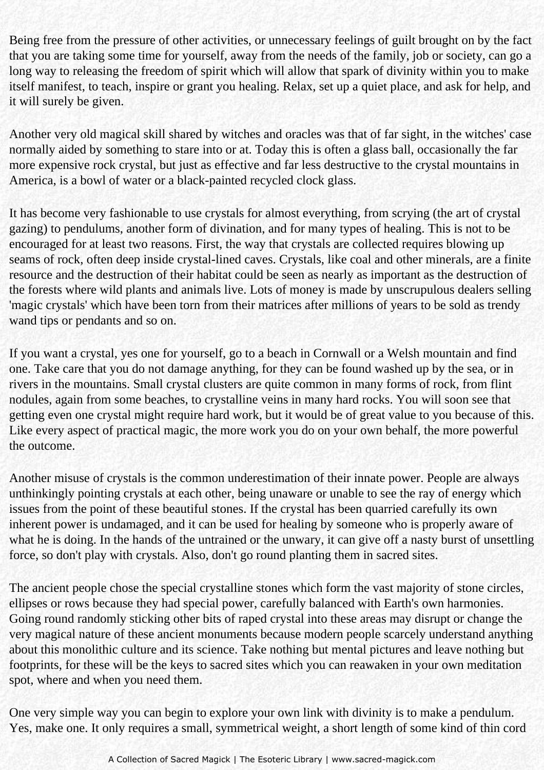Being free from the pressure of other activities, or unnecessary feelings of guilt brought on by the fact that you are taking some time for yourself, away from the needs of the family, job or society, can go a long way to releasing the freedom of spirit which will allow that spark of divinity within you to make itself manifest, to teach, inspire or grant you healing. Relax, set up a quiet place, and ask for help, and it will surely be given.

Another very old magical skill shared by witches and oracles was that of far sight, in the witches' case normally aided by something to stare into or at. Today this is often a glass ball, occasionally the far more expensive rock crystal, but just as effective and far less destructive to the crystal mountains in America, is a bowl of water or a black-painted recycled clock glass.

It has become very fashionable to use crystals for almost everything, from scrying (the art of crystal gazing) to pendulums, another form of divination, and for many types of healing. This is not to be encouraged for at least two reasons. First, the way that crystals are collected requires blowing up seams of rock, often deep inside crystal-lined caves. Crystals, like coal and other minerals, are a finite resource and the destruction of their habitat could be seen as nearly as important as the destruction of the forests where wild plants and animals live. Lots of money is made by unscrupulous dealers selling 'magic crystals' which have been torn from their matrices after millions of years to be sold as trendy wand tips or pendants and so on.

If you want a crystal, yes one for yourself, go to a beach in Cornwall or a Welsh mountain and find one. Take care that you do not damage anything, for they can be found washed up by the sea, or in rivers in the mountains. Small crystal clusters are quite common in many forms of rock, from flint nodules, again from some beaches, to crystalline veins in many hard rocks. You will soon see that getting even one crystal might require hard work, but it would be of great value to you because of this. Like every aspect of practical magic, the more work you do on your own behalf, the more powerful the outcome.

Another misuse of crystals is the common underestimation of their innate power. People are always unthinkingly pointing crystals at each other, being unaware or unable to see the ray of energy which issues from the point of these beautiful stones. If the crystal has been quarried carefully its own inherent power is undamaged, and it can be used for healing by someone who is properly aware of what he is doing. In the hands of the untrained or the unwary, it can give off a nasty burst of unsettling force, so don't play with crystals. Also, don't go round planting them in sacred sites.

The ancient people chose the special crystalline stones which form the vast majority of stone circles, ellipses or rows because they had special power, carefully balanced with Earth's own harmonies. Going round randomly sticking other bits of raped crystal into these areas may disrupt or change the very magical nature of these ancient monuments because modern people scarcely understand anything about this monolithic culture and its science. Take nothing but mental pictures and leave nothing but footprints, for these will be the keys to sacred sites which you can reawaken in your own meditation spot, where and when you need them.

One very simple way you can begin to explore your own link with divinity is to make a pendulum. Yes, make one. It only requires a small, symmetrical weight, a short length of some kind of thin cord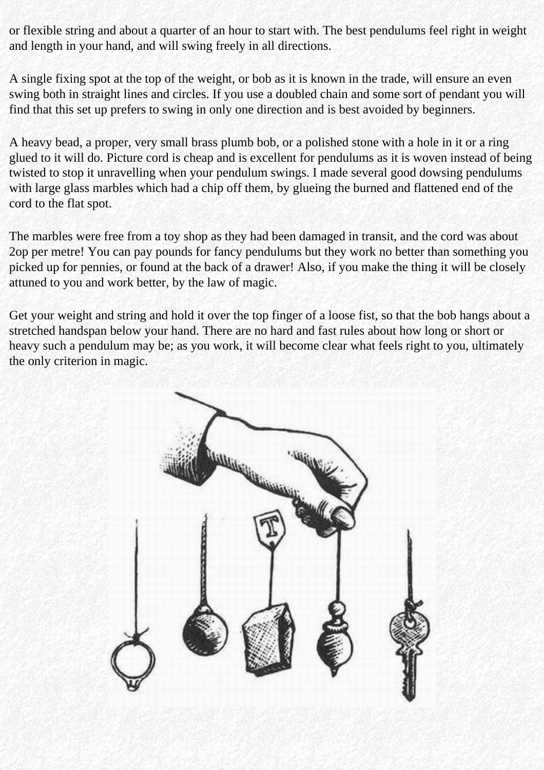or flexible string and about a quarter of an hour to start with. The best pendulums feel right in weight and length in your hand, and will swing freely in all directions.

A single fixing spot at the top of the weight, or bob as it is known in the trade, will ensure an even swing both in straight lines and circles. If you use a doubled chain and some sort of pendant you will find that this set up prefers to swing in only one direction and is best avoided by beginners.

A heavy bead, a proper, very small brass plumb bob, or a polished stone with a hole in it or a ring glued to it will do. Picture cord is cheap and is excellent for pendulums as it is woven instead of being twisted to stop it unravelling when your pendulum swings. I made several good dowsing pendulums with large glass marbles which had a chip off them, by glueing the burned and flattened end of the cord to the flat spot.

The marbles were free from a toy shop as they had been damaged in transit, and the cord was about 2op per metre! You can pay pounds for fancy pendulums but they work no better than something you picked up for pennies, or found at the back of a drawer! Also, if you make the thing it will be closely attuned to you and work better, by the law of magic.

Get your weight and string and hold it over the top finger of a loose fist, so that the bob hangs about a stretched handspan below your hand. There are no hard and fast rules about how long or short or heavy such a pendulum may be; as you work, it will become clear what feels right to you, ultimately the only criterion in magic.

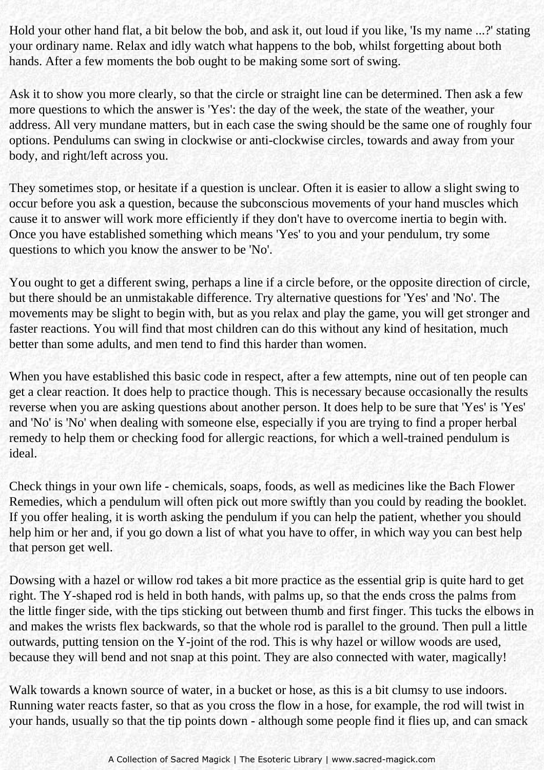Hold your other hand flat, a bit below the bob, and ask it, out loud if you like, 'Is my name ...?' stating your ordinary name. Relax and idly watch what happens to the bob, whilst forgetting about both hands. After a few moments the bob ought to be making some sort of swing.

Ask it to show you more clearly, so that the circle or straight line can be determined. Then ask a few more questions to which the answer is 'Yes': the day of the week, the state of the weather, your address. All very mundane matters, but in each case the swing should be the same one of roughly four options. Pendulums can swing in clockwise or anti-clockwise circles, towards and away from your body, and right/left across you.

They sometimes stop, or hesitate if a question is unclear. Often it is easier to allow a slight swing to occur before you ask a question, because the subconscious movements of your hand muscles which cause it to answer will work more efficiently if they don't have to overcome inertia to begin with. Once you have established something which means 'Yes' to you and your pendulum, try some questions to which you know the answer to be 'No'.

You ought to get a different swing, perhaps a line if a circle before, or the opposite direction of circle, but there should be an unmistakable difference. Try alternative questions for 'Yes' and 'No'. The movements may be slight to begin with, but as you relax and play the game, you will get stronger and faster reactions. You will find that most children can do this without any kind of hesitation, much better than some adults, and men tend to find this harder than women.

When you have established this basic code in respect, after a few attempts, nine out of ten people can get a clear reaction. It does help to practice though. This is necessary because occasionally the results reverse when you are asking questions about another person. It does help to be sure that 'Yes' is 'Yes' and 'No' is 'No' when dealing with someone else, especially if you are trying to find a proper herbal remedy to help them or checking food for allergic reactions, for which a well-trained pendulum is ideal.

Check things in your own life - chemicals, soaps, foods, as well as medicines like the Bach Flower Remedies, which a pendulum will often pick out more swiftly than you could by reading the booklet. If you offer healing, it is worth asking the pendulum if you can help the patient, whether you should help him or her and, if you go down a list of what you have to offer, in which way you can best help that person get well.

Dowsing with a hazel or willow rod takes a bit more practice as the essential grip is quite hard to get right. The Y-shaped rod is held in both hands, with palms up, so that the ends cross the palms from the little finger side, with the tips sticking out between thumb and first finger. This tucks the elbows in and makes the wrists flex backwards, so that the whole rod is parallel to the ground. Then pull a little outwards, putting tension on the Y-joint of the rod. This is why hazel or willow woods are used, because they will bend and not snap at this point. They are also connected with water, magically!

Walk towards a known source of water, in a bucket or hose, as this is a bit clumsy to use indoors. Running water reacts faster, so that as you cross the flow in a hose, for example, the rod will twist in your hands, usually so that the tip points down - although some people find it flies up, and can smack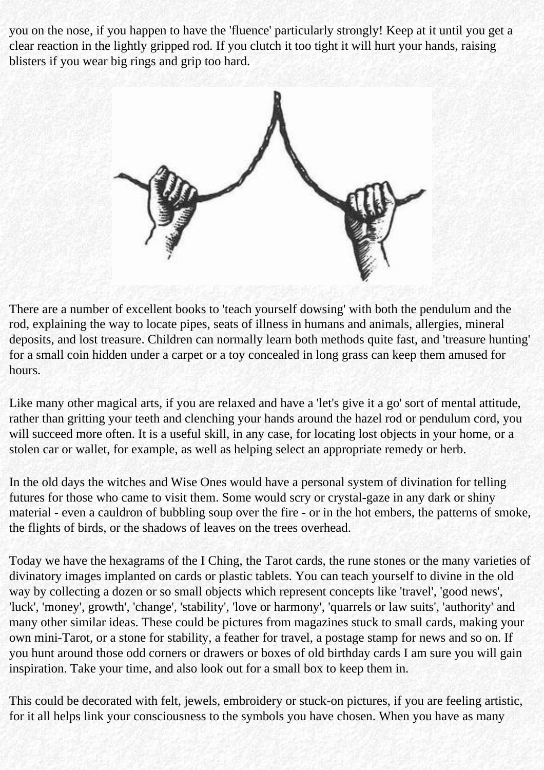you on the nose, if you happen to have the 'fluence' particularly strongly! Keep at it until you get a clear reaction in the lightly gripped rod. If you clutch it too tight it will hurt your hands, raising blisters if you wear big rings and grip too hard.



There are a number of excellent books to 'teach yourself dowsing' with both the pendulum and the rod, explaining the way to locate pipes, seats of illness in humans and animals, allergies, mineral deposits, and lost treasure. Children can normally learn both methods quite fast, and 'treasure hunting' for a small coin hidden under a carpet or a toy concealed in long grass can keep them amused for hours.

Like many other magical arts, if you are relaxed and have a 'let's give it a go' sort of mental attitude, rather than gritting your teeth and clenching your hands around the hazel rod or pendulum cord, you will succeed more often. It is a useful skill, in any case, for locating lost objects in your home, or a stolen car or wallet, for example, as well as helping select an appropriate remedy or herb.

In the old days the witches and Wise Ones would have a personal system of divination for telling futures for those who came to visit them. Some would scry or crystal-gaze in any dark or shiny material - even a cauldron of bubbling soup over the fire - or in the hot embers, the patterns of smoke, the flights of birds, or the shadows of leaves on the trees overhead.

Today we have the hexagrams of the I Ching, the Tarot cards, the rune stones or the many varieties of divinatory images implanted on cards or plastic tablets. You can teach yourself to divine in the old way by collecting a dozen or so small objects which represent concepts like 'travel', 'good news', 'luck', 'money', growth', 'change', 'stability', 'love or harmony', 'quarrels or law suits', 'authority' and many other similar ideas. These could be pictures from magazines stuck to small cards, making your own mini-Tarot, or a stone for stability, a feather for travel, a postage stamp for news and so on. If you hunt around those odd corners or drawers or boxes of old birthday cards I am sure you will gain inspiration. Take your time, and also look out for a small box to keep them in.

This could be decorated with felt, jewels, embroidery or stuck-on pictures, if you are feeling artistic, for it all helps link your consciousness to the symbols you have chosen. When you have as many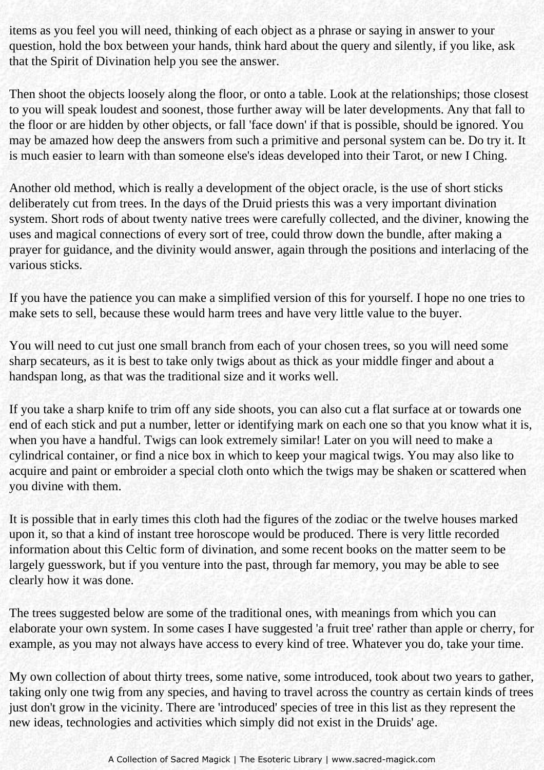items as you feel you will need, thinking of each object as a phrase or saying in answer to your question, hold the box between your hands, think hard about the query and silently, if you like, ask that the Spirit of Divination help you see the answer.

Then shoot the objects loosely along the floor, or onto a table. Look at the relationships; those closest to you will speak loudest and soonest, those further away will be later developments. Any that fall to the floor or are hidden by other objects, or fall 'face down' if that is possible, should be ignored. You may be amazed how deep the answers from such a primitive and personal system can be. Do try it. It is much easier to learn with than someone else's ideas developed into their Tarot, or new I Ching.

Another old method, which is really a development of the object oracle, is the use of short sticks deliberately cut from trees. In the days of the Druid priests this was a very important divination system. Short rods of about twenty native trees were carefully collected, and the diviner, knowing the uses and magical connections of every sort of tree, could throw down the bundle, after making a prayer for guidance, and the divinity would answer, again through the positions and interlacing of the various sticks.

If you have the patience you can make a simplified version of this for yourself. I hope no one tries to make sets to sell, because these would harm trees and have very little value to the buyer.

You will need to cut just one small branch from each of your chosen trees, so you will need some sharp secateurs, as it is best to take only twigs about as thick as your middle finger and about a handspan long, as that was the traditional size and it works well.

If you take a sharp knife to trim off any side shoots, you can also cut a flat surface at or towards one end of each stick and put a number, letter or identifying mark on each one so that you know what it is, when you have a handful. Twigs can look extremely similar! Later on you will need to make a cylindrical container, or find a nice box in which to keep your magical twigs. You may also like to acquire and paint or embroider a special cloth onto which the twigs may be shaken or scattered when you divine with them.

It is possible that in early times this cloth had the figures of the zodiac or the twelve houses marked upon it, so that a kind of instant tree horoscope would be produced. There is very little recorded information about this Celtic form of divination, and some recent books on the matter seem to be largely guesswork, but if you venture into the past, through far memory, you may be able to see clearly how it was done.

The trees suggested below are some of the traditional ones, with meanings from which you can elaborate your own system. In some cases I have suggested 'a fruit tree' rather than apple or cherry, for example, as you may not always have access to every kind of tree. Whatever you do, take your time.

My own collection of about thirty trees, some native, some introduced, took about two years to gather, taking only one twig from any species, and having to travel across the country as certain kinds of trees just don't grow in the vicinity. There are 'introduced' species of tree in this list as they represent the new ideas, technologies and activities which simply did not exist in the Druids' age.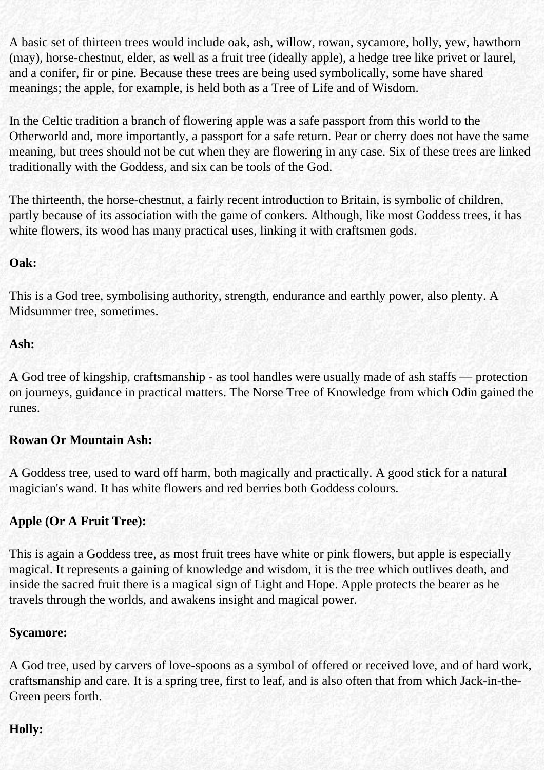A basic set of thirteen trees would include oak, ash, willow, rowan, sycamore, holly, yew, hawthorn (may), horse-chestnut, elder, as well as a fruit tree (ideally apple), a hedge tree like privet or laurel, and a conifer, fir or pine. Because these trees are being used symbolically, some have shared meanings; the apple, for example, is held both as a Tree of Life and of Wisdom.

In the Celtic tradition a branch of flowering apple was a safe passport from this world to the Otherworld and, more importantly, a passport for a safe return. Pear or cherry does not have the same meaning, but trees should not be cut when they are flowering in any case. Six of these trees are linked traditionally with the Goddess, and six can be tools of the God.

The thirteenth, the horse-chestnut, a fairly recent introduction to Britain, is symbolic of children, partly because of its association with the game of conkers. Although, like most Goddess trees, it has white flowers, its wood has many practical uses, linking it with craftsmen gods.

# **Oak:**

This is a God tree, symbolising authority, strength, endurance and earthly power, also plenty. A Midsummer tree, sometimes.

# **Ash:**

A God tree of kingship, craftsmanship - as tool handles were usually made of ash staffs — protection on journeys, guidance in practical matters. The Norse Tree of Knowledge from which Odin gained the runes.

# **Rowan Or Mountain Ash:**

A Goddess tree, used to ward off harm, both magically and practically. A good stick for a natural magician's wand. It has white flowers and red berries both Goddess colours.

# **Apple (Or A Fruit Tree):**

This is again a Goddess tree, as most fruit trees have white or pink flowers, but apple is especially magical. It represents a gaining of knowledge and wisdom, it is the tree which outlives death, and inside the sacred fruit there is a magical sign of Light and Hope. Apple protects the bearer as he travels through the worlds, and awakens insight and magical power.

### **Sycamore:**

A God tree, used by carvers of love-spoons as a symbol of offered or received love, and of hard work, craftsmanship and care. It is a spring tree, first to leaf, and is also often that from which Jack-in-the-Green peers forth.

# **Holly:**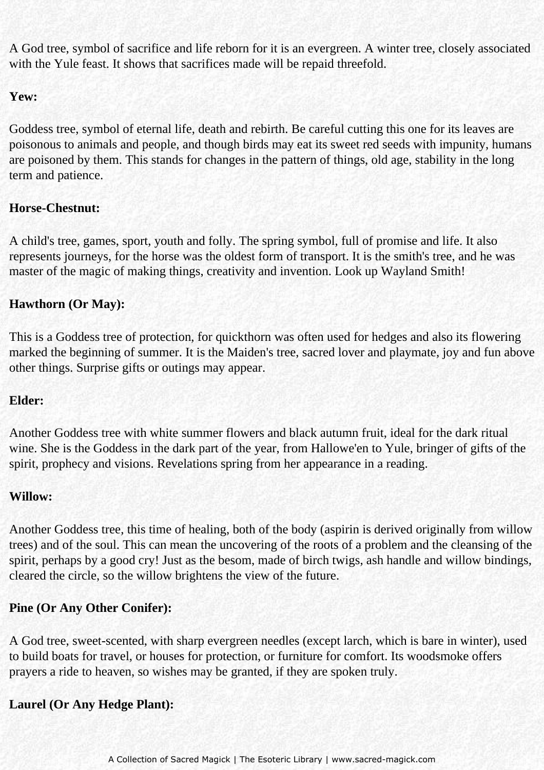A God tree, symbol of sacrifice and life reborn for it is an evergreen. A winter tree, closely associated with the Yule feast. It shows that sacrifices made will be repaid threefold.

## **Yew:**

Goddess tree, symbol of eternal life, death and rebirth. Be careful cutting this one for its leaves are poisonous to animals and people, and though birds may eat its sweet red seeds with impunity, humans are poisoned by them. This stands for changes in the pattern of things, old age, stability in the long term and patience.

## **Horse-Chestnut:**

A child's tree, games, sport, youth and folly. The spring symbol, full of promise and life. It also represents journeys, for the horse was the oldest form of transport. It is the smith's tree, and he was master of the magic of making things, creativity and invention. Look up Wayland Smith!

## **Hawthorn (Or May):**

This is a Goddess tree of protection, for quickthorn was often used for hedges and also its flowering marked the beginning of summer. It is the Maiden's tree, sacred lover and playmate, joy and fun above other things. Surprise gifts or outings may appear.

# **Elder:**

Another Goddess tree with white summer flowers and black autumn fruit, ideal for the dark ritual wine. She is the Goddess in the dark part of the year, from Hallowe'en to Yule, bringer of gifts of the spirit, prophecy and visions. Revelations spring from her appearance in a reading.

### **Willow:**

Another Goddess tree, this time of healing, both of the body (aspirin is derived originally from willow trees) and of the soul. This can mean the uncovering of the roots of a problem and the cleansing of the spirit, perhaps by a good cry! Just as the besom, made of birch twigs, ash handle and willow bindings, cleared the circle, so the willow brightens the view of the future.

# **Pine (Or Any Other Conifer):**

A God tree, sweet-scented, with sharp evergreen needles (except larch, which is bare in winter), used to build boats for travel, or houses for protection, or furniture for comfort. Its woodsmoke offers prayers a ride to heaven, so wishes may be granted, if they are spoken truly.

# **Laurel (Or Any Hedge Plant):**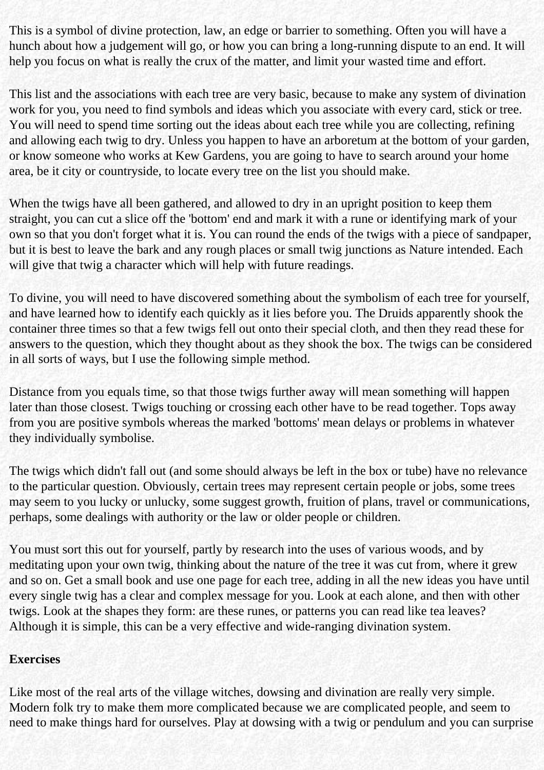This is a symbol of divine protection, law, an edge or barrier to something. Often you will have a hunch about how a judgement will go, or how you can bring a long-running dispute to an end. It will help you focus on what is really the crux of the matter, and limit your wasted time and effort.

This list and the associations with each tree are very basic, because to make any system of divination work for you, you need to find symbols and ideas which you associate with every card, stick or tree. You will need to spend time sorting out the ideas about each tree while you are collecting, refining and allowing each twig to dry. Unless you happen to have an arboretum at the bottom of your garden, or know someone who works at Kew Gardens, you are going to have to search around your home area, be it city or countryside, to locate every tree on the list you should make.

When the twigs have all been gathered, and allowed to dry in an upright position to keep them straight, you can cut a slice off the 'bottom' end and mark it with a rune or identifying mark of your own so that you don't forget what it is. You can round the ends of the twigs with a piece of sandpaper, but it is best to leave the bark and any rough places or small twig junctions as Nature intended. Each will give that twig a character which will help with future readings.

To divine, you will need to have discovered something about the symbolism of each tree for yourself, and have learned how to identify each quickly as it lies before you. The Druids apparently shook the container three times so that a few twigs fell out onto their special cloth, and then they read these for answers to the question, which they thought about as they shook the box. The twigs can be considered in all sorts of ways, but I use the following simple method.

Distance from you equals time, so that those twigs further away will mean something will happen later than those closest. Twigs touching or crossing each other have to be read together. Tops away from you are positive symbols whereas the marked 'bottoms' mean delays or problems in whatever they individually symbolise.

The twigs which didn't fall out (and some should always be left in the box or tube) have no relevance to the particular question. Obviously, certain trees may represent certain people or jobs, some trees may seem to you lucky or unlucky, some suggest growth, fruition of plans, travel or communications, perhaps, some dealings with authority or the law or older people or children.

You must sort this out for yourself, partly by research into the uses of various woods, and by meditating upon your own twig, thinking about the nature of the tree it was cut from, where it grew and so on. Get a small book and use one page for each tree, adding in all the new ideas you have until every single twig has a clear and complex message for you. Look at each alone, and then with other twigs. Look at the shapes they form: are these runes, or patterns you can read like tea leaves? Although it is simple, this can be a very effective and wide-ranging divination system.

# **Exercises**

Like most of the real arts of the village witches, dowsing and divination are really very simple. Modern folk try to make them more complicated because we are complicated people, and seem to need to make things hard for ourselves. Play at dowsing with a twig or pendulum and you can surprise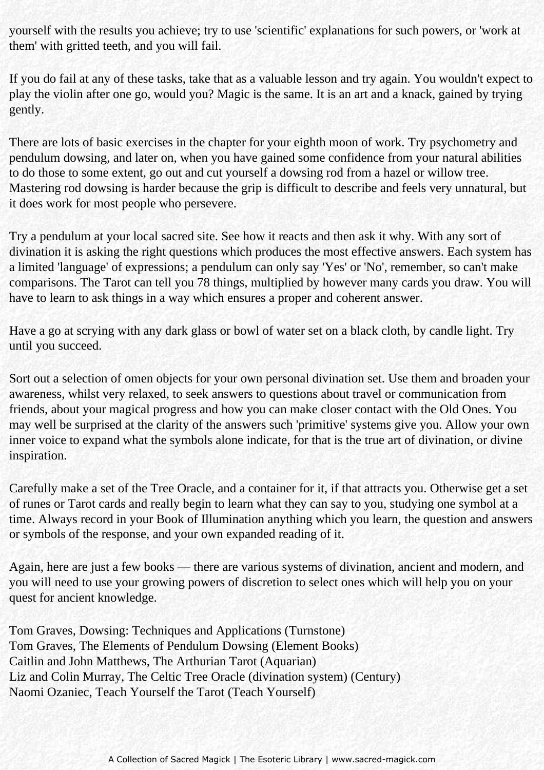yourself with the results you achieve; try to use 'scientific' explanations for such powers, or 'work at them' with gritted teeth, and you will fail.

If you do fail at any of these tasks, take that as a valuable lesson and try again. You wouldn't expect to play the violin after one go, would you? Magic is the same. It is an art and a knack, gained by trying gently.

There are lots of basic exercises in the chapter for your eighth moon of work. Try psychometry and pendulum dowsing, and later on, when you have gained some confidence from your natural abilities to do those to some extent, go out and cut yourself a dowsing rod from a hazel or willow tree. Mastering rod dowsing is harder because the grip is difficult to describe and feels very unnatural, but it does work for most people who persevere.

Try a pendulum at your local sacred site. See how it reacts and then ask it why. With any sort of divination it is asking the right questions which produces the most effective answers. Each system has a limited 'language' of expressions; a pendulum can only say 'Yes' or 'No', remember, so can't make comparisons. The Tarot can tell you 78 things, multiplied by however many cards you draw. You will have to learn to ask things in a way which ensures a proper and coherent answer.

Have a go at scrying with any dark glass or bowl of water set on a black cloth, by candle light. Try until you succeed.

Sort out a selection of omen objects for your own personal divination set. Use them and broaden your awareness, whilst very relaxed, to seek answers to questions about travel or communication from friends, about your magical progress and how you can make closer contact with the Old Ones. You may well be surprised at the clarity of the answers such 'primitive' systems give you. Allow your own inner voice to expand what the symbols alone indicate, for that is the true art of divination, or divine inspiration.

Carefully make a set of the Tree Oracle, and a container for it, if that attracts you. Otherwise get a set of runes or Tarot cards and really begin to learn what they can say to you, studying one symbol at a time. Always record in your Book of Illumination anything which you learn, the question and answers or symbols of the response, and your own expanded reading of it.

Again, here are just a few books — there are various systems of divination, ancient and modern, and you will need to use your growing powers of discretion to select ones which will help you on your quest for ancient knowledge.

Tom Graves, Dowsing: Techniques and Applications (Turnstone) Tom Graves, The Elements of Pendulum Dowsing (Element Books) Caitlin and John Matthews, The Arthurian Tarot (Aquarian) Liz and Colin Murray, The Celtic Tree Oracle (divination system) (Century) Naomi Ozaniec, Teach Yourself the Tarot (Teach Yourself)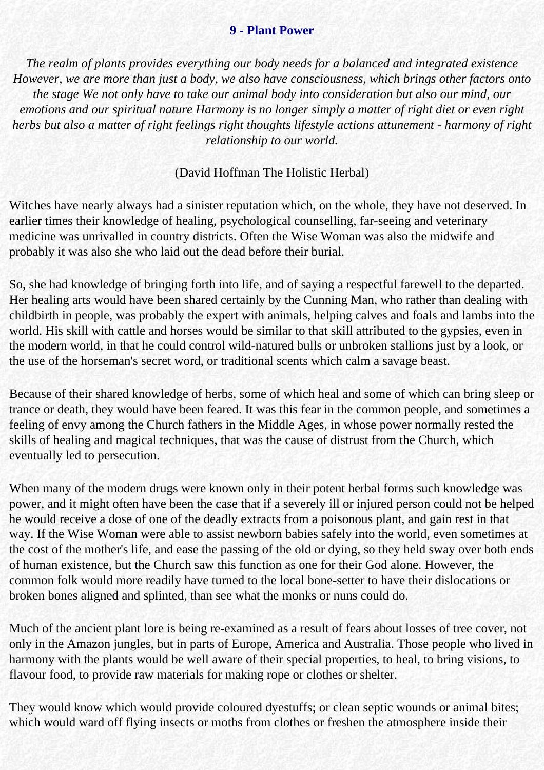#### **9 - Plant Power**

*The realm of plants provides everything our body needs for a balanced and integrated existence However, we are more than just a body, we also have consciousness, which brings other factors onto the stage We not only have to take our animal body into consideration but also our mind, our emotions and our spiritual nature Harmony is no longer simply a matter of right diet or even right herbs but also a matter of right feelings right thoughts lifestyle actions attunement - harmony of right relationship to our world.*

(David Hoffman The Holistic Herbal)

Witches have nearly always had a sinister reputation which, on the whole, they have not deserved. In earlier times their knowledge of healing, psychological counselling, far-seeing and veterinary medicine was unrivalled in country districts. Often the Wise Woman was also the midwife and probably it was also she who laid out the dead before their burial.

So, she had knowledge of bringing forth into life, and of saying a respectful farewell to the departed. Her healing arts would have been shared certainly by the Cunning Man, who rather than dealing with childbirth in people, was probably the expert with animals, helping calves and foals and lambs into the world. His skill with cattle and horses would be similar to that skill attributed to the gypsies, even in the modern world, in that he could control wild-natured bulls or unbroken stallions just by a look, or the use of the horseman's secret word, or traditional scents which calm a savage beast.

Because of their shared knowledge of herbs, some of which heal and some of which can bring sleep or trance or death, they would have been feared. It was this fear in the common people, and sometimes a feeling of envy among the Church fathers in the Middle Ages, in whose power normally rested the skills of healing and magical techniques, that was the cause of distrust from the Church, which eventually led to persecution.

When many of the modern drugs were known only in their potent herbal forms such knowledge was power, and it might often have been the case that if a severely ill or injured person could not be helped he would receive a dose of one of the deadly extracts from a poisonous plant, and gain rest in that way. If the Wise Woman were able to assist newborn babies safely into the world, even sometimes at the cost of the mother's life, and ease the passing of the old or dying, so they held sway over both ends of human existence, but the Church saw this function as one for their God alone. However, the common folk would more readily have turned to the local bone-setter to have their dislocations or broken bones aligned and splinted, than see what the monks or nuns could do.

Much of the ancient plant lore is being re-examined as a result of fears about losses of tree cover, not only in the Amazon jungles, but in parts of Europe, America and Australia. Those people who lived in harmony with the plants would be well aware of their special properties, to heal, to bring visions, to flavour food, to provide raw materials for making rope or clothes or shelter.

They would know which would provide coloured dyestuffs; or clean septic wounds or animal bites; which would ward off flying insects or moths from clothes or freshen the atmosphere inside their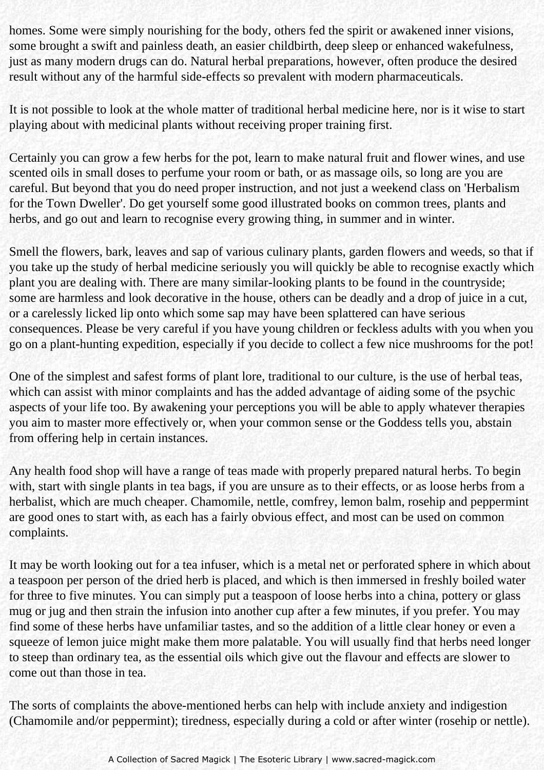homes. Some were simply nourishing for the body, others fed the spirit or awakened inner visions, some brought a swift and painless death, an easier childbirth, deep sleep or enhanced wakefulness, just as many modern drugs can do. Natural herbal preparations, however, often produce the desired result without any of the harmful side-effects so prevalent with modern pharmaceuticals.

It is not possible to look at the whole matter of traditional herbal medicine here, nor is it wise to start playing about with medicinal plants without receiving proper training first.

Certainly you can grow a few herbs for the pot, learn to make natural fruit and flower wines, and use scented oils in small doses to perfume your room or bath, or as massage oils, so long are you are careful. But beyond that you do need proper instruction, and not just a weekend class on 'Herbalism for the Town Dweller'. Do get yourself some good illustrated books on common trees, plants and herbs, and go out and learn to recognise every growing thing, in summer and in winter.

Smell the flowers, bark, leaves and sap of various culinary plants, garden flowers and weeds, so that if you take up the study of herbal medicine seriously you will quickly be able to recognise exactly which plant you are dealing with. There are many similar-looking plants to be found in the countryside; some are harmless and look decorative in the house, others can be deadly and a drop of juice in a cut, or a carelessly licked lip onto which some sap may have been splattered can have serious consequences. Please be very careful if you have young children or feckless adults with you when you go on a plant-hunting expedition, especially if you decide to collect a few nice mushrooms for the pot!

One of the simplest and safest forms of plant lore, traditional to our culture, is the use of herbal teas, which can assist with minor complaints and has the added advantage of aiding some of the psychic aspects of your life too. By awakening your perceptions you will be able to apply whatever therapies you aim to master more effectively or, when your common sense or the Goddess tells you, abstain from offering help in certain instances.

Any health food shop will have a range of teas made with properly prepared natural herbs. To begin with, start with single plants in tea bags, if you are unsure as to their effects, or as loose herbs from a herbalist, which are much cheaper. Chamomile, nettle, comfrey, lemon balm, rosehip and peppermint are good ones to start with, as each has a fairly obvious effect, and most can be used on common complaints.

It may be worth looking out for a tea infuser, which is a metal net or perforated sphere in which about a teaspoon per person of the dried herb is placed, and which is then immersed in freshly boiled water for three to five minutes. You can simply put a teaspoon of loose herbs into a china, pottery or glass mug or jug and then strain the infusion into another cup after a few minutes, if you prefer. You may find some of these herbs have unfamiliar tastes, and so the addition of a little clear honey or even a squeeze of lemon juice might make them more palatable. You will usually find that herbs need longer to steep than ordinary tea, as the essential oils which give out the flavour and effects are slower to come out than those in tea.

The sorts of complaints the above-mentioned herbs can help with include anxiety and indigestion (Chamomile and/or peppermint); tiredness, especially during a cold or after winter (rosehip or nettle).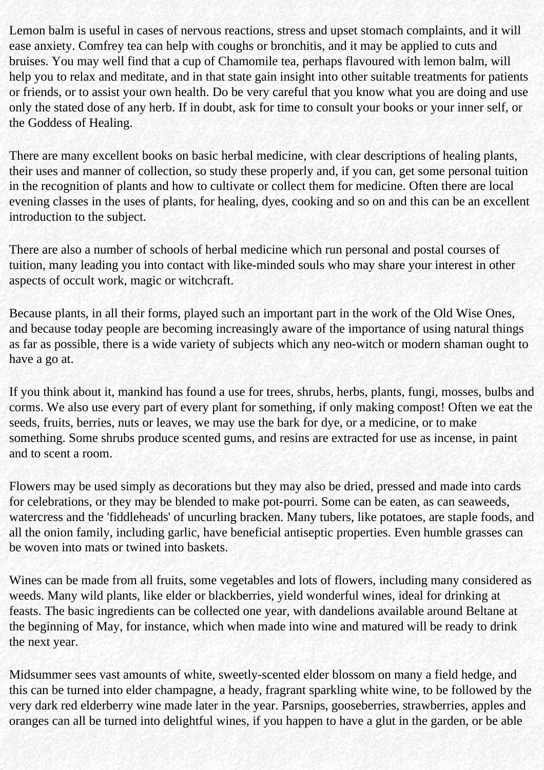Lemon balm is useful in cases of nervous reactions, stress and upset stomach complaints, and it will ease anxiety. Comfrey tea can help with coughs or bronchitis, and it may be applied to cuts and bruises. You may well find that a cup of Chamomile tea, perhaps flavoured with lemon balm, will help you to relax and meditate, and in that state gain insight into other suitable treatments for patients or friends, or to assist your own health. Do be very careful that you know what you are doing and use only the stated dose of any herb. If in doubt, ask for time to consult your books or your inner self, or the Goddess of Healing.

There are many excellent books on basic herbal medicine, with clear descriptions of healing plants, their uses and manner of collection, so study these properly and, if you can, get some personal tuition in the recognition of plants and how to cultivate or collect them for medicine. Often there are local evening classes in the uses of plants, for healing, dyes, cooking and so on and this can be an excellent introduction to the subject.

There are also a number of schools of herbal medicine which run personal and postal courses of tuition, many leading you into contact with like-minded souls who may share your interest in other aspects of occult work, magic or witchcraft.

Because plants, in all their forms, played such an important part in the work of the Old Wise Ones, and because today people are becoming increasingly aware of the importance of using natural things as far as possible, there is a wide variety of subjects which any neo-witch or modern shaman ought to have a go at.

If you think about it, mankind has found a use for trees, shrubs, herbs, plants, fungi, mosses, bulbs and corms. We also use every part of every plant for something, if only making compost! Often we eat the seeds, fruits, berries, nuts or leaves, we may use the bark for dye, or a medicine, or to make something. Some shrubs produce scented gums, and resins are extracted for use as incense, in paint and to scent a room.

Flowers may be used simply as decorations but they may also be dried, pressed and made into cards for celebrations, or they may be blended to make pot-pourri. Some can be eaten, as can seaweeds, watercress and the 'fiddleheads' of uncurling bracken. Many tubers, like potatoes, are staple foods, and all the onion family, including garlic, have beneficial antiseptic properties. Even humble grasses can be woven into mats or twined into baskets.

Wines can be made from all fruits, some vegetables and lots of flowers, including many considered as weeds. Many wild plants, like elder or blackberries, yield wonderful wines, ideal for drinking at feasts. The basic ingredients can be collected one year, with dandelions available around Beltane at the beginning of May, for instance, which when made into wine and matured will be ready to drink the next year.

Midsummer sees vast amounts of white, sweetly-scented elder blossom on many a field hedge, and this can be turned into elder champagne, a heady, fragrant sparkling white wine, to be followed by the very dark red elderberry wine made later in the year. Parsnips, gooseberries, strawberries, apples and oranges can all be turned into delightful wines, if you happen to have a glut in the garden, or be able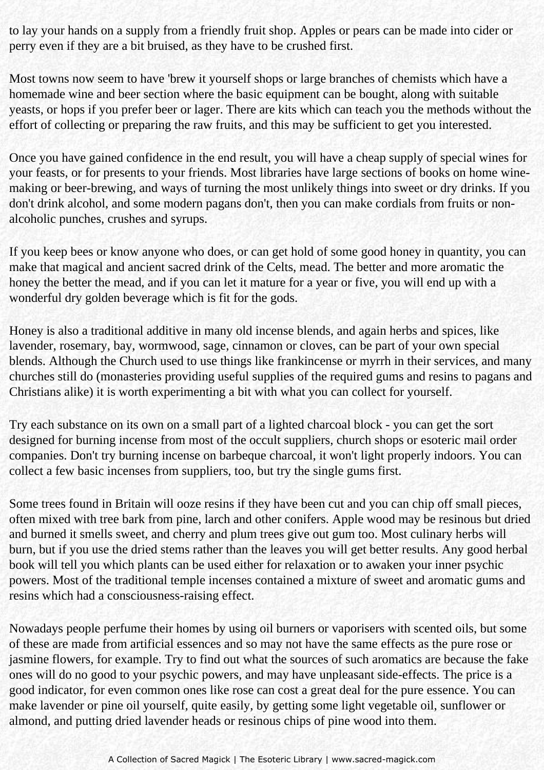to lay your hands on a supply from a friendly fruit shop. Apples or pears can be made into cider or perry even if they are a bit bruised, as they have to be crushed first.

Most towns now seem to have 'brew it yourself shops or large branches of chemists which have a homemade wine and beer section where the basic equipment can be bought, along with suitable yeasts, or hops if you prefer beer or lager. There are kits which can teach you the methods without the effort of collecting or preparing the raw fruits, and this may be sufficient to get you interested.

Once you have gained confidence in the end result, you will have a cheap supply of special wines for your feasts, or for presents to your friends. Most libraries have large sections of books on home winemaking or beer-brewing, and ways of turning the most unlikely things into sweet or dry drinks. If you don't drink alcohol, and some modern pagans don't, then you can make cordials from fruits or nonalcoholic punches, crushes and syrups. -

If you keep bees or know anyone who does, or can get hold of some good honey in quantity, you can make that magical and ancient sacred drink of the Celts, mead. The better and more aromatic the honey the better the mead, and if you can let it mature for a year or five, you will end up with a wonderful dry golden beverage which is fit for the gods.

Honey is also a traditional additive in many old incense blends, and again herbs and spices, like lavender, rosemary, bay, wormwood, sage, cinnamon or cloves, can be part of your own special blends. Although the Church used to use things like frankincense or myrrh in their services, and many churches still do (monasteries providing useful supplies of the required gums and resins to pagans and Christians alike) it is worth experimenting a bit with what you can collect for yourself.

Try each substance on its own on a small part of a lighted charcoal block - you can get the sort designed for burning incense from most of the occult suppliers, church shops or esoteric mail order companies. Don't try burning incense on barbeque charcoal, it won't light properly indoors. You can collect a few basic incenses from suppliers, too, but try the single gums first.

Some trees found in Britain will ooze resins if they have been cut and you can chip off small pieces, often mixed with tree bark from pine, larch and other conifers. Apple wood may be resinous but dried and burned it smells sweet, and cherry and plum trees give out gum too. Most culinary herbs will burn, but if you use the dried stems rather than the leaves you will get better results. Any good herbal book will tell you which plants can be used either for relaxation or to awaken your inner psychic powers. Most of the traditional temple incenses contained a mixture of sweet and aromatic gums and resins which had a consciousness-raising effect.

Nowadays people perfume their homes by using oil burners or vaporisers with scented oils, but some of these are made from artificial essences and so may not have the same effects as the pure rose or jasmine flowers, for example. Try to find out what the sources of such aromatics are because the fake ones will do no good to your psychic powers, and may have unpleasant side-effects. The price is a good indicator, for even common ones like rose can cost a great deal for the pure essence. You can make lavender or pine oil yourself, quite easily, by getting some light vegetable oil, sunflower or almond, and putting dried lavender heads or resinous chips of pine wood into them.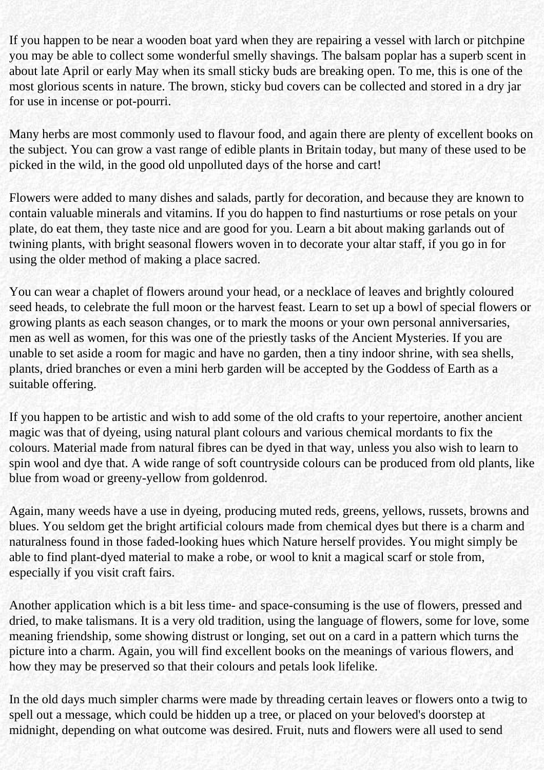If you happen to be near a wooden boat yard when they are repairing a vessel with larch or pitchpine you may be able to collect some wonderful smelly shavings. The balsam poplar has a superb scent in about late April or early May when its small sticky buds are breaking open. To me, this is one of the most glorious scents in nature. The brown, sticky bud covers can be collected and stored in a dry jar for use in incense or pot-pourri.

Many herbs are most commonly used to flavour food, and again there are plenty of excellent books on the subject. You can grow a vast range of edible plants in Britain today, but many of these used to be picked in the wild, in the good old unpolluted days of the horse and cart!

Flowers were added to many dishes and salads, partly for decoration, and because they are known to contain valuable minerals and vitamins. If you do happen to find nasturtiums or rose petals on your plate, do eat them, they taste nice and are good for you. Learn a bit about making garlands out of twining plants, with bright seasonal flowers woven in to decorate your altar staff, if you go in for using the older method of making a place sacred.

You can wear a chaplet of flowers around your head, or a necklace of leaves and brightly coloured seed heads, to celebrate the full moon or the harvest feast. Learn to set up a bowl of special flowers or growing plants as each season changes, or to mark the moons or your own personal anniversaries, men as well as women, for this was one of the priestly tasks of the Ancient Mysteries. If you are unable to set aside a room for magic and have no garden, then a tiny indoor shrine, with sea shells, plants, dried branches or even a mini herb garden will be accepted by the Goddess of Earth as a suitable offering.

If you happen to be artistic and wish to add some of the old crafts to your repertoire, another ancient magic was that of dyeing, using natural plant colours and various chemical mordants to fix the colours. Material made from natural fibres can be dyed in that way, unless you also wish to learn to spin wool and dye that. A wide range of soft countryside colours can be produced from old plants, like blue from woad or greeny-yellow from goldenrod.

Again, many weeds have a use in dyeing, producing muted reds, greens, yellows, russets, browns and blues. You seldom get the bright artificial colours made from chemical dyes but there is a charm and naturalness found in those faded-looking hues which Nature herself provides. You might simply be able to find plant-dyed material to make a robe, or wool to knit a magical scarf or stole from, especially if you visit craft fairs.

Another application which is a bit less time- and space-consuming is the use of flowers, pressed and dried, to make talismans. It is a very old tradition, using the language of flowers, some for love, some meaning friendship, some showing distrust or longing, set out on a card in a pattern which turns the picture into a charm. Again, you will find excellent books on the meanings of various flowers, and how they may be preserved so that their colours and petals look lifelike.

In the old days much simpler charms were made by threading certain leaves or flowers onto a twig to spell out a message, which could be hidden up a tree, or placed on your beloved's doorstep at midnight, depending on what outcome was desired. Fruit, nuts and flowers were all used to send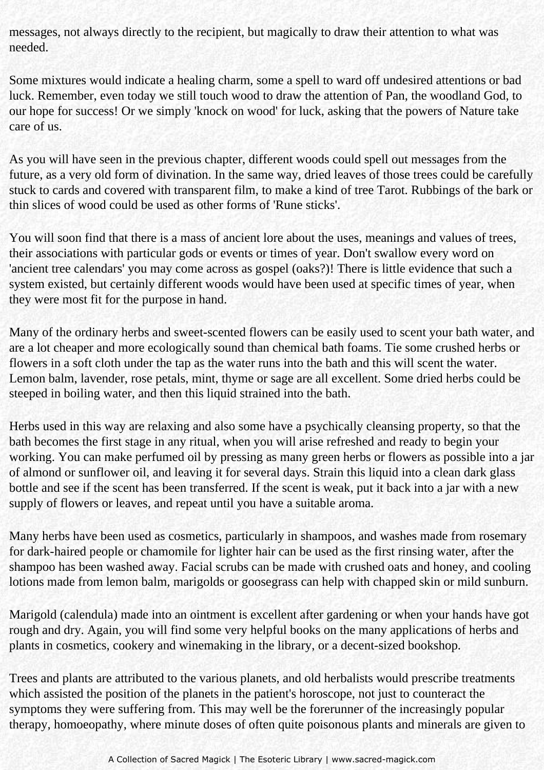messages, not always directly to the recipient, but magically to draw their attention to what was needed.

Some mixtures would indicate a healing charm, some a spell to ward off undesired attentions or bad luck. Remember, even today we still touch wood to draw the attention of Pan, the woodland God, to our hope for success! Or we simply 'knock on wood' for luck, asking that the powers of Nature take care of us.

As you will have seen in the previous chapter, different woods could spell out messages from the future, as a very old form of divination. In the same way, dried leaves of those trees could be carefully stuck to cards and covered with transparent film, to make a kind of tree Tarot. Rubbings of the bark or thin slices of wood could be used as other forms of 'Rune sticks'.

You will soon find that there is a mass of ancient lore about the uses, meanings and values of trees, their associations with particular gods or events or times of year. Don't swallow every word on 'ancient tree calendars' you may come across as gospel (oaks?)! There is little evidence that such a system existed, but certainly different woods would have been used at specific times of year, when they were most fit for the purpose in hand.

Many of the ordinary herbs and sweet-scented flowers can be easily used to scent your bath water, and are a lot cheaper and more ecologically sound than chemical bath foams. Tie some crushed herbs or flowers in a soft cloth under the tap as the water runs into the bath and this will scent the water. Lemon balm, lavender, rose petals, mint, thyme or sage are all excellent. Some dried herbs could be steeped in boiling water, and then this liquid strained into the bath.

Herbs used in this way are relaxing and also some have a psychically cleansing property, so that the bath becomes the first stage in any ritual, when you will arise refreshed and ready to begin your working. You can make perfumed oil by pressing as many green herbs or flowers as possible into a jar of almond or sunflower oil, and leaving it for several days. Strain this liquid into a clean dark glass bottle and see if the scent has been transferred. If the scent is weak, put it back into a jar with a new supply of flowers or leaves, and repeat until you have a suitable aroma.

Many herbs have been used as cosmetics, particularly in shampoos, and washes made from rosemary for dark-haired people or chamomile for lighter hair can be used as the first rinsing water, after the shampoo has been washed away. Facial scrubs can be made with crushed oats and honey, and cooling lotions made from lemon balm, marigolds or goosegrass can help with chapped skin or mild sunburn.

Marigold (calendula) made into an ointment is excellent after gardening or when your hands have got rough and dry. Again, you will find some very helpful books on the many applications of herbs and plants in cosmetics, cookery and winemaking in the library, or a decent-sized bookshop.

Trees and plants are attributed to the various planets, and old herbalists would prescribe treatments which assisted the position of the planets in the patient's horoscope, not just to counteract the symptoms they were suffering from. This may well be the forerunner of the increasingly popular therapy, homoeopathy, where minute doses of often quite poisonous plants and minerals are given to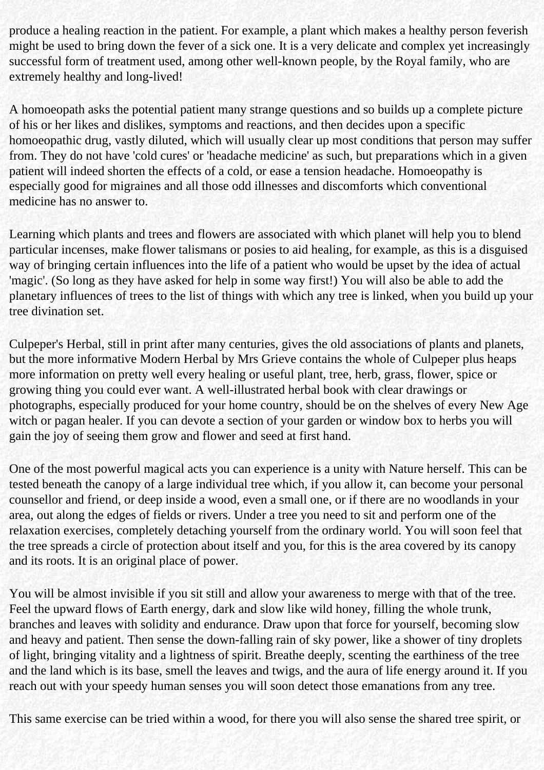produce a healing reaction in the patient. For example, a plant which makes a healthy person feverish might be used to bring down the fever of a sick one. It is a very delicate and complex yet increasingly successful form of treatment used, among other well-known people, by the Royal family, who are extremely healthy and long-lived!

A homoeopath asks the potential patient many strange questions and so builds up a complete picture of his or her likes and dislikes, symptoms and reactions, and then decides upon a specific homoeopathic drug, vastly diluted, which will usually clear up most conditions that person may suffer from. They do not have 'cold cures' or 'headache medicine' as such, but preparations which in a given patient will indeed shorten the effects of a cold, or ease a tension headache. Homoeopathy is especially good for migraines and all those odd illnesses and discomforts which conventional medicine has no answer to.

Learning which plants and trees and flowers are associated with which planet will help you to blend particular incenses, make flower talismans or posies to aid healing, for example, as this is a disguised way of bringing certain influences into the life of a patient who would be upset by the idea of actual 'magic'. (So long as they have asked for help in some way first!) You will also be able to add the planetary influences of trees to the list of things with which any tree is linked, when you build up your tree divination set.

Culpeper's Herbal, still in print after many centuries, gives the old associations of plants and planets, but the more informative Modern Herbal by Mrs Grieve contains the whole of Culpeper plus heaps more information on pretty well every healing or useful plant, tree, herb, grass, flower, spice or growing thing you could ever want. A well-illustrated herbal book with clear drawings or photographs, especially produced for your home country, should be on the shelves of every New Age witch or pagan healer. If you can devote a section of your garden or window box to herbs you will gain the joy of seeing them grow and flower and seed at first hand.

One of the most powerful magical acts you can experience is a unity with Nature herself. This can be tested beneath the canopy of a large individual tree which, if you allow it, can become your personal counsellor and friend, or deep inside a wood, even a small one, or if there are no woodlands in your area, out along the edges of fields or rivers. Under a tree you need to sit and perform one of the relaxation exercises, completely detaching yourself from the ordinary world. You will soon feel that the tree spreads a circle of protection about itself and you, for this is the area covered by its canopy and its roots. It is an original place of power.

You will be almost invisible if you sit still and allow your awareness to merge with that of the tree. Feel the upward flows of Earth energy, dark and slow like wild honey, filling the whole trunk, branches and leaves with solidity and endurance. Draw upon that force for yourself, becoming slow and heavy and patient. Then sense the down-falling rain of sky power, like a shower of tiny droplets of light, bringing vitality and a lightness of spirit. Breathe deeply, scenting the earthiness of the tree and the land which is its base, smell the leaves and twigs, and the aura of life energy around it. If you reach out with your speedy human senses you will soon detect those emanations from any tree.

This same exercise can be tried within a wood, for there you will also sense the shared tree spirit, or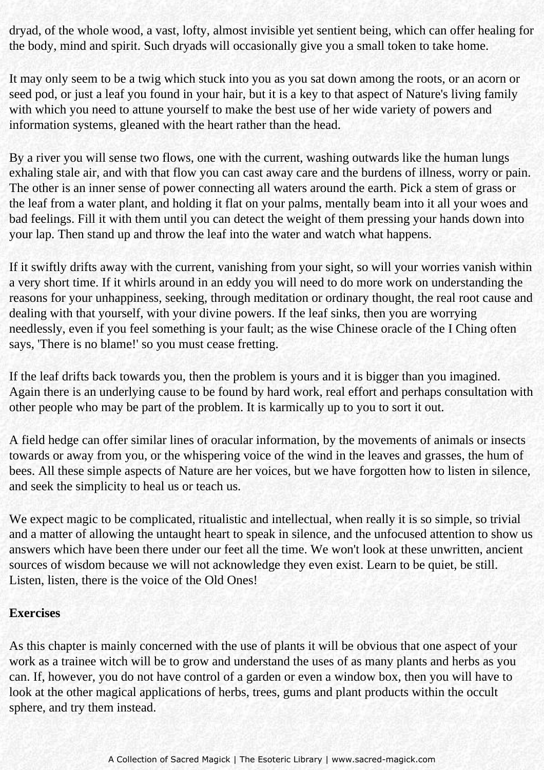dryad, of the whole wood, a vast, lofty, almost invisible yet sentient being, which can offer healing for the body, mind and spirit. Such dryads will occasionally give you a small token to take home.

It may only seem to be a twig which stuck into you as you sat down among the roots, or an acorn or seed pod, or just a leaf you found in your hair, but it is a key to that aspect of Nature's living family with which you need to attune yourself to make the best use of her wide variety of powers and information systems, gleaned with the heart rather than the head.

By a river you will sense two flows, one with the current, washing outwards like the human lungs exhaling stale air, and with that flow you can cast away care and the burdens of illness, worry or pain. The other is an inner sense of power connecting all waters around the earth. Pick a stem of grass or the leaf from a water plant, and holding it flat on your palms, mentally beam into it all your woes and bad feelings. Fill it with them until you can detect the weight of them pressing your hands down into your lap. Then stand up and throw the leaf into the water and watch what happens.

If it swiftly drifts away with the current, vanishing from your sight, so will your worries vanish within a very short time. If it whirls around in an eddy you will need to do more work on understanding the reasons for your unhappiness, seeking, through meditation or ordinary thought, the real root cause and dealing with that yourself, with your divine powers. If the leaf sinks, then you are worrying needlessly, even if you feel something is your fault; as the wise Chinese oracle of the I Ching often says, 'There is no blame!' so you must cease fretting.

If the leaf drifts back towards you, then the problem is yours and it is bigger than you imagined. Again there is an underlying cause to be found by hard work, real effort and perhaps consultation with other people who may be part of the problem. It is karmically up to you to sort it out.

A field hedge can offer similar lines of oracular information, by the movements of animals or insects towards or away from you, or the whispering voice of the wind in the leaves and grasses, the hum of bees. All these simple aspects of Nature are her voices, but we have forgotten how to listen in silence, and seek the simplicity to heal us or teach us.

We expect magic to be complicated, ritualistic and intellectual, when really it is so simple, so trivial and a matter of allowing the untaught heart to speak in silence, and the unfocused attention to show us answers which have been there under our feet all the time. We won't look at these unwritten, ancient sources of wisdom because we will not acknowledge they even exist. Learn to be quiet, be still. Listen, listen, there is the voice of the Old Ones!

### **Exercises**

As this chapter is mainly concerned with the use of plants it will be obvious that one aspect of your work as a trainee witch will be to grow and understand the uses of as many plants and herbs as you can. If, however, you do not have control of a garden or even a window box, then you will have to look at the other magical applications of herbs, trees, gums and plant products within the occult sphere, and try them instead.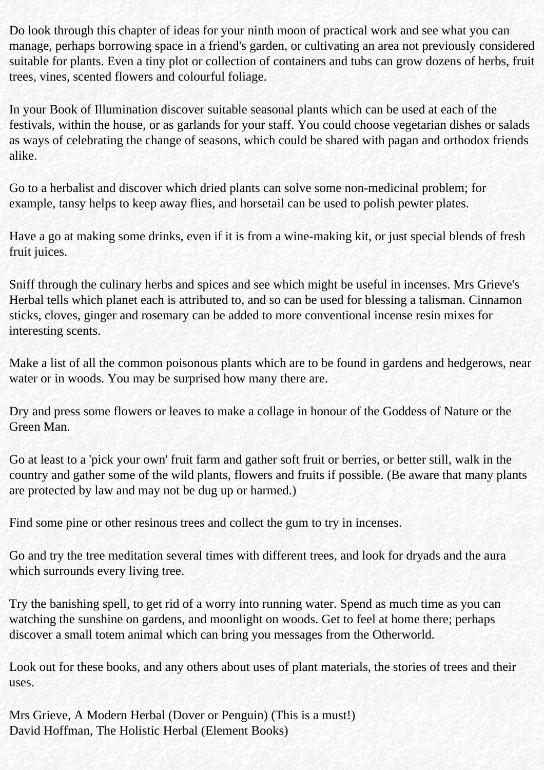Do look through this chapter of ideas for your ninth moon of practical work and see what you can manage, perhaps borrowing space in a friend's garden, or cultivating an area not previously considered suitable for plants. Even a tiny plot or collection of containers and tubs can grow dozens of herbs, fruit trees, vines, scented flowers and colourful foliage.

In your Book of Illumination discover suitable seasonal plants which can be used at each of the festivals, within the house, or as garlands for your staff. You could choose vegetarian dishes or salads as ways of celebrating the change of seasons, which could be shared with pagan and orthodox friends alike.

Go to a herbalist and discover which dried plants can solve some non-medicinal problem; for example, tansy helps to keep away flies, and horsetail can be used to polish pewter plates.

Have a go at making some drinks, even if it is from a wine-making kit, or just special blends of fresh fruit juices.

Sniff through the culinary herbs and spices and see which might be useful in incenses. Mrs Grieve's Herbal tells which planet each is attributed to, and so can be used for blessing a talisman. Cinnamon sticks, cloves, ginger and rosemary can be added to more conventional incense resin mixes for interesting scents.

Make a list of all the common poisonous plants which are to be found in gardens and hedgerows, near water or in woods. You may be surprised how many there are.

Dry and press some flowers or leaves to make a collage in honour of the Goddess of Nature or the Green Man.

Go at least to a 'pick your own' fruit farm and gather soft fruit or berries, or better still, walk in the country and gather some of the wild plants, flowers and fruits if possible. (Be aware that many plants are protected by law and may not be dug up or harmed.)

Find some pine or other resinous trees and collect the gum to try in incenses.

Go and try the tree meditation several times with different trees, and look for dryads and the aura which surrounds every living tree.

Try the banishing spell, to get rid of a worry into running water. Spend as much time as you can watching the sunshine on gardens, and moonlight on woods. Get to feel at home there; perhaps discover a small totem animal which can bring you messages from the Otherworld.

Look out for these books, and any others about uses of plant materials, the stories of trees and their uses.

Mrs Grieve, A Modern Herbal (Dover or Penguin) (This is a must!) David Hoffman, The Holistic Herbal (Element Books)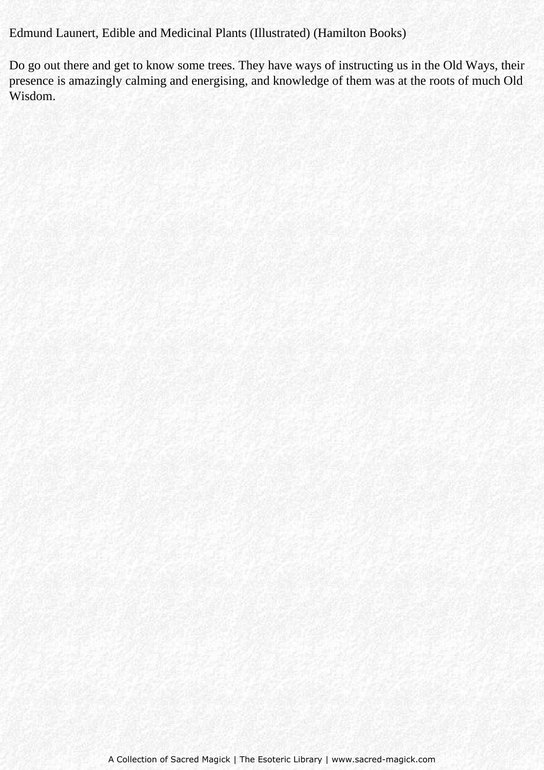Edmund Launert, Edible and Medicinal Plants (Illustrated) (Hamilton Books)

Do go out there and get to know some trees. They have ways of instructing us in the Old Ways, their presence is amazingly calming and energising, and knowledge of them was at the roots of much Old Wisdom.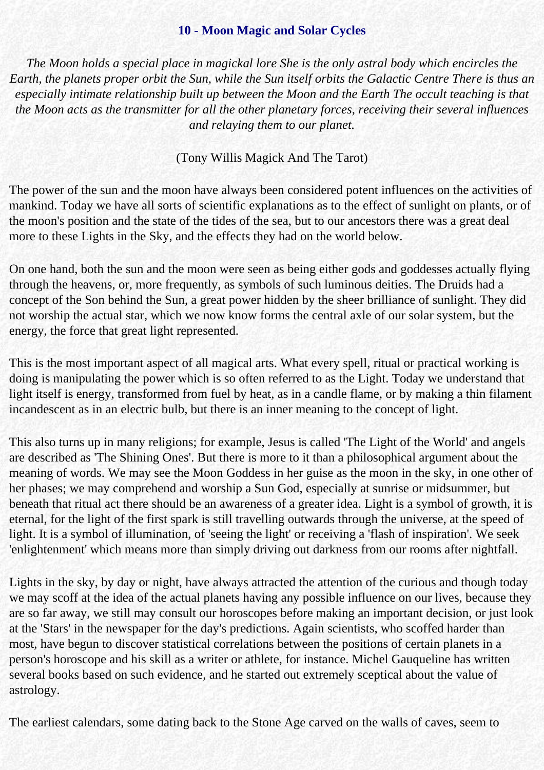### **10 - Moon Magic and Solar Cycles**

*The Moon holds a special place in magickal lore She is the only astral body which encircles the Earth, the planets proper orbit the Sun, while the Sun itself orbits the Galactic Centre There is thus an especially intimate relationship built up between the Moon and the Earth The occult teaching is that the Moon acts as the transmitter for all the other planetary forces, receiving their several influences and relaying them to our planet.*

(Tony Willis Magick And The Tarot)

The power of the sun and the moon have always been considered potent influences on the activities of mankind. Today we have all sorts of scientific explanations as to the effect of sunlight on plants, or of the moon's position and the state of the tides of the sea, but to our ancestors there was a great deal more to these Lights in the Sky, and the effects they had on the world below.

On one hand, both the sun and the moon were seen as being either gods and goddesses actually flying through the heavens, or, more frequently, as symbols of such luminous deities. The Druids had a concept of the Son behind the Sun, a great power hidden by the sheer brilliance of sunlight. They did not worship the actual star, which we now know forms the central axle of our solar system, but the energy, the force that great light represented.

This is the most important aspect of all magical arts. What every spell, ritual or practical working is doing is manipulating the power which is so often referred to as the Light. Today we understand that light itself is energy, transformed from fuel by heat, as in a candle flame, or by making a thin filament incandescent as in an electric bulb, but there is an inner meaning to the concept of light.

This also turns up in many religions; for example, Jesus is called 'The Light of the World' and angels are described as 'The Shining Ones'. But there is more to it than a philosophical argument about the meaning of words. We may see the Moon Goddess in her guise as the moon in the sky, in one other of her phases; we may comprehend and worship a Sun God, especially at sunrise or midsummer, but beneath that ritual act there should be an awareness of a greater idea. Light is a symbol of growth, it is eternal, for the light of the first spark is still travelling outwards through the universe, at the speed of light. It is a symbol of illumination, of 'seeing the light' or receiving a 'flash of inspiration'. We seek 'enlightenment' which means more than simply driving out darkness from our rooms after nightfall.

Lights in the sky, by day or night, have always attracted the attention of the curious and though today we may scoff at the idea of the actual planets having any possible influence on our lives, because they are so far away, we still may consult our horoscopes before making an important decision, or just look at the 'Stars' in the newspaper for the day's predictions. Again scientists, who scoffed harder than most, have begun to discover statistical correlations between the positions of certain planets in a person's horoscope and his skill as a writer or athlete, for instance. Michel Gauqueline has written several books based on such evidence, and he started out extremely sceptical about the value of astrology.

The earliest calendars, some dating back to the Stone Age carved on the walls of caves, seem to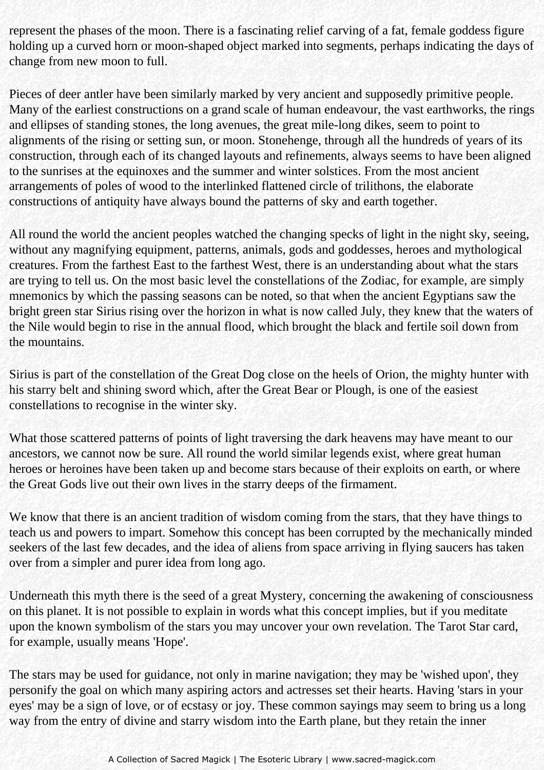represent the phases of the moon. There is a fascinating relief carving of a fat, female goddess figure holding up a curved horn or moon-shaped object marked into segments, perhaps indicating the days of change from new moon to full.

Pieces of deer antler have been similarly marked by very ancient and supposedly primitive people. Many of the earliest constructions on a grand scale of human endeavour, the vast earthworks, the rings and ellipses of standing stones, the long avenues, the great mile-long dikes, seem to point to alignments of the rising or setting sun, or moon. Stonehenge, through all the hundreds of years of its construction, through each of its changed layouts and refinements, always seems to have been aligned to the sunrises at the equinoxes and the summer and winter solstices. From the most ancient arrangements of poles of wood to the interlinked flattened circle of trilithons, the elaborate constructions of antiquity have always bound the patterns of sky and earth together.

All round the world the ancient peoples watched the changing specks of light in the night sky, seeing, without any magnifying equipment, patterns, animals, gods and goddesses, heroes and mythological creatures. From the farthest East to the farthest West, there is an understanding about what the stars are trying to tell us. On the most basic level the constellations of the Zodiac, for example, are simply mnemonics by which the passing seasons can be noted, so that when the ancient Egyptians saw the bright green star Sirius rising over the horizon in what is now called July, they knew that the waters of the Nile would begin to rise in the annual flood, which brought the black and fertile soil down from the mountains.

Sirius is part of the constellation of the Great Dog close on the heels of Orion, the mighty hunter with his starry belt and shining sword which, after the Great Bear or Plough, is one of the easiest constellations to recognise in the winter sky.

What those scattered patterns of points of light traversing the dark heavens may have meant to our ancestors, we cannot now be sure. All round the world similar legends exist, where great human heroes or heroines have been taken up and become stars because of their exploits on earth, or where the Great Gods live out their own lives in the starry deeps of the firmament.

We know that there is an ancient tradition of wisdom coming from the stars, that they have things to teach us and powers to impart. Somehow this concept has been corrupted by the mechanically minded seekers of the last few decades, and the idea of aliens from space arriving in flying saucers has taken over from a simpler and purer idea from long ago.

Underneath this myth there is the seed of a great Mystery, concerning the awakening of consciousness on this planet. It is not possible to explain in words what this concept implies, but if you meditate upon the known symbolism of the stars you may uncover your own revelation. The Tarot Star card, for example, usually means 'Hope'.

The stars may be used for guidance, not only in marine navigation; they may be 'wished upon', they personify the goal on which many aspiring actors and actresses set their hearts. Having 'stars in your eyes' may be a sign of love, or of ecstasy or joy. These common sayings may seem to bring us a long way from the entry of divine and starry wisdom into the Earth plane, but they retain the inner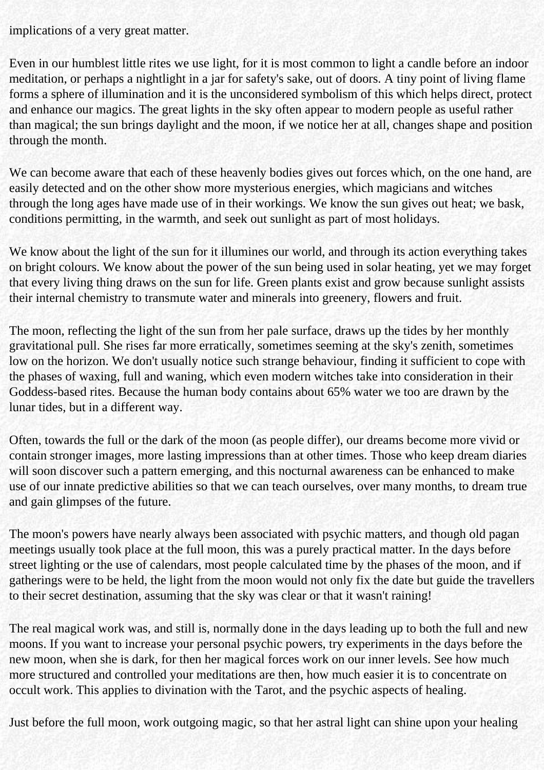implications of a very great matter.

Even in our humblest little rites we use light, for it is most common to light a candle before an indoor meditation, or perhaps a nightlight in a jar for safety's sake, out of doors. A tiny point of living flame forms a sphere of illumination and it is the unconsidered symbolism of this which helps direct, protect and enhance our magics. The great lights in the sky often appear to modern people as useful rather than magical; the sun brings daylight and the moon, if we notice her at all, changes shape and position through the month.

We can become aware that each of these heavenly bodies gives out forces which, on the one hand, are easily detected and on the other show more mysterious energies, which magicians and witches through the long ages have made use of in their workings. We know the sun gives out heat; we bask, conditions permitting, in the warmth, and seek out sunlight as part of most holidays.

We know about the light of the sun for it illumines our world, and through its action everything takes on bright colours. We know about the power of the sun being used in solar heating, yet we may forget that every living thing draws on the sun for life. Green plants exist and grow because sunlight assists their internal chemistry to transmute water and minerals into greenery, flowers and fruit.

The moon, reflecting the light of the sun from her pale surface, draws up the tides by her monthly gravitational pull. She rises far more erratically, sometimes seeming at the sky's zenith, sometimes low on the horizon. We don't usually notice such strange behaviour, finding it sufficient to cope with the phases of waxing, full and waning, which even modern witches take into consideration in their Goddess-based rites. Because the human body contains about 65% water we too are drawn by the lunar tides, but in a different way.

Often, towards the full or the dark of the moon (as people differ), our dreams become more vivid or contain stronger images, more lasting impressions than at other times. Those who keep dream diaries will soon discover such a pattern emerging, and this nocturnal awareness can be enhanced to make use of our innate predictive abilities so that we can teach ourselves, over many months, to dream true and gain glimpses of the future.

The moon's powers have nearly always been associated with psychic matters, and though old pagan meetings usually took place at the full moon, this was a purely practical matter. In the days before street lighting or the use of calendars, most people calculated time by the phases of the moon, and if gatherings were to be held, the light from the moon would not only fix the date but guide the travellers to their secret destination, assuming that the sky was clear or that it wasn't raining!

The real magical work was, and still is, normally done in the days leading up to both the full and new moons. If you want to increase your personal psychic powers, try experiments in the days before the new moon, when she is dark, for then her magical forces work on our inner levels. See how much more structured and controlled your meditations are then, how much easier it is to concentrate on occult work. This applies to divination with the Tarot, and the psychic aspects of healing.

Just before the full moon, work outgoing magic, so that her astral light can shine upon your healing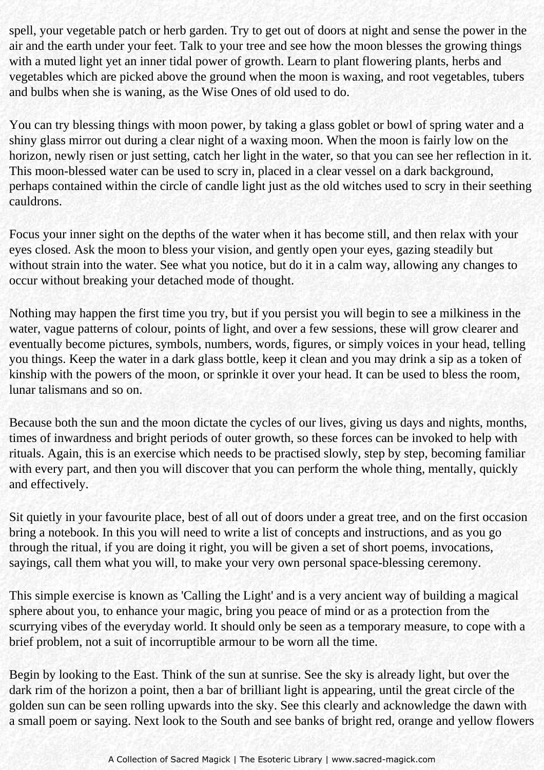spell, your vegetable patch or herb garden. Try to get out of doors at night and sense the power in the air and the earth under your feet. Talk to your tree and see how the moon blesses the growing things with a muted light yet an inner tidal power of growth. Learn to plant flowering plants, herbs and vegetables which are picked above the ground when the moon is waxing, and root vegetables, tubers and bulbs when she is waning, as the Wise Ones of old used to do.

You can try blessing things with moon power, by taking a glass goblet or bowl of spring water and a shiny glass mirror out during a clear night of a waxing moon. When the moon is fairly low on the horizon, newly risen or just setting, catch her light in the water, so that you can see her reflection in it. This moon-blessed water can be used to scry in, placed in a clear vessel on a dark background, perhaps contained within the circle of candle light just as the old witches used to scry in their seething cauldrons.

Focus your inner sight on the depths of the water when it has become still, and then relax with your eyes closed. Ask the moon to bless your vision, and gently open your eyes, gazing steadily but without strain into the water. See what you notice, but do it in a calm way, allowing any changes to occur without breaking your detached mode of thought.

Nothing may happen the first time you try, but if you persist you will begin to see a milkiness in the water, vague patterns of colour, points of light, and over a few sessions, these will grow clearer and eventually become pictures, symbols, numbers, words, figures, or simply voices in your head, telling you things. Keep the water in a dark glass bottle, keep it clean and you may drink a sip as a token of kinship with the powers of the moon, or sprinkle it over your head. It can be used to bless the room, lunar talismans and so on.

Because both the sun and the moon dictate the cycles of our lives, giving us days and nights, months, times of inwardness and bright periods of outer growth, so these forces can be invoked to help with rituals. Again, this is an exercise which needs to be practised slowly, step by step, becoming familiar with every part, and then you will discover that you can perform the whole thing, mentally, quickly and effectively.

Sit quietly in your favourite place, best of all out of doors under a great tree, and on the first occasion bring a notebook. In this you will need to write a list of concepts and instructions, and as you go through the ritual, if you are doing it right, you will be given a set of short poems, invocations, sayings, call them what you will, to make your very own personal space-blessing ceremony.

This simple exercise is known as 'Calling the Light' and is a very ancient way of building a magical sphere about you, to enhance your magic, bring you peace of mind or as a protection from the scurrying vibes of the everyday world. It should only be seen as a temporary measure, to cope with a brief problem, not a suit of incorruptible armour to be worn all the time.

Begin by looking to the East. Think of the sun at sunrise. See the sky is already light, but over the dark rim of the horizon a point, then a bar of brilliant light is appearing, until the great circle of the golden sun can be seen rolling upwards into the sky. See this clearly and acknowledge the dawn with a small poem or saying. Next look to the South and see banks of bright red, orange and yellow flowers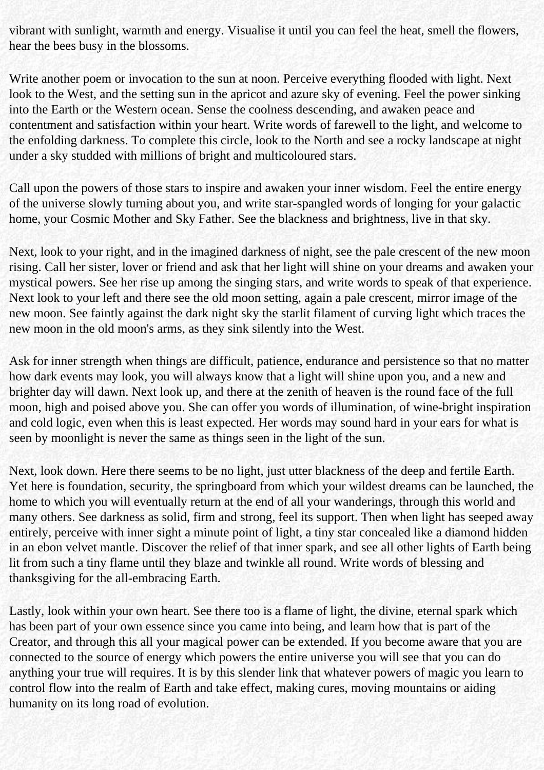vibrant with sunlight, warmth and energy. Visualise it until you can feel the heat, smell the flowers, hear the bees busy in the blossoms.

Write another poem or invocation to the sun at noon. Perceive everything flooded with light. Next look to the West, and the setting sun in the apricot and azure sky of evening. Feel the power sinking into the Earth or the Western ocean. Sense the coolness descending, and awaken peace and contentment and satisfaction within your heart. Write words of farewell to the light, and welcome to the enfolding darkness. To complete this circle, look to the North and see a rocky landscape at night under a sky studded with millions of bright and multicoloured stars.

Call upon the powers of those stars to inspire and awaken your inner wisdom. Feel the entire energy of the universe slowly turning about you, and write star-spangled words of longing for your galactic home, your Cosmic Mother and Sky Father. See the blackness and brightness, live in that sky.

Next, look to your right, and in the imagined darkness of night, see the pale crescent of the new moon rising. Call her sister, lover or friend and ask that her light will shine on your dreams and awaken your mystical powers. See her rise up among the singing stars, and write words to speak of that experience. Next look to your left and there see the old moon setting, again a pale crescent, mirror image of the new moon. See faintly against the dark night sky the starlit filament of curving light which traces the new moon in the old moon's arms, as they sink silently into the West.

Ask for inner strength when things are difficult, patience, endurance and persistence so that no matter how dark events may look, you will always know that a light will shine upon you, and a new and brighter day will dawn. Next look up, and there at the zenith of heaven is the round face of the full moon, high and poised above you. She can offer you words of illumination, of wine-bright inspiration and cold logic, even when this is least expected. Her words may sound hard in your ears for what is seen by moonlight is never the same as things seen in the light of the sun.

Next, look down. Here there seems to be no light, just utter blackness of the deep and fertile Earth. Yet here is foundation, security, the springboard from which your wildest dreams can be launched, the home to which you will eventually return at the end of all your wanderings, through this world and many others. See darkness as solid, firm and strong, feel its support. Then when light has seeped away entirely, perceive with inner sight a minute point of light, a tiny star concealed like a diamond hidden in an ebon velvet mantle. Discover the relief of that inner spark, and see all other lights of Earth being lit from such a tiny flame until they blaze and twinkle all round. Write words of blessing and thanksgiving for the all-embracing Earth.

Lastly, look within your own heart. See there too is a flame of light, the divine, eternal spark which has been part of your own essence since you came into being, and learn how that is part of the Creator, and through this all your magical power can be extended. If you become aware that you are connected to the source of energy which powers the entire universe you will see that you can do anything your true will requires. It is by this slender link that whatever powers of magic you learn to control flow into the realm of Earth and take effect, making cures, moving mountains or aiding humanity on its long road of evolution.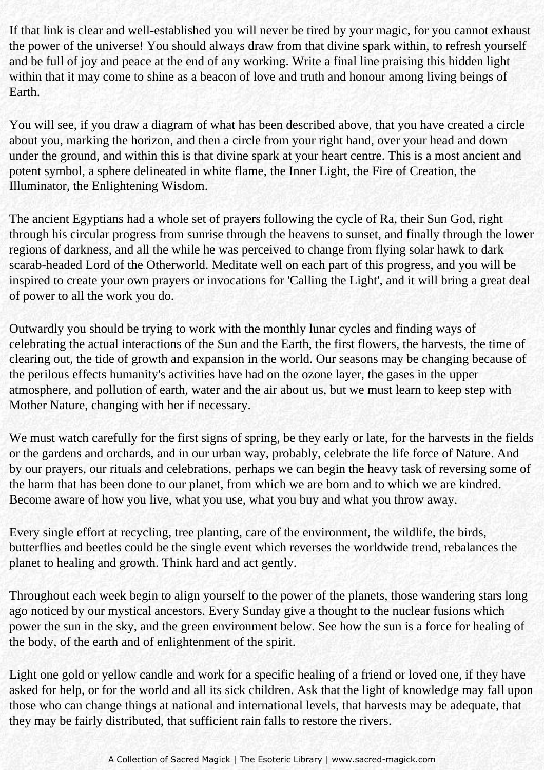If that link is clear and well-established you will never be tired by your magic, for you cannot exhaust the power of the universe! You should always draw from that divine spark within, to refresh yourself and be full of joy and peace at the end of any working. Write a final line praising this hidden light within that it may come to shine as a beacon of love and truth and honour among living beings of Earth.

You will see, if you draw a diagram of what has been described above, that you have created a circle about you, marking the horizon, and then a circle from your right hand, over your head and down under the ground, and within this is that divine spark at your heart centre. This is a most ancient and potent symbol, a sphere delineated in white flame, the Inner Light, the Fire of Creation, the Illuminator, the Enlightening Wisdom.

The ancient Egyptians had a whole set of prayers following the cycle of Ra, their Sun God, right through his circular progress from sunrise through the heavens to sunset, and finally through the lower regions of darkness, and all the while he was perceived to change from flying solar hawk to dark scarab-headed Lord of the Otherworld. Meditate well on each part of this progress, and you will be inspired to create your own prayers or invocations for 'Calling the Light', and it will bring a great deal of power to all the work you do.

Outwardly you should be trying to work with the monthly lunar cycles and finding ways of celebrating the actual interactions of the Sun and the Earth, the first flowers, the harvests, the time of clearing out, the tide of growth and expansion in the world. Our seasons may be changing because of the perilous effects humanity's activities have had on the ozone layer, the gases in the upper atmosphere, and pollution of earth, water and the air about us, but we must learn to keep step with Mother Nature, changing with her if necessary.

We must watch carefully for the first signs of spring, be they early or late, for the harvests in the fields or the gardens and orchards, and in our urban way, probably, celebrate the life force of Nature. And by our prayers, our rituals and celebrations, perhaps we can begin the heavy task of reversing some of the harm that has been done to our planet, from which we are born and to which we are kindred. Become aware of how you live, what you use, what you buy and what you throw away.

Every single effort at recycling, tree planting, care of the environment, the wildlife, the birds, butterflies and beetles could be the single event which reverses the worldwide trend, rebalances the planet to healing and growth. Think hard and act gently.

Throughout each week begin to align yourself to the power of the planets, those wandering stars long ago noticed by our mystical ancestors. Every Sunday give a thought to the nuclear fusions which power the sun in the sky, and the green environment below. See how the sun is a force for healing of the body, of the earth and of enlightenment of the spirit.

Light one gold or yellow candle and work for a specific healing of a friend or loved one, if they have asked for help, or for the world and all its sick children. Ask that the light of knowledge may fall upon those who can change things at national and international levels, that harvests may be adequate, that they may be fairly distributed, that sufficient rain falls to restore the rivers.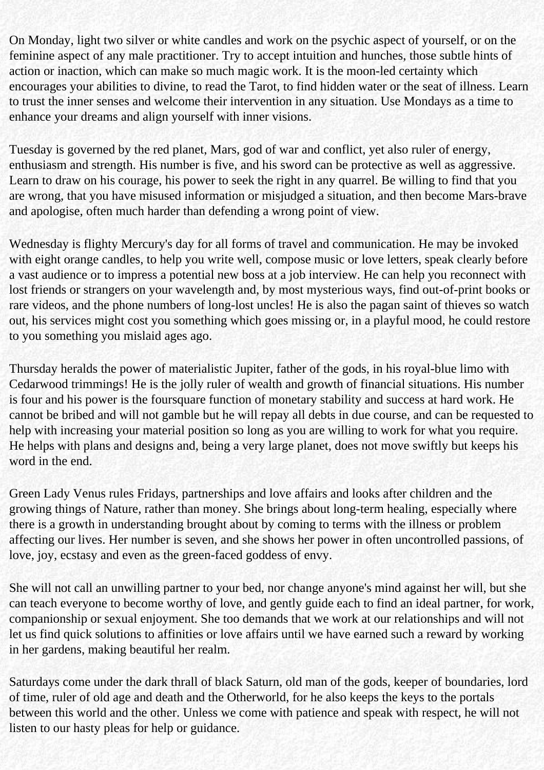On Monday, light two silver or white candles and work on the psychic aspect of yourself, or on the feminine aspect of any male practitioner. Try to accept intuition and hunches, those subtle hints of action or inaction, which can make so much magic work. It is the moon-led certainty which encourages your abilities to divine, to read the Tarot, to find hidden water or the seat of illness. Learn to trust the inner senses and welcome their intervention in any situation. Use Mondays as a time to enhance your dreams and align yourself with inner visions.

Tuesday is governed by the red planet, Mars, god of war and conflict, yet also ruler of energy, enthusiasm and strength. His number is five, and his sword can be protective as well as aggressive. Learn to draw on his courage, his power to seek the right in any quarrel. Be willing to find that you are wrong, that you have misused information or misjudged a situation, and then become Mars-brave and apologise, often much harder than defending a wrong point of view.

Wednesday is flighty Mercury's day for all forms of travel and communication. He may be invoked with eight orange candles, to help you write well, compose music or love letters, speak clearly before a vast audience or to impress a potential new boss at a job interview. He can help you reconnect with lost friends or strangers on your wavelength and, by most mysterious ways, find out-of-print books or rare videos, and the phone numbers of long-lost uncles! He is also the pagan saint of thieves so watch out, his services might cost you something which goes missing or, in a playful mood, he could restore to you something you mislaid ages ago.

Thursday heralds the power of materialistic Jupiter, father of the gods, in his royal-blue limo with Cedarwood trimmings! He is the jolly ruler of wealth and growth of financial situations. His number is four and his power is the foursquare function of monetary stability and success at hard work. He cannot be bribed and will not gamble but he will repay all debts in due course, and can be requested to help with increasing your material position so long as you are willing to work for what you require. He helps with plans and designs and, being a very large planet, does not move swiftly but keeps his word in the end.

Green Lady Venus rules Fridays, partnerships and love affairs and looks after children and the growing things of Nature, rather than money. She brings about long-term healing, especially where there is a growth in understanding brought about by coming to terms with the illness or problem affecting our lives. Her number is seven, and she shows her power in often uncontrolled passions, of love, joy, ecstasy and even as the green-faced goddess of envy.

She will not call an unwilling partner to your bed, nor change anyone's mind against her will, but she can teach everyone to become worthy of love, and gently guide each to find an ideal partner, for work, companionship or sexual enjoyment. She too demands that we work at our relationships and will not let us find quick solutions to affinities or love affairs until we have earned such a reward by working in her gardens, making beautiful her realm.

Saturdays come under the dark thrall of black Saturn, old man of the gods, keeper of boundaries, lord of time, ruler of old age and death and the Otherworld, for he also keeps the keys to the portals between this world and the other. Unless we come with patience and speak with respect, he will not listen to our hasty pleas for help or guidance.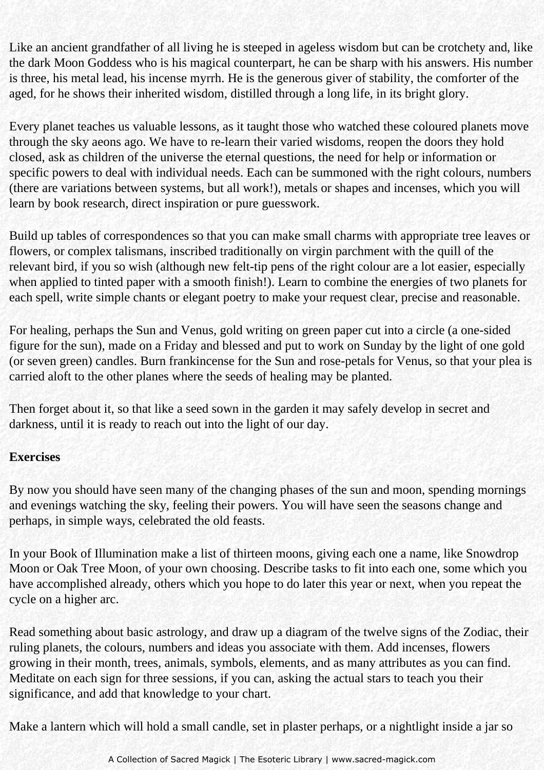Like an ancient grandfather of all living he is steeped in ageless wisdom but can be crotchety and, like the dark Moon Goddess who is his magical counterpart, he can be sharp with his answers. His number is three, his metal lead, his incense myrrh. He is the generous giver of stability, the comforter of the aged, for he shows their inherited wisdom, distilled through a long life, in its bright glory.

Every planet teaches us valuable lessons, as it taught those who watched these coloured planets move through the sky aeons ago. We have to re-learn their varied wisdoms, reopen the doors they hold closed, ask as children of the universe the eternal questions, the need for help or information or specific powers to deal with individual needs. Each can be summoned with the right colours, numbers (there are variations between systems, but all work!), metals or shapes and incenses, which you will learn by book research, direct inspiration or pure guesswork.

Build up tables of correspondences so that you can make small charms with appropriate tree leaves or flowers, or complex talismans, inscribed traditionally on virgin parchment with the quill of the relevant bird, if you so wish (although new felt-tip pens of the right colour are a lot easier, especially when applied to tinted paper with a smooth finish!). Learn to combine the energies of two planets for each spell, write simple chants or elegant poetry to make your request clear, precise and reasonable.

For healing, perhaps the Sun and Venus, gold writing on green paper cut into a circle (a one-sided figure for the sun), made on a Friday and blessed and put to work on Sunday by the light of one gold (or seven green) candles. Burn frankincense for the Sun and rose-petals for Venus, so that your plea is carried aloft to the other planes where the seeds of healing may be planted.

Then forget about it, so that like a seed sown in the garden it may safely develop in secret and darkness, until it is ready to reach out into the light of our day.

# **Exercises**

By now you should have seen many of the changing phases of the sun and moon, spending mornings and evenings watching the sky, feeling their powers. You will have seen the seasons change and perhaps, in simple ways, celebrated the old feasts.

In your Book of Illumination make a list of thirteen moons, giving each one a name, like Snowdrop Moon or Oak Tree Moon, of your own choosing. Describe tasks to fit into each one, some which you have accomplished already, others which you hope to do later this year or next, when you repeat the cycle on a higher arc.

Read something about basic astrology, and draw up a diagram of the twelve signs of the Zodiac, their ruling planets, the colours, numbers and ideas you associate with them. Add incenses, flowers growing in their month, trees, animals, symbols, elements, and as many attributes as you can find. Meditate on each sign for three sessions, if you can, asking the actual stars to teach you their significance, and add that knowledge to your chart.

Make a lantern which will hold a small candle, set in plaster perhaps, or a nightlight inside a jar so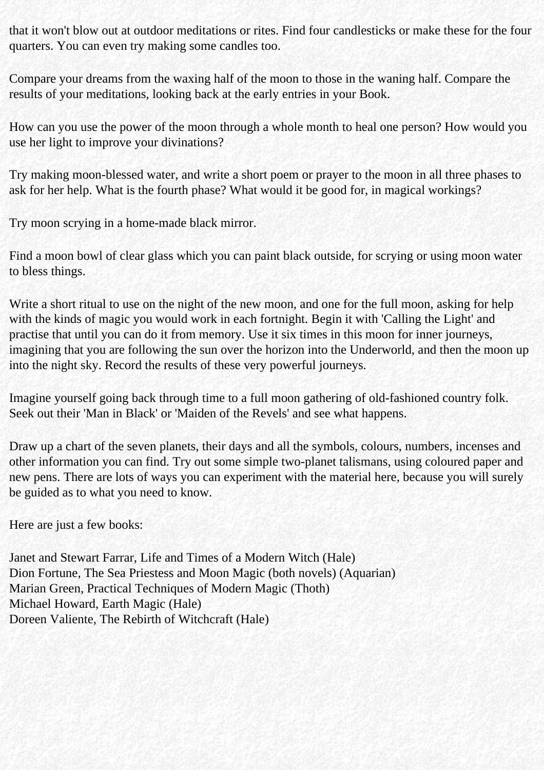that it won't blow out at outdoor meditations or rites. Find four candlesticks or make these for the four quarters. You can even try making some candles too.

Compare your dreams from the waxing half of the moon to those in the waning half. Compare the results of your meditations, looking back at the early entries in your Book.

How can you use the power of the moon through a whole month to heal one person? How would you use her light to improve your divinations?

Try making moon-blessed water, and write a short poem or prayer to the moon in all three phases to ask for her help. What is the fourth phase? What would it be good for, in magical workings?

Try moon scrying in a home-made black mirror.

Find a moon bowl of clear glass which you can paint black outside, for scrying or using moon water to bless things.

Write a short ritual to use on the night of the new moon, and one for the full moon, asking for help with the kinds of magic you would work in each fortnight. Begin it with 'Calling the Light' and practise that until you can do it from memory. Use it six times in this moon for inner journeys, imagining that you are following the sun over the horizon into the Underworld, and then the moon up into the night sky. Record the results of these very powerful journeys.

Imagine yourself going back through time to a full moon gathering of old-fashioned country folk. Seek out their 'Man in Black' or 'Maiden of the Revels' and see what happens.

Draw up a chart of the seven planets, their days and all the symbols, colours, numbers, incenses and other information you can find. Try out some simple two-planet talismans, using coloured paper and new pens. There are lots of ways you can experiment with the material here, because you will surely be guided as to what you need to know.

Here are just a few books:

Janet and Stewart Farrar, Life and Times of a Modern Witch (Hale) Dion Fortune, The Sea Priestess and Moon Magic (both novels) (Aquarian) Marian Green, Practical Techniques of Modern Magic (Thoth) Michael Howard, Earth Magic (Hale) Doreen Valiente, The Rebirth of Witchcraft (Hale)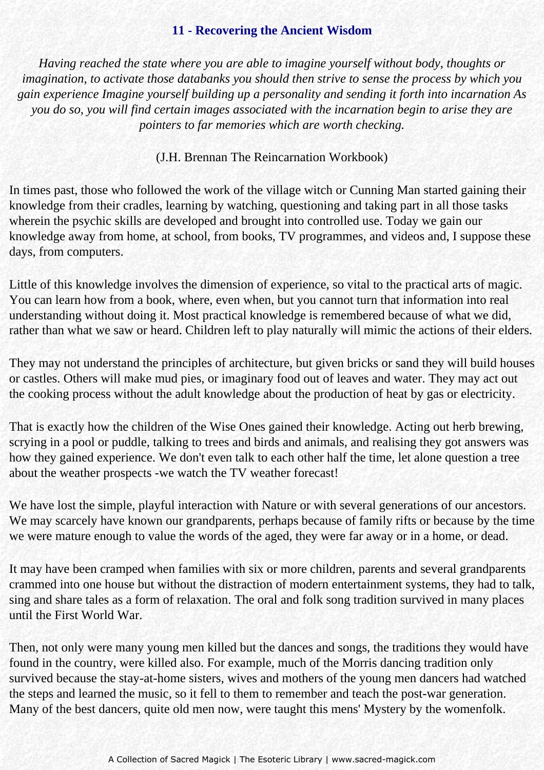### **11 - Recovering the Ancient Wisdom**

*Having reached the state where you are able to imagine yourself without body, thoughts or imagination, to activate those databanks you should then strive to sense the process by which you gain experience Imagine yourself building up a personality and sending it forth into incarnation As you do so, you will find certain images associated with the incarnation begin to arise they are pointers to far memories which are worth checking.*

#### (J.H. Brennan The Reincarnation Workbook)

In times past, those who followed the work of the village witch or Cunning Man started gaining their knowledge from their cradles, learning by watching, questioning and taking part in all those tasks wherein the psychic skills are developed and brought into controlled use. Today we gain our knowledge away from home, at school, from books, TV programmes, and videos and, I suppose these days, from computers.

Little of this knowledge involves the dimension of experience, so vital to the practical arts of magic. You can learn how from a book, where, even when, but you cannot turn that information into real understanding without doing it. Most practical knowledge is remembered because of what we did, rather than what we saw or heard. Children left to play naturally will mimic the actions of their elders.

They may not understand the principles of architecture, but given bricks or sand they will build houses or castles. Others will make mud pies, or imaginary food out of leaves and water. They may act out the cooking process without the adult knowledge about the production of heat by gas or electricity.

That is exactly how the children of the Wise Ones gained their knowledge. Acting out herb brewing, scrying in a pool or puddle, talking to trees and birds and animals, and realising they got answers was how they gained experience. We don't even talk to each other half the time, let alone question a tree about the weather prospects -we watch the TV weather forecast!

We have lost the simple, playful interaction with Nature or with several generations of our ancestors. We may scarcely have known our grandparents, perhaps because of family rifts or because by the time we were mature enough to value the words of the aged, they were far away or in a home, or dead.

It may have been cramped when families with six or more children, parents and several grandparents crammed into one house but without the distraction of modern entertainment systems, they had to talk, sing and share tales as a form of relaxation. The oral and folk song tradition survived in many places until the First World War.

Then, not only were many young men killed but the dances and songs, the traditions they would have found in the country, were killed also. For example, much of the Morris dancing tradition only survived because the stay-at-home sisters, wives and mothers of the young men dancers had watched the steps and learned the music, so it fell to them to remember and teach the post-war generation. Many of the best dancers, quite old men now, were taught this mens' Mystery by the womenfolk.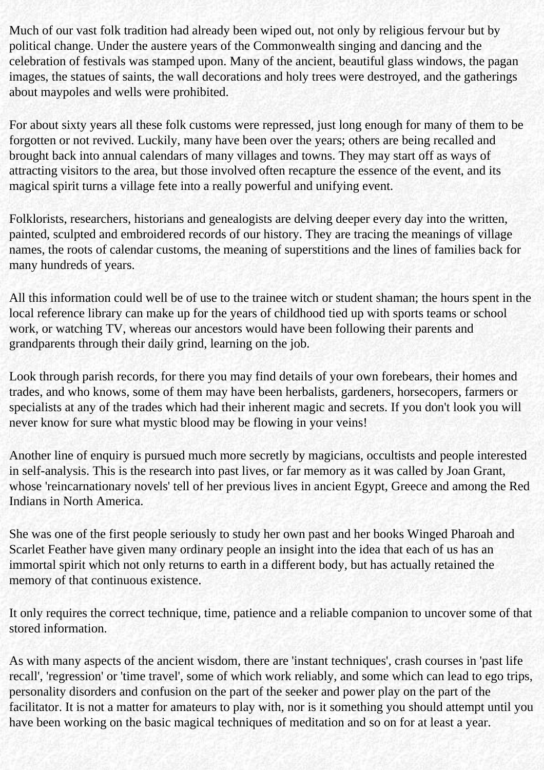Much of our vast folk tradition had already been wiped out, not only by religious fervour but by political change. Under the austere years of the Commonwealth singing and dancing and the celebration of festivals was stamped upon. Many of the ancient, beautiful glass windows, the pagan images, the statues of saints, the wall decorations and holy trees were destroyed, and the gatherings about maypoles and wells were prohibited.

For about sixty years all these folk customs were repressed, just long enough for many of them to be forgotten or not revived. Luckily, many have been over the years; others are being recalled and brought back into annual calendars of many villages and towns. They may start off as ways of attracting visitors to the area, but those involved often recapture the essence of the event, and its magical spirit turns a village fete into a really powerful and unifying event.

Folklorists, researchers, historians and genealogists are delving deeper every day into the written, painted, sculpted and embroidered records of our history. They are tracing the meanings of village names, the roots of calendar customs, the meaning of superstitions and the lines of families back for many hundreds of years.

All this information could well be of use to the trainee witch or student shaman; the hours spent in the local reference library can make up for the years of childhood tied up with sports teams or school work, or watching TV, whereas our ancestors would have been following their parents and grandparents through their daily grind, learning on the job.

Look through parish records, for there you may find details of your own forebears, their homes and trades, and who knows, some of them may have been herbalists, gardeners, horsecopers, farmers or specialists at any of the trades which had their inherent magic and secrets. If you don't look you will never know for sure what mystic blood may be flowing in your veins!

Another line of enquiry is pursued much more secretly by magicians, occultists and people interested in self-analysis. This is the research into past lives, or far memory as it was called by Joan Grant, whose 'reincarnationary novels' tell of her previous lives in ancient Egypt, Greece and among the Red Indians in North America.

She was one of the first people seriously to study her own past and her books Winged Pharoah and Scarlet Feather have given many ordinary people an insight into the idea that each of us has an immortal spirit which not only returns to earth in a different body, but has actually retained the memory of that continuous existence.

It only requires the correct technique, time, patience and a reliable companion to uncover some of that stored information.

As with many aspects of the ancient wisdom, there are 'instant techniques', crash courses in 'past life recall', 'regression' or 'time travel', some of which work reliably, and some which can lead to ego trips, personality disorders and confusion on the part of the seeker and power play on the part of the facilitator. It is not a matter for amateurs to play with, nor is it something you should attempt until you have been working on the basic magical techniques of meditation and so on for at least a year.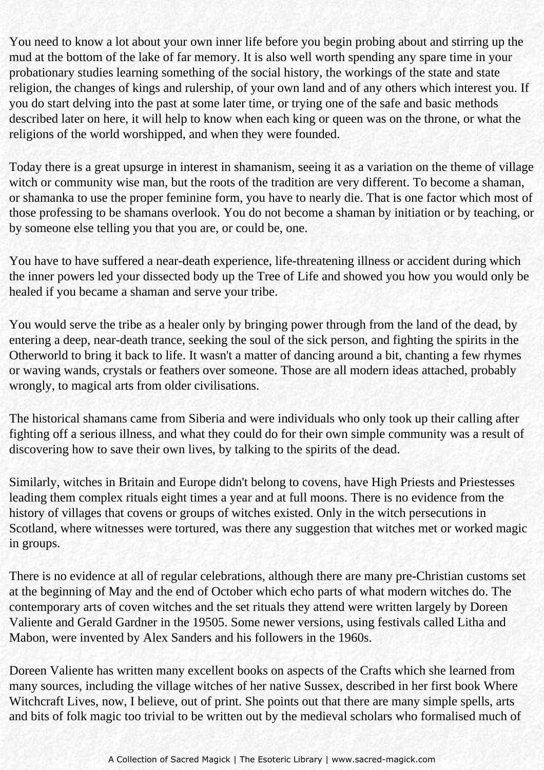You need to know a lot about your own inner life before you begin probing about and stirring up the mud at the bottom of the lake of far memory. It is also well worth spending any spare time in your probationary studies learning something of the social history, the workings of the state and state religion, the changes of kings and rulership, of your own land and of any others which interest you. If you do start delving into the past at some later time, or trying one of the safe and basic methods described later on here, it will help to know when each king or queen was on the throne, or what the religions of the world worshipped, and when they were founded.

Today there is a great upsurge in interest in shamanism, seeing it as a variation on the theme of village witch or community wise man, but the roots of the tradition are very different. To become a shaman, or shamanka to use the proper feminine form, you have to nearly die. That is one factor which most of those professing to be shamans overlook. You do not become a shaman by initiation or by teaching, or by someone else telling you that you are, or could be, one.

You have to have suffered a near-death experience, life-threatening illness or accident during which the inner powers led your dissected body up the Tree of Life and showed you how you would only be healed if you became a shaman and serve your tribe.

You would serve the tribe as a healer only by bringing power through from the land of the dead, by entering a deep, near-death trance, seeking the soul of the sick person, and fighting the spirits in the Otherworld to bring it back to life. It wasn't a matter of dancing around a bit, chanting a few rhymes or waving wands, crystals or feathers over someone. Those are all modern ideas attached, probably wrongly, to magical arts from older civilisations.

The historical shamans came from Siberia and were individuals who only took up their calling after fighting off a serious illness, and what they could do for their own simple community was a result of discovering how to save their own lives, by talking to the spirits of the dead.

Similarly, witches in Britain and Europe didn't belong to covens, have High Priests and Priestesses leading them complex rituals eight times a year and at full moons. There is no evidence from the history of villages that covens or groups of witches existed. Only in the witch persecutions in Scotland, where witnesses were tortured, was there any suggestion that witches met or worked magic in groups.

There is no evidence at all of regular celebrations, although there are many pre-Christian customs set at the beginning of May and the end of October which echo parts of what modern witches do. The contemporary arts of coven witches and the set rituals they attend were written largely by Doreen Valiente and Gerald Gardner in the 19505. Some newer versions, using festivals called Litha and Mabon, were invented by Alex Sanders and his followers in the 1960s.

Doreen Valiente has written many excellent books on aspects of the Crafts which she learned from many sources, including the village witches of her native Sussex, described in her first book Where Witchcraft Lives, now, I believe, out of print. She points out that there are many simple spells, arts and bits of folk magic too trivial to be written out by the medieval scholars who formalised much of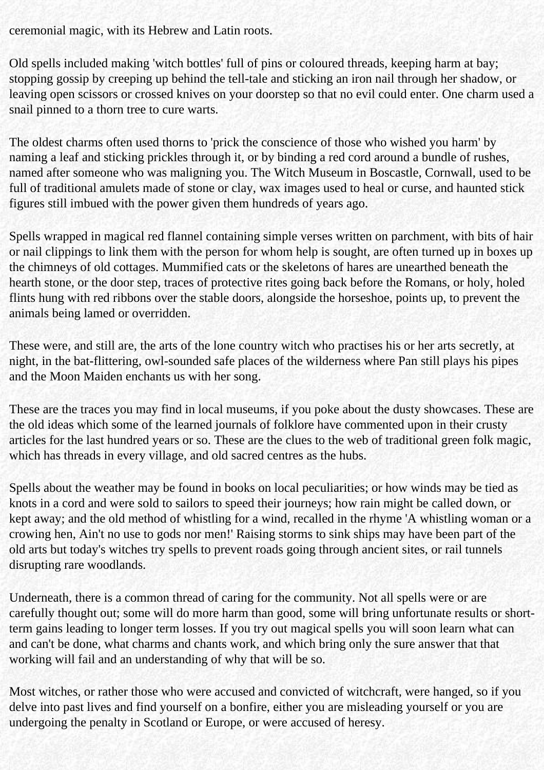ceremonial magic, with its Hebrew and Latin roots.

Old spells included making 'witch bottles' full of pins or coloured threads, keeping harm at bay; stopping gossip by creeping up behind the tell-tale and sticking an iron nail through her shadow, or leaving open scissors or crossed knives on your doorstep so that no evil could enter. One charm used a snail pinned to a thorn tree to cure warts.

The oldest charms often used thorns to 'prick the conscience of those who wished you harm' by naming a leaf and sticking prickles through it, or by binding a red cord around a bundle of rushes, named after someone who was maligning you. The Witch Museum in Boscastle, Cornwall, used to be full of traditional amulets made of stone or clay, wax images used to heal or curse, and haunted stick figures still imbued with the power given them hundreds of years ago.

Spells wrapped in magical red flannel containing simple verses written on parchment, with bits of hair or nail clippings to link them with the person for whom help is sought, are often turned up in boxes up the chimneys of old cottages. Mummified cats or the skeletons of hares are unearthed beneath the hearth stone, or the door step, traces of protective rites going back before the Romans, or holy, holed flints hung with red ribbons over the stable doors, alongside the horseshoe, points up, to prevent the animals being lamed or overridden.

These were, and still are, the arts of the lone country witch who practises his or her arts secretly, at night, in the bat-flittering, owl-sounded safe places of the wilderness where Pan still plays his pipes and the Moon Maiden enchants us with her song.

These are the traces you may find in local museums, if you poke about the dusty showcases. These are the old ideas which some of the learned journals of folklore have commented upon in their crusty articles for the last hundred years or so. These are the clues to the web of traditional green folk magic, which has threads in every village, and old sacred centres as the hubs.

Spells about the weather may be found in books on local peculiarities; or how winds may be tied as knots in a cord and were sold to sailors to speed their journeys; how rain might be called down, or kept away; and the old method of whistling for a wind, recalled in the rhyme 'A whistling woman or a crowing hen, Ain't no use to gods nor men!' Raising storms to sink ships may have been part of the old arts but today's witches try spells to prevent roads going through ancient sites, or rail tunnels disrupting rare woodlands.

Underneath, there is a common thread of caring for the community. Not all spells were or are carefully thought out; some will do more harm than good, some will bring unfortunate results or shortterm gains leading to longer term losses. If you try out magical spells you will soon learn what can and can't be done, what charms and chants work, and which bring only the sure answer that that working will fail and an understanding of why that will be so.

Most witches, or rather those who were accused and convicted of witchcraft, were hanged, so if you delve into past lives and find yourself on a bonfire, either you are misleading yourself or you are undergoing the penalty in Scotland or Europe, or were accused of heresy.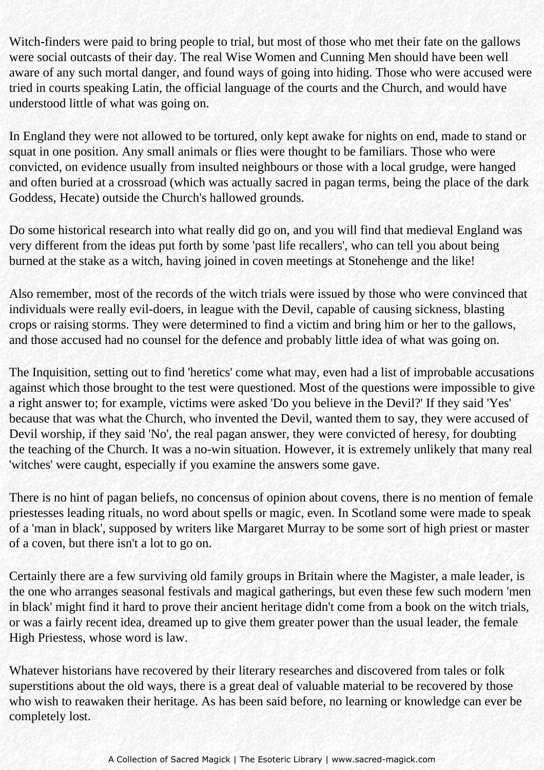Witch-finders were paid to bring people to trial, but most of those who met their fate on the gallows were social outcasts of their day. The real Wise Women and Cunning Men should have been well aware of any such mortal danger, and found ways of going into hiding. Those who were accused were tried in courts speaking Latin, the official language of the courts and the Church, and would have understood little of what was going on.

In England they were not allowed to be tortured, only kept awake for nights on end, made to stand or squat in one position. Any small animals or flies were thought to be familiars. Those who were convicted, on evidence usually from insulted neighbours or those with a local grudge, were hanged and often buried at a crossroad (which was actually sacred in pagan terms, being the place of the dark Goddess, Hecate) outside the Church's hallowed grounds.

Do some historical research into what really did go on, and you will find that medieval England was very different from the ideas put forth by some 'past life recallers', who can tell you about being burned at the stake as a witch, having joined in coven meetings at Stonehenge and the like!

Also remember, most of the records of the witch trials were issued by those who were convinced that individuals were really evil-doers, in league with the Devil, capable of causing sickness, blasting crops or raising storms. They were determined to find a victim and bring him or her to the gallows, and those accused had no counsel for the defence and probably little idea of what was going on.

The Inquisition, setting out to find 'heretics' come what may, even had a list of improbable accusations against which those brought to the test were questioned. Most of the questions were impossible to give a right answer to; for example, victims were asked 'Do you believe in the Devil?' If they said 'Yes' because that was what the Church, who invented the Devil, wanted them to say, they were accused of Devil worship, if they said 'No', the real pagan answer, they were convicted of heresy, for doubting the teaching of the Church. It was a no-win situation. However, it is extremely unlikely that many real 'witches' were caught, especially if you examine the answers some gave.

There is no hint of pagan beliefs, no concensus of opinion about covens, there is no mention of female priestesses leading rituals, no word about spells or magic, even. In Scotland some were made to speak of a 'man in black', supposed by writers like Margaret Murray to be some sort of high priest or master of a coven, but there isn't a lot to go on.

Certainly there are a few surviving old family groups in Britain where the Magister, a male leader, is the one who arranges seasonal festivals and magical gatherings, but even these few such modern 'men in black' might find it hard to prove their ancient heritage didn't come from a book on the witch trials, or was a fairly recent idea, dreamed up to give them greater power than the usual leader, the female High Priestess, whose word is law.

Whatever historians have recovered by their literary researches and discovered from tales or folk superstitions about the old ways, there is a great deal of valuable material to be recovered by those who wish to reawaken their heritage. As has been said before, no learning or knowledge can ever be completely lost.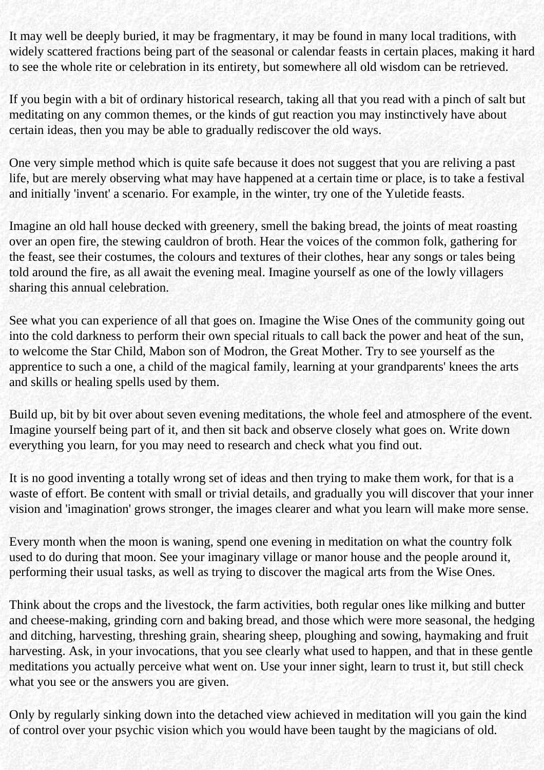It may well be deeply buried, it may be fragmentary, it may be found in many local traditions, with widely scattered fractions being part of the seasonal or calendar feasts in certain places, making it hard to see the whole rite or celebration in its entirety, but somewhere all old wisdom can be retrieved.

If you begin with a bit of ordinary historical research, taking all that you read with a pinch of salt but meditating on any common themes, or the kinds of gut reaction you may instinctively have about certain ideas, then you may be able to gradually rediscover the old ways.

One very simple method which is quite safe because it does not suggest that you are reliving a past life, but are merely observing what may have happened at a certain time or place, is to take a festival and initially 'invent' a scenario. For example, in the winter, try one of the Yuletide feasts.

Imagine an old hall house decked with greenery, smell the baking bread, the joints of meat roasting over an open fire, the stewing cauldron of broth. Hear the voices of the common folk, gathering for the feast, see their costumes, the colours and textures of their clothes, hear any songs or tales being told around the fire, as all await the evening meal. Imagine yourself as one of the lowly villagers sharing this annual celebration.

See what you can experience of all that goes on. Imagine the Wise Ones of the community going out into the cold darkness to perform their own special rituals to call back the power and heat of the sun, to welcome the Star Child, Mabon son of Modron, the Great Mother. Try to see yourself as the apprentice to such a one, a child of the magical family, learning at your grandparents' knees the arts and skills or healing spells used by them.

Build up, bit by bit over about seven evening meditations, the whole feel and atmosphere of the event. Imagine yourself being part of it, and then sit back and observe closely what goes on. Write down everything you learn, for you may need to research and check what you find out.

It is no good inventing a totally wrong set of ideas and then trying to make them work, for that is a waste of effort. Be content with small or trivial details, and gradually you will discover that your inner vision and 'imagination' grows stronger, the images clearer and what you learn will make more sense.

Every month when the moon is waning, spend one evening in meditation on what the country folk used to do during that moon. See your imaginary village or manor house and the people around it, performing their usual tasks, as well as trying to discover the magical arts from the Wise Ones.

Think about the crops and the livestock, the farm activities, both regular ones like milking and butter and cheese-making, grinding corn and baking bread, and those which were more seasonal, the hedging and ditching, harvesting, threshing grain, shearing sheep, ploughing and sowing, haymaking and fruit harvesting. Ask, in your invocations, that you see clearly what used to happen, and that in these gentle meditations you actually perceive what went on. Use your inner sight, learn to trust it, but still check what you see or the answers you are given.

Only by regularly sinking down into the detached view achieved in meditation will you gain the kind of control over your psychic vision which you would have been taught by the magicians of old.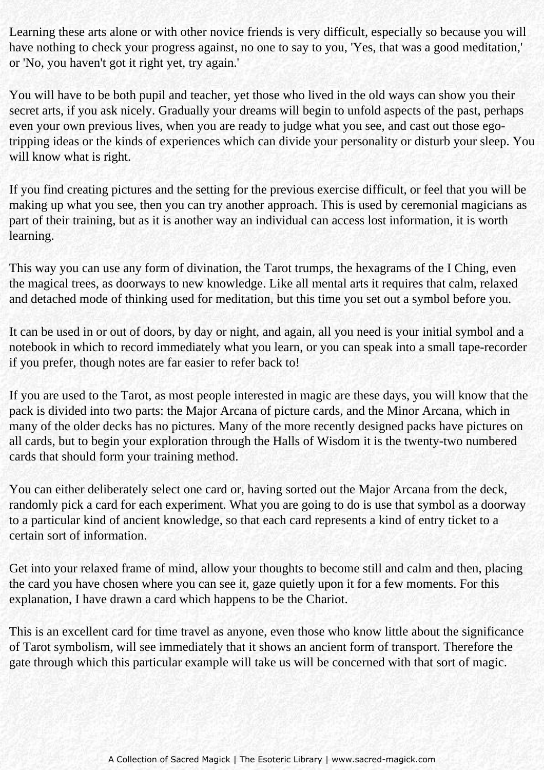Learning these arts alone or with other novice friends is very difficult, especially so because you will have nothing to check your progress against, no one to say to you, 'Yes, that was a good meditation,' or 'No, you haven't got it right yet, try again.'

You will have to be both pupil and teacher, yet those who lived in the old ways can show you their secret arts, if you ask nicely. Gradually your dreams will begin to unfold aspects of the past, perhaps even your own previous lives, when you are ready to judge what you see, and cast out those egotripping ideas or the kinds of experiences which can divide your personality or disturb your sleep. You will know what is right.

If you find creating pictures and the setting for the previous exercise difficult, or feel that you will be making up what you see, then you can try another approach. This is used by ceremonial magicians as part of their training, but as it is another way an individual can access lost information, it is worth learning.

This way you can use any form of divination, the Tarot trumps, the hexagrams of the I Ching, even the magical trees, as doorways to new knowledge. Like all mental arts it requires that calm, relaxed and detached mode of thinking used for meditation, but this time you set out a symbol before you.

It can be used in or out of doors, by day or night, and again, all you need is your initial symbol and a notebook in which to record immediately what you learn, or you can speak into a small tape-recorder if you prefer, though notes are far easier to refer back to!

If you are used to the Tarot, as most people interested in magic are these days, you will know that the pack is divided into two parts: the Major Arcana of picture cards, and the Minor Arcana, which in many of the older decks has no pictures. Many of the more recently designed packs have pictures on all cards, but to begin your exploration through the Halls of Wisdom it is the twenty-two numbered cards that should form your training method.

You can either deliberately select one card or, having sorted out the Major Arcana from the deck, randomly pick a card for each experiment. What you are going to do is use that symbol as a doorway to a particular kind of ancient knowledge, so that each card represents a kind of entry ticket to a certain sort of information.

Get into your relaxed frame of mind, allow your thoughts to become still and calm and then, placing the card you have chosen where you can see it, gaze quietly upon it for a few moments. For this explanation, I have drawn a card which happens to be the Chariot.

This is an excellent card for time travel as anyone, even those who know little about the significance of Tarot symbolism, will see immediately that it shows an ancient form of transport. Therefore the gate through which this particular example will take us will be concerned with that sort of magic.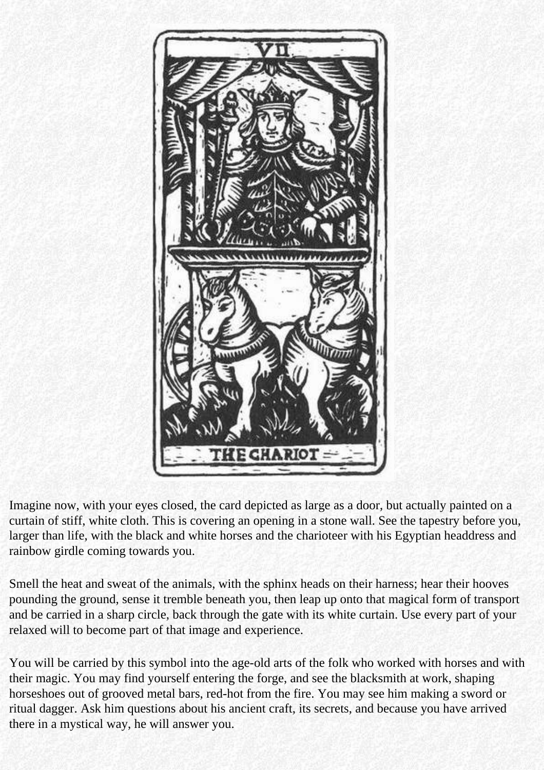

Imagine now, with your eyes closed, the card depicted as large as a door, but actually painted on a curtain of stiff, white cloth. This is covering an opening in a stone wall. See the tapestry before you, larger than life, with the black and white horses and the charioteer with his Egyptian headdress and rainbow girdle coming towards you.

Smell the heat and sweat of the animals, with the sphinx heads on their harness; hear their hooves pounding the ground, sense it tremble beneath you, then leap up onto that magical form of transport and be carried in a sharp circle, back through the gate with its white curtain. Use every part of your relaxed will to become part of that image and experience.

You will be carried by this symbol into the age-old arts of the folk who worked with horses and with their magic. You may find yourself entering the forge, and see the blacksmith at work, shaping horseshoes out of grooved metal bars, red-hot from the fire. You may see him making a sword or ritual dagger. Ask him questions about his ancient craft, its secrets, and because you have arrived there in a mystical way, he will answer you.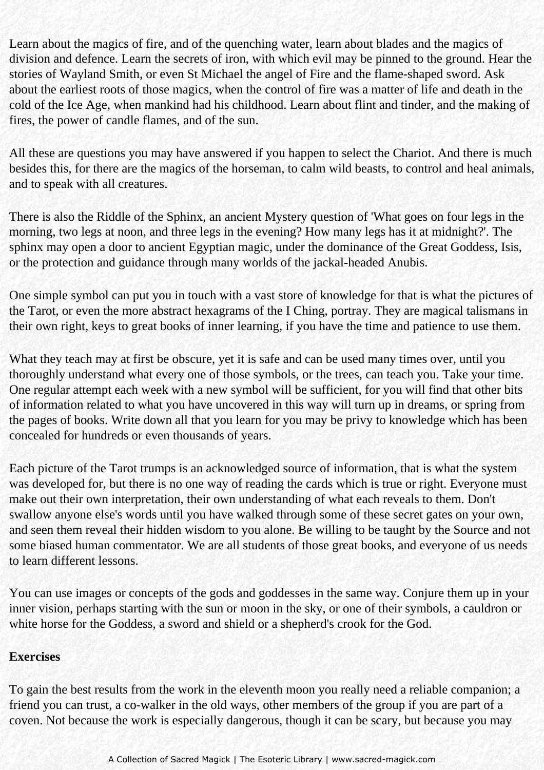Learn about the magics of fire, and of the quenching water, learn about blades and the magics of division and defence. Learn the secrets of iron, with which evil may be pinned to the ground. Hear the stories of Wayland Smith, or even St Michael the angel of Fire and the flame-shaped sword. Ask about the earliest roots of those magics, when the control of fire was a matter of life and death in the cold of the Ice Age, when mankind had his childhood. Learn about flint and tinder, and the making of fires, the power of candle flames, and of the sun.

All these are questions you may have answered if you happen to select the Chariot. And there is much besides this, for there are the magics of the horseman, to calm wild beasts, to control and heal animals, and to speak with all creatures.

There is also the Riddle of the Sphinx, an ancient Mystery question of 'What goes on four legs in the morning, two legs at noon, and three legs in the evening? How many legs has it at midnight?'. The sphinx may open a door to ancient Egyptian magic, under the dominance of the Great Goddess, Isis, or the protection and guidance through many worlds of the jackal-headed Anubis.

One simple symbol can put you in touch with a vast store of knowledge for that is what the pictures of the Tarot, or even the more abstract hexagrams of the I Ching, portray. They are magical talismans in their own right, keys to great books of inner learning, if you have the time and patience to use them.

What they teach may at first be obscure, yet it is safe and can be used many times over, until you thoroughly understand what every one of those symbols, or the trees, can teach you. Take your time. One regular attempt each week with a new symbol will be sufficient, for you will find that other bits of information related to what you have uncovered in this way will turn up in dreams, or spring from the pages of books. Write down all that you learn for you may be privy to knowledge which has been concealed for hundreds or even thousands of years.

Each picture of the Tarot trumps is an acknowledged source of information, that is what the system was developed for, but there is no one way of reading the cards which is true or right. Everyone must make out their own interpretation, their own understanding of what each reveals to them. Don't swallow anyone else's words until you have walked through some of these secret gates on your own, and seen them reveal their hidden wisdom to you alone. Be willing to be taught by the Source and not some biased human commentator. We are all students of those great books, and everyone of us needs to learn different lessons.

You can use images or concepts of the gods and goddesses in the same way. Conjure them up in your inner vision, perhaps starting with the sun or moon in the sky, or one of their symbols, a cauldron or white horse for the Goddess, a sword and shield or a shepherd's crook for the God.

# **Exercises**

To gain the best results from the work in the eleventh moon you really need a reliable companion; a friend you can trust, a co-walker in the old ways, other members of the group if you are part of a coven. Not because the work is especially dangerous, though it can be scary, but because you may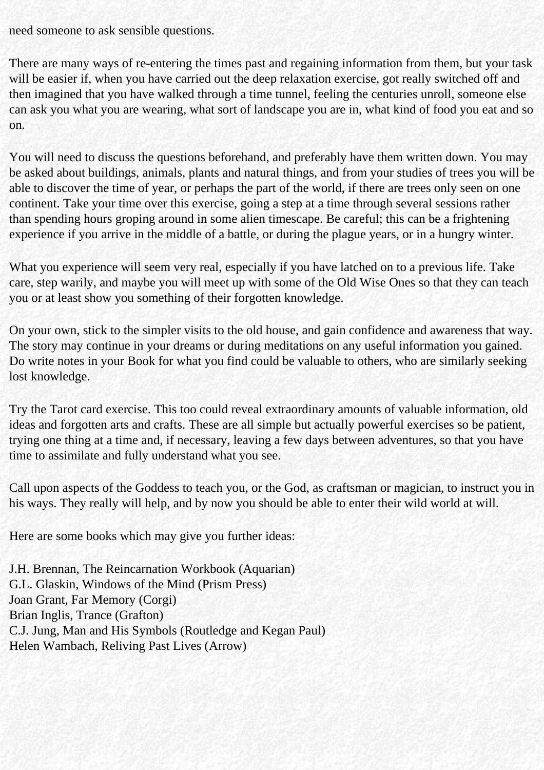need someone to ask sensible questions.

There are many ways of re-entering the times past and regaining information from them, but your task will be easier if, when you have carried out the deep relaxation exercise, got really switched off and then imagined that you have walked through a time tunnel, feeling the centuries unroll, someone else can ask you what you are wearing, what sort of landscape you are in, what kind of food you eat and so on.

You will need to discuss the questions beforehand, and preferably have them written down. You may be asked about buildings, animals, plants and natural things, and from your studies of trees you will be able to discover the time of year, or perhaps the part of the world, if there are trees only seen on one continent. Take your time over this exercise, going a step at a time through several sessions rather than spending hours groping around in some alien timescape. Be careful; this can be a frightening experience if you arrive in the middle of a battle, or during the plague years, or in a hungry winter.

What you experience will seem very real, especially if you have latched on to a previous life. Take care, step warily, and maybe you will meet up with some of the Old Wise Ones so that they can teach you or at least show you something of their forgotten knowledge.

On your own, stick to the simpler visits to the old house, and gain confidence and awareness that way. The story may continue in your dreams or during meditations on any useful information you gained. Do write notes in your Book for what you find could be valuable to others, who are similarly seeking lost knowledge.

Try the Tarot card exercise. This too could reveal extraordinary amounts of valuable information, old ideas and forgotten arts and crafts. These are all simple but actually powerful exercises so be patient, trying one thing at a time and, if necessary, leaving a few days between adventures, so that you have time to assimilate and fully understand what you see.

Call upon aspects of the Goddess to teach you, or the God, as craftsman or magician, to instruct you in his ways. They really will help, and by now you should be able to enter their wild world at will.

Here are some books which may give you further ideas:

J.H. Brennan, The Reincarnation Workbook (Aquarian) G.L. Glaskin, Windows of the Mind (Prism Press) Joan Grant, Far Memory (Corgi) Brian Inglis, Trance (Grafton) C.J. Jung, Man and His Symbols (Routledge and Kegan Paul) Helen Wambach, Reliving Past Lives (Arrow)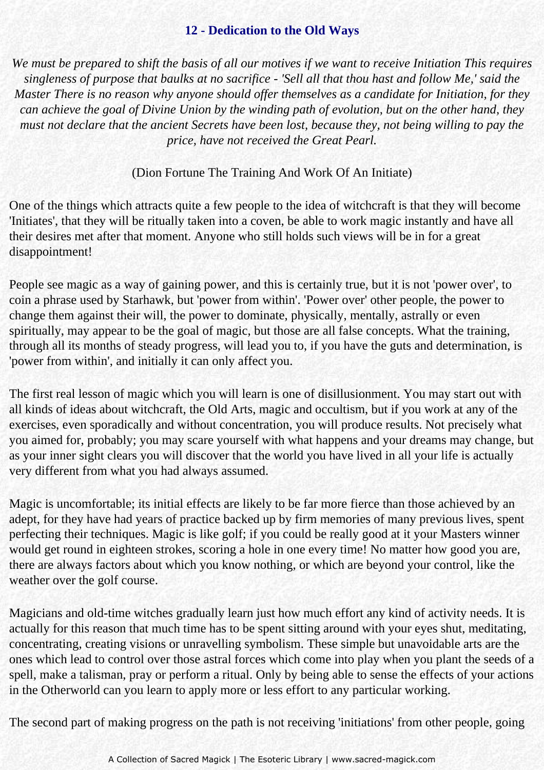### **12 - Dedication to the Old Ways**

*We must be prepared to shift the basis of all our motives if we want to receive Initiation This requires singleness of purpose that baulks at no sacrifice - 'Sell all that thou hast and follow Me,' said the Master There is no reason why anyone should offer themselves as a candidate for Initiation, for they can achieve the goal of Divine Union by the winding path of evolution, but on the other hand, they must not declare that the ancient Secrets have been lost, because they, not being willing to pay the price, have not received the Great Pearl.*

(Dion Fortune The Training And Work Of An Initiate)

One of the things which attracts quite a few people to the idea of witchcraft is that they will become Initiates', that they will be ritually taken into a coven, be able to work magic instantly and have all their desires met after that moment. Anyone who still holds such views will be in for a great disappointment!

People see magic as a way of gaining power, and this is certainly true, but it is not 'power over', to coin a phrase used by Starhawk, but 'power from within'. 'Power over' other people, the power to change them against their will, the power to dominate, physically, mentally, astrally or even spiritually, may appear to be the goal of magic, but those are all false concepts. What the training, through all its months of steady progress, will lead you to, if you have the guts and determination, is 'power from within', and initially it can only affect you.

The first real lesson of magic which you will learn is one of disillusionment. You may start out with all kinds of ideas about witchcraft, the Old Arts, magic and occultism, but if you work at any of the exercises, even sporadically and without concentration, you will produce results. Not precisely what you aimed for, probably; you may scare yourself with what happens and your dreams may change, but as your inner sight clears you will discover that the world you have lived in all your life is actually very different from what you had always assumed.

Magic is uncomfortable; its initial effects are likely to be far more fierce than those achieved by an adept, for they have had years of practice backed up by firm memories of many previous lives, spent perfecting their techniques. Magic is like golf; if you could be really good at it your Masters winner would get round in eighteen strokes, scoring a hole in one every time! No matter how good you are, there are always factors about which you know nothing, or which are beyond your control, like the weather over the golf course.

Magicians and old-time witches gradually learn just how much effort any kind of activity needs. It is actually for this reason that much time has to be spent sitting around with your eyes shut, meditating, concentrating, creating visions or unravelling symbolism. These simple but unavoidable arts are the ones which lead to control over those astral forces which come into play when you plant the seeds of a spell, make a talisman, pray or perform a ritual. Only by being able to sense the effects of your actions in the Otherworld can you learn to apply more or less effort to any particular working.

The second part of making progress on the path is not receiving 'initiations' from other people, going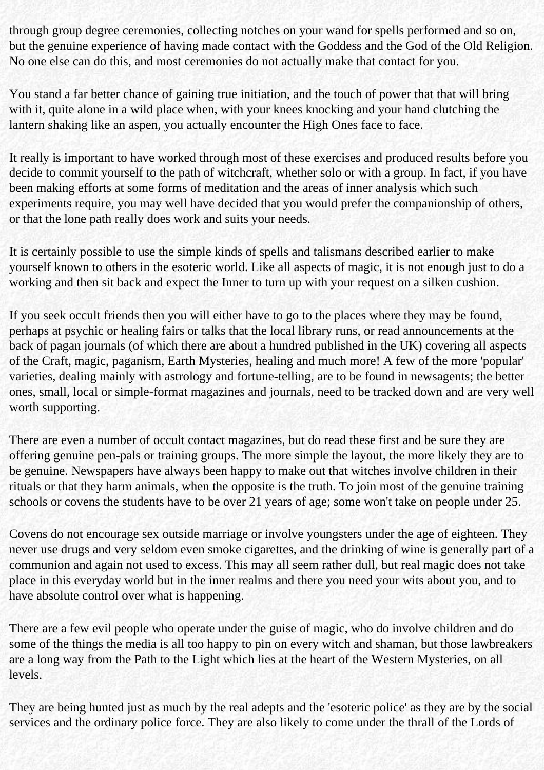through group degree ceremonies, collecting notches on your wand for spells performed and so on, but the genuine experience of having made contact with the Goddess and the God of the Old Religion. No one else can do this, and most ceremonies do not actually make that contact for you.

You stand a far better chance of gaining true initiation, and the touch of power that that will bring with it, quite alone in a wild place when, with your knees knocking and your hand clutching the lantern shaking like an aspen, you actually encounter the High Ones face to face.

It really is important to have worked through most of these exercises and produced results before you decide to commit yourself to the path of witchcraft, whether solo or with a group. In fact, if you have been making efforts at some forms of meditation and the areas of inner analysis which such experiments require, you may well have decided that you would prefer the companionship of others, or that the lone path really does work and suits your needs.

It is certainly possible to use the simple kinds of spells and talismans described earlier to make yourself known to others in the esoteric world. Like all aspects of magic, it is not enough just to do a working and then sit back and expect the Inner to turn up with your request on a silken cushion.

If you seek occult friends then you will either have to go to the places where they may be found, perhaps at psychic or healing fairs or talks that the local library runs, or read announcements at the back of pagan journals (of which there are about a hundred published in the UK) covering all aspects of the Craft, magic, paganism, Earth Mysteries, healing and much more! A few of the more 'popular' varieties, dealing mainly with astrology and fortune-telling, are to be found in newsagents; the better ones, small, local or simple-format magazines and journals, need to be tracked down and are very well worth supporting.

There are even a number of occult contact magazines, but do read these first and be sure they are offering genuine pen-pals or training groups. The more simple the layout, the more likely they are to be genuine. Newspapers have always been happy to make out that witches involve children in their rituals or that they harm animals, when the opposite is the truth. To join most of the genuine training schools or covens the students have to be over 21 years of age; some won't take on people under 25.

Covens do not encourage sex outside marriage or involve youngsters under the age of eighteen. They never use drugs and very seldom even smoke cigarettes, and the drinking of wine is generally part of a communion and again not used to excess. This may all seem rather dull, but real magic does not take place in this everyday world but in the inner realms and there you need your wits about you, and to have absolute control over what is happening.

There are a few evil people who operate under the guise of magic, who do involve children and do some of the things the media is all too happy to pin on every witch and shaman, but those lawbreakers are a long way from the Path to the Light which lies at the heart of the Western Mysteries, on all levels.

They are being hunted just as much by the real adepts and the 'esoteric police' as they are by the social services and the ordinary police force. They are also likely to come under the thrall of the Lords of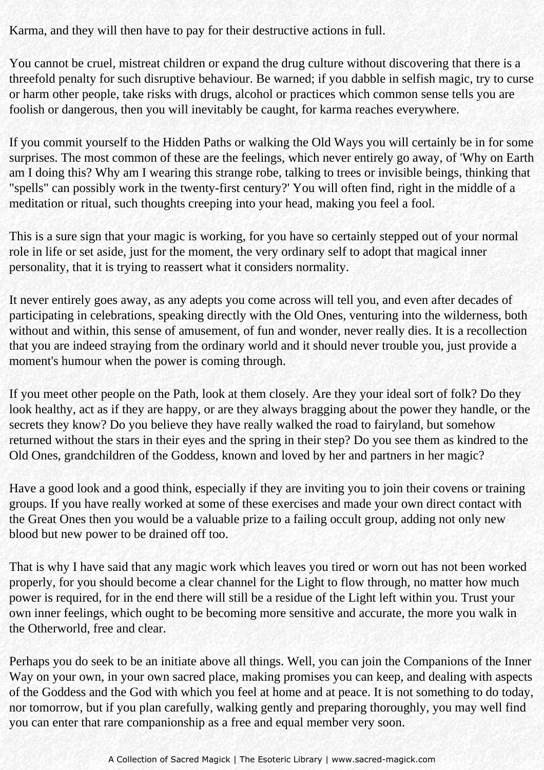Karma, and they will then have to pay for their destructive actions in full.

You cannot be cruel, mistreat children or expand the drug culture without discovering that there is a threefold penalty for such disruptive behaviour. Be warned; if you dabble in selfish magic, try to curse or harm other people, take risks with drugs, alcohol or practices which common sense tells you are foolish or dangerous, then you will inevitably be caught, for karma reaches everywhere.

If you commit yourself to the Hidden Paths or walking the Old Ways you will certainly be in for some surprises. The most common of these are the feelings, which never entirely go away, of 'Why on Earth am I doing this? Why am I wearing this strange robe, talking to trees or invisible beings, thinking that "spells" can possibly work in the twenty-first century?' You will often find, right in the middle of a meditation or ritual, such thoughts creeping into your head, making you feel a fool.

This is a sure sign that your magic is working, for you have so certainly stepped out of your normal role in life or set aside, just for the moment, the very ordinary self to adopt that magical inner personality, that it is trying to reassert what it considers normality.

It never entirely goes away, as any adepts you come across will tell you, and even after decades of participating in celebrations, speaking directly with the Old Ones, venturing into the wilderness, both without and within, this sense of amusement, of fun and wonder, never really dies. It is a recollection that you are indeed straying from the ordinary world and it should never trouble you, just provide a moment's humour when the power is coming through.

If you meet other people on the Path, look at them closely. Are they your ideal sort of folk? Do they look healthy, act as if they are happy, or are they always bragging about the power they handle, or the secrets they know? Do you believe they have really walked the road to fairyland, but somehow returned without the stars in their eyes and the spring in their step? Do you see them as kindred to the Old Ones, grandchildren of the Goddess, known and loved by her and partners in her magic?

Have a good look and a good think, especially if they are inviting you to join their covens or training groups. If you have really worked at some of these exercises and made your own direct contact with the Great Ones then you would be a valuable prize to a failing occult group, adding not only new blood but new power to be drained off too.

That is why I have said that any magic work which leaves you tired or worn out has not been worked properly, for you should become a clear channel for the Light to flow through, no matter how much power is required, for in the end there will still be a residue of the Light left within you. Trust your own inner feelings, which ought to be becoming more sensitive and accurate, the more you walk in the Otherworld, free and clear.

Perhaps you do seek to be an initiate above all things. Well, you can join the Companions of the Inner Way on your own, in your own sacred place, making promises you can keep, and dealing with aspects of the Goddess and the God with which you feel at home and at peace. It is not something to do today, nor tomorrow, but if you plan carefully, walking gently and preparing thoroughly, you may well find you can enter that rare companionship as a free and equal member very soon.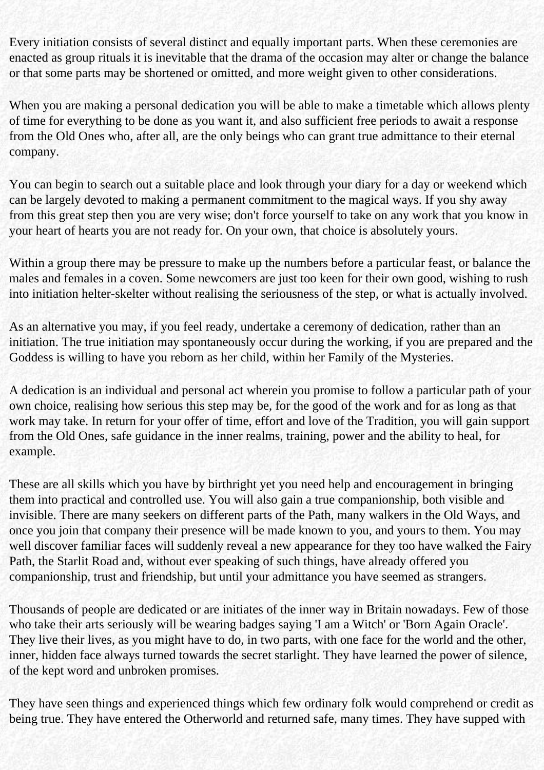Every initiation consists of several distinct and equally important parts. When these ceremonies are enacted as group rituals it is inevitable that the drama of the occasion may alter or change the balance or that some parts may be shortened or omitted, and more weight given to other considerations.

When you are making a personal dedication you will be able to make a timetable which allows plenty of time for everything to be done as you want it, and also sufficient free periods to await a response from the Old Ones who, after all, are the only beings who can grant true admittance to their eternal company.

You can begin to search out a suitable place and look through your diary for a day or weekend which can be largely devoted to making a permanent commitment to the magical ways. If you shy away from this great step then you are very wise; don't force yourself to take on any work that you know in your heart of hearts you are not ready for. On your own, that choice is absolutely yours.

Within a group there may be pressure to make up the numbers before a particular feast, or balance the males and females in a coven. Some newcomers are just too keen for their own good, wishing to rush into initiation helter-skelter without realising the seriousness of the step, or what is actually involved.

As an alternative you may, if you feel ready, undertake a ceremony of dedication, rather than an initiation. The true initiation may spontaneously occur during the working, if you are prepared and the Goddess is willing to have you reborn as her child, within her Family of the Mysteries.

A dedication is an individual and personal act wherein you promise to follow a particular path of your own choice, realising how serious this step may be, for the good of the work and for as long as that work may take. In return for your offer of time, effort and love of the Tradition, you will gain support from the Old Ones, safe guidance in the inner realms, training, power and the ability to heal, for example.

These are all skills which you have by birthright yet you need help and encouragement in bringing them into practical and controlled use. You will also gain a true companionship, both visible and invisible. There are many seekers on different parts of the Path, many walkers in the Old Ways, and once you join that company their presence will be made known to you, and yours to them. You may well discover familiar faces will suddenly reveal a new appearance for they too have walked the Fairy Path, the Starlit Road and, without ever speaking of such things, have already offered you companionship, trust and friendship, but until your admittance you have seemed as strangers.

Thousands of people are dedicated or are initiates of the inner way in Britain nowadays. Few of those who take their arts seriously will be wearing badges saying 'I am a Witch' or 'Born Again Oracle'. They live their lives, as you might have to do, in two parts, with one face for the world and the other, inner, hidden face always turned towards the secret starlight. They have learned the power of silence, of the kept word and unbroken promises.

They have seen things and experienced things which few ordinary folk would comprehend or credit as being true. They have entered the Otherworld and returned safe, many times. They have supped with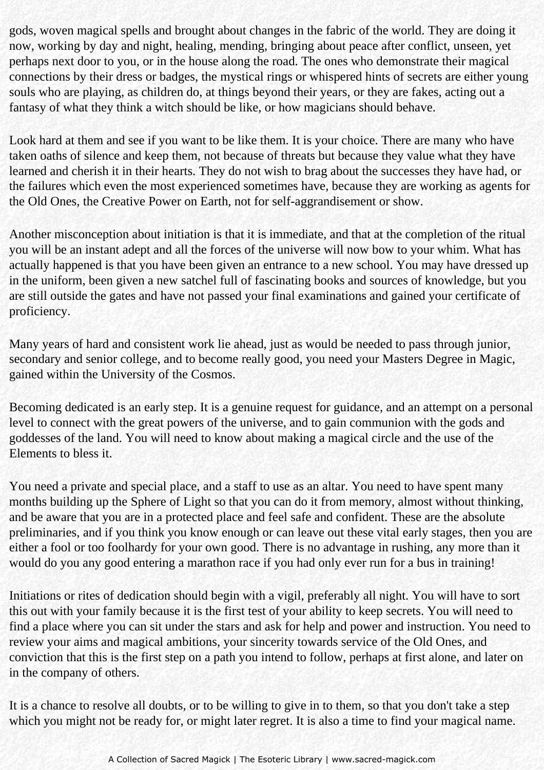gods, woven magical spells and brought about changes in the fabric of the world. They are doing it now, working by day and night, healing, mending, bringing about peace after conflict, unseen, yet perhaps next door to you, or in the house along the road. The ones who demonstrate their magical connections by their dress or badges, the mystical rings or whispered hints of secrets are either young souls who are playing, as children do, at things beyond their years, or they are fakes, acting out a fantasy of what they think a witch should be like, or how magicians should behave.

Look hard at them and see if you want to be like them. It is your choice. There are many who have taken oaths of silence and keep them, not because of threats but because they value what they have learned and cherish it in their hearts. They do not wish to brag about the successes they have had, or the failures which even the most experienced sometimes have, because they are working as agents for the Old Ones, the Creative Power on Earth, not for self-aggrandisement or show.

Another misconception about initiation is that it is immediate, and that at the completion of the ritual you will be an instant adept and all the forces of the universe will now bow to your whim. What has actually happened is that you have been given an entrance to a new school. You may have dressed up in the uniform, been given a new satchel full of fascinating books and sources of knowledge, but you are still outside the gates and have not passed your final examinations and gained your certificate of proficiency.

Many years of hard and consistent work lie ahead, just as would be needed to pass through junior, secondary and senior college, and to become really good, you need your Masters Degree in Magic, gained within the University of the Cosmos.

Becoming dedicated is an early step. It is a genuine request for guidance, and an attempt on a personal level to connect with the great powers of the universe, and to gain communion with the gods and goddesses of the land. You will need to know about making a magical circle and the use of the Elements to bless it.

You need a private and special place, and a staff to use as an altar. You need to have spent many months building up the Sphere of Light so that you can do it from memory, almost without thinking, and be aware that you are in a protected place and feel safe and confident. These are the absolute preliminaries, and if you think you know enough or can leave out these vital early stages, then you are either a fool or too foolhardy for your own good. There is no advantage in rushing, any more than it would do you any good entering a marathon race if you had only ever run for a bus in training!

Initiations or rites of dedication should begin with a vigil, preferably all night. You will have to sort this out with your family because it is the first test of your ability to keep secrets. You will need to find a place where you can sit under the stars and ask for help and power and instruction. You need to review your aims and magical ambitions, your sincerity towards service of the Old Ones, and conviction that this is the first step on a path you intend to follow, perhaps at first alone, and later on in the company of others.

It is a chance to resolve all doubts, or to be willing to give in to them, so that you don't take a step which you might not be ready for, or might later regret. It is also a time to find your magical name.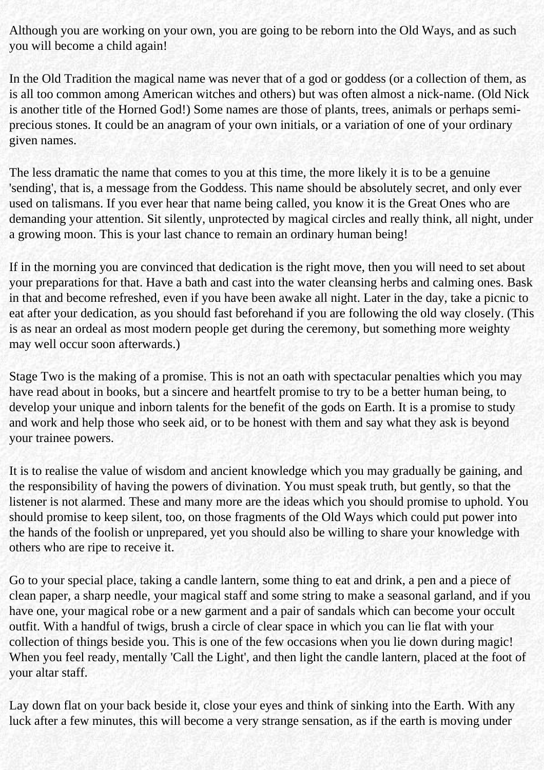Although you are working on your own, you are going to be reborn into the Old Ways, and as such you will become a child again!

In the Old Tradition the magical name was never that of a god or goddess (or a collection of them, as is all too common among American witches and others) but was often almost a nick-name. (Old Nick is another title of the Horned God!) Some names are those of plants, trees, animals or perhaps semiprecious stones. It could be an anagram of your own initials, or a variation of one of your ordinary given names.

The less dramatic the name that comes to you at this time, the more likely it is to be a genuine 'sending', that is, a message from the Goddess. This name should be absolutely secret, and only ever used on talismans. If you ever hear that name being called, you know it is the Great Ones who are demanding your attention. Sit silently, unprotected by magical circles and really think, all night, under a growing moon. This is your last chance to remain an ordinary human being!

If in the morning you are convinced that dedication is the right move, then you will need to set about your preparations for that. Have a bath and cast into the water cleansing herbs and calming ones. Bask in that and become refreshed, even if you have been awake all night. Later in the day, take a picnic to eat after your dedication, as you should fast beforehand if you are following the old way closely. (This is as near an ordeal as most modern people get during the ceremony, but something more weighty may well occur soon afterwards.)

Stage Two is the making of a promise. This is not an oath with spectacular penalties which you may have read about in books, but a sincere and heartfelt promise to try to be a better human being, to develop your unique and inborn talents for the benefit of the gods on Earth. It is a promise to study and work and help those who seek aid, or to be honest with them and say what they ask is beyond your trainee powers.

It is to realise the value of wisdom and ancient knowledge which you may gradually be gaining, and the responsibility of having the powers of divination. You must speak truth, but gently, so that the listener is not alarmed. These and many more are the ideas which you should promise to uphold. You should promise to keep silent, too, on those fragments of the Old Ways which could put power into the hands of the foolish or unprepared, yet you should also be willing to share your knowledge with others who are ripe to receive it.

Go to your special place, taking a candle lantern, some thing to eat and drink, a pen and a piece of clean paper, a sharp needle, your magical staff and some string to make a seasonal garland, and if you have one, your magical robe or a new garment and a pair of sandals which can become your occult outfit. With a handful of twigs, brush a circle of clear space in which you can lie flat with your collection of things beside you. This is one of the few occasions when you lie down during magic! When you feel ready, mentally 'Call the Light', and then light the candle lantern, placed at the foot of your altar staff.

Lay down flat on your back beside it, close your eyes and think of sinking into the Earth. With any luck after a few minutes, this will become a very strange sensation, as if the earth is moving under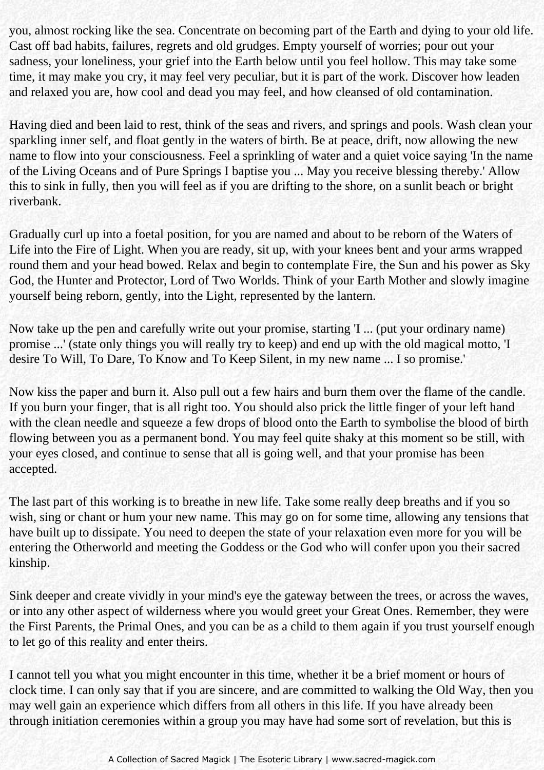you, almost rocking like the sea. Concentrate on becoming part of the Earth and dying to your old life. Cast off bad habits, failures, regrets and old grudges. Empty yourself of worries; pour out your sadness, your loneliness, your grief into the Earth below until you feel hollow. This may take some time, it may make you cry, it may feel very peculiar, but it is part of the work. Discover how leaden and relaxed you are, how cool and dead you may feel, and how cleansed of old contamination.

Having died and been laid to rest, think of the seas and rivers, and springs and pools. Wash clean your sparkling inner self, and float gently in the waters of birth. Be at peace, drift, now allowing the new name to flow into your consciousness. Feel a sprinkling of water and a quiet voice saying 'In the name of the Living Oceans and of Pure Springs I baptise you ... May you receive blessing thereby.' Allow this to sink in fully, then you will feel as if you are drifting to the shore, on a sunlit beach or bright riverbank.

Gradually curl up into a foetal position, for you are named and about to be reborn of the Waters of Life into the Fire of Light. When you are ready, sit up, with your knees bent and your arms wrapped round them and your head bowed. Relax and begin to contemplate Fire, the Sun and his power as Sky God, the Hunter and Protector, Lord of Two Worlds. Think of your Earth Mother and slowly imagine yourself being reborn, gently, into the Light, represented by the lantern.

Now take up the pen and carefully write out your promise, starting 'I ... (put your ordinary name) promise ...' (state only things you will really try to keep) and end up with the old magical motto, 'I desire To Will, To Dare, To Know and To Keep Silent, in my new name ... I so promise.'

Now kiss the paper and burn it. Also pull out a few hairs and burn them over the flame of the candle. If you burn your finger, that is all right too. You should also prick the little finger of your left hand with the clean needle and squeeze a few drops of blood onto the Earth to symbolise the blood of birth flowing between you as a permanent bond. You may feel quite shaky at this moment so be still, with your eyes closed, and continue to sense that all is going well, and that your promise has been accepted.

The last part of this working is to breathe in new life. Take some really deep breaths and if you so wish, sing or chant or hum your new name. This may go on for some time, allowing any tensions that have built up to dissipate. You need to deepen the state of your relaxation even more for you will be entering the Otherworld and meeting the Goddess or the God who will confer upon you their sacred kinship.

Sink deeper and create vividly in your mind's eye the gateway between the trees, or across the waves, or into any other aspect of wilderness where you would greet your Great Ones. Remember, they were the First Parents, the Primal Ones, and you can be as a child to them again if you trust yourself enough to let go of this reality and enter theirs.

I cannot tell you what you might encounter in this time, whether it be a brief moment or hours of clock time. I can only say that if you are sincere, and are committed to walking the Old Way, then you may well gain an experience which differs from all others in this life. If you have already been through initiation ceremonies within a group you may have had some sort of revelation, but this is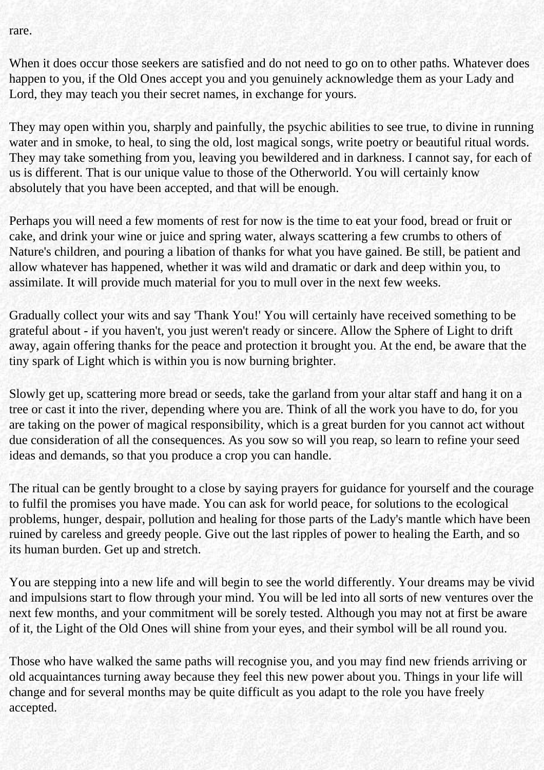rare.

When it does occur those seekers are satisfied and do not need to go on to other paths. Whatever does happen to you, if the Old Ones accept you and you genuinely acknowledge them as your Lady and Lord, they may teach you their secret names, in exchange for yours.

They may open within you, sharply and painfully, the psychic abilities to see true, to divine in running water and in smoke, to heal, to sing the old, lost magical songs, write poetry or beautiful ritual words. They may take something from you, leaving you bewildered and in darkness. I cannot say, for each of us is different. That is our unique value to those of the Otherworld. You will certainly know absolutely that you have been accepted, and that will be enough.

Perhaps you will need a few moments of rest for now is the time to eat your food, bread or fruit or cake, and drink your wine or juice and spring water, always scattering a few crumbs to others of Nature's children, and pouring a libation of thanks for what you have gained. Be still, be patient and allow whatever has happened, whether it was wild and dramatic or dark and deep within you, to assimilate. It will provide much material for you to mull over in the next few weeks.

Gradually collect your wits and say 'Thank You!' You will certainly have received something to be grateful about - if you haven't, you just weren't ready or sincere. Allow the Sphere of Light to drift away, again offering thanks for the peace and protection it brought you. At the end, be aware that the tiny spark of Light which is within you is now burning brighter.

Slowly get up, scattering more bread or seeds, take the garland from your altar staff and hang it on a tree or cast it into the river, depending where you are. Think of all the work you have to do, for you are taking on the power of magical responsibility, which is a great burden for you cannot act without due consideration of all the consequences. As you sow so will you reap, so learn to refine your seed ideas and demands, so that you produce a crop you can handle.

The ritual can be gently brought to a close by saying prayers for guidance for yourself and the courage to fulfil the promises you have made. You can ask for world peace, for solutions to the ecological problems, hunger, despair, pollution and healing for those parts of the Lady's mantle which have been ruined by careless and greedy people. Give out the last ripples of power to healing the Earth, and so its human burden. Get up and stretch.

You are stepping into a new life and will begin to see the world differently. Your dreams may be vivid and impulsions start to flow through your mind. You will be led into all sorts of new ventures over the next few months, and your commitment will be sorely tested. Although you may not at first be aware of it, the Light of the Old Ones will shine from your eyes, and their symbol will be all round you.

Those who have walked the same paths will recognise you, and you may find new friends arriving or old acquaintances turning away because they feel this new power about you. Things in your life will change and for several months may be quite difficult as you adapt to the role you have freely accepted.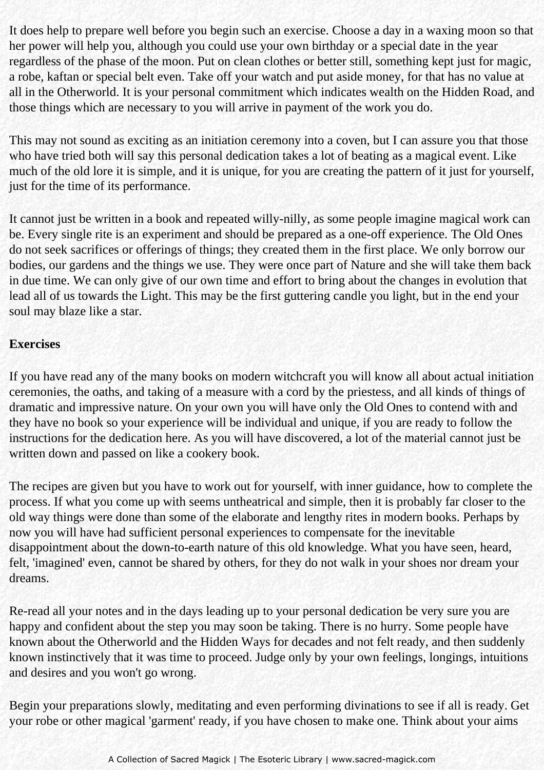It does help to prepare well before you begin such an exercise. Choose a day in a waxing moon so that her power will help you, although you could use your own birthday or a special date in the year regardless of the phase of the moon. Put on clean clothes or better still, something kept just for magic, a robe, kaftan or special belt even. Take off your watch and put aside money, for that has no value at all in the Otherworld. It is your personal commitment which indicates wealth on the Hidden Road, and those things which are necessary to you will arrive in payment of the work you do.

This may not sound as exciting as an initiation ceremony into a coven, but I can assure you that those who have tried both will say this personal dedication takes a lot of beating as a magical event. Like much of the old lore it is simple, and it is unique, for you are creating the pattern of it just for yourself, just for the time of its performance.

It cannot just be written in a book and repeated willy-nilly, as some people imagine magical work can be. Every single rite is an experiment and should be prepared as a one-off experience. The Old Ones do not seek sacrifices or offerings of things; they created them in the first place. We only borrow our bodies, our gardens and the things we use. They were once part of Nature and she will take them back in due time. We can only give of our own time and effort to bring about the changes in evolution that lead all of us towards the Light. This may be the first guttering candle you light, but in the end your soul may blaze like a star.

## **Exercises**

If you have read any of the many books on modern witchcraft you will know all about actual initiation ceremonies, the oaths, and taking of a measure with a cord by the priestess, and all kinds of things of dramatic and impressive nature. On your own you will have only the Old Ones to contend with and they have no book so your experience will be individual and unique, if you are ready to follow the instructions for the dedication here. As you will have discovered, a lot of the material cannot just be written down and passed on like a cookery book.

The recipes are given but you have to work out for yourself, with inner guidance, how to complete the process. If what you come up with seems untheatrical and simple, then it is probably far closer to the old way things were done than some of the elaborate and lengthy rites in modern books. Perhaps by now you will have had sufficient personal experiences to compensate for the inevitable disappointment about the down-to-earth nature of this old knowledge. What you have seen, heard, felt, 'imagined' even, cannot be shared by others, for they do not walk in your shoes nor dream your dreams.

Re-read all your notes and in the days leading up to your personal dedication be very sure you are happy and confident about the step you may soon be taking. There is no hurry. Some people have known about the Otherworld and the Hidden Ways for decades and not felt ready, and then suddenly known instinctively that it was time to proceed. Judge only by your own feelings, longings, intuitions and desires and you won't go wrong.

Begin your preparations slowly, meditating and even performing divinations to see if all is ready. Get your robe or other magical 'garment' ready, if you have chosen to make one. Think about your aims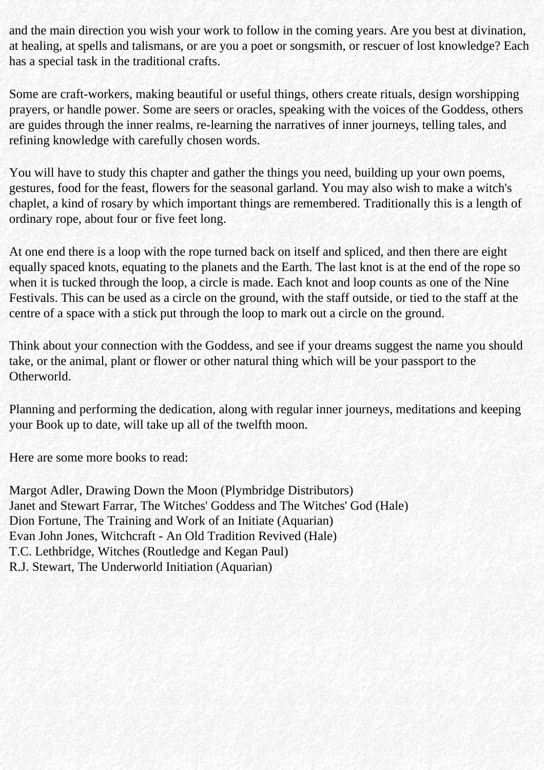and the main direction you wish your work to follow in the coming years. Are you best at divination, at healing, at spells and talismans, or are you a poet or songsmith, or rescuer of lost knowledge? Each has a special task in the traditional crafts.

Some are craft-workers, making beautiful or useful things, others create rituals, design worshipping prayers, or handle power. Some are seers or oracles, speaking with the voices of the Goddess, others are guides through the inner realms, re-learning the narratives of inner journeys, telling tales, and refining knowledge with carefully chosen words.

You will have to study this chapter and gather the things you need, building up your own poems, gestures, food for the feast, flowers for the seasonal garland. You may also wish to make a witch's chaplet, a kind of rosary by which important things are remembered. Traditionally this is a length of ordinary rope, about four or five feet long.

At one end there is a loop with the rope turned back on itself and spliced, and then there are eight equally spaced knots, equating to the planets and the Earth. The last knot is at the end of the rope so when it is tucked through the loop, a circle is made. Each knot and loop counts as one of the Nine Festivals. This can be used as a circle on the ground, with the staff outside, or tied to the staff at the centre of a space with a stick put through the loop to mark out a circle on the ground.

Think about your connection with the Goddess, and see if your dreams suggest the name you should take, or the animal, plant or flower or other natural thing which will be your passport to the Otherworld.

Planning and performing the dedication, along with regular inner journeys, meditations and keeping your Book up to date, will take up all of the twelfth moon.

Here are some more books to read:

Margot Adler, Drawing Down the Moon (Plymbridge Distributors) Janet and Stewart Farrar, The Witches' Goddess and The Witches' God (Hale) Dion Fortune, The Training and Work of an Initiate (Aquarian) Evan John Jones, Witchcraft - An Old Tradition Revived (Hale) T.C. Lethbridge, Witches (Routledge and Kegan Paul) R.J. Stewart, The Underworld Initiation (Aquarian)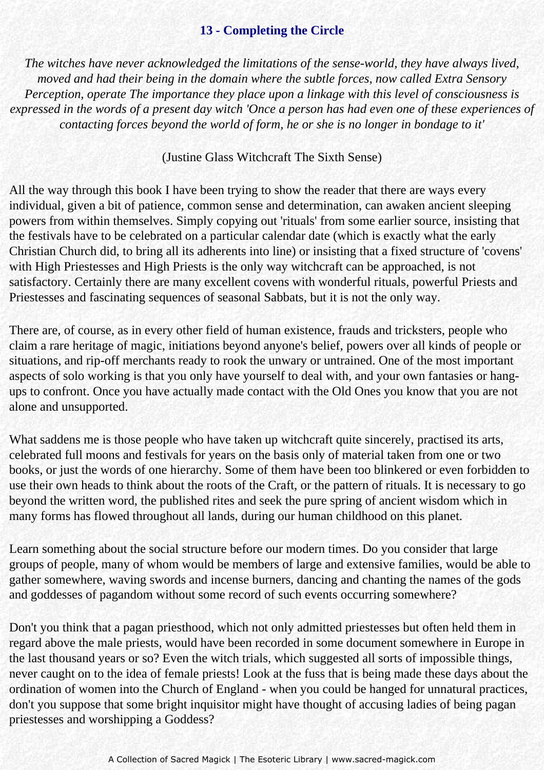## **13 - Completing the Circle**

*The witches have never acknowledged the limitations of the sense-world, they have always lived, moved and had their being in the domain where the subtle forces, now called Extra Sensory Perception, operate The importance they place upon a linkage with this level of consciousness is expressed in the words of a present day witch 'Once a person has had even one of these experiences of contacting forces beyond the world of form, he or she is no longer in bondage to it'*

(Justine Glass Witchcraft The Sixth Sense)

All the way through this book I have been trying to show the reader that there are ways every individual, given a bit of patience, common sense and determination, can awaken ancient sleeping powers from within themselves. Simply copying out 'rituals' from some earlier source, insisting that the festivals have to be celebrated on a particular calendar date (which is exactly what the early Christian Church did, to bring all its adherents into line) or insisting that a fixed structure of 'covens' with High Priestesses and High Priests is the only way witchcraft can be approached, is not satisfactory. Certainly there are many excellent covens with wonderful rituals, powerful Priests and Priestesses and fascinating sequences of seasonal Sabbats, but it is not the only way.

There are, of course, as in every other field of human existence, frauds and tricksters, people who claim a rare heritage of magic, initiations beyond anyone's belief, powers over all kinds of people or situations, and rip-off merchants ready to rook the unwary or untrained. One of the most important aspects of solo working is that you only have yourself to deal with, and your own fantasies or hangups to confront. Once you have actually made contact with the Old Ones you know that you are not alone and unsupported.

What saddens me is those people who have taken up witchcraft quite sincerely, practised its arts, celebrated full moons and festivals for years on the basis only of material taken from one or two books, or just the words of one hierarchy. Some of them have been too blinkered or even forbidden to use their own heads to think about the roots of the Craft, or the pattern of rituals. It is necessary to go beyond the written word, the published rites and seek the pure spring of ancient wisdom which in many forms has flowed throughout all lands, during our human childhood on this planet.

Learn something about the social structure before our modern times. Do you consider that large groups of people, many of whom would be members of large and extensive families, would be able to gather somewhere, waving swords and incense burners, dancing and chanting the names of the gods and goddesses of pagandom without some record of such events occurring somewhere?

Don't you think that a pagan priesthood, which not only admitted priestesses but often held them in regard above the male priests, would have been recorded in some document somewhere in Europe in the last thousand years or so? Even the witch trials, which suggested all sorts of impossible things, never caught on to the idea of female priests! Look at the fuss that is being made these days about the ordination of women into the Church of England - when you could be hanged for unnatural practices, don't you suppose that some bright inquisitor might have thought of accusing ladies of being pagan priestesses and worshipping a Goddess?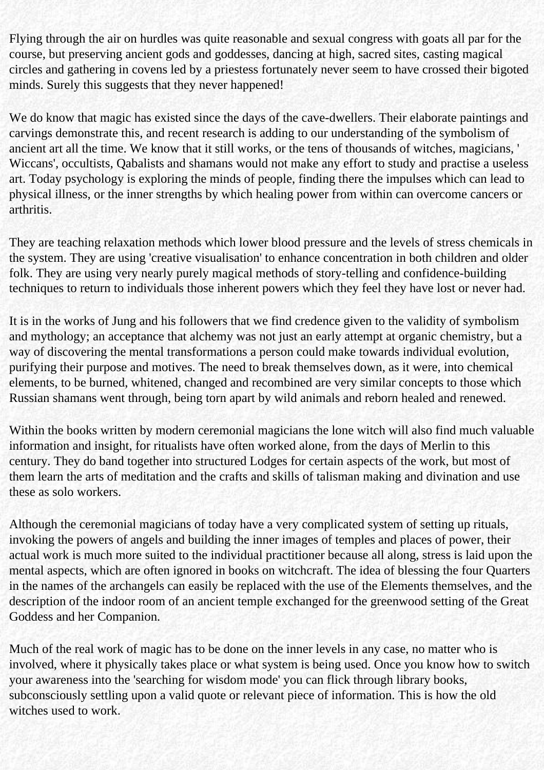Flying through the air on hurdles was quite reasonable and sexual congress with goats all par for the course, but preserving ancient gods and goddesses, dancing at high, sacred sites, casting magical circles and gathering in covens led by a priestess fortunately never seem to have crossed their bigoted minds. Surely this suggests that they never happened!

We do know that magic has existed since the days of the cave-dwellers. Their elaborate paintings and carvings demonstrate this, and recent research is adding to our understanding of the symbolism of ancient art all the time. We know that it still works, or the tens of thousands of witches, magicians, ' Wiccans', occultists, Qabalists and shamans would not make any effort to study and practise a useless art. Today psychology is exploring the minds of people, finding there the impulses which can lead to physical illness, or the inner strengths by which healing power from within can overcome cancers or arthritis.

They are teaching relaxation methods which lower blood pressure and the levels of stress chemicals in the system. They are using 'creative visualisation' to enhance concentration in both children and older folk. They are using very nearly purely magical methods of story-telling and confidence-building techniques to return to individuals those inherent powers which they feel they have lost or never had.

It is in the works of Jung and his followers that we find credence given to the validity of symbolism and mythology; an acceptance that alchemy was not just an early attempt at organic chemistry, but a way of discovering the mental transformations a person could make towards individual evolution, purifying their purpose and motives. The need to break themselves down, as it were, into chemical elements, to be burned, whitened, changed and recombined are very similar concepts to those which Russian shamans went through, being torn apart by wild animals and reborn healed and renewed.

Within the books written by modern ceremonial magicians the lone witch will also find much valuable information and insight, for ritualists have often worked alone, from the days of Merlin to this century. They do band together into structured Lodges for certain aspects of the work, but most of them learn the arts of meditation and the crafts and skills of talisman making and divination and use these as solo workers.

Although the ceremonial magicians of today have a very complicated system of setting up rituals, invoking the powers of angels and building the inner images of temples and places of power, their actual work is much more suited to the individual practitioner because all along, stress is laid upon the mental aspects, which are often ignored in books on witchcraft. The idea of blessing the four Quarters in the names of the archangels can easily be replaced with the use of the Elements themselves, and the description of the indoor room of an ancient temple exchanged for the greenwood setting of the Great Goddess and her Companion.

Much of the real work of magic has to be done on the inner levels in any case, no matter who is involved, where it physically takes place or what system is being used. Once you know how to switch your awareness into the 'searching for wisdom mode' you can flick through library books, subconsciously settling upon a valid quote or relevant piece of information. This is how the old witches used to work.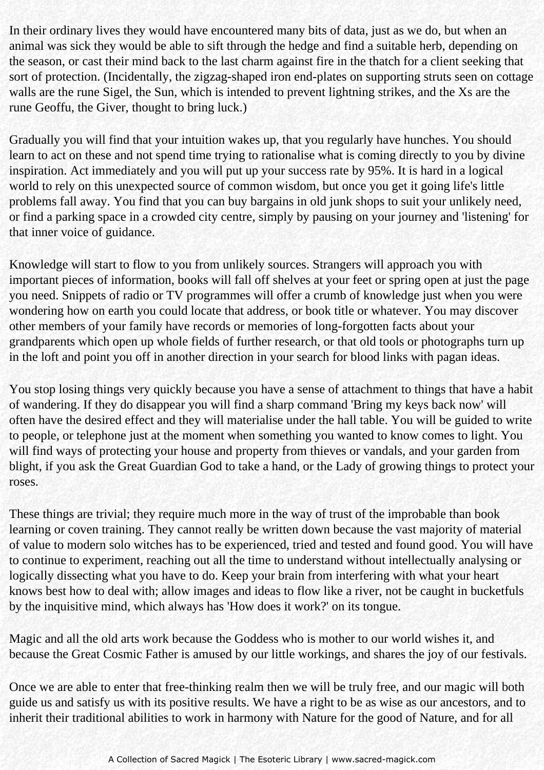In their ordinary lives they would have encountered many bits of data, just as we do, but when an animal was sick they would be able to sift through the hedge and find a suitable herb, depending on the season, or cast their mind back to the last charm against fire in the thatch for a client seeking that sort of protection. (Incidentally, the zigzag-shaped iron end-plates on supporting struts seen on cottage walls are the rune Sigel, the Sun, which is intended to prevent lightning strikes, and the Xs are the rune Geoffu, the Giver, thought to bring luck.)

Gradually you will find that your intuition wakes up, that you regularly have hunches. You should learn to act on these and not spend time trying to rationalise what is coming directly to you by divine inspiration. Act immediately and you will put up your success rate by 95%. It is hard in a logical world to rely on this unexpected source of common wisdom, but once you get it going life's little problems fall away. You find that you can buy bargains in old junk shops to suit your unlikely need, or find a parking space in a crowded city centre, simply by pausing on your journey and 'listening' for that inner voice of guidance.

Knowledge will start to flow to you from unlikely sources. Strangers will approach you with important pieces of information, books will fall off shelves at your feet or spring open at just the page you need. Snippets of radio or TV programmes will offer a crumb of knowledge just when you were wondering how on earth you could locate that address, or book title or whatever. You may discover other members of your family have records or memories of long-forgotten facts about your grandparents which open up whole fields of further research, or that old tools or photographs turn up in the loft and point you off in another direction in your search for blood links with pagan ideas.

You stop losing things very quickly because you have a sense of attachment to things that have a habit of wandering. If they do disappear you will find a sharp command 'Bring my keys back now' will often have the desired effect and they will materialise under the hall table. You will be guided to write to people, or telephone just at the moment when something you wanted to know comes to light. You will find ways of protecting your house and property from thieves or vandals, and your garden from blight, if you ask the Great Guardian God to take a hand, or the Lady of growing things to protect your roses.

These things are trivial; they require much more in the way of trust of the improbable than book learning or coven training. They cannot really be written down because the vast majority of material of value to modern solo witches has to be experienced, tried and tested and found good. You will have to continue to experiment, reaching out all the time to understand without intellectually analysing or logically dissecting what you have to do. Keep your brain from interfering with what your heart knows best how to deal with; allow images and ideas to flow like a river, not be caught in bucketfuls by the inquisitive mind, which always has 'How does it work?' on its tongue.

Magic and all the old arts work because the Goddess who is mother to our world wishes it, and because the Great Cosmic Father is amused by our little workings, and shares the joy of our festivals.

Once we are able to enter that free-thinking realm then we will be truly free, and our magic will both guide us and satisfy us with its positive results. We have a right to be as wise as our ancestors, and to inherit their traditional abilities to work in harmony with Nature for the good of Nature, and for all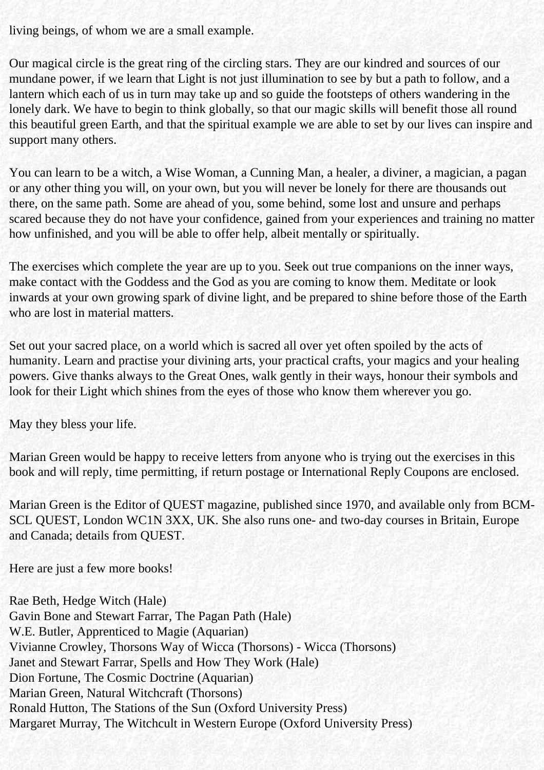living beings, of whom we are a small example.

Our magical circle is the great ring of the circling stars. They are our kindred and sources of our mundane power, if we learn that Light is not just illumination to see by but a path to follow, and a lantern which each of us in turn may take up and so guide the footsteps of others wandering in the lonely dark. We have to begin to think globally, so that our magic skills will benefit those all round this beautiful green Earth, and that the spiritual example we are able to set by our lives can inspire and support many others.

You can learn to be a witch, a Wise Woman, a Cunning Man, a healer, a diviner, a magician, a pagan or any other thing you will, on your own, but you will never be lonely for there are thousands out there, on the same path. Some are ahead of you, some behind, some lost and unsure and perhaps scared because they do not have your confidence, gained from your experiences and training no matter how unfinished, and you will be able to offer help, albeit mentally or spiritually.

The exercises which complete the year are up to you. Seek out true companions on the inner ways, make contact with the Goddess and the God as you are coming to know them. Meditate or look inwards at your own growing spark of divine light, and be prepared to shine before those of the Earth who are lost in material matters.

Set out your sacred place, on a world which is sacred all over yet often spoiled by the acts of humanity. Learn and practise your divining arts, your practical crafts, your magics and your healing powers. Give thanks always to the Great Ones, walk gently in their ways, honour their symbols and look for their Light which shines from the eyes of those who know them wherever you go.

May they bless your life.

Marian Green would be happy to receive letters from anyone who is trying out the exercises in this book and will reply, time permitting, if return postage or International Reply Coupons are enclosed.

Marian Green is the Editor of QUEST magazine, published since 1970, and available only from BCM-SCL QUEST, London WC1N 3XX, UK. She also runs one- and two-day courses in Britain, Europe and Canada; details from QUEST.

Here are just a few more books!

Rae Beth, Hedge Witch (Hale) Gavin Bone and Stewart Farrar, The Pagan Path (Hale) W.E. Butler, Apprenticed to Magie (Aquarian) Vivianne Crowley, Thorsons Way of Wicca (Thorsons) - Wicca (Thorsons) Janet and Stewart Farrar, Spells and How They Work (Hale) Dion Fortune, The Cosmic Doctrine (Aquarian) Marian Green, Natural Witchcraft (Thorsons) Ronald Hutton, The Stations of the Sun (Oxford University Press) Margaret Murray, The Witchcult in Western Europe (Oxford University Press)